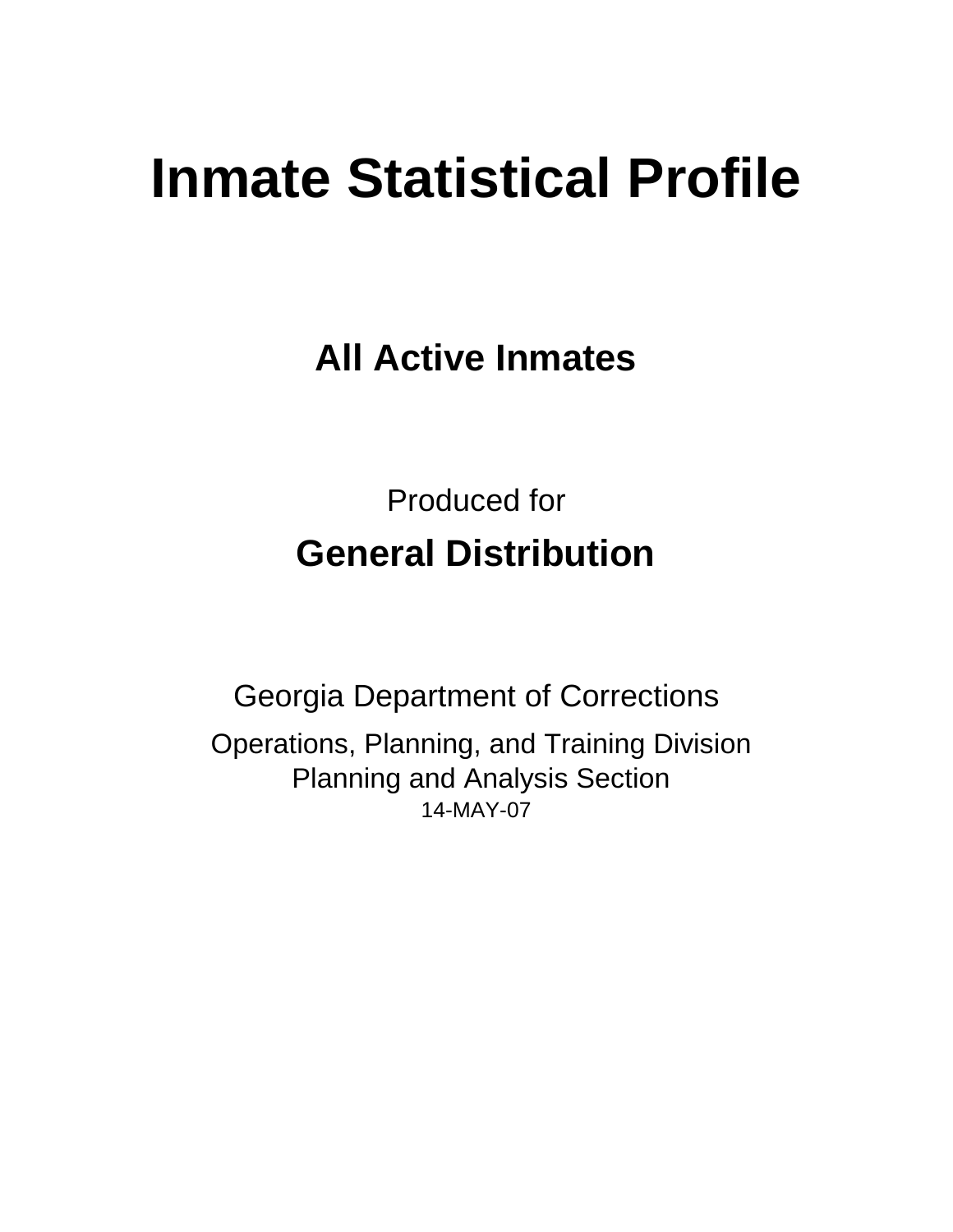# **Inmate Statistical Profile**

**All Active Inmates**

Produced for **General Distribution**

14-MAY-07 Georgia Department of Corrections Operations, Planning, and Training Division Planning and Analysis Section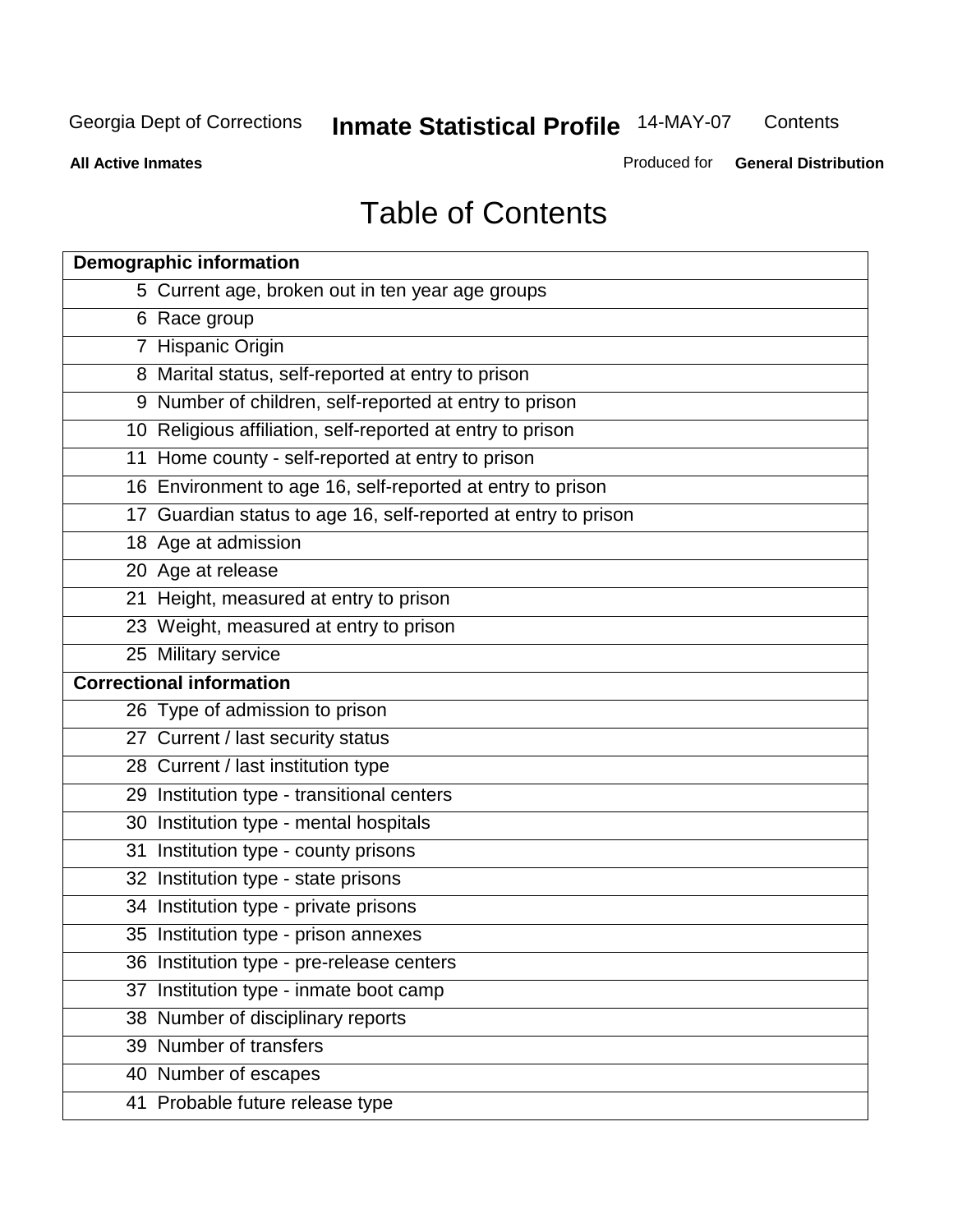**Contents** 

**All Active Inmates**

Produced for **General Distribution**

# Table of Contents

|    | <b>Demographic information</b>                                 |
|----|----------------------------------------------------------------|
|    | 5 Current age, broken out in ten year age groups               |
|    | 6 Race group                                                   |
|    | 7 Hispanic Origin                                              |
|    | 8 Marital status, self-reported at entry to prison             |
|    | 9 Number of children, self-reported at entry to prison         |
|    | 10 Religious affiliation, self-reported at entry to prison     |
|    | 11 Home county - self-reported at entry to prison              |
|    | 16 Environment to age 16, self-reported at entry to prison     |
|    | 17 Guardian status to age 16, self-reported at entry to prison |
|    | 18 Age at admission                                            |
|    | 20 Age at release                                              |
|    | 21 Height, measured at entry to prison                         |
|    | 23 Weight, measured at entry to prison                         |
|    | 25 Military service                                            |
|    | <b>Correctional information</b>                                |
|    | 26 Type of admission to prison                                 |
|    | 27 Current / last security status                              |
|    | 28 Current / last institution type                             |
|    | 29 Institution type - transitional centers                     |
|    | 30 Institution type - mental hospitals                         |
|    | 31 Institution type - county prisons                           |
|    | 32 Institution type - state prisons                            |
|    | 34 Institution type - private prisons                          |
|    | 35 Institution type - prison annexes                           |
|    | 36 Institution type - pre-release centers                      |
| 37 | Institution type - inmate boot camp                            |
|    | 38 Number of disciplinary reports                              |
|    | 39 Number of transfers                                         |
|    | 40 Number of escapes                                           |
|    | 41 Probable future release type                                |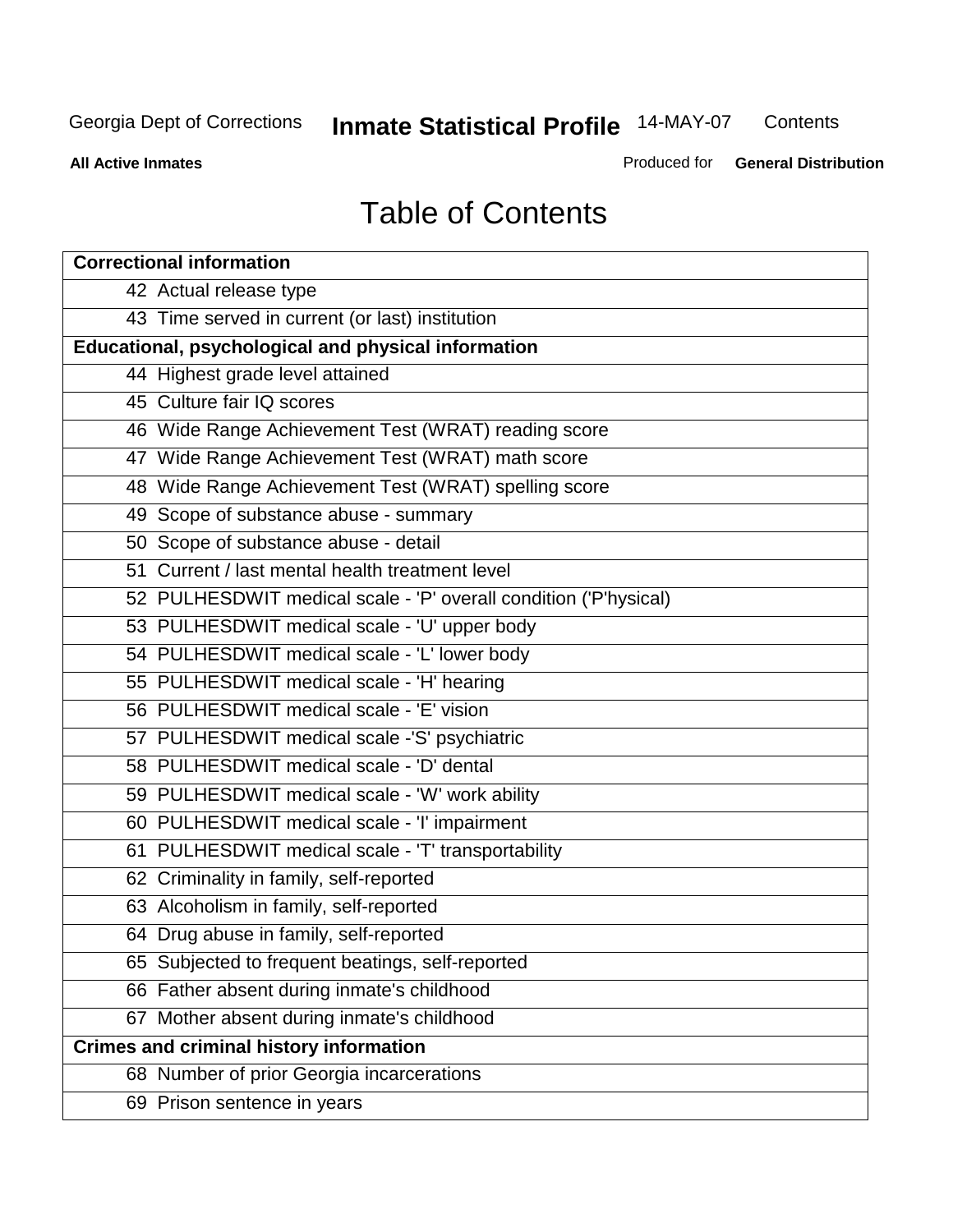**Contents** 

**All Active Inmates**

Produced for **General Distribution**

# Table of Contents

| <b>Correctional information</b>                                  |
|------------------------------------------------------------------|
| 42 Actual release type                                           |
| 43 Time served in current (or last) institution                  |
| <b>Educational, psychological and physical information</b>       |
| 44 Highest grade level attained                                  |
| 45 Culture fair IQ scores                                        |
| 46 Wide Range Achievement Test (WRAT) reading score              |
| 47 Wide Range Achievement Test (WRAT) math score                 |
| 48 Wide Range Achievement Test (WRAT) spelling score             |
| 49 Scope of substance abuse - summary                            |
| 50 Scope of substance abuse - detail                             |
| 51 Current / last mental health treatment level                  |
| 52 PULHESDWIT medical scale - 'P' overall condition ('P'hysical) |
| 53 PULHESDWIT medical scale - 'U' upper body                     |
| 54 PULHESDWIT medical scale - 'L' lower body                     |
| 55 PULHESDWIT medical scale - 'H' hearing                        |
| 56 PULHESDWIT medical scale - 'E' vision                         |
| 57 PULHESDWIT medical scale -'S' psychiatric                     |
| 58 PULHESDWIT medical scale - 'D' dental                         |
| 59 PULHESDWIT medical scale - 'W' work ability                   |
| 60 PULHESDWIT medical scale - 'I' impairment                     |
| 61 PULHESDWIT medical scale - 'T' transportability               |
| 62 Criminality in family, self-reported                          |
| 63 Alcoholism in family, self-reported                           |
| 64 Drug abuse in family, self-reported                           |
| 65 Subjected to frequent beatings, self-reported                 |
| 66 Father absent during inmate's childhood                       |
| 67 Mother absent during inmate's childhood                       |
| <b>Crimes and criminal history information</b>                   |
| 68 Number of prior Georgia incarcerations                        |
| 69 Prison sentence in years                                      |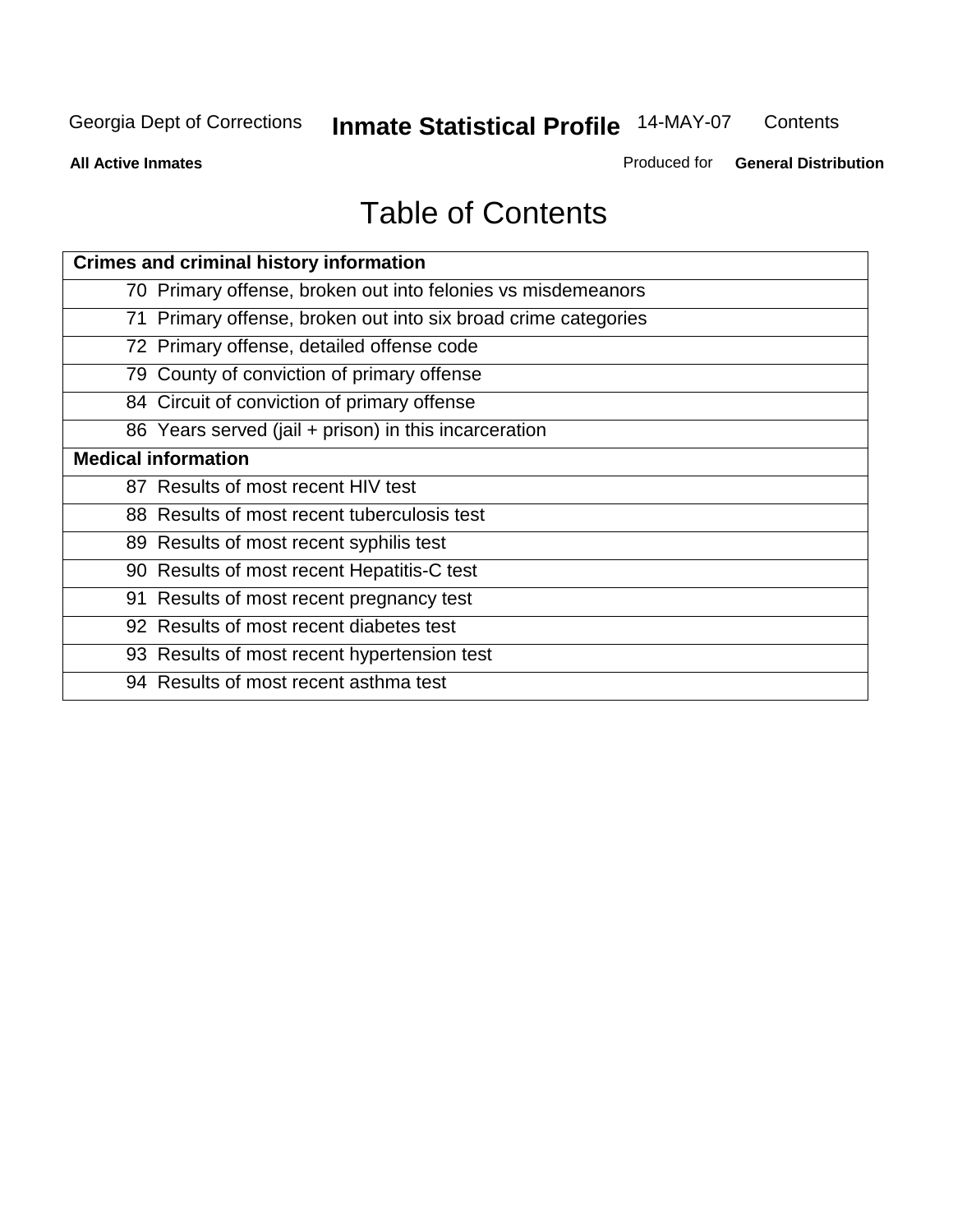**Contents** 

**All Active Inmates**

Produced for **General Distribution**

# Table of Contents

| <b>Crimes and criminal history information</b>                 |
|----------------------------------------------------------------|
| 70 Primary offense, broken out into felonies vs misdemeanors   |
| 71 Primary offense, broken out into six broad crime categories |
| 72 Primary offense, detailed offense code                      |
| 79 County of conviction of primary offense                     |
| 84 Circuit of conviction of primary offense                    |
| 86 Years served (jail + prison) in this incarceration          |
| <b>Medical information</b>                                     |
| 87 Results of most recent HIV test                             |
| 88 Results of most recent tuberculosis test                    |
| 89 Results of most recent syphilis test                        |
| 90 Results of most recent Hepatitis-C test                     |
| 91 Results of most recent pregnancy test                       |
| 92 Results of most recent diabetes test                        |
| 93 Results of most recent hypertension test                    |
| 94 Results of most recent asthma test                          |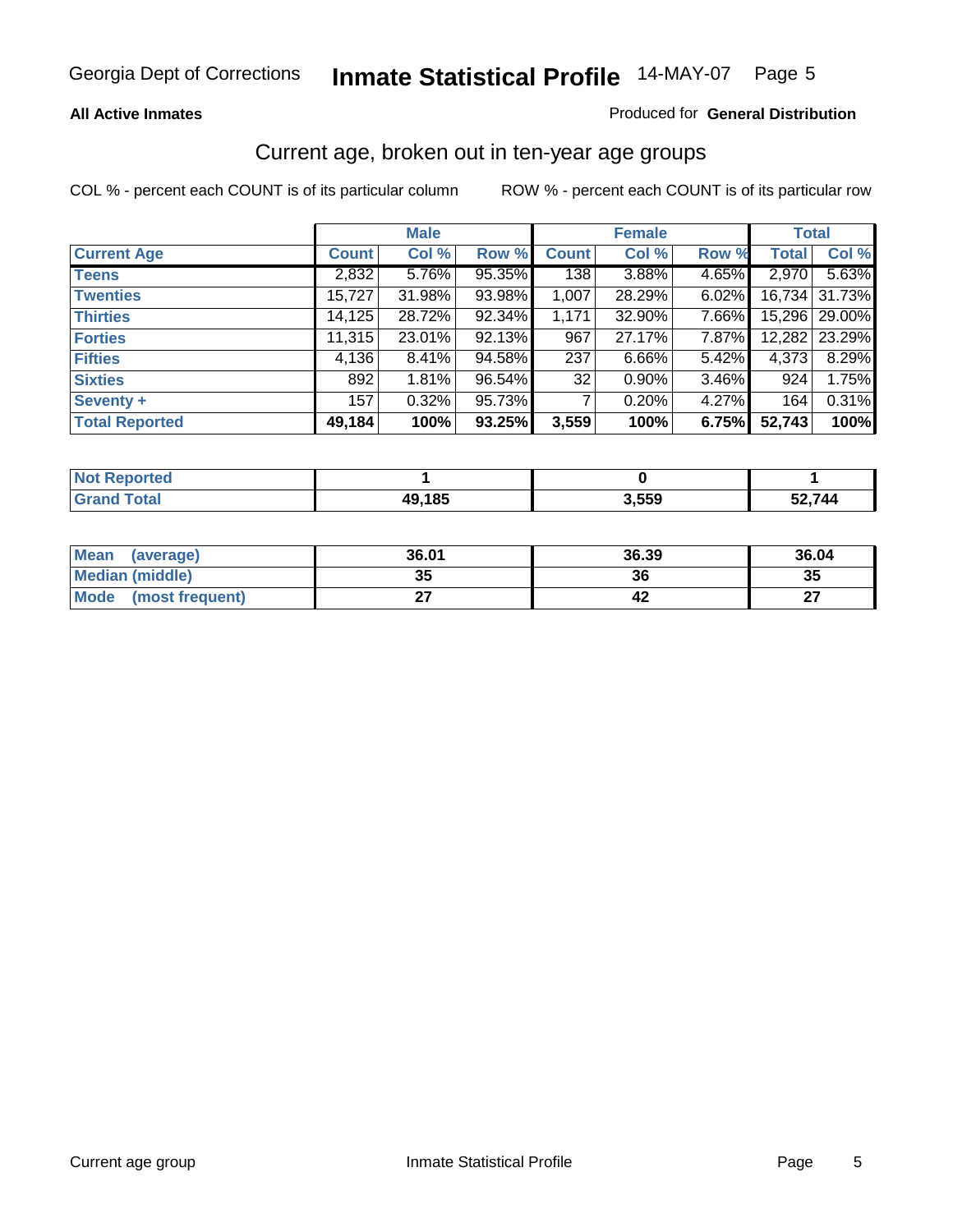#### **All Active Inmates**

#### Produced for **General Distribution**

#### Current age, broken out in ten-year age groups

|                       |              | <b>Male</b> |        |              | <b>Female</b> |          | <b>Total</b> |               |
|-----------------------|--------------|-------------|--------|--------------|---------------|----------|--------------|---------------|
| <b>Current Age</b>    | <b>Count</b> | Col %       | Row %  | <b>Count</b> | Col %         | Row %    | <b>Total</b> | Col %         |
| <b>Teens</b>          | 2,832        | 5.76%       | 95.35% | 138          | 3.88%         | 4.65%    | 2,970        | 5.63%         |
| <b>Twenties</b>       | 15,727       | 31.98%      | 93.98% | 1,007        | 28.29%        | $6.02\%$ |              | 16,734 31.73% |
| <b>Thirties</b>       | 14,125       | 28.72%      | 92.34% | 1,171        | 32.90%        | 7.66%    |              | 15,296 29.00% |
| <b>Forties</b>        | 11,315       | 23.01%      | 92.13% | 967          | 27.17%        | 7.87%    |              | 12,282 23.29% |
| <b>Fifties</b>        | 4,136        | 8.41%       | 94.58% | 237          | 6.66%         | 5.42%    | 4,373        | 8.29%         |
| <b>Sixties</b>        | 892          | 1.81%       | 96.54% | 32           | $0.90\%$      | $3.46\%$ | 924          | 1.75%         |
| Seventy +             | 157          | 0.32%       | 95.73% | 7            | 0.20%         | 4.27%    | 164          | 0.31%         |
| <b>Total Reported</b> | 49,184       | 100%        | 93.25% | 3,559        | 100%          | 6.75%    | 52,743       | 100%          |

| <b>Not Reported</b> |        |       |        |
|---------------------|--------|-------|--------|
| <b>Total</b>        | 49,185 | 3,559 | 2,744ه |

| <b>Mean</b><br>(average)       | 36.01     | 36.39 | 36.04     |
|--------------------------------|-----------|-------|-----------|
| <b>Median (middle)</b>         | 25<br>JJ. | 36    | 35        |
| <b>Mode</b><br>(most frequent) |           |       | ^7<br>. . |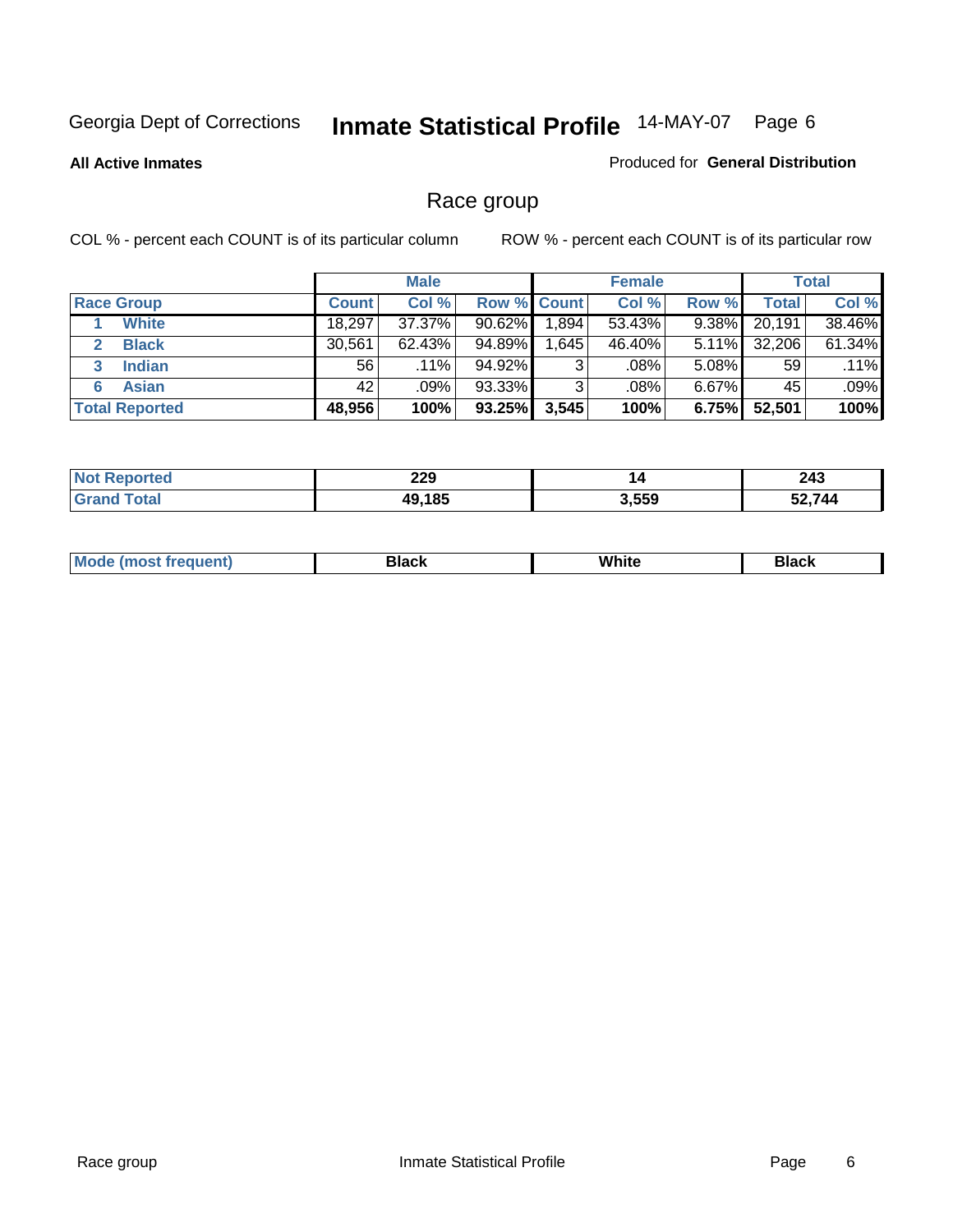#### **All Active Inmates**

#### Produced for **General Distribution**

### Race group

|                       |              | <b>Male</b> |             |          | <b>Female</b> |          |              | <b>Total</b> |
|-----------------------|--------------|-------------|-------------|----------|---------------|----------|--------------|--------------|
| <b>Race Group</b>     | <b>Count</b> | Col %       | Row % Count |          | Col %         | Row %    | <b>Total</b> | Col %        |
| <b>White</b>          | 18,297       | 37.37%      | 90.62%      | ا 894. ا | 53.43%        | 9.38%    | 20,191       | 38.46%       |
| <b>Black</b>          | 30,561       | $62.43\%$   | 94.89%      | 645. ا   | 46.40%        | $5.11\%$ | 32,206       | 61.34%       |
| <b>Indian</b><br>3    | 56           | $.11\%$     | 94.92%      | 3        | $.08\%$       | $5.08\%$ | 59           | .11%         |
| <b>Asian</b>          | 42           | .09%        | 93.33%      | 3        | .08%          | $6.67\%$ | 45           | .09%         |
| <b>Total Reported</b> | 48,956       | 100%        | 93.25%      | 3,545    | 100%          | 6.75%    | 52,501       | 100%         |

| 229       | 14    | 243    |
|-----------|-------|--------|
| AC<br>AC. | 3,559 | 59 711 |

|  | $Mc$ | Black | White<br>$ -$ | 21904<br>DIACK |
|--|------|-------|---------------|----------------|
|--|------|-------|---------------|----------------|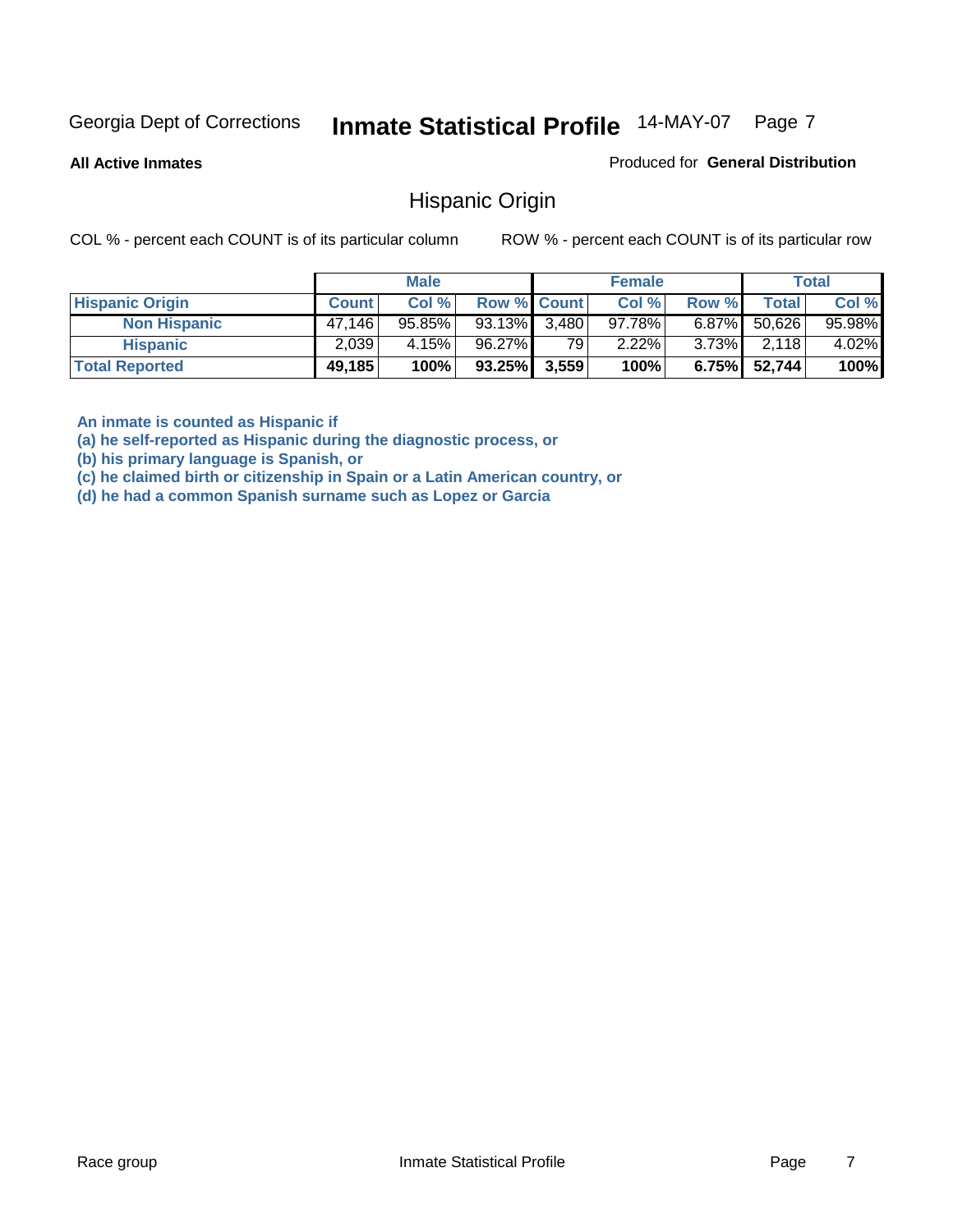**All Active Inmates**

Produced for **General Distribution**

Hispanic Origin

COL % - percent each COUNT is of its particular column ROW % - percent each COUNT is of its particular row

|                        |              | <b>Male</b> |                    |    | <b>Female</b> |          |        | <b>Total</b> |
|------------------------|--------------|-------------|--------------------|----|---------------|----------|--------|--------------|
| <b>Hispanic Origin</b> | <b>Count</b> | Col %       | <b>Row % Count</b> |    | Col %         | Row %    | Total  | Col %        |
| <b>Non Hispanic</b>    | 47.146       | $95.85\%$   | $93.13\%$ 3.480    |    | 97.78%        | $6.87\%$ | 50.626 | $95.98\%$    |
| <b>Hispanic</b>        | 2,039        | 4.15%       | 96.27%             | 79 | 2.22%         | $3.73\%$ | 2,118  | 4.02%        |
| <b>Total Reported</b>  | 49,185       | 100%        | $93.25\%$ 3,559    |    | 100%          | 6.75%    | 52,744 | 100%         |

**An inmate is counted as Hispanic if** 

**(a) he self-reported as Hispanic during the diagnostic process, or** 

**(b) his primary language is Spanish, or** 

**(c) he claimed birth or citizenship in Spain or a Latin American country, or** 

**(d) he had a common Spanish surname such as Lopez or Garcia**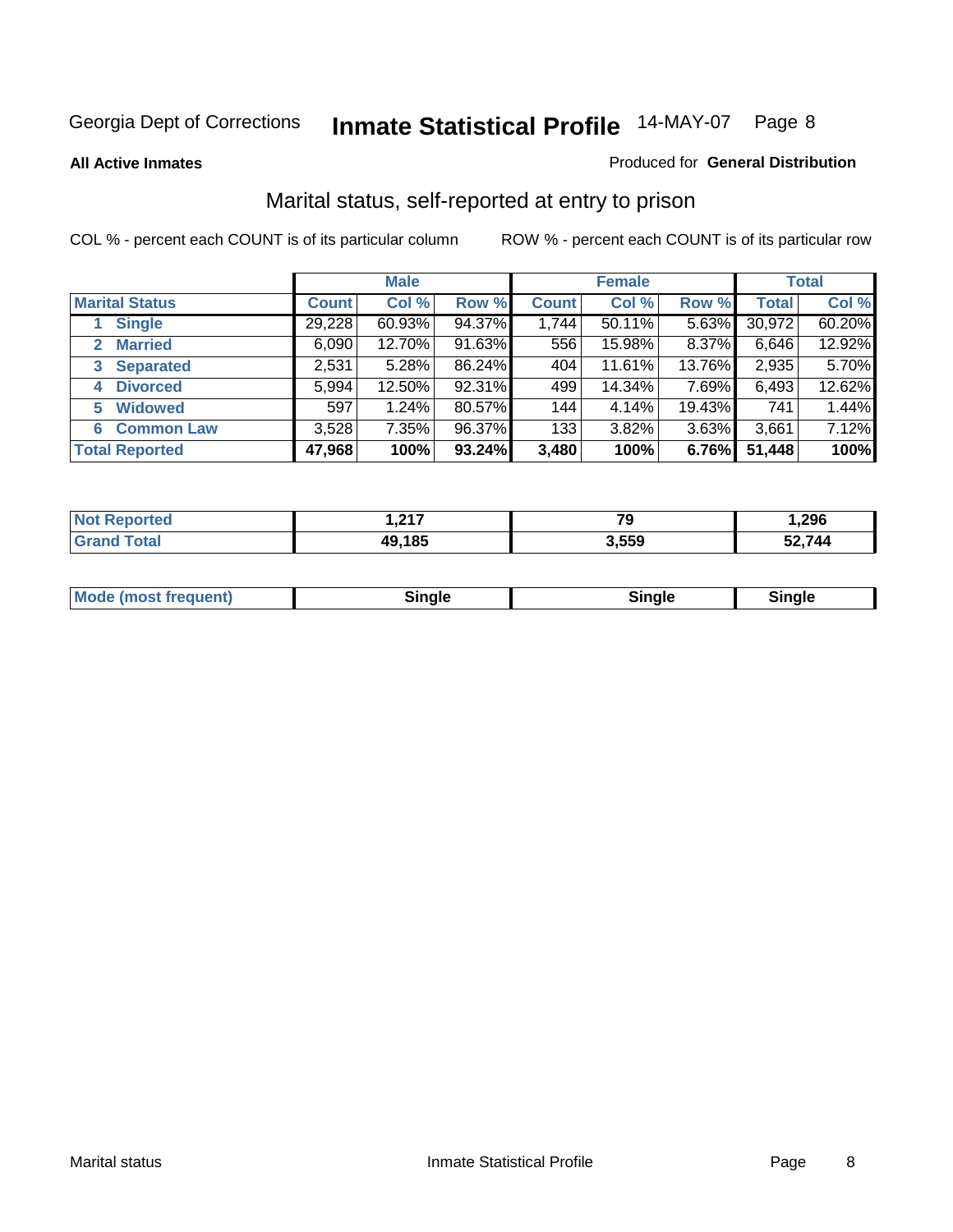**All Active Inmates**

#### Produced for **General Distribution**

### Marital status, self-reported at entry to prison

|                                | <b>Male</b>  |        |        | <b>Female</b> |        |        | <b>Total</b> |        |
|--------------------------------|--------------|--------|--------|---------------|--------|--------|--------------|--------|
| <b>Marital Status</b>          | <b>Count</b> | Col %  | Row %  | <b>Count</b>  | Col %  | Row %  | <b>Total</b> | Col %  |
| <b>Single</b>                  | 29,228       | 60.93% | 94.37% | 1,744         | 50.11% | 5.63%  | 30,972       | 60.20% |
| <b>Married</b><br>$\mathbf{2}$ | 6,090        | 12.70% | 91.63% | 556           | 15.98% | 8.37%  | 6,646        | 12.92% |
| <b>Separated</b><br>3          | 2,531        | 5.28%  | 86.24% | 404           | 11.61% | 13.76% | 2,935        | 5.70%  |
| <b>Divorced</b><br>4           | 5,994        | 12.50% | 92.31% | 499           | 14.34% | 7.69%  | 6,493        | 12.62% |
| <b>Widowed</b><br>5            | 597          | 1.24%  | 80.57% | 144           | 4.14%  | 19.43% | 741          | 1.44%  |
| <b>Common Law</b><br>6         | 3,528        | 7.35%  | 96.37% | 133           | 3.82%  | 3.63%  | 3,661        | 7.12%  |
| <b>Total Reported</b>          | 47,968       | 100%   | 93.24% | 3,480         | 100%   | 6.76%  | 51,448       | 100%   |

|       | 247<br>, <i>.</i>      | 70<br>ч | ,296 |
|-------|------------------------|---------|------|
| _____ | $A$ OF<br>24 L<br>l O. | 550     | --   |

| <b>Mode (most frequent)</b><br>Sinale<br>≒ınale |
|-------------------------------------------------|
|-------------------------------------------------|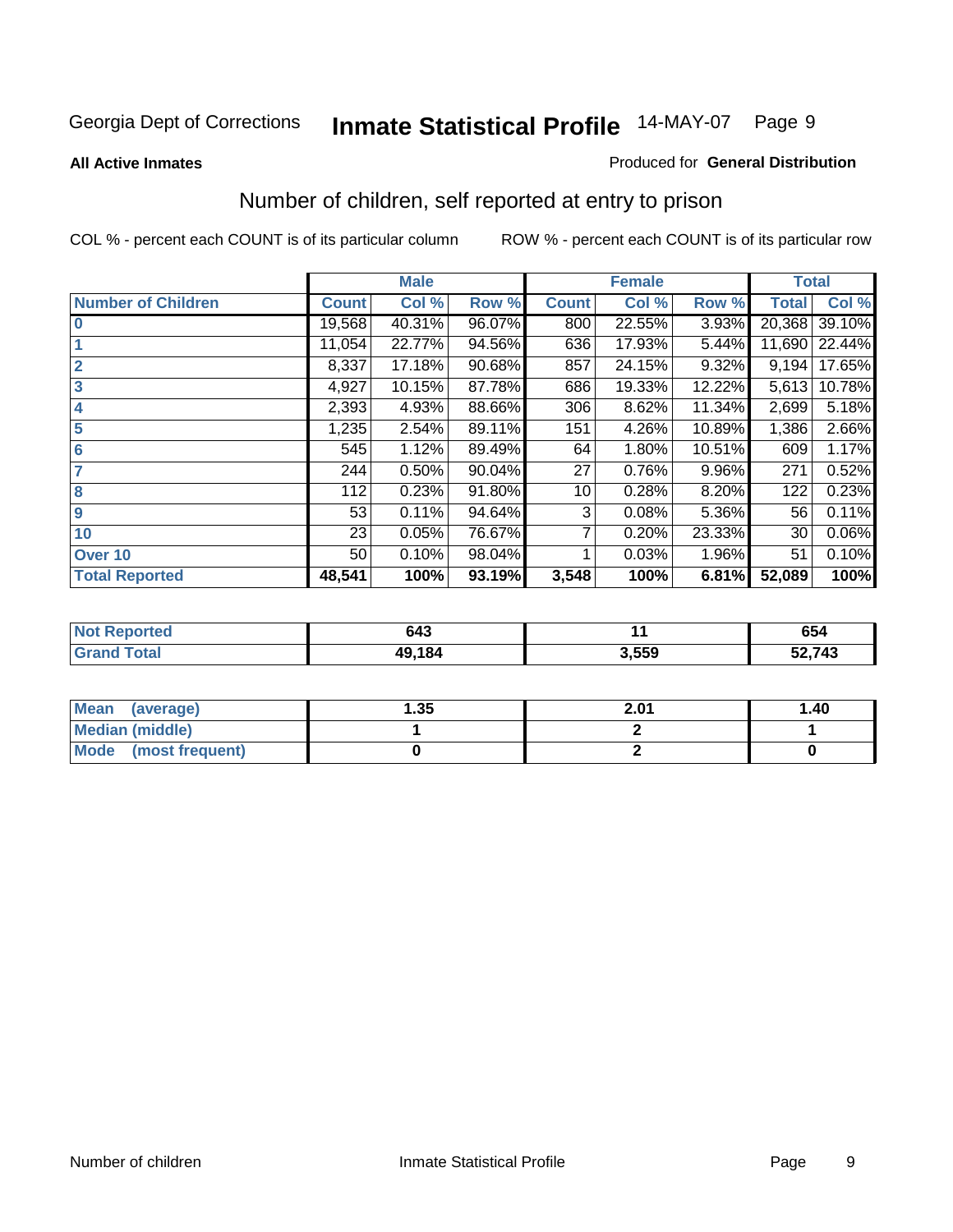#### **All Active Inmates**

#### Produced for **General Distribution**

### Number of children, self reported at entry to prison

|                           |              | <b>Male</b> |        |              | <b>Female</b> |          | <b>Total</b> |        |  |
|---------------------------|--------------|-------------|--------|--------------|---------------|----------|--------------|--------|--|
| <b>Number of Children</b> | <b>Count</b> | Col %       | Row %  | <b>Count</b> | Col %         | Row %    | <b>Total</b> | Col %  |  |
| $\bf{0}$                  | 19,568       | 40.31%      | 96.07% | 800          | 22.55%        | 3.93%    | 20,368       | 39.10% |  |
|                           | 11,054       | 22.77%      | 94.56% | 636          | 17.93%        | 5.44%    | 11,690       | 22.44% |  |
| $\overline{2}$            | 8,337        | 17.18%      | 90.68% | 857          | 24.15%        | 9.32%    | 9,194        | 17.65% |  |
| 3                         | 4,927        | 10.15%      | 87.78% | 686          | 19.33%        | 12.22%   | 5,613        | 10.78% |  |
| 4                         | 2,393        | 4.93%       | 88.66% | 306          | 8.62%         | 11.34%   | 2,699        | 5.18%  |  |
| 5                         | 1,235        | 2.54%       | 89.11% | 151          | 4.26%         | 10.89%   | 1,386        | 2.66%  |  |
| $6\phantom{a}$            | 545          | 1.12%       | 89.49% | 64           | 1.80%         | 10.51%   | 609          | 1.17%  |  |
| 7                         | 244          | 0.50%       | 90.04% | 27           | 0.76%         | $9.96\%$ | 271          | 0.52%  |  |
| 8                         | 112          | 0.23%       | 91.80% | 10           | 0.28%         | 8.20%    | 122          | 0.23%  |  |
| 9                         | 53           | 0.11%       | 94.64% | 3            | 0.08%         | 5.36%    | 56           | 0.11%  |  |
| 10                        | 23           | 0.05%       | 76.67% | 7            | 0.20%         | 23.33%   | 30           | 0.06%  |  |
| Over 10                   | 50           | 0.10%       | 98.04% |              | 0.03%         | 1.96%    | 51           | 0.10%  |  |
| <b>Total Reported</b>     | 48,541       | 100%        | 93.19% | 3,548        | 100%          | 6.81%    | 52,089       | 100%   |  |

| . | 643      |       | 654    |
|---|----------|-------|--------|
|   | 10A<br>œ | 3,559 | 52,743 |

| <b>Mean</b><br>(average) | .35 | 2.01 | 1.40 |
|--------------------------|-----|------|------|
| <b>Median (middle)</b>   |     |      |      |
| Mode<br>(most frequent)  |     |      |      |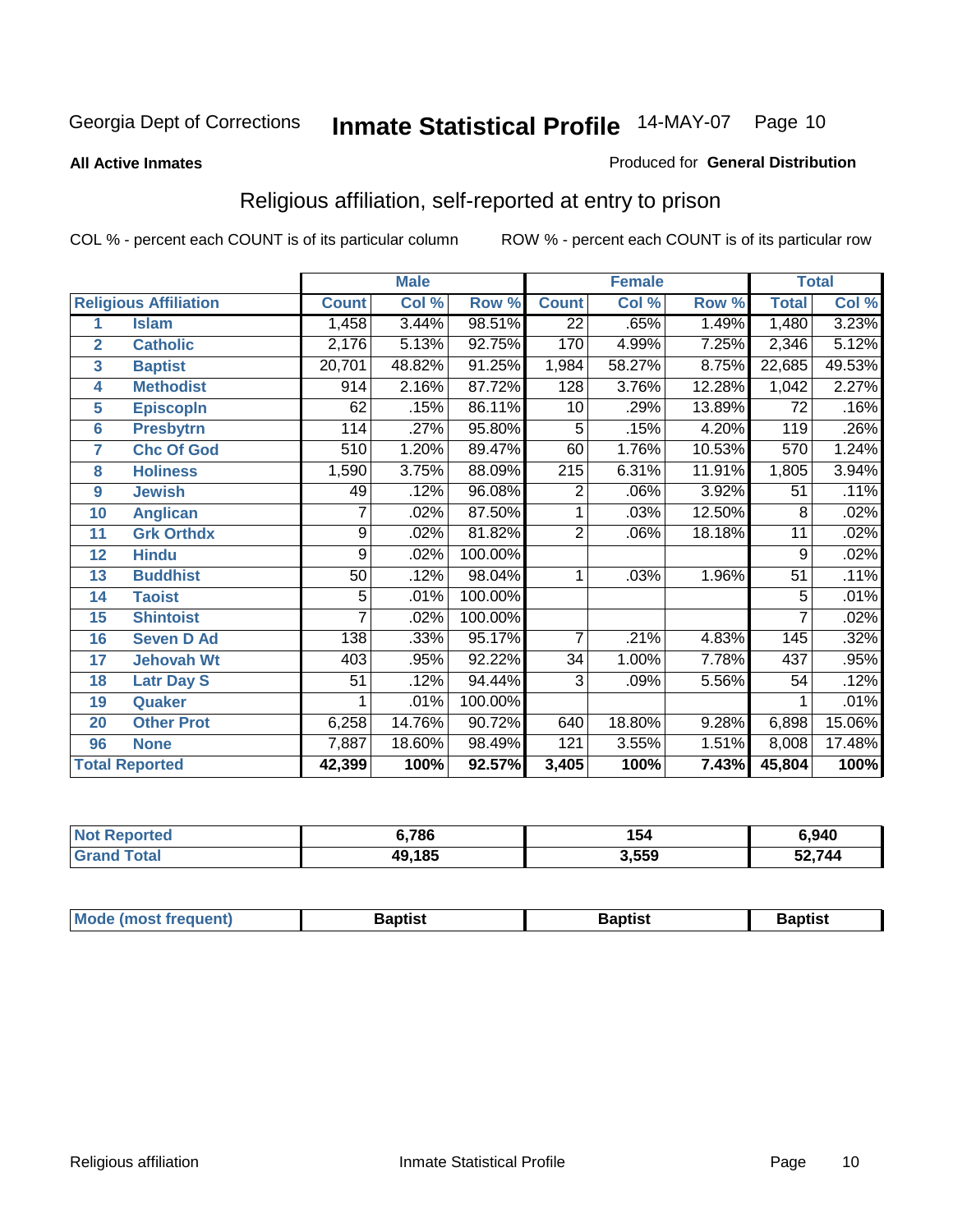#### **All Active Inmates**

#### Produced for **General Distribution**

### Religious affiliation, self-reported at entry to prison

|                  |                              | <b>Male</b>    |        |         |                  | <b>Female</b>             |        | <b>Total</b> |        |
|------------------|------------------------------|----------------|--------|---------|------------------|---------------------------|--------|--------------|--------|
|                  | <b>Religious Affiliation</b> | <b>Count</b>   | Col %  | Row %   | <b>Count</b>     | $\overline{\text{Col}}$ % | Row %  | <b>Total</b> | Col %  |
| 1                | <b>Islam</b>                 | 1,458          | 3.44%  | 98.51%  | $\overline{22}$  | .65%                      | 1.49%  | 1,480        | 3.23%  |
| $\overline{2}$   | <b>Catholic</b>              | 2,176          | 5.13%  | 92.75%  | 170              | 4.99%                     | 7.25%  | 2,346        | 5.12%  |
| 3                | <b>Baptist</b>               | 20,701         | 48.82% | 91.25%  | 1,984            | 58.27%                    | 8.75%  | 22,685       | 49.53% |
| 4                | <b>Methodist</b>             | 914            | 2.16%  | 87.72%  | 128              | 3.76%                     | 12.28% | 1,042        | 2.27%  |
| 5                | <b>EpiscopIn</b>             | 62             | .15%   | 86.11%  | 10               | .29%                      | 13.89% | 72           | .16%   |
| 6                | <b>Presbytrn</b>             | 114            | .27%   | 95.80%  | $\overline{5}$   | .15%                      | 4.20%  | 119          | .26%   |
| 7                | <b>Chc Of God</b>            | 510            | 1.20%  | 89.47%  | 60               | 1.76%                     | 10.53% | 570          | 1.24%  |
| 8                | <b>Holiness</b>              | 1,590          | 3.75%  | 88.09%  | $\overline{215}$ | 6.31%                     | 11.91% | 1,805        | 3.94%  |
| $\boldsymbol{9}$ | <b>Jewish</b>                | 49             | .12%   | 96.08%  | $\overline{2}$   | .06%                      | 3.92%  | 51           | .11%   |
| 10               | <b>Anglican</b>              | 7              | .02%   | 87.50%  |                  | .03%                      | 12.50% | 8            | .02%   |
| 11               | <b>Grk Orthdx</b>            | $\overline{9}$ | .02%   | 81.82%  | $\overline{2}$   | .06%                      | 18.18% | 11           | .02%   |
| 12               | <b>Hindu</b>                 | 9              | .02%   | 100.00% |                  |                           |        | 9            | .02%   |
| 13               | <b>Buddhist</b>              | 50             | .12%   | 98.04%  | 1                | .03%                      | 1.96%  | 51           | .11%   |
| 14               | <b>Taoist</b>                | 5              | .01%   | 100.00% |                  |                           |        | 5            | .01%   |
| 15               | <b>Shintoist</b>             | 7              | .02%   | 100.00% |                  |                           |        | 7            | .02%   |
| 16               | <b>Seven D Ad</b>            | 138            | .33%   | 95.17%  | 7                | .21%                      | 4.83%  | 145          | .32%   |
| 17               | <b>Jehovah Wt</b>            | 403            | .95%   | 92.22%  | 34               | 1.00%                     | 7.78%  | 437          | .95%   |
| 18               | <b>Latr Day S</b>            | 51             | .12%   | 94.44%  | 3                | .09%                      | 5.56%  | 54           | .12%   |
| 19               | Quaker                       |                | .01%   | 100.00% |                  |                           |        |              | .01%   |
| 20               | <b>Other Prot</b>            | 6,258          | 14.76% | 90.72%  | 640              | 18.80%                    | 9.28%  | 6,898        | 15.06% |
| 96               | <b>None</b>                  | 7,887          | 18.60% | 98.49%  | $\overline{121}$ | 3.55%                     | 1.51%  | 8,008        | 17.48% |
|                  | <b>Total Reported</b>        | 42,399         | 100%   | 92.57%  | 3,405            | 100%                      | 7.43%  | 45,804       | 100%   |

| <b>Not Reported</b>  | 6,786  | 154   | 6,940  |
|----------------------|--------|-------|--------|
| <b>Total</b><br>Grar | 49,185 | 3,559 | 52,744 |

|  | Mode,<br>frequent)<br>umost 1 | 3aptist | Baptist<br>$  -$ | Baptist |
|--|-------------------------------|---------|------------------|---------|
|--|-------------------------------|---------|------------------|---------|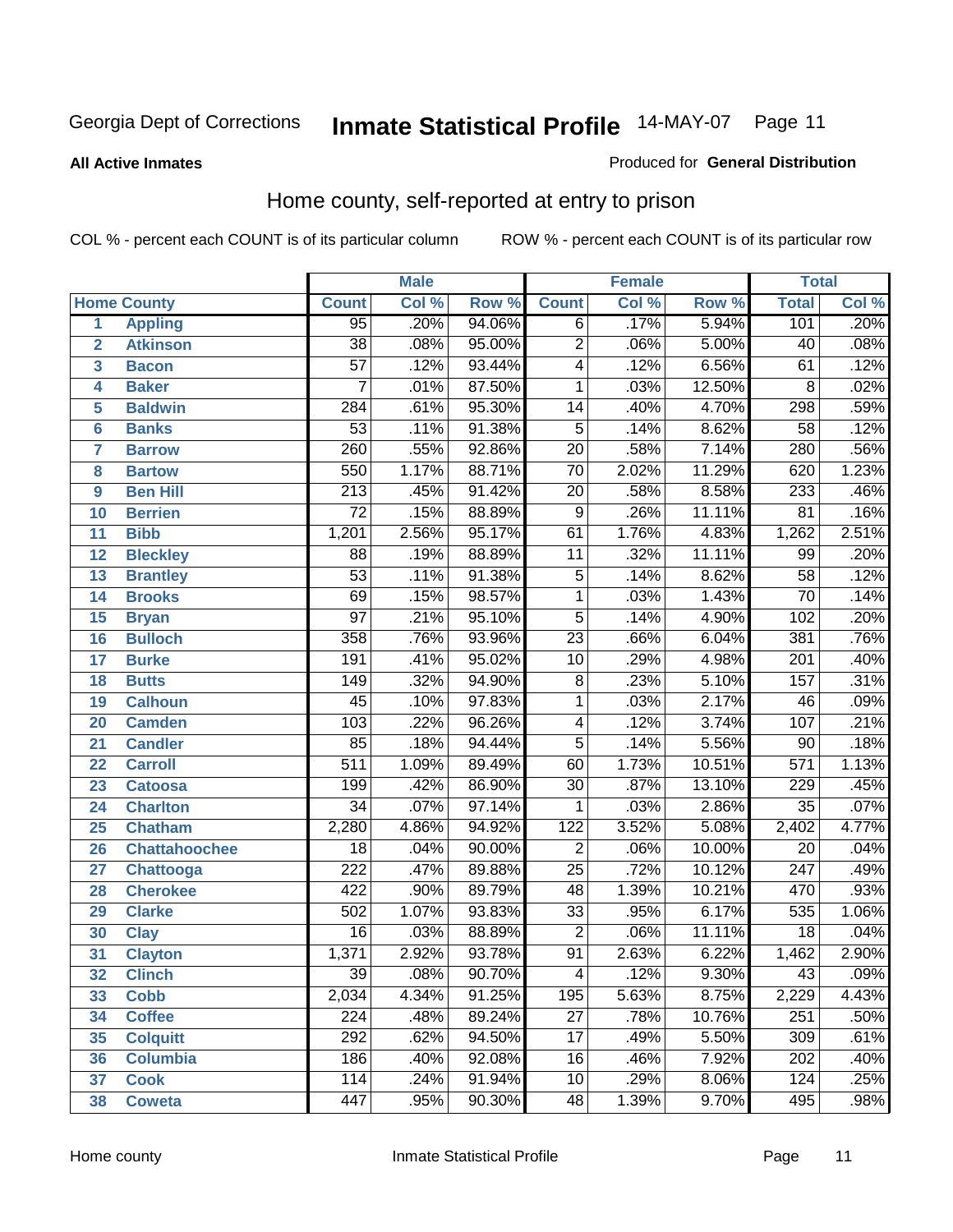**All Active Inmates**

#### Produced for **General Distribution**

### Home county, self-reported at entry to prison

|                 |                      |                  | <b>Male</b> |        |                  | <b>Female</b> |          | <b>Total</b>     |                            |
|-----------------|----------------------|------------------|-------------|--------|------------------|---------------|----------|------------------|----------------------------|
|                 | <b>Home County</b>   | <b>Count</b>     | Col %       | Row %  | <b>Count</b>     | Col %         | Row %    | <b>Total</b>     | $\overline{\text{Col }^9}$ |
| 1               | <b>Appling</b>       | 95               | .20%        | 94.06% | $\overline{6}$   | .17%          | 5.94%    | 101              | .20%                       |
| $\overline{2}$  | <b>Atkinson</b>      | $\overline{38}$  | .08%        | 95.00% | $\overline{2}$   | .06%          | 5.00%    | $\overline{40}$  | .08%                       |
| 3               | <b>Bacon</b>         | $\overline{57}$  | .12%        | 93.44% | $\overline{4}$   | .12%          | 6.56%    | 61               | .12%                       |
| 4               | <b>Baker</b>         | $\overline{7}$   | .01%        | 87.50% | $\mathbf{1}$     | .03%          | 12.50%   | $\overline{8}$   | .02%                       |
| 5               | <b>Baldwin</b>       | 284              | .61%        | 95.30% | $\overline{14}$  | .40%          | 4.70%    | 298              | .59%                       |
| $6\phantom{a}$  | <b>Banks</b>         | $\overline{53}$  | .11%        | 91.38% | $\overline{5}$   | .14%          | 8.62%    | $\overline{58}$  | .12%                       |
| $\overline{7}$  | <b>Barrow</b>        | 260              | .55%        | 92.86% | $\overline{20}$  | .58%          | 7.14%    | 280              | .56%                       |
| 8               | <b>Bartow</b>        | 550              | 1.17%       | 88.71% | $\overline{70}$  | 2.02%         | 11.29%   | 620              | 1.23%                      |
| 9               | <b>Ben Hill</b>      | $\overline{213}$ | .45%        | 91.42% | $\overline{20}$  | .58%          | 8.58%    | 233              | .46%                       |
| 10              | <b>Berrien</b>       | $\overline{72}$  | .15%        | 88.89% | $\overline{9}$   | .26%          | 11.11%   | $\overline{81}$  | .16%                       |
| 11              | <b>Bibb</b>          | 1,201            | 2.56%       | 95.17% | 61               | 1.76%         | 4.83%    | 1,262            | 2.51%                      |
| 12              | <b>Bleckley</b>      | $\overline{88}$  | .19%        | 88.89% | $\overline{11}$  | .32%          | 11.11%   | 99               | .20%                       |
| $\overline{13}$ | <b>Brantley</b>      | $\overline{53}$  | .11%        | 91.38% | $\overline{5}$   | .14%          | 8.62%    | $\overline{58}$  | .12%                       |
| 14              | <b>Brooks</b>        | $\overline{69}$  | .15%        | 98.57% | $\overline{1}$   | .03%          | 1.43%    | $\overline{70}$  | .14%                       |
| 15              | <b>Bryan</b>         | $\overline{97}$  | .21%        | 95.10% | $\overline{5}$   | .14%          | 4.90%    | 102              | .20%                       |
| 16              | <b>Bulloch</b>       | 358              | .76%        | 93.96% | $\overline{23}$  | .66%          | 6.04%    | 381              | .76%                       |
| $\overline{17}$ | <b>Burke</b>         | 191              | .41%        | 95.02% | $\overline{10}$  | .29%          | 4.98%    | $\overline{201}$ | .40%                       |
| 18              | <b>Butts</b>         | 149              | .32%        | 94.90% | $\overline{8}$   | .23%          | 5.10%    | 157              | .31%                       |
| 19              | <b>Calhoun</b>       | $\overline{45}$  | .10%        | 97.83% | $\mathbf{1}$     | .03%          | 2.17%    | 46               | .09%                       |
| 20              | <b>Camden</b>        | 103              | .22%        | 96.26% | $\overline{4}$   | .12%          | 3.74%    | 107              | .21%                       |
| 21              | <b>Candler</b>       | $\overline{85}$  | .18%        | 94.44% | $\overline{5}$   | .14%          | 5.56%    | $\overline{90}$  | .18%                       |
| $\overline{22}$ | <b>Carroll</b>       | $\overline{511}$ | 1.09%       | 89.49% | $\overline{60}$  | 1.73%         | 10.51%   | $\overline{571}$ | 1.13%                      |
| 23              | <b>Catoosa</b>       | 199              | .42%        | 86.90% | $\overline{30}$  | .87%          | 13.10%   | 229              | .45%                       |
| 24              | <b>Charlton</b>      | $\overline{34}$  | .07%        | 97.14% | 1                | .03%          | 2.86%    | $\overline{35}$  | .07%                       |
| 25              | <b>Chatham</b>       | 2,280            | 4.86%       | 94.92% | $\overline{122}$ | 3.52%         | 5.08%    | 2,402            | 4.77%                      |
| 26              | <b>Chattahoochee</b> | $\overline{18}$  | .04%        | 90.00% | $\overline{2}$   | .06%          | 10.00%   | $\overline{20}$  | .04%                       |
| 27              | <b>Chattooga</b>     | $\overline{222}$ | .47%        | 89.88% | $\overline{25}$  | .72%          | 10.12%   | $\overline{247}$ | .49%                       |
| 28              | <b>Cherokee</b>      | $\overline{422}$ | .90%        | 89.79% | $\overline{48}$  | 1.39%         | 10.21%   | 470              | .93%                       |
| 29              | <b>Clarke</b>        | $\overline{502}$ | 1.07%       | 93.83% | $\overline{33}$  | .95%          | 6.17%    | 535              | 1.06%                      |
| 30              | <b>Clay</b>          | $\overline{16}$  | .03%        | 88.89% | $\overline{2}$   | .06%          | 11.11%   | $\overline{18}$  | .04%                       |
| $\overline{31}$ | <b>Clayton</b>       | 1,371            | 2.92%       | 93.78% | $\overline{91}$  | 2.63%         | 6.22%    | 1,462            | 2.90%                      |
| 32              | <b>Clinch</b>        | 39               | .08%        | 90.70% | 4                | .12%          | $9.30\%$ | 43               | .09%                       |
| 33              | <b>Cobb</b>          | 2,034            | 4.34%       | 91.25% | 195              | 5.63%         | 8.75%    | 2,229            | 4.43%                      |
| 34              | <b>Coffee</b>        | $\overline{224}$ | .48%        | 89.24% | $\overline{27}$  | .78%          | 10.76%   | 251              | .50%                       |
| 35              | <b>Colquitt</b>      | 292              | .62%        | 94.50% | $\overline{17}$  | .49%          | 5.50%    | 309              | .61%                       |
| 36              | <b>Columbia</b>      | 186              | .40%        | 92.08% | 16               | .46%          | 7.92%    | 202              | .40%                       |
| 37              | <b>Cook</b>          | 114              | .24%        | 91.94% | $\overline{10}$  | .29%          | 8.06%    | 124              | .25%                       |
| 38              | <b>Coweta</b>        | 447              | .95%        | 90.30% | 48               | 1.39%         | 9.70%    | 495              | .98%                       |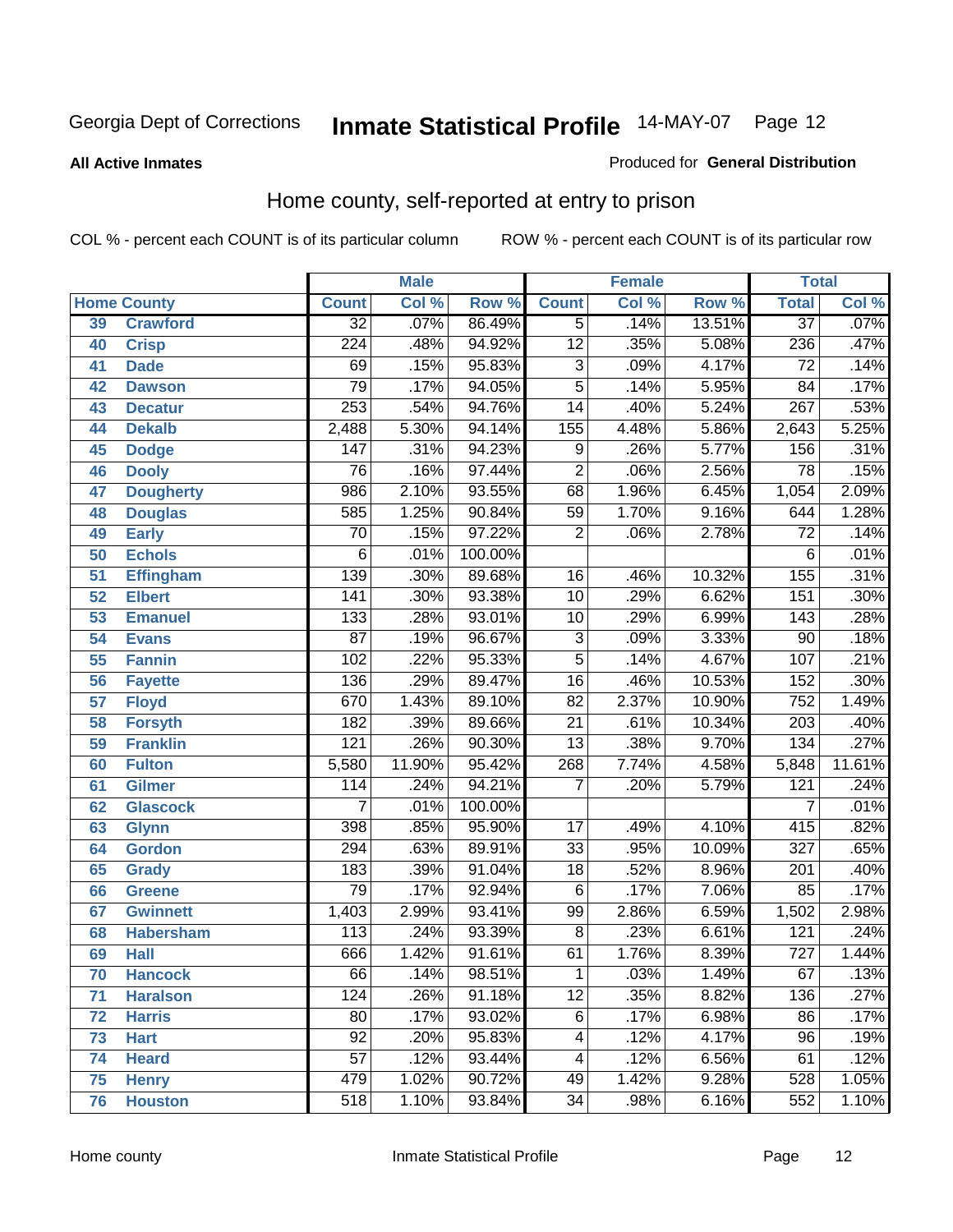#### **All Active Inmates**

#### Produced for **General Distribution**

### Home county, self-reported at entry to prison

|                 |                    |                  | <b>Male</b> |                  |                 | <b>Female</b> |        | <b>Total</b>     |        |
|-----------------|--------------------|------------------|-------------|------------------|-----------------|---------------|--------|------------------|--------|
|                 | <b>Home County</b> | <b>Count</b>     | Col %       | Row <sup>%</sup> | <b>Count</b>    | Col %         | Row %  | <b>Total</b>     | Col %  |
| 39              | <b>Crawford</b>    | $\overline{32}$  | .07%        | 86.49%           | 5               | .14%          | 13.51% | $\overline{37}$  | .07%   |
| 40              | <b>Crisp</b>       | $\overline{224}$ | .48%        | 94.92%           | $\overline{12}$ | .35%          | 5.08%  | 236              | .47%   |
| 41              | <b>Dade</b>        | 69               | .15%        | 95.83%           | $\overline{3}$  | .09%          | 4.17%  | $\overline{72}$  | .14%   |
| 42              | <b>Dawson</b>      | 79               | .17%        | 94.05%           | $\overline{5}$  | .14%          | 5.95%  | $\overline{84}$  | .17%   |
| 43              | <b>Decatur</b>     | 253              | .54%        | 94.76%           | $\overline{14}$ | .40%          | 5.24%  | 267              | .53%   |
| 44              | <b>Dekalb</b>      | 2,488            | 5.30%       | 94.14%           | 155             | 4.48%         | 5.86%  | 2,643            | 5.25%  |
| 45              | <b>Dodge</b>       | 147              | .31%        | 94.23%           | 9               | .26%          | 5.77%  | 156              | .31%   |
| 46              | <b>Dooly</b>       | $\overline{76}$  | .16%        | 97.44%           | $\overline{2}$  | .06%          | 2.56%  | $\overline{78}$  | .15%   |
| 47              | <b>Dougherty</b>   | 986              | 2.10%       | 93.55%           | 68              | 1.96%         | 6.45%  | 1,054            | 2.09%  |
| 48              | <b>Douglas</b>     | 585              | 1.25%       | 90.84%           | 59              | 1.70%         | 9.16%  | 644              | 1.28%  |
| 49              | <b>Early</b>       | $\overline{70}$  | .15%        | 97.22%           | $\overline{2}$  | .06%          | 2.78%  | $\overline{72}$  | .14%   |
| 50              | <b>Echols</b>      | 6                | .01%        | 100.00%          |                 |               |        | 6                | .01%   |
| $\overline{51}$ | Effingham          | 139              | .30%        | 89.68%           | 16              | .46%          | 10.32% | 155              | .31%   |
| 52              | <b>Elbert</b>      | $\overline{141}$ | .30%        | 93.38%           | $\overline{10}$ | .29%          | 6.62%  | 151              | .30%   |
| 53              | <b>Emanuel</b>     | 133              | .28%        | 93.01%           | $\overline{10}$ | .29%          | 6.99%  | $\overline{143}$ | .28%   |
| 54              | <b>Evans</b>       | $\overline{87}$  | .19%        | 96.67%           | $\overline{3}$  | .09%          | 3.33%  | $\overline{90}$  | .18%   |
| 55              | <b>Fannin</b>      | 102              | .22%        | 95.33%           | $\overline{5}$  | .14%          | 4.67%  | 107              | .21%   |
| 56              | <b>Fayette</b>     | 136              | .29%        | 89.47%           | $\overline{16}$ | .46%          | 10.53% | 152              | .30%   |
| 57              | <b>Floyd</b>       | 670              | 1.43%       | 89.10%           | $\overline{82}$ | 2.37%         | 10.90% | 752              | 1.49%  |
| 58              | <b>Forsyth</b>     | 182              | .39%        | 89.66%           | $\overline{21}$ | .61%          | 10.34% | $\overline{203}$ | .40%   |
| 59              | <b>Franklin</b>    | $\overline{121}$ | .26%        | 90.30%           | $\overline{13}$ | .38%          | 9.70%  | 134              | .27%   |
| 60              | <b>Fulton</b>      | 5,580            | 11.90%      | 95.42%           | 268             | 7.74%         | 4.58%  | 5,848            | 11.61% |
| 61              | Gilmer             | 114              | .24%        | 94.21%           | 7               | .20%          | 5.79%  | $\overline{121}$ | .24%   |
| 62              | <b>Glascock</b>    | $\overline{7}$   | .01%        | 100.00%          |                 |               |        | $\overline{7}$   | .01%   |
| 63              | <b>Glynn</b>       | 398              | .85%        | 95.90%           | 17              | .49%          | 4.10%  | 415              | .82%   |
| 64              | <b>Gordon</b>      | $\overline{294}$ | .63%        | 89.91%           | $\overline{33}$ | .95%          | 10.09% | $\overline{327}$ | .65%   |
| 65              | <b>Grady</b>       | 183              | .39%        | 91.04%           | $\overline{18}$ | .52%          | 8.96%  | 201              | .40%   |
| 66              | <b>Greene</b>      | $\overline{79}$  | .17%        | 92.94%           | $\overline{6}$  | .17%          | 7.06%  | $\overline{85}$  | .17%   |
| 67              | <b>Gwinnett</b>    | 1,403            | 2.99%       | 93.41%           | 99              | 2.86%         | 6.59%  | 1,502            | 2.98%  |
| 68              | <b>Habersham</b>   | 113              | .24%        | 93.39%           | $\overline{8}$  | .23%          | 6.61%  | $\overline{121}$ | .24%   |
| 69              | <b>Hall</b>        | 666              | 1.42%       | 91.61%           | 61              | 1.76%         | 8.39%  | 727              | 1.44%  |
| 70              | <b>Hancock</b>     | 66               | .14%        | 98.51%           | 1               | .03%          | 1.49%  | 67               | .13%   |
| 71              | <b>Haralson</b>    | 124              | .26%        | 91.18%           | $\overline{12}$ | .35%          | 8.82%  | 136              | .27%   |
| 72              | <b>Harris</b>      | 80               | .17%        | 93.02%           | 6               | .17%          | 6.98%  | $\overline{86}$  | .17%   |
| 73              | <b>Hart</b>        | $\overline{92}$  | .20%        | 95.83%           | 4               | .12%          | 4.17%  | $\overline{96}$  | .19%   |
| 74              | <b>Heard</b>       | $\overline{57}$  | .12%        | 93.44%           | 4               | .12%          | 6.56%  | 61               | .12%   |
| 75              | <b>Henry</b>       | 479              | 1.02%       | 90.72%           | 49              | 1.42%         | 9.28%  | 528              | 1.05%  |
| 76              | <b>Houston</b>     | $\overline{518}$ | 1.10%       | 93.84%           | $\overline{34}$ | .98%          | 6.16%  | 552              | 1.10%  |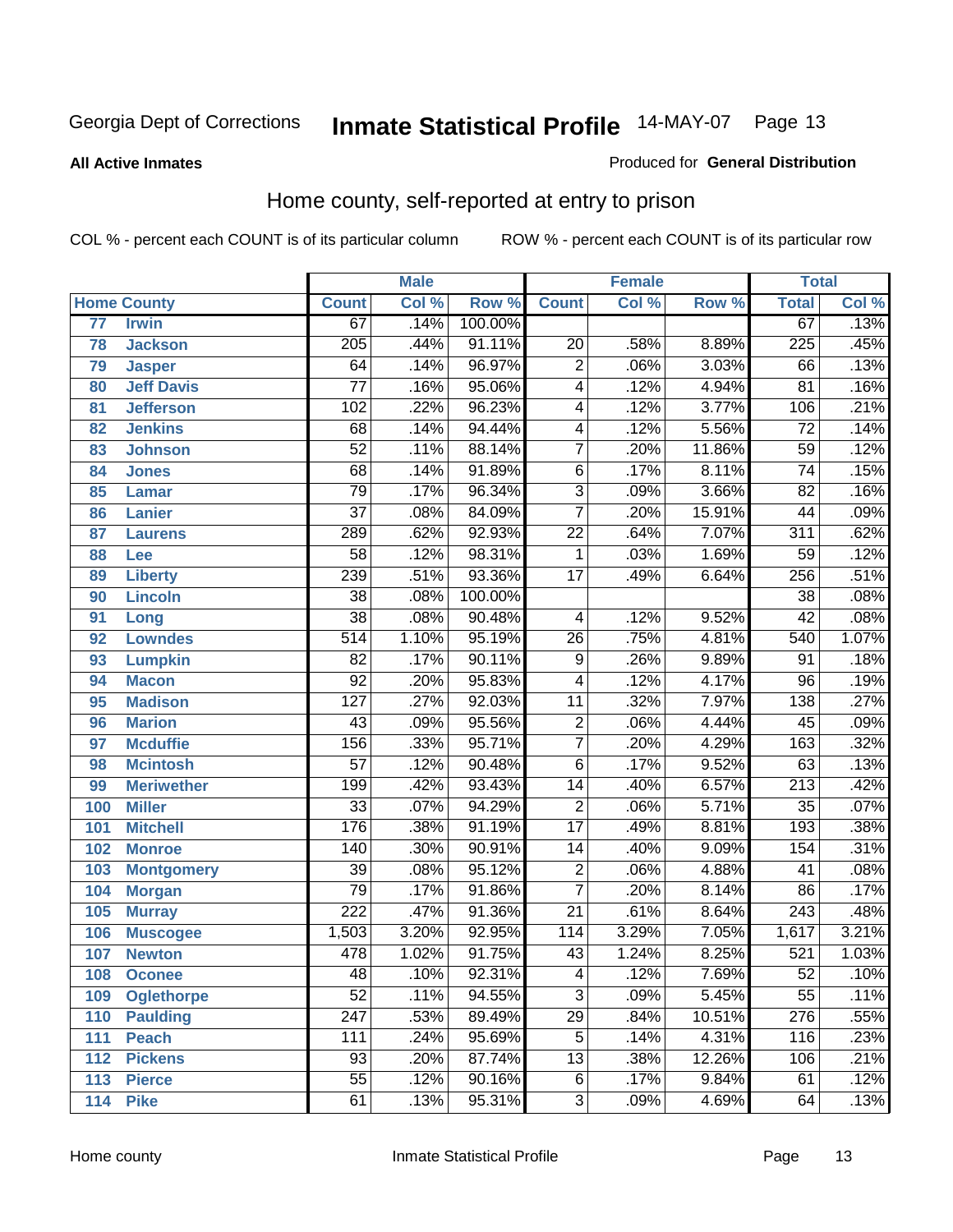#### **All Active Inmates**

#### Produced for **General Distribution**

### Home county, self-reported at entry to prison

|     |                    |                  | <b>Male</b> |         |                           | <b>Female</b> |        | <b>Total</b>     |       |
|-----|--------------------|------------------|-------------|---------|---------------------------|---------------|--------|------------------|-------|
|     | <b>Home County</b> | <b>Count</b>     | Col %       | Row %   | <b>Count</b>              | Col %         | Row %  | <b>Total</b>     | Col % |
| 77  | <b>Irwin</b>       | 67               | .14%        | 100.00% |                           |               |        | 67               | .13%  |
| 78  | <b>Jackson</b>     | $\overline{205}$ | .44%        | 91.11%  | 20                        | .58%          | 8.89%  | $\overline{225}$ | .45%  |
| 79  | <b>Jasper</b>      | 64               | .14%        | 96.97%  | $\overline{2}$            | .06%          | 3.03%  | 66               | .13%  |
| 80  | <b>Jeff Davis</b>  | $\overline{77}$  | .16%        | 95.06%  | 4                         | .12%          | 4.94%  | 81               | .16%  |
| 81  | <b>Jefferson</b>   | $\overline{102}$ | .22%        | 96.23%  | 4                         | .12%          | 3.77%  | 106              | .21%  |
| 82  | <b>Jenkins</b>     | 68               | .14%        | 94.44%  | 4                         | .12%          | 5.56%  | $\overline{72}$  | .14%  |
| 83  | <b>Johnson</b>     | $\overline{52}$  | .11%        | 88.14%  | $\overline{7}$            | .20%          | 11.86% | $\overline{59}$  | .12%  |
| 84  | <b>Jones</b>       | $\overline{68}$  | .14%        | 91.89%  | $\overline{6}$            | .17%          | 8.11%  | $\overline{74}$  | .15%  |
| 85  | <b>Lamar</b>       | $\overline{79}$  | .17%        | 96.34%  | $\overline{\overline{3}}$ | .09%          | 3.66%  | $\overline{82}$  | .16%  |
| 86  | <b>Lanier</b>      | $\overline{37}$  | .08%        | 84.09%  | $\overline{7}$            | .20%          | 15.91% | $\overline{44}$  | .09%  |
| 87  | <b>Laurens</b>     | 289              | .62%        | 92.93%  | $\overline{22}$           | .64%          | 7.07%  | 311              | .62%  |
| 88  | <b>Lee</b>         | $\overline{58}$  | .12%        | 98.31%  | 1                         | .03%          | 1.69%  | $\overline{59}$  | .12%  |
| 89  | <b>Liberty</b>     | 239              | .51%        | 93.36%  | $\overline{17}$           | .49%          | 6.64%  | 256              | .51%  |
| 90  | <b>Lincoln</b>     | $\overline{38}$  | .08%        | 100.00% |                           |               |        | $\overline{38}$  | .08%  |
| 91  | Long               | $\overline{38}$  | .08%        | 90.48%  | 4                         | .12%          | 9.52%  | $\overline{42}$  | .08%  |
| 92  | <b>Lowndes</b>     | $\overline{514}$ | 1.10%       | 95.19%  | $\overline{26}$           | .75%          | 4.81%  | 540              | 1.07% |
| 93  | <b>Lumpkin</b>     | $\overline{82}$  | .17%        | 90.11%  | $\overline{9}$            | .26%          | 9.89%  | $\overline{91}$  | .18%  |
| 94  | <b>Macon</b>       | $\overline{92}$  | .20%        | 95.83%  | 4                         | .12%          | 4.17%  | $\overline{96}$  | .19%  |
| 95  | <b>Madison</b>     | $\overline{127}$ | .27%        | 92.03%  | $\overline{11}$           | .32%          | 7.97%  | 138              | .27%  |
| 96  | <b>Marion</b>      | $\overline{43}$  | .09%        | 95.56%  | $\overline{2}$            | .06%          | 4.44%  | $\overline{45}$  | .09%  |
| 97  | <b>Mcduffie</b>    | 156              | .33%        | 95.71%  | $\overline{7}$            | .20%          | 4.29%  | 163              | .32%  |
| 98  | <b>Mcintosh</b>    | $\overline{57}$  | .12%        | 90.48%  | $\overline{6}$            | .17%          | 9.52%  | 63               | .13%  |
| 99  | <b>Meriwether</b>  | 199              | .42%        | 93.43%  | $\overline{14}$           | .40%          | 6.57%  | $\overline{213}$ | .42%  |
| 100 | <b>Miller</b>      | $\overline{33}$  | .07%        | 94.29%  | $\overline{2}$            | .06%          | 5.71%  | $\overline{35}$  | .07%  |
| 101 | <b>Mitchell</b>    | 176              | .38%        | 91.19%  | $\overline{17}$           | .49%          | 8.81%  | 193              | .38%  |
| 102 | <b>Monroe</b>      | 140              | .30%        | 90.91%  | $\overline{14}$           | .40%          | 9.09%  | 154              | .31%  |
| 103 | <b>Montgomery</b>  | $\overline{39}$  | .08%        | 95.12%  | $\overline{2}$            | .06%          | 4.88%  | 41               | .08%  |
| 104 | <b>Morgan</b>      | $\overline{79}$  | .17%        | 91.86%  | $\overline{7}$            | .20%          | 8.14%  | 86               | .17%  |
| 105 | <b>Murray</b>      | $\overline{222}$ | .47%        | 91.36%  | $\overline{21}$           | .61%          | 8.64%  | $\sqrt{243}$     | .48%  |
| 106 | <b>Muscogee</b>    | 1,503            | 3.20%       | 92.95%  | $\overline{114}$          | 3.29%         | 7.05%  | 1,617            | 3.21% |
| 107 | <b>Newton</b>      | 478              | 1.02%       | 91.75%  | $\overline{43}$           | 1.24%         | 8.25%  | 521              | 1.03% |
| 108 | <b>Oconee</b>      | 48               | .10%        | 92.31%  | 4                         | .12%          | 7.69%  | 52               | .10%  |
| 109 | <b>Oglethorpe</b>  | $\overline{52}$  | .11%        | 94.55%  | $\overline{3}$            | .09%          | 5.45%  | $\overline{55}$  | .11%  |
| 110 | <b>Paulding</b>    | $\overline{247}$ | .53%        | 89.49%  | $\overline{29}$           | .84%          | 10.51% | 276              | .55%  |
| 111 | <b>Peach</b>       | 111              | .24%        | 95.69%  | $\overline{5}$            | .14%          | 4.31%  | 116              | .23%  |
| 112 | <b>Pickens</b>     | 93               | .20%        | 87.74%  | $\overline{13}$           | .38%          | 12.26% | 106              | .21%  |
| 113 | <b>Pierce</b>      | $\overline{55}$  | .12%        | 90.16%  | $\overline{6}$            | .17%          | 9.84%  | 61               | .12%  |
| 114 | <b>Pike</b>        | 61               | .13%        | 95.31%  | $\overline{3}$            | .09%          | 4.69%  | 64               | .13%  |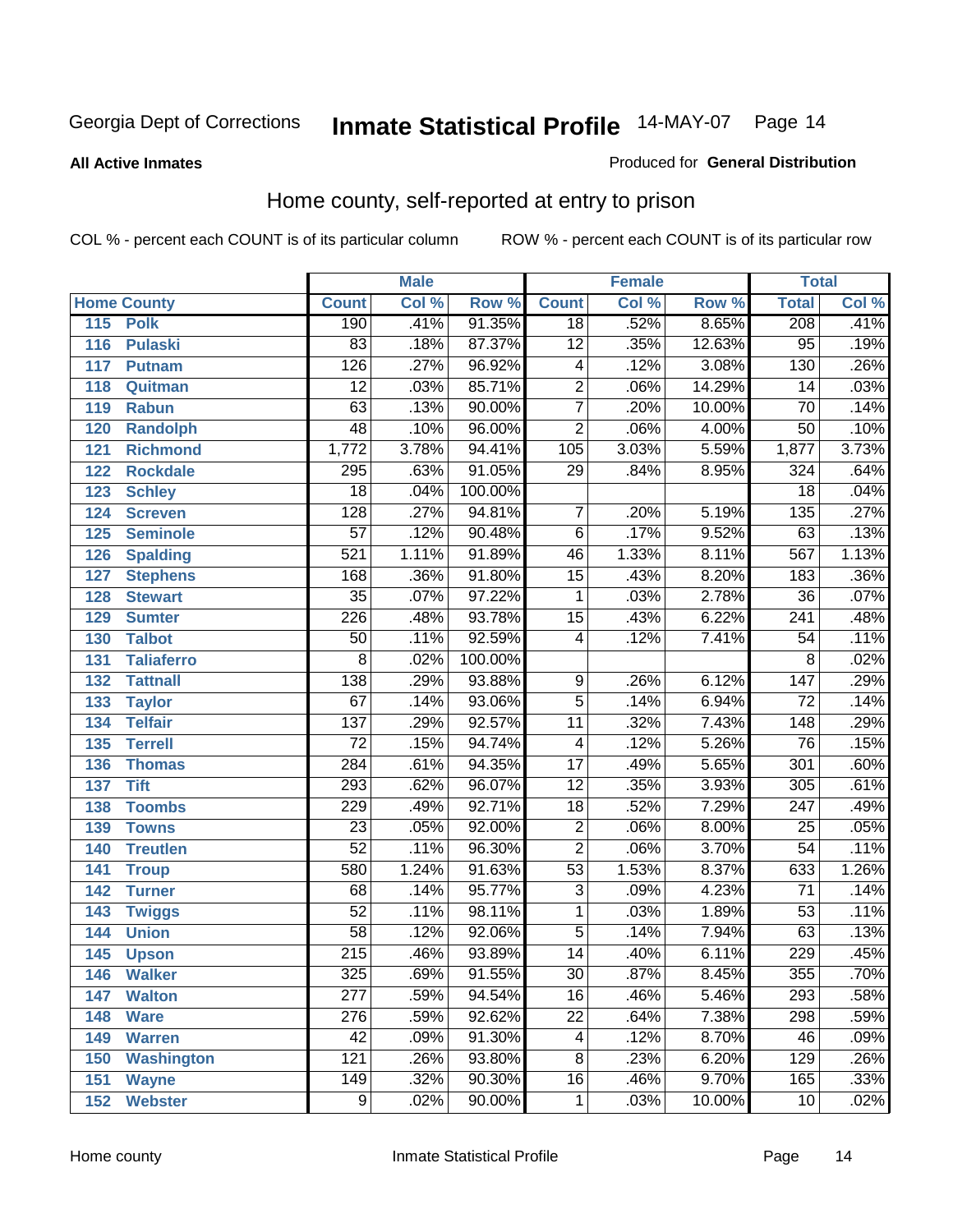**All Active Inmates**

#### Produced for **General Distribution**

### Home county, self-reported at entry to prison

|     |                    |                  | <b>Male</b> |         |                         | <b>Female</b> |        | <b>Total</b>     |       |
|-----|--------------------|------------------|-------------|---------|-------------------------|---------------|--------|------------------|-------|
|     | <b>Home County</b> | <b>Count</b>     | Col %       | Row %   | <b>Count</b>            | Col %         | Row %  | <b>Total</b>     | Col % |
| 115 | <b>Polk</b>        | 190              | .41%        | 91.35%  | $\overline{18}$         | .52%          | 8.65%  | 208              | .41%  |
| 116 | <b>Pulaski</b>     | 83               | .18%        | 87.37%  | $\overline{12}$         | .35%          | 12.63% | $\overline{95}$  | .19%  |
| 117 | <b>Putnam</b>      | $\overline{126}$ | .27%        | 96.92%  | 4                       | .12%          | 3.08%  | 130              | .26%  |
| 118 | Quitman            | $\overline{12}$  | .03%        | 85.71%  | $\overline{2}$          | .06%          | 14.29% | 14               | .03%  |
| 119 | <b>Rabun</b>       | 63               | .13%        | 90.00%  | $\overline{7}$          | .20%          | 10.00% | $\overline{70}$  | .14%  |
| 120 | <b>Randolph</b>    | 48               | .10%        | 96.00%  | $\overline{2}$          | .06%          | 4.00%  | $\overline{50}$  | .10%  |
| 121 | <b>Richmond</b>    | 1,772            | 3.78%       | 94.41%  | 105                     | 3.03%         | 5.59%  | 1,877            | 3.73% |
| 122 | <b>Rockdale</b>    | 295              | .63%        | 91.05%  | 29                      | .84%          | 8.95%  | 324              | .64%  |
| 123 | <b>Schley</b>      | $\overline{18}$  | .04%        | 100.00% |                         |               |        | $\overline{18}$  | .04%  |
| 124 | <b>Screven</b>     | 128              | .27%        | 94.81%  | $\overline{7}$          | .20%          | 5.19%  | $\overline{135}$ | .27%  |
| 125 | <b>Seminole</b>    | $\overline{57}$  | .12%        | 90.48%  | $\overline{6}$          | .17%          | 9.52%  | 63               | .13%  |
| 126 | <b>Spalding</b>    | $\overline{521}$ | 1.11%       | 91.89%  | 46                      | 1.33%         | 8.11%  | 567              | 1.13% |
| 127 | <b>Stephens</b>    | 168              | .36%        | 91.80%  | $\overline{15}$         | .43%          | 8.20%  | 183              | .36%  |
| 128 | <b>Stewart</b>     | $\overline{35}$  | .07%        | 97.22%  | 1                       | .03%          | 2.78%  | $\overline{36}$  | .07%  |
| 129 | <b>Sumter</b>      | 226              | .48%        | 93.78%  | $\overline{15}$         | .43%          | 6.22%  | $\overline{241}$ | .48%  |
| 130 | <b>Talbot</b>      | $\overline{50}$  | .11%        | 92.59%  | 4                       | .12%          | 7.41%  | $\overline{54}$  | .11%  |
| 131 | <b>Taliaferro</b>  | $\overline{8}$   | .02%        | 100.00% |                         |               |        | 8                | .02%  |
| 132 | <b>Tattnall</b>    | 138              | .29%        | 93.88%  | 9                       | .26%          | 6.12%  | $\overline{147}$ | .29%  |
| 133 | <b>Taylor</b>      | 67               | .14%        | 93.06%  | $\overline{5}$          | .14%          | 6.94%  | $\overline{72}$  | .14%  |
| 134 | <b>Telfair</b>     | $\overline{137}$ | .29%        | 92.57%  | 11                      | .32%          | 7.43%  | 148              | .29%  |
| 135 | <b>Terrell</b>     | $\overline{72}$  | .15%        | 94.74%  | $\overline{\mathbf{4}}$ | .12%          | 5.26%  | 76               | .15%  |
| 136 | <b>Thomas</b>      | 284              | .61%        | 94.35%  | $\overline{17}$         | .49%          | 5.65%  | $\overline{301}$ | .60%  |
| 137 | <b>Tift</b>        | 293              | .62%        | 96.07%  | $\overline{12}$         | .35%          | 3.93%  | 305              | .61%  |
| 138 | <b>Toombs</b>      | 229              | .49%        | 92.71%  | $\overline{18}$         | .52%          | 7.29%  | $\overline{247}$ | .49%  |
| 139 | <b>Towns</b>       | $\overline{23}$  | .05%        | 92.00%  | $\overline{2}$          | .06%          | 8.00%  | $\overline{25}$  | .05%  |
| 140 | <b>Treutlen</b>    | $\overline{52}$  | .11%        | 96.30%  | $\overline{2}$          | .06%          | 3.70%  | $\overline{54}$  | .11%  |
| 141 | <b>Troup</b>       | 580              | 1.24%       | 91.63%  | $\overline{53}$         | 1.53%         | 8.37%  | 633              | 1.26% |
| 142 | <b>Turner</b>      | 68               | .14%        | 95.77%  | $\overline{3}$          | .09%          | 4.23%  | $\overline{71}$  | .14%  |
| 143 | <b>Twiggs</b>      | $\overline{52}$  | .11%        | 98.11%  | 1                       | .03%          | 1.89%  | $\overline{53}$  | .11%  |
| 144 | <b>Union</b>       | $\overline{58}$  | .12%        | 92.06%  | $\overline{5}$          | .14%          | 7.94%  | 63               | .13%  |
| 145 | <b>Upson</b>       | $\overline{215}$ | .46%        | 93.89%  | $\overline{14}$         | .40%          | 6.11%  | 229              | .45%  |
| 146 | <b>Walker</b>      | 325              | .69%        | 91.55%  | 30                      | .87%          | 8.45%  | 355              | .70%  |
| 147 | <b>Walton</b>      | $\overline{277}$ | .59%        | 94.54%  | $\overline{16}$         | .46%          | 5.46%  | 293              | .58%  |
| 148 | <b>Ware</b>        | $\overline{276}$ | .59%        | 92.62%  | $\overline{22}$         | .64%          | 7.38%  | 298              | .59%  |
| 149 | <b>Warren</b>      | $\overline{42}$  | .09%        | 91.30%  | 4                       | .12%          | 8.70%  | 46               | .09%  |
| 150 | <b>Washington</b>  | 121              | .26%        | 93.80%  | $\overline{8}$          | .23%          | 6.20%  | 129              | .26%  |
| 151 | <b>Wayne</b>       | 149              | .32%        | 90.30%  | $\overline{16}$         | .46%          | 9.70%  | 165              | .33%  |
| 152 | <b>Webster</b>     | $\overline{9}$   | .02%        | 90.00%  | 1                       | .03%          | 10.00% | 10               | .02%  |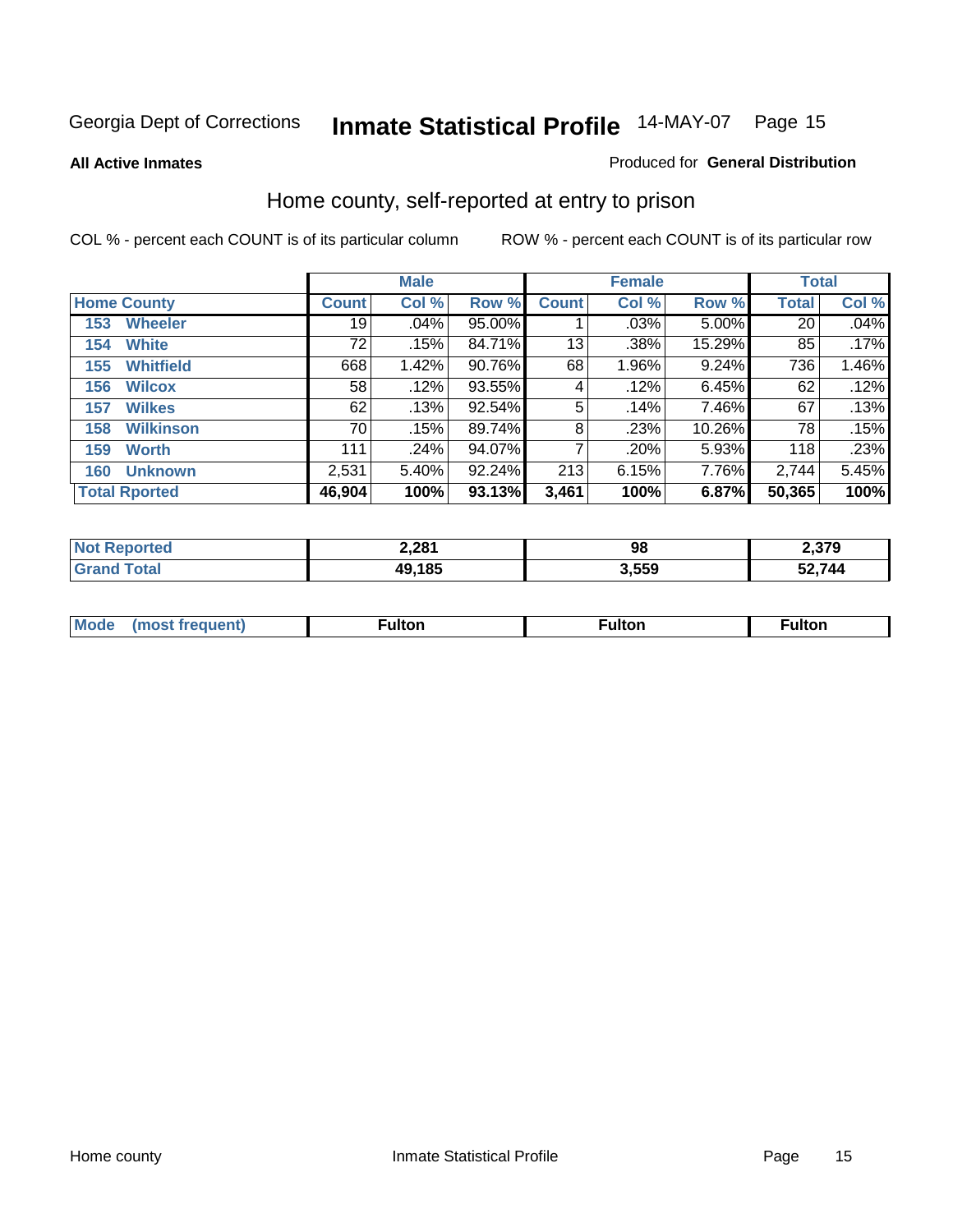**All Active Inmates**

#### Produced for **General Distribution**

### Home county, self-reported at entry to prison

|                      |                  | <b>Male</b>  |       |        |                 | <b>Female</b> |        | <b>Total</b>    |       |  |
|----------------------|------------------|--------------|-------|--------|-----------------|---------------|--------|-----------------|-------|--|
| <b>Home County</b>   |                  | <b>Count</b> | Col % | Row %  | <b>Count</b>    | Col %         | Row %  | Total           | Col % |  |
| 153                  | <b>Wheeler</b>   | 19           | .04%  | 95.00% |                 | .03%          | 5.00%  | 20 <sup>1</sup> | .04%  |  |
| 154                  | <b>White</b>     | 72           | .15%  | 84.71% | 13 <sub>1</sub> | .38%          | 15.29% | 85              | .17%  |  |
| 155                  | <b>Whitfield</b> | 668          | 1.42% | 90.76% | 68              | 1.96%         | 9.24%  | 736             | 1.46% |  |
| 156                  | <b>Wilcox</b>    | 58           | .12%  | 93.55% | 4               | .12%          | 6.45%  | 62              | .12%  |  |
| 157                  | <b>Wilkes</b>    | 62           | .13%  | 92.54% | 5               | .14%          | 7.46%  | 67              | .13%  |  |
| 158                  | <b>Wilkinson</b> | 70           | .15%  | 89.74% | 8               | .23%          | 10.26% | 78              | .15%  |  |
| 159                  | <b>Worth</b>     | 111          | .24%  | 94.07% | 7               | .20%          | 5.93%  | 118             | .23%  |  |
| 160                  | <b>Unknown</b>   | 2,531        | 5.40% | 92.24% | 213             | 6.15%         | 7.76%  | 2,744           | 5.45% |  |
| <b>Total Rported</b> |                  | 46,904       | 100%  | 93.13% | 3,461           | 100%          | 6.87%  | 50,365          | 100%  |  |

| rted<br>Not | 2,281  | 98    | 2,379 |
|-------------|--------|-------|-------|
| Total       | 49,185 | 3.559 | 2.744 |

| <b>Mode</b> | . | unon | -uποι. |
|-------------|---|------|--------|
|             |   |      |        |
|             |   |      |        |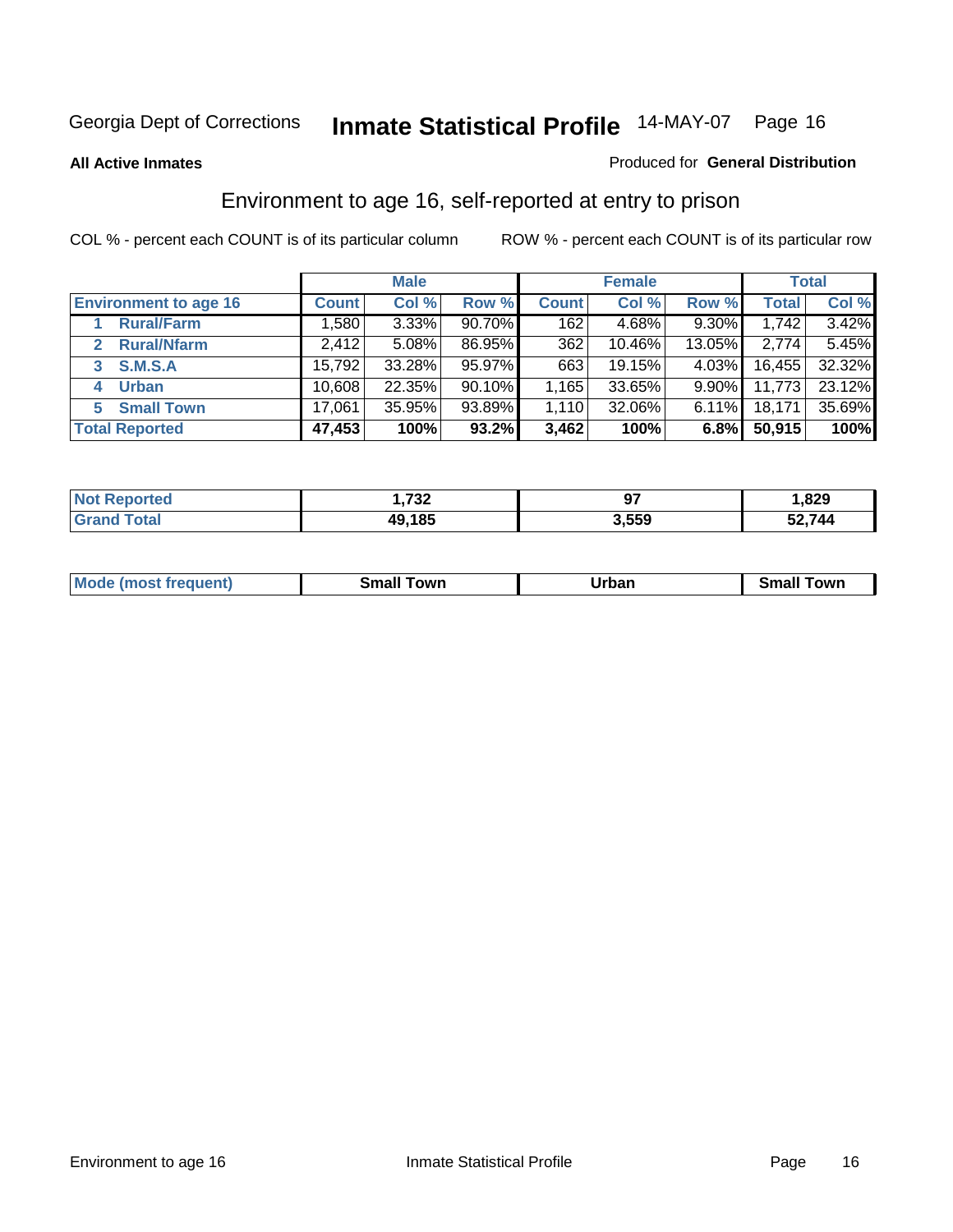#### **All Active Inmates**

#### Produced for **General Distribution**

### Environment to age 16, self-reported at entry to prison

|                                      |              | <b>Male</b> |        |              | <b>Female</b> |          |              | <b>Total</b> |
|--------------------------------------|--------------|-------------|--------|--------------|---------------|----------|--------------|--------------|
| <b>Environment to age 16</b>         | <b>Count</b> | Col %       | Row %  | <b>Count</b> | Col %         | Row %    | <b>Total</b> | Col %        |
| <b>Rural/Farm</b>                    | 1,580        | $3.33\%$    | 90.70% | 162          | 4.68%         | $9.30\%$ | 1,742        | 3.42%        |
| <b>Rural/Nfarm</b><br>$\overline{2}$ | 2,412        | 5.08%       | 86.95% | 362          | 10.46%        | 13.05%   | 2,774        | 5.45%        |
| <b>S.M.S.A</b><br>3                  | 15,792       | 33.28%      | 95.97% | 663          | 19.15%        | $4.03\%$ | 16,455       | 32.32%       |
| <b>Urban</b><br>4                    | 10,608       | 22.35%      | 90.10% | 1,165        | 33.65%        | $9.90\%$ | 11,773       | 23.12%       |
| <b>Small Town</b><br>5               | 17,061       | 35.95%      | 93.89% | 1,110        | 32.06%        | $6.11\%$ | 18,171       | 35.69%       |
| <b>Total Reported</b>                | 47,453       | 100%        | 93.2%  | 3,462        | 100%          | 6.8%     | 50,915       | 100%         |

| Reported<br><b>Not</b> | 722<br>1.I JZ | 97    | ,829   |
|------------------------|---------------|-------|--------|
| Total<br>Grand         | 49,185        | 3,559 | 52,744 |

| Mo<br>. . | . owr | <u>'''' ''</u><br>roa<br>_____ | .0W <sub>r</sub> |
|-----------|-------|--------------------------------|------------------|
|           |       |                                |                  |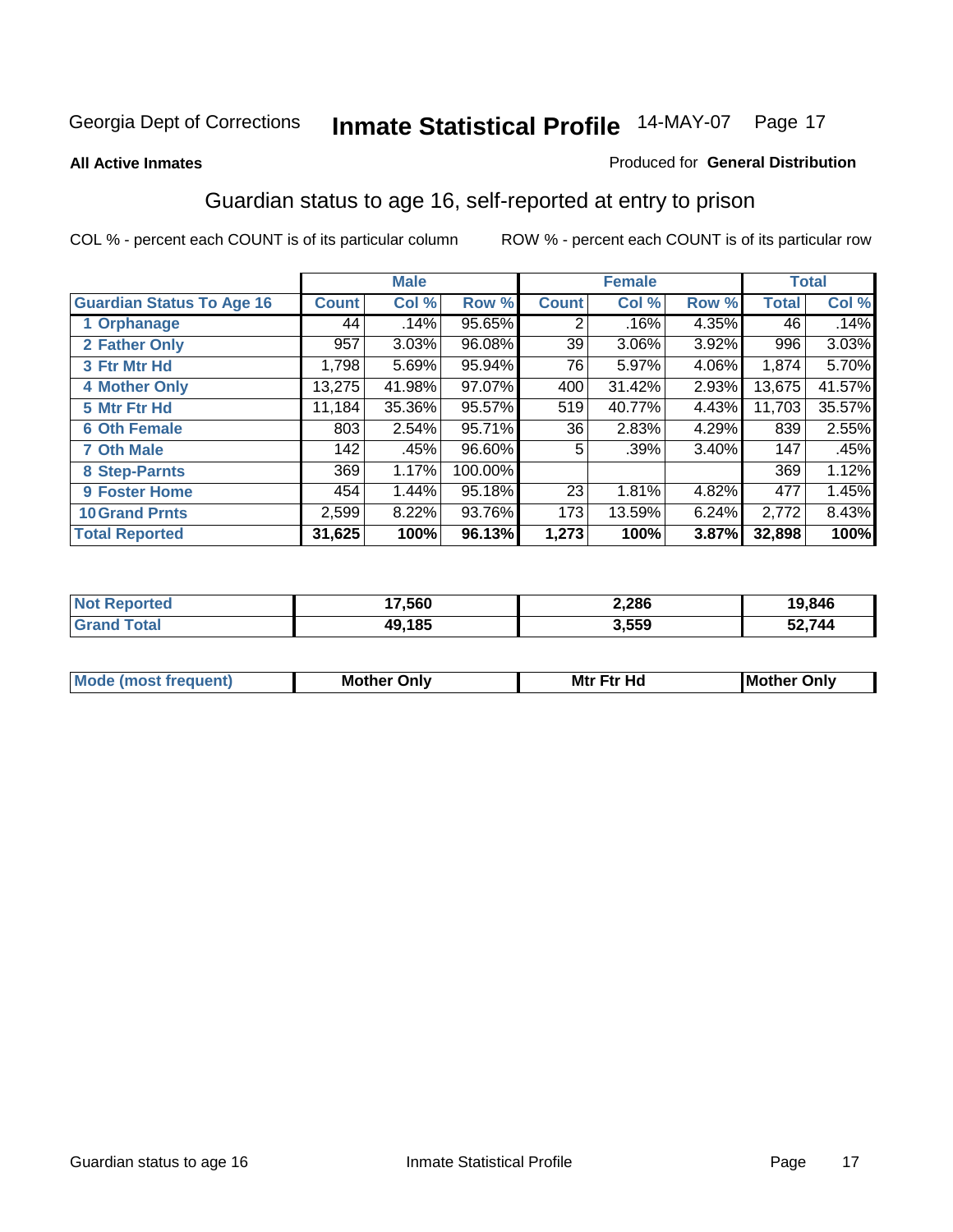#### **All Active Inmates**

#### Produced for **General Distribution**

### Guardian status to age 16, self-reported at entry to prison

|                                  |              | <b>Male</b> |         |                | <b>Female</b> |          |              | <b>Total</b> |
|----------------------------------|--------------|-------------|---------|----------------|---------------|----------|--------------|--------------|
| <b>Guardian Status To Age 16</b> | <b>Count</b> | Col %       | Row %   | <b>Count</b>   | Col %         | Row %    | <b>Total</b> | Col %        |
| 1 Orphanage                      | 44           | .14%        | 95.65%  | 2              | .16%          | 4.35%    | 46           | .14%         |
| 2 Father Only                    | 957          | 3.03%       | 96.08%  | 39             | 3.06%         | 3.92%    | 996          | 3.03%        |
| 3 Ftr Mtr Hd                     | 1,798        | 5.69%       | 95.94%  | 76             | 5.97%         | 4.06%    | 1,874        | 5.70%        |
| <b>4 Mother Only</b>             | 13,275       | 41.98%      | 97.07%  | 400            | 31.42%        | 2.93%    | 13,675       | 41.57%       |
| 5 Mtr Ftr Hd                     | 11,184       | 35.36%      | 95.57%  | 519            | 40.77%        | 4.43%    | 11,703       | 35.57%       |
| <b>6 Oth Female</b>              | 803          | 2.54%       | 95.71%  | 36 l           | 2.83%         | 4.29%    | 839          | 2.55%        |
| <b>7 Oth Male</b>                | 142          | .45%        | 96.60%  | 5 <sub>1</sub> | .39%          | $3.40\%$ | 147          | .45%         |
| 8 Step-Parnts                    | 369          | 1.17%       | 100.00% |                |               |          | 369          | 1.12%        |
| 9 Foster Home                    | 454          | 1.44%       | 95.18%  | 23             | 1.81%         | 4.82%    | 477          | 1.45%        |
| <b>10 Grand Prnts</b>            | 2,599        | 8.22%       | 93.76%  | 173            | 13.59%        | 6.24%    | 2,772        | 8.43%        |
| <b>Total Reported</b>            | 31,625       | 100%        | 96.13%  | 1,273          | 100%          | 3.87%    | 32,898       | 100%         |

| <b>Not Reported</b> | 17,560 | 2,286 | 19,846 |
|---------------------|--------|-------|--------|
| <b>Grand Total</b>  | 49,185 | 3,559 | 52,744 |

| <b>Mou</b> | Mother<br>Onlv | Hд<br>Mtr Ftr | Only<br>lMoth |
|------------|----------------|---------------|---------------|
|            |                |               |               |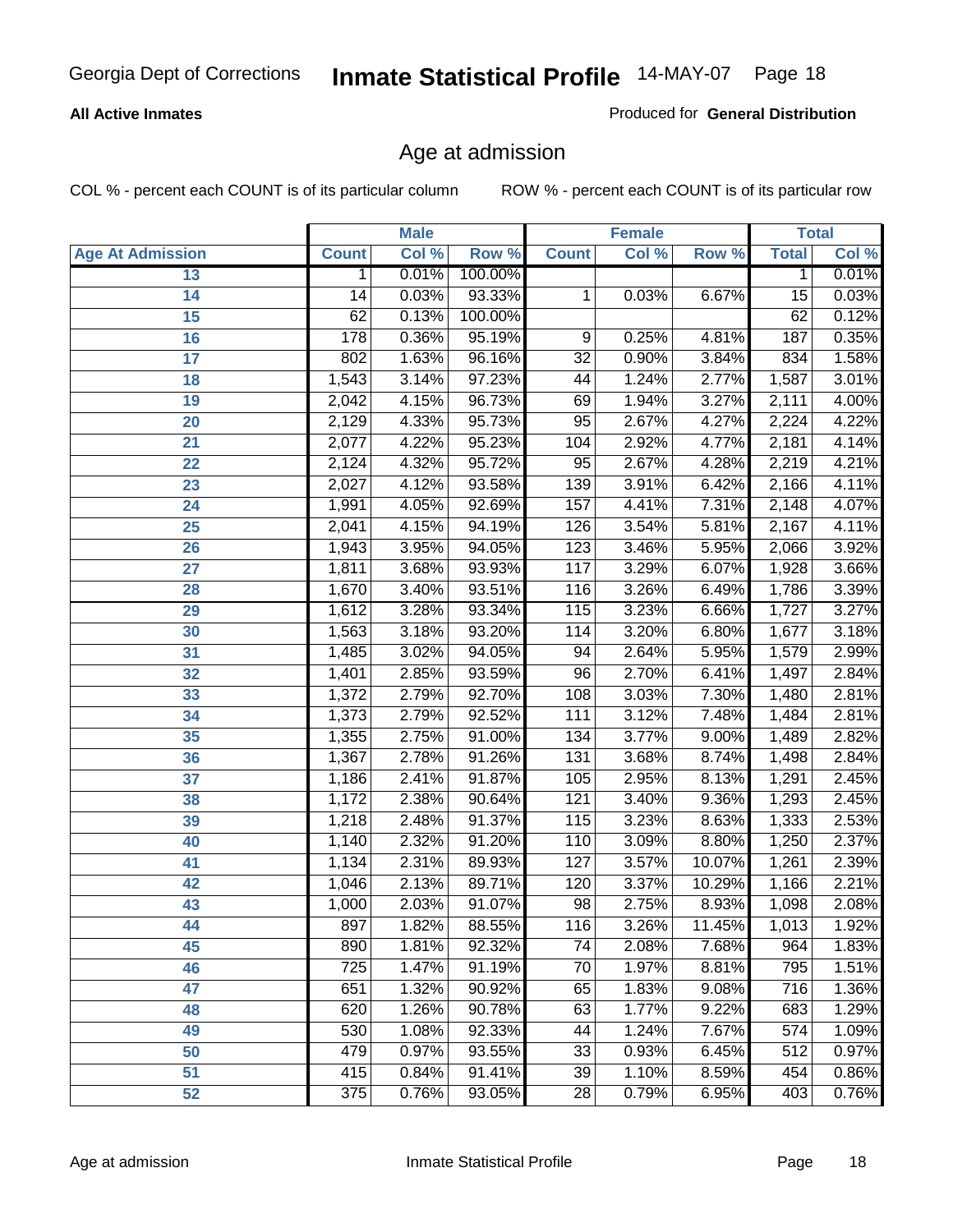#### **All Active Inmates**

Produced for **General Distribution**

### Age at admission

|                         |              | <b>Male</b> |         |                  | <b>Female</b> |        |                 | <b>Total</b> |
|-------------------------|--------------|-------------|---------|------------------|---------------|--------|-----------------|--------------|
| <b>Age At Admission</b> | <b>Count</b> | Col %       | Row %   | <b>Count</b>     | Col %         | Row %  | <b>Total</b>    | Col %        |
| 13                      | 1            | 0.01%       | 100.00% |                  |               |        | 1               | 0.01%        |
| 14                      | 14           | 0.03%       | 93.33%  | 1                | 0.03%         | 6.67%  | $\overline{15}$ | 0.03%        |
| $\overline{15}$         | 62           | 0.13%       | 100.00% |                  |               |        | 62              | 0.12%        |
| 16                      | 178          | 0.36%       | 95.19%  | 9                | 0.25%         | 4.81%  | 187             | 0.35%        |
| $\overline{17}$         | 802          | 1.63%       | 96.16%  | $\overline{32}$  | 0.90%         | 3.84%  | 834             | 1.58%        |
| 18                      | 1,543        | 3.14%       | 97.23%  | 44               | 1.24%         | 2.77%  | 1,587           | 3.01%        |
| 19                      | 2,042        | 4.15%       | 96.73%  | 69               | 1.94%         | 3.27%  | 2,111           | 4.00%        |
| 20                      | 2,129        | 4.33%       | 95.73%  | 95               | 2.67%         | 4.27%  | 2,224           | 4.22%        |
| 21                      | 2,077        | 4.22%       | 95.23%  | 104              | 2.92%         | 4.77%  | 2,181           | 4.14%        |
| 22                      | 2,124        | 4.32%       | 95.72%  | 95               | 2.67%         | 4.28%  | 2,219           | 4.21%        |
| 23                      | 2,027        | 4.12%       | 93.58%  | 139              | 3.91%         | 6.42%  | 2,166           | 4.11%        |
| 24                      | 1,991        | 4.05%       | 92.69%  | 157              | 4.41%         | 7.31%  | 2,148           | 4.07%        |
| $\overline{25}$         | 2,041        | 4.15%       | 94.19%  | 126              | 3.54%         | 5.81%  | 2,167           | 4.11%        |
| 26                      | 1,943        | 3.95%       | 94.05%  | $\overline{123}$ | 3.46%         | 5.95%  | 2,066           | 3.92%        |
| 27                      | 1,811        | 3.68%       | 93.93%  | 117              | 3.29%         | 6.07%  | 1,928           | 3.66%        |
| 28                      | 1,670        | 3.40%       | 93.51%  | 116              | 3.26%         | 6.49%  | 1,786           | 3.39%        |
| 29                      | 1,612        | 3.28%       | 93.34%  | 115              | 3.23%         | 6.66%  | 1,727           | 3.27%        |
| 30                      | 1,563        | 3.18%       | 93.20%  | 114              | 3.20%         | 6.80%  | 1,677           | 3.18%        |
| 31                      | 1,485        | 3.02%       | 94.05%  | 94               | 2.64%         | 5.95%  | 1,579           | 2.99%        |
| 32                      | 1,401        | 2.85%       | 93.59%  | 96               | 2.70%         | 6.41%  | 1,497           | 2.84%        |
| 33                      | 1,372        | 2.79%       | 92.70%  | 108              | 3.03%         | 7.30%  | 1,480           | 2.81%        |
| 34                      | 1,373        | 2.79%       | 92.52%  | 111              | 3.12%         | 7.48%  | 1,484           | 2.81%        |
| 35                      | 1,355        | 2.75%       | 91.00%  | 134              | 3.77%         | 9.00%  | 1,489           | 2.82%        |
| 36                      | 1,367        | 2.78%       | 91.26%  | 131              | 3.68%         | 8.74%  | 1,498           | 2.84%        |
| 37                      | 1,186        | 2.41%       | 91.87%  | 105              | 2.95%         | 8.13%  | 1,291           | 2.45%        |
| 38                      | 1,172        | 2.38%       | 90.64%  | 121              | 3.40%         | 9.36%  | 1,293           | 2.45%        |
| 39                      | 1,218        | 2.48%       | 91.37%  | 115              | 3.23%         | 8.63%  | 1,333           | 2.53%        |
| 40                      | 1,140        | 2.32%       | 91.20%  | 110              | 3.09%         | 8.80%  | 1,250           | 2.37%        |
| 41                      | 1,134        | 2.31%       | 89.93%  | 127              | 3.57%         | 10.07% | 1,261           | 2.39%        |
| 42                      | 1,046        | 2.13%       | 89.71%  | 120              | 3.37%         | 10.29% | 1,166           | 2.21%        |
| 43                      | 1,000        | 2.03%       | 91.07%  | 98               | 2.75%         | 8.93%  | 1,098           | 2.08%        |
| 44                      | 897          | 1.82%       | 88.55%  | 116              | 3.26%         | 11.45% | 1,013           | 1.92%        |
| 45                      | 890          | 1.81%       | 92.32%  | $\overline{74}$  | 2.08%         | 7.68%  | 964             | 1.83%        |
| 46                      | 725          | 1.47%       | 91.19%  | 70               | 1.97%         | 8.81%  | 795             | 1.51%        |
| 47                      | 651          | 1.32%       | 90.92%  | 65               | 1.83%         | 9.08%  | 716             | 1.36%        |
| 48                      | 620          | 1.26%       | 90.78%  | 63               | 1.77%         | 9.22%  | 683             | 1.29%        |
| 49                      | 530          | 1.08%       | 92.33%  | 44               | 1.24%         | 7.67%  | 574             | 1.09%        |
| 50                      | 479          | 0.97%       | 93.55%  | $\overline{33}$  | 0.93%         | 6.45%  | 512             | 0.97%        |
| 51                      | 415          | 0.84%       | 91.41%  | $\overline{39}$  | 1.10%         | 8.59%  | 454             | 0.86%        |
| 52                      | 375          | 0.76%       | 93.05%  | 28               | 0.79%         | 6.95%  | 403             | 0.76%        |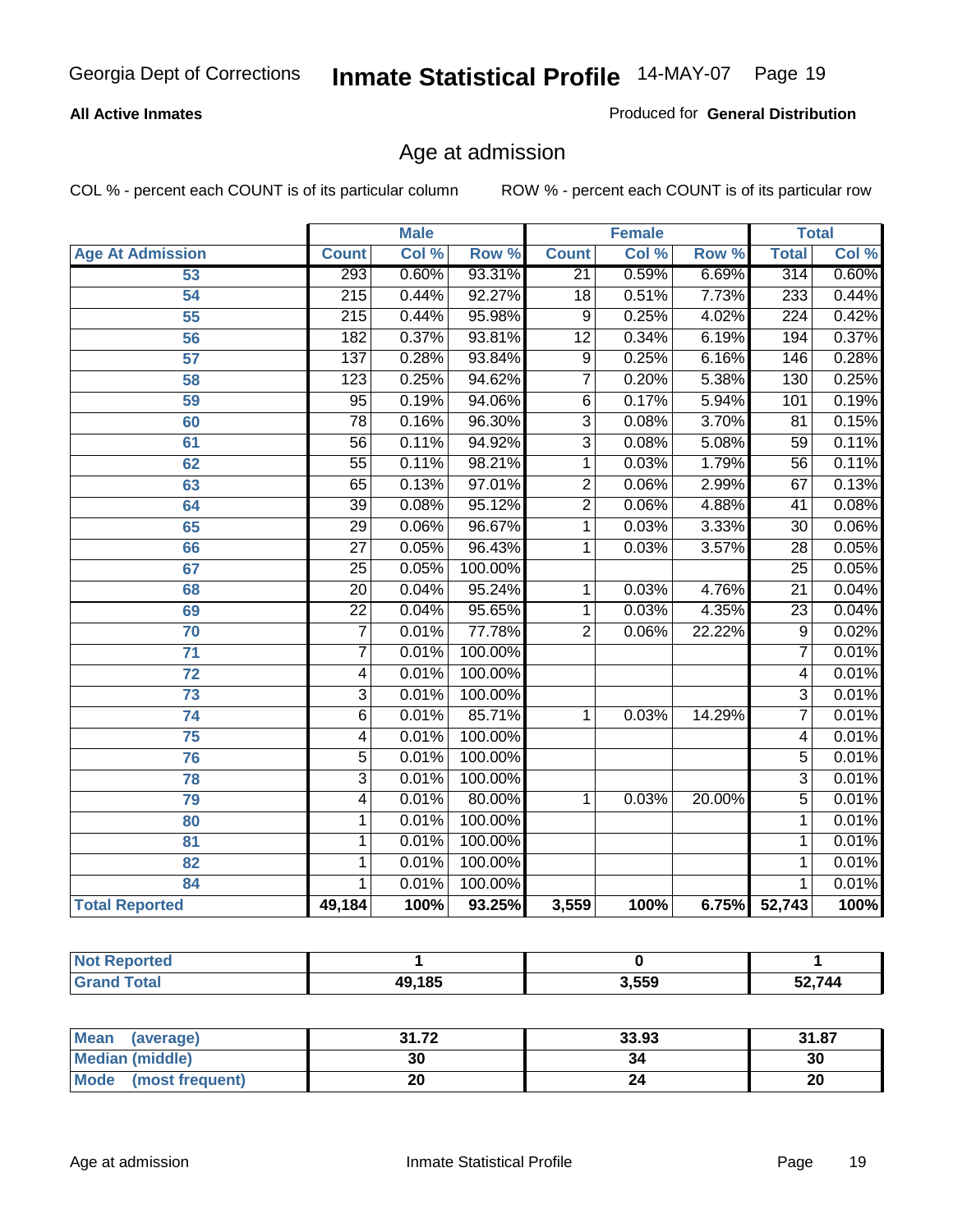#### **All Active Inmates**

Produced for **General Distribution**

### Age at admission

|                          |                  | <b>Male</b> |         |                 | <b>Female</b> |        |                  | <b>Total</b> |
|--------------------------|------------------|-------------|---------|-----------------|---------------|--------|------------------|--------------|
| <b>Age At Admission</b>  | <b>Count</b>     | Col %       | Row %   | <b>Count</b>    | Col %         | Row %  | <b>Total</b>     | Col %        |
| 53                       | 293              | 0.60%       | 93.31%  | $\overline{21}$ | 0.59%         | 6.69%  | 314              | 0.60%        |
| 54                       | 215              | 0.44%       | 92.27%  | $\overline{18}$ | 0.51%         | 7.73%  | 233              | 0.44%        |
| 55                       | $\overline{215}$ | 0.44%       | 95.98%  | $\overline{9}$  | 0.25%         | 4.02%  | $\overline{224}$ | 0.42%        |
| $\overline{56}$          | 182              | 0.37%       | 93.81%  | $\overline{12}$ | 0.34%         | 6.19%  | 194              | 0.37%        |
| 57                       | $\overline{137}$ | 0.28%       | 93.84%  | $\overline{9}$  | 0.25%         | 6.16%  | 146              | 0.28%        |
| 58                       | 123              | 0.25%       | 94.62%  | $\overline{7}$  | 0.20%         | 5.38%  | 130              | 0.25%        |
| 59                       | $\overline{95}$  | 0.19%       | 94.06%  | $\overline{6}$  | 0.17%         | 5.94%  | 101              | 0.19%        |
| 60                       | $\overline{78}$  | 0.16%       | 96.30%  | $\overline{3}$  | 0.08%         | 3.70%  | $\overline{81}$  | 0.15%        |
| 61                       | $\overline{56}$  | 0.11%       | 94.92%  | $\overline{3}$  | 0.08%         | 5.08%  | 59               | 0.11%        |
| 62                       | $\overline{55}$  | 0.11%       | 98.21%  | $\mathbf{1}$    | 0.03%         | 1.79%  | $\overline{56}$  | 0.11%        |
| 63                       | 65               | 0.13%       | 97.01%  | $\overline{2}$  | 0.06%         | 2.99%  | 67               | 0.13%        |
| 64                       | $\overline{39}$  | 0.08%       | 95.12%  | $\overline{2}$  | 0.06%         | 4.88%  | 41               | 0.08%        |
| 65                       | $\overline{29}$  | 0.06%       | 96.67%  | 1               | 0.03%         | 3.33%  | $\overline{30}$  | 0.06%        |
| 66                       | $\overline{27}$  | 0.05%       | 96.43%  | 1               | 0.03%         | 3.57%  | $\overline{28}$  | 0.05%        |
| 67                       | 25               | 0.05%       | 100.00% |                 |               |        | $\overline{25}$  | 0.05%        |
| 68                       | $\overline{20}$  | 0.04%       | 95.24%  | 1               | 0.03%         | 4.76%  | $\overline{21}$  | 0.04%        |
| 69                       | $\overline{22}$  | 0.04%       | 95.65%  | 1               | 0.03%         | 4.35%  | $\overline{23}$  | 0.04%        |
| 70                       | $\overline{7}$   | 0.01%       | 77.78%  | $\overline{2}$  | 0.06%         | 22.22% | $\overline{9}$   | 0.02%        |
| 71                       | $\overline{7}$   | 0.01%       | 100.00% |                 |               |        | 7                | 0.01%        |
| $\overline{72}$          | 4                | 0.01%       | 100.00% |                 |               |        | 4                | 0.01%        |
| 73                       | $\overline{3}$   | 0.01%       | 100.00% |                 |               |        | $\overline{3}$   | 0.01%        |
| 74                       | $\overline{6}$   | 0.01%       | 85.71%  | 1               | 0.03%         | 14.29% | 7                | 0.01%        |
| 75                       | 4                | 0.01%       | 100.00% |                 |               |        | 4                | 0.01%        |
| 76                       | $\overline{5}$   | 0.01%       | 100.00% |                 |               |        | $\overline{5}$   | 0.01%        |
| 78                       | $\overline{3}$   | 0.01%       | 100.00% |                 |               |        | $\overline{3}$   | 0.01%        |
| 79                       | $\overline{4}$   | 0.01%       | 80.00%  | $\mathbf{1}$    | 0.03%         | 20.00% | $\overline{5}$   | 0.01%        |
| 80                       | 1                | 0.01%       | 100.00% |                 |               |        | 1                | 0.01%        |
| $\overline{\mathbf{81}}$ | $\mathbf{1}$     | 0.01%       | 100.00% |                 |               |        | 1                | 0.01%        |
| 82                       | 1                | 0.01%       | 100.00% |                 |               |        | 1                | 0.01%        |
| 84                       | 1                | 0.01%       | 100.00% |                 |               |        | 1                | 0.01%        |
| <b>Total Reported</b>    | 49,184           | 100%        | 93.25%  | 3,559           | 100%          | 6.75%  | 52, 743          | 100%         |

| ™rtea<br>N |                     |       |             |
|------------|---------------------|-------|-------------|
|            | 10 1 O E<br>o.<br>т | 3.559 | <b>2744</b> |

| <b>Mean</b><br>(average) | <b>24.72</b><br>1.14 د | 33.93 | 31.87 |
|--------------------------|------------------------|-------|-------|
| <b>Median (middle)</b>   | 30                     | 34    | 30    |
| Mode<br>(most frequent)  | ۷J                     |       | 20    |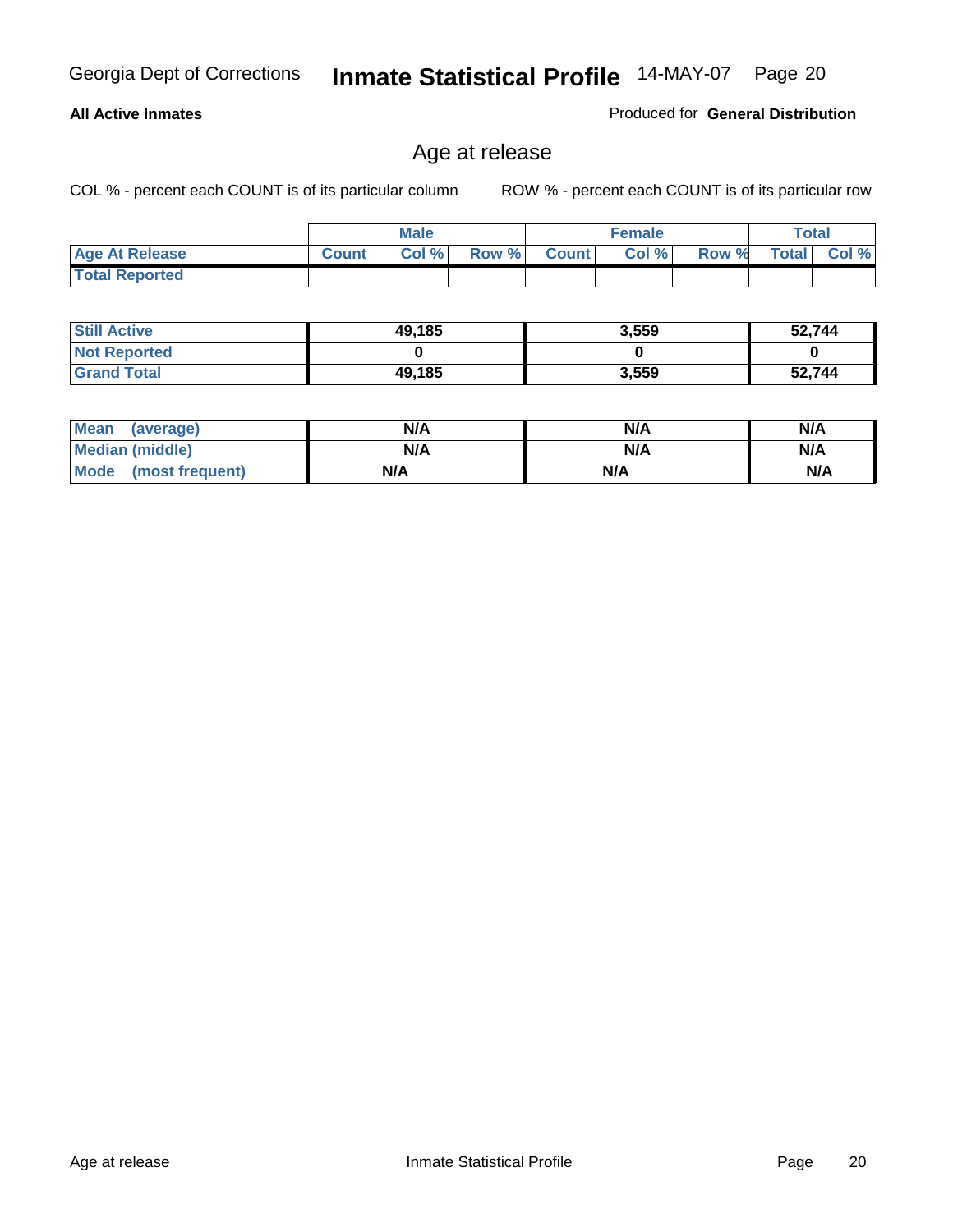#### **All Active Inmates**

Produced for **General Distribution**

### Age at release

|                       |              | <b>Male</b> |       |              | <b>Female</b> |       | <b>Total</b> |       |
|-----------------------|--------------|-------------|-------|--------------|---------------|-------|--------------|-------|
| <b>Age At Release</b> | <b>Count</b> | Col%        | Row % | <b>Count</b> | Col %         | Row % | <b>Total</b> | Col % |
| <b>Total Reported</b> |              |             |       |              |               |       |              |       |

| <b>Still Active</b> | 49,185 | 3,559 | 52,744 |
|---------------------|--------|-------|--------|
| <b>Not Reported</b> |        |       |        |
| <b>Grand Total</b>  | 49,185 | 3,559 | 52,744 |

| Mean (average)       | N/A | N/A | N/A |
|----------------------|-----|-----|-----|
| Median (middle)      | N/A | N/A | N/A |
| Mode (most frequent) | N/A | N/A | N/A |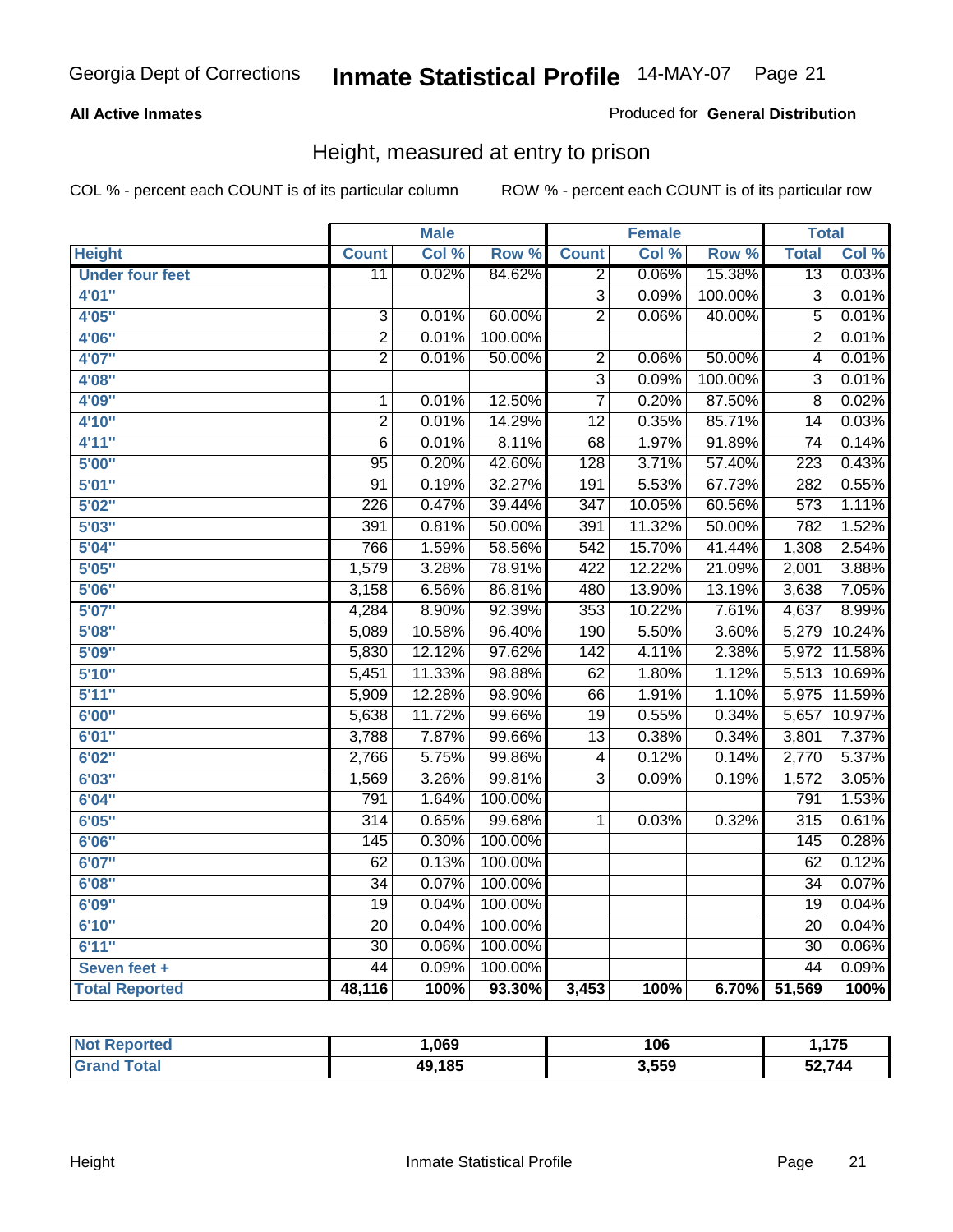#### **All Active Inmates**

#### Produced for **General Distribution**

### Height, measured at entry to prison

|                        |                  | <b>Male</b> |         |                  | <b>Female</b> |         | <b>Total</b>     |        |
|------------------------|------------------|-------------|---------|------------------|---------------|---------|------------------|--------|
| <b>Height</b>          | <b>Count</b>     | Col %       | Row %   | <b>Count</b>     | Col %         | Row %   | <b>Total</b>     | Col %  |
| <b>Under four feet</b> | $\overline{11}$  | 0.02%       | 84.62%  | $\overline{2}$   | 0.06%         | 15.38%  | $\overline{13}$  | 0.03%  |
| 4'01''                 |                  |             |         | $\overline{3}$   | 0.09%         | 100.00% | $\overline{3}$   | 0.01%  |
| 4'05"                  | $\overline{3}$   | 0.01%       | 60.00%  | $\overline{2}$   | 0.06%         | 40.00%  | $\overline{5}$   | 0.01%  |
| 4'06"                  | $\overline{2}$   | 0.01%       | 100.00% |                  |               |         | $\overline{2}$   | 0.01%  |
| 4'07"                  | $\overline{2}$   | 0.01%       | 50.00%  | $\overline{2}$   | 0.06%         | 50.00%  | $\overline{4}$   | 0.01%  |
| 4'08"                  |                  |             |         | $\overline{3}$   | 0.09%         | 100.00% | $\overline{3}$   | 0.01%  |
| 4'09"                  | $\mathbf 1$      | 0.01%       | 12.50%  | $\overline{7}$   | 0.20%         | 87.50%  | $\overline{8}$   | 0.02%  |
| 4'10"                  | $\overline{2}$   | 0.01%       | 14.29%  | $\overline{12}$  | 0.35%         | 85.71%  | 14               | 0.03%  |
| 4'11''                 | $\overline{6}$   | 0.01%       | 8.11%   | 68               | 1.97%         | 91.89%  | $\overline{74}$  | 0.14%  |
| 5'00''                 | $\overline{95}$  | 0.20%       | 42.60%  | 128              | 3.71%         | 57.40%  | $\overline{223}$ | 0.43%  |
| 5'01''                 | $\overline{91}$  | 0.19%       | 32.27%  | 191              | 5.53%         | 67.73%  | 282              | 0.55%  |
| 5'02''                 | $\overline{226}$ | 0.47%       | 39.44%  | $\overline{347}$ | 10.05%        | 60.56%  | $\overline{573}$ | 1.11%  |
| 5'03''                 | 391              | 0.81%       | 50.00%  | 391              | 11.32%        | 50.00%  | 782              | 1.52%  |
| 5'04''                 | 766              | 1.59%       | 58.56%  | 542              | 15.70%        | 41.44%  | 1,308            | 2.54%  |
| 5'05''                 | 1,579            | 3.28%       | 78.91%  | 422              | 12.22%        | 21.09%  | 2,001            | 3.88%  |
| 5'06''                 | 3,158            | 6.56%       | 86.81%  | 480              | 13.90%        | 13.19%  | 3,638            | 7.05%  |
| 5'07''                 | 4,284            | 8.90%       | 92.39%  | 353              | 10.22%        | 7.61%   | 4,637            | 8.99%  |
| 5'08''                 | 5,089            | 10.58%      | 96.40%  | 190              | 5.50%         | 3.60%   | 5,279            | 10.24% |
| 5'09''                 | 5,830            | 12.12%      | 97.62%  | 142              | 4.11%         | 2.38%   | 5,972            | 11.58% |
| 5'10''                 | 5,451            | 11.33%      | 98.88%  | 62               | 1.80%         | 1.12%   | 5,513            | 10.69% |
| 5'11''                 | 5,909            | 12.28%      | 98.90%  | 66               | 1.91%         | 1.10%   | 5,975            | 11.59% |
| 6'00''                 | 5,638            | 11.72%      | 99.66%  | $\overline{19}$  | 0.55%         | 0.34%   | 5,657            | 10.97% |
| 6'01''                 | 3,788            | 7.87%       | 99.66%  | $\overline{13}$  | 0.38%         | 0.34%   | 3,801            | 7.37%  |
| 6'02''                 | 2,766            | 5.75%       | 99.86%  | $\overline{4}$   | 0.12%         | 0.14%   | 2,770            | 5.37%  |
| 6'03''                 | 1,569            | 3.26%       | 99.81%  | $\overline{3}$   | 0.09%         | 0.19%   | 1,572            | 3.05%  |
| 6'04''                 | 791              | 1.64%       | 100.00% |                  |               |         | 791              | 1.53%  |
| 6'05''                 | $\overline{314}$ | 0.65%       | 99.68%  | 1                | 0.03%         | 0.32%   | 315              | 0.61%  |
| 6'06''                 | $\overline{145}$ | 0.30%       | 100.00% |                  |               |         | 145              | 0.28%  |
| 6'07''                 | 62               | 0.13%       | 100.00% |                  |               |         | 62               | 0.12%  |
| 6'08''                 | $\overline{34}$  | 0.07%       | 100.00% |                  |               |         | $\overline{34}$  | 0.07%  |
| 6'09''                 | $\overline{19}$  | 0.04%       | 100.00% |                  |               |         | $\overline{19}$  | 0.04%  |
| 6'10''                 | $\overline{20}$  | 0.04%       | 100.00% |                  |               |         | $\overline{20}$  | 0.04%  |
| 6'11''                 | $\overline{30}$  | 0.06%       | 100.00% |                  |               |         | $\overline{30}$  | 0.06%  |
| Seven feet +           | $\overline{44}$  | 0.09%       | 100.00% |                  |               |         | $\overline{44}$  | 0.09%  |
| <b>Total Reported</b>  | 48,116           | 100%        | 93.30%  | 3,453            | 100%          | 6.70%   | 51,569           | 100%   |

| <b>eported</b>       | .069   | 106   | ,175         |
|----------------------|--------|-------|--------------|
| <b>Total</b><br>Grai | 49,185 | 3.559 | .,744<br>- - |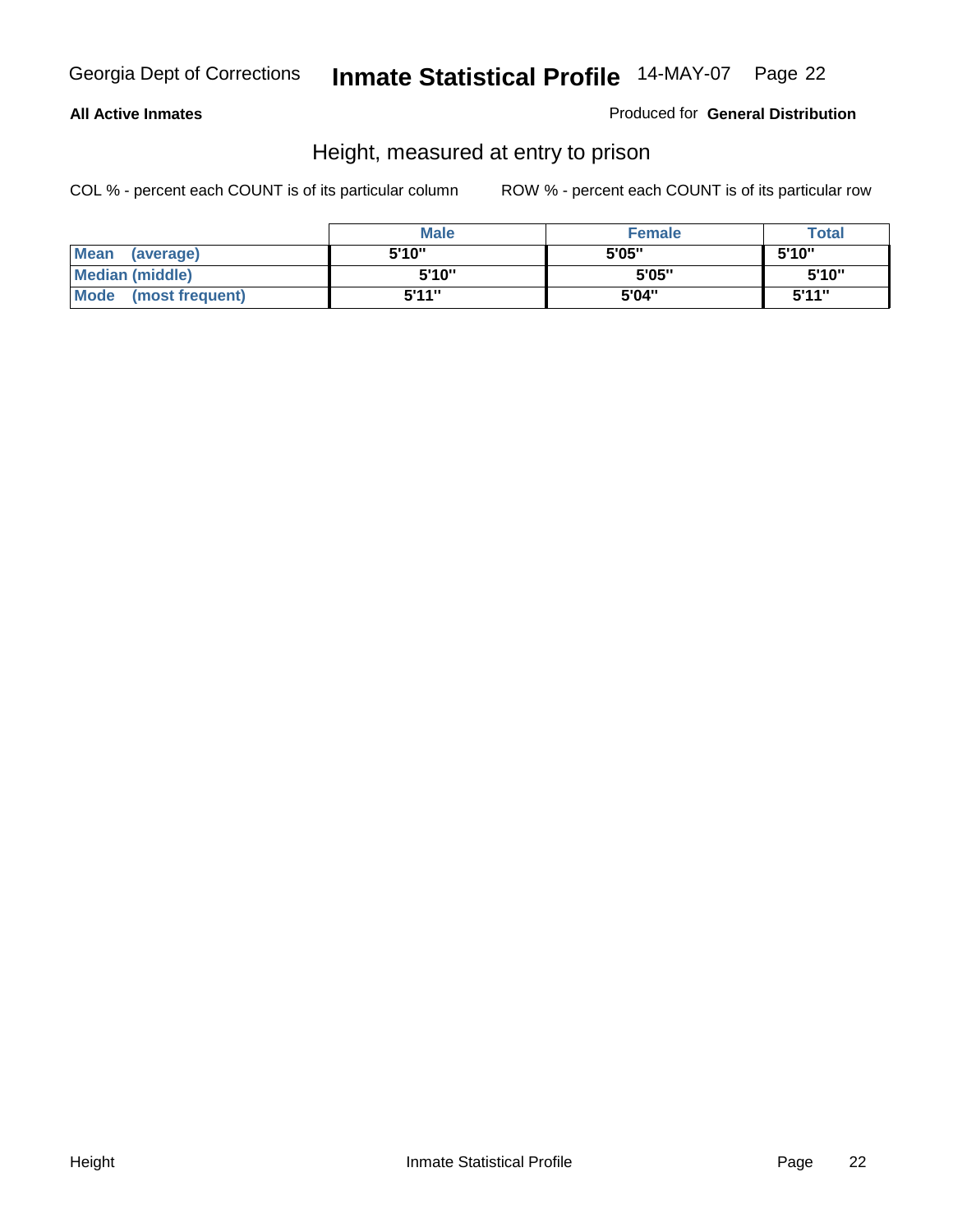#### **All Active Inmates**

#### Produced for **General Distribution**

### Height, measured at entry to prison

|                      | <b>Male</b> | <b>Female</b> | <b>Total</b> |
|----------------------|-------------|---------------|--------------|
| Mean (average)       | 5'10"       | 5'05"         | 5'10''       |
| Median (middle)      | 5'10"       | 5'05"         | 5'10"        |
| Mode (most frequent) | 5'11"       | 5'04"         | 5'11"        |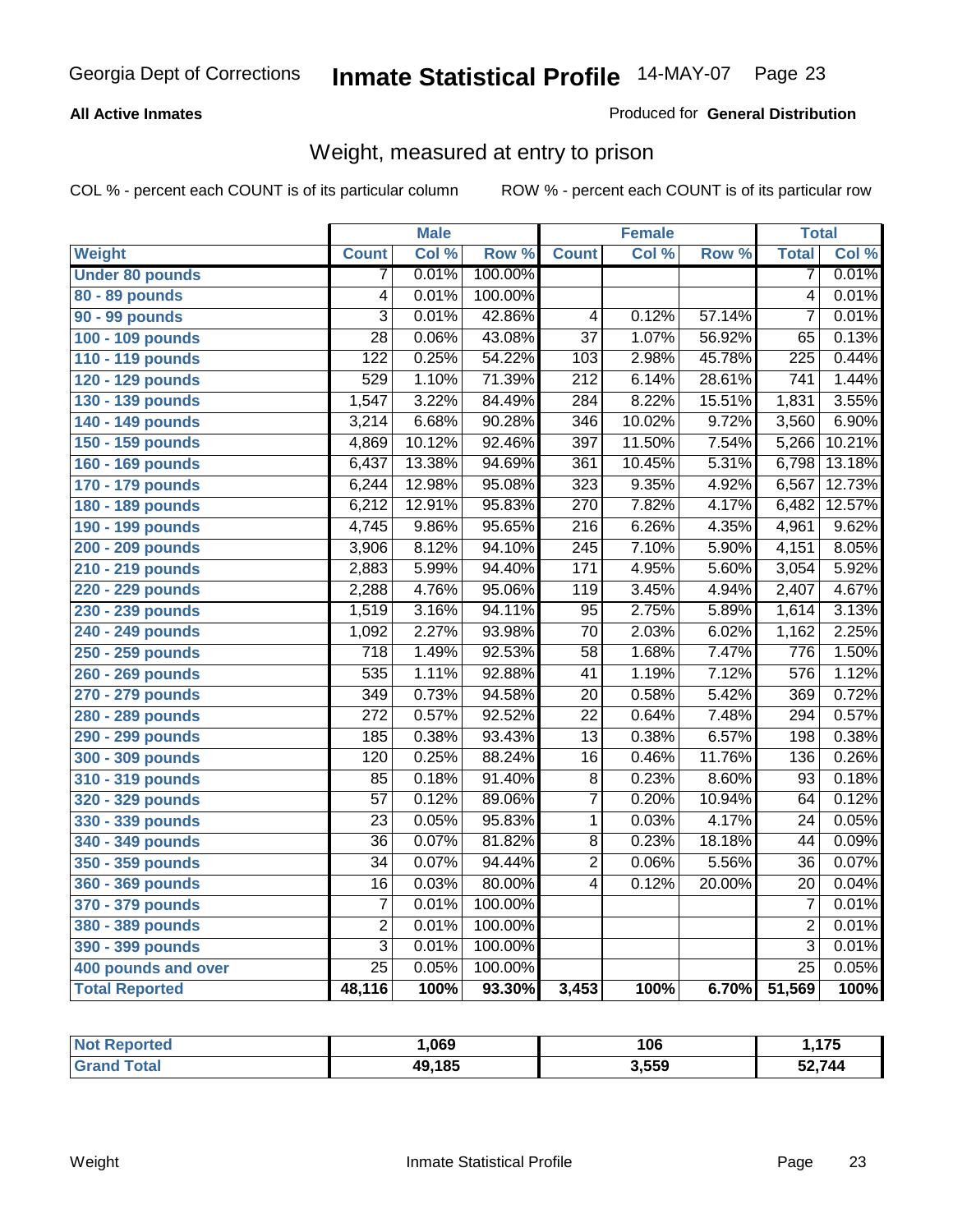#### **All Active Inmates**

#### Produced for **General Distribution**

### Weight, measured at entry to prison

|                        |                  | <b>Male</b> |                  |                  | <b>Female</b> |        | <b>Total</b>     |        |
|------------------------|------------------|-------------|------------------|------------------|---------------|--------|------------------|--------|
| Weight                 | <b>Count</b>     | Col %       | Row <sup>%</sup> | <b>Count</b>     | Col %         | Row %  | <b>Total</b>     | Col %  |
| <b>Under 80 pounds</b> | 7                | 0.01%       | 100.00%          |                  |               |        | 7                | 0.01%  |
| 80 - 89 pounds         | $\overline{4}$   | 0.01%       | 100.00%          |                  |               |        | $\overline{4}$   | 0.01%  |
| 90 - 99 pounds         | $\overline{3}$   | 0.01%       | 42.86%           | $\overline{4}$   | 0.12%         | 57.14% | $\overline{7}$   | 0.01%  |
| 100 - 109 pounds       | $\overline{28}$  | 0.06%       | 43.08%           | $\overline{37}$  | 1.07%         | 56.92% | 65               | 0.13%  |
| 110 - 119 pounds       | $\overline{122}$ | 0.25%       | 54.22%           | 103              | 2.98%         | 45.78% | $\overline{225}$ | 0.44%  |
| 120 - 129 pounds       | 529              | 1.10%       | 71.39%           | $\overline{212}$ | 6.14%         | 28.61% | $\overline{741}$ | 1.44%  |
| 130 - 139 pounds       | 1,547            | 3.22%       | 84.49%           | 284              | 8.22%         | 15.51% | 1,831            | 3.55%  |
| 140 - 149 pounds       | 3,214            | 6.68%       | 90.28%           | $\overline{346}$ | 10.02%        | 9.72%  | 3,560            | 6.90%  |
| 150 - 159 pounds       | 4,869            | 10.12%      | 92.46%           | 397              | 11.50%        | 7.54%  | 5,266            | 10.21% |
| 160 - 169 pounds       | 6,437            | 13.38%      | 94.69%           | 361              | 10.45%        | 5.31%  | 6,798            | 13.18% |
| 170 - 179 pounds       | 6,244            | 12.98%      | 95.08%           | 323              | 9.35%         | 4.92%  | 6,567            | 12.73% |
| 180 - 189 pounds       | 6,212            | 12.91%      | 95.83%           | 270              | 7.82%         | 4.17%  | 6,482            | 12.57% |
| 190 - 199 pounds       | 4,745            | 9.86%       | 95.65%           | $\overline{216}$ | 6.26%         | 4.35%  | 4,961            | 9.62%  |
| 200 - 209 pounds       | 3,906            | 8.12%       | 94.10%           | $\overline{245}$ | 7.10%         | 5.90%  | 4,151            | 8.05%  |
| 210 - 219 pounds       | 2,883            | 5.99%       | 94.40%           | 171              | 4.95%         | 5.60%  | 3,054            | 5.92%  |
| 220 - 229 pounds       | 2,288            | 4.76%       | 95.06%           | $\overline{119}$ | 3.45%         | 4.94%  | 2,407            | 4.67%  |
| 230 - 239 pounds       | 1,519            | 3.16%       | 94.11%           | $\overline{95}$  | 2.75%         | 5.89%  | 1,614            | 3.13%  |
| 240 - 249 pounds       | 1,092            | 2.27%       | 93.98%           | $\overline{70}$  | 2.03%         | 6.02%  | 1,162            | 2.25%  |
| 250 - 259 pounds       | $\overline{718}$ | 1.49%       | 92.53%           | $\overline{58}$  | 1.68%         | 7.47%  | 776              | 1.50%  |
| 260 - 269 pounds       | $\overline{535}$ | 1.11%       | 92.88%           | 41               | 1.19%         | 7.12%  | 576              | 1.12%  |
| 270 - 279 pounds       | 349              | 0.73%       | 94.58%           | $\overline{20}$  | 0.58%         | 5.42%  | 369              | 0.72%  |
| 280 - 289 pounds       | $\overline{272}$ | 0.57%       | 92.52%           | $\overline{22}$  | 0.64%         | 7.48%  | 294              | 0.57%  |
| 290 - 299 pounds       | 185              | 0.38%       | 93.43%           | $\overline{13}$  | 0.38%         | 6.57%  | 198              | 0.38%  |
| 300 - 309 pounds       | 120              | 0.25%       | 88.24%           | $\overline{16}$  | 0.46%         | 11.76% | 136              | 0.26%  |
| 310 - 319 pounds       | 85               | 0.18%       | 91.40%           | $\overline{8}$   | 0.23%         | 8.60%  | 93               | 0.18%  |
| 320 - 329 pounds       | $\overline{57}$  | 0.12%       | 89.06%           | $\overline{7}$   | 0.20%         | 10.94% | 64               | 0.12%  |
| 330 - 339 pounds       | $\overline{23}$  | 0.05%       | 95.83%           | 1                | 0.03%         | 4.17%  | $\overline{24}$  | 0.05%  |
| 340 - 349 pounds       | $\overline{36}$  | 0.07%       | 81.82%           | $\overline{8}$   | 0.23%         | 18.18% | 44               | 0.09%  |
| 350 - 359 pounds       | $\overline{34}$  | 0.07%       | 94.44%           | $\overline{2}$   | 0.06%         | 5.56%  | $\overline{36}$  | 0.07%  |
| 360 - 369 pounds       | $\overline{16}$  | 0.03%       | 80.00%           | $\overline{4}$   | 0.12%         | 20.00% | 20               | 0.04%  |
| 370 - 379 pounds       | $\overline{7}$   | 0.01%       | 100.00%          |                  |               |        | 7                | 0.01%  |
| 380 - 389 pounds       | $\overline{2}$   | 0.01%       | 100.00%          |                  |               |        | $\overline{2}$   | 0.01%  |
| 390 - 399 pounds       | $\overline{3}$   | 0.01%       | 100.00%          |                  |               |        | 3                | 0.01%  |
| 400 pounds and over    | $\overline{25}$  | 0.05%       | 100.00%          |                  |               |        | $\overline{25}$  | 0.05%  |
| <b>Total Reported</b>  | 48,116           | 100%        | 93.30%           | 3,453            | 100%          | 6.70%  | 51,569           | 100%   |

| <b>' Reported</b><br><b>Not</b> | ,069        | 106   | $\rightarrow$ $\rightarrow$ $\rightarrow$<br>,,, |
|---------------------------------|-------------|-------|--------------------------------------------------|
| `otal<br>"Gra.                  | .185<br>49, | 3,559 | 52,744                                           |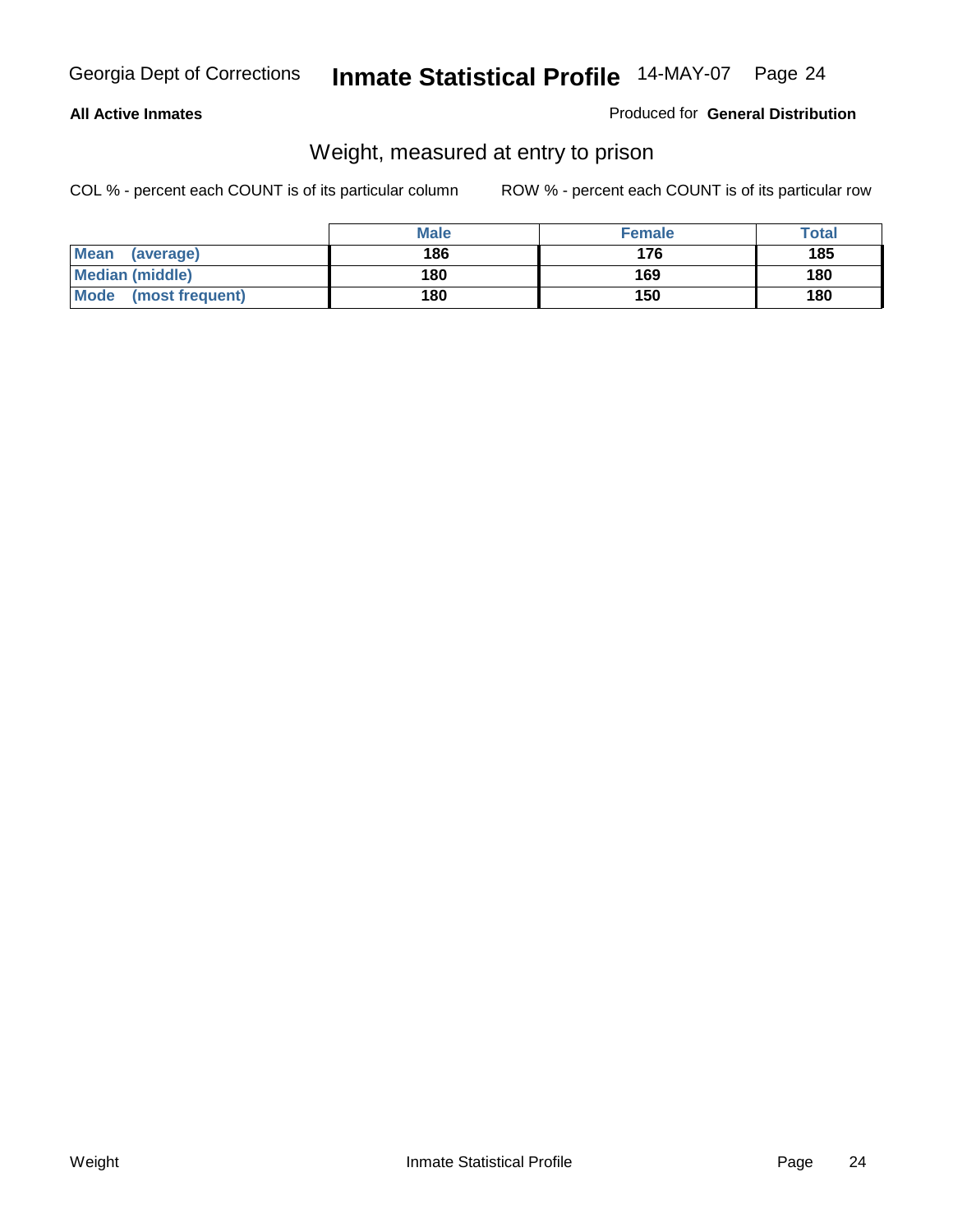#### **All Active Inmates**

#### Produced for **General Distribution**

### Weight, measured at entry to prison

|                         | <b>Male</b> | <b>Female</b> | Total |
|-------------------------|-------------|---------------|-------|
| Mean<br>(average)       | 186         | 176           | 185   |
| <b>Median (middle)</b>  | 180         | 169           | 180   |
| Mode<br>(most frequent) | 180         | 150           | 180   |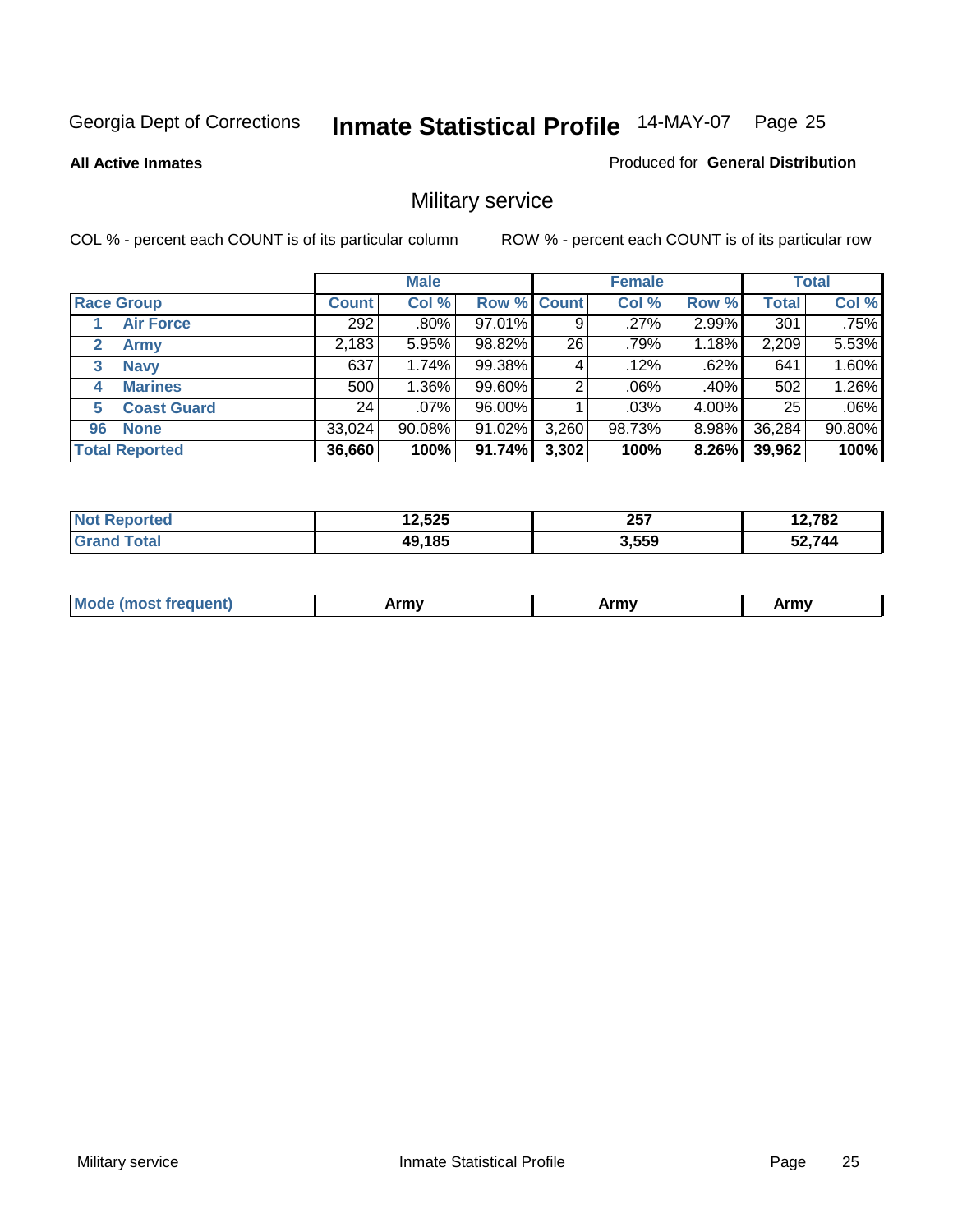**All Active Inmates**

#### Produced for **General Distribution**

### Military service

|                   |                       |              | <b>Male</b> |             |       | <b>Female</b> |       |              | <b>Total</b> |
|-------------------|-----------------------|--------------|-------------|-------------|-------|---------------|-------|--------------|--------------|
| <b>Race Group</b> |                       | <b>Count</b> | Col %       | Row % Count |       | Col %         | Row % | <b>Total</b> | Col %        |
|                   | <b>Air Force</b>      | 292          | .80%        | 97.01%      | 9     | .27%          | 2.99% | 301          | .75%         |
| 2                 | <b>Army</b>           | 2,183        | 5.95%       | 98.82%      | 26    | .79%          | 1.18% | 2,209        | 5.53%        |
| 3                 | <b>Navy</b>           | 637          | 1.74%       | 99.38%      | 4     | .12%          | .62%  | 641          | 1.60%        |
| 4                 | <b>Marines</b>        | 500          | 1.36%       | 99.60%      | 2     | $.06\%$       | .40%  | 502          | 1.26%        |
| 5                 | <b>Coast Guard</b>    | 24           | $.07\%$     | 96.00%      |       | $.03\%$       | 4.00% | 25           | .06%         |
| 96                | <b>None</b>           | 33,024       | $90.08\%$   | 91.02%      | 3,260 | 98.73%        | 8.98% | 36,284       | 90.80%       |
|                   | <b>Total Reported</b> | 36,660       | 100%        | 91.74%      | 3,302 | 100%          | 8.26% | 39,962       | 100%         |

| orted<br>NO1 | .2,525 | 257<br>___ | 12,782 |
|--------------|--------|------------|--------|
| `otal        | 49,185 | 3,559      | 52,744 |

| <b>Mou</b><br><b>Army</b><br>ATIIV<br>41U -<br>$\sim$ 1111 $\sigma$ |  |
|---------------------------------------------------------------------|--|
|---------------------------------------------------------------------|--|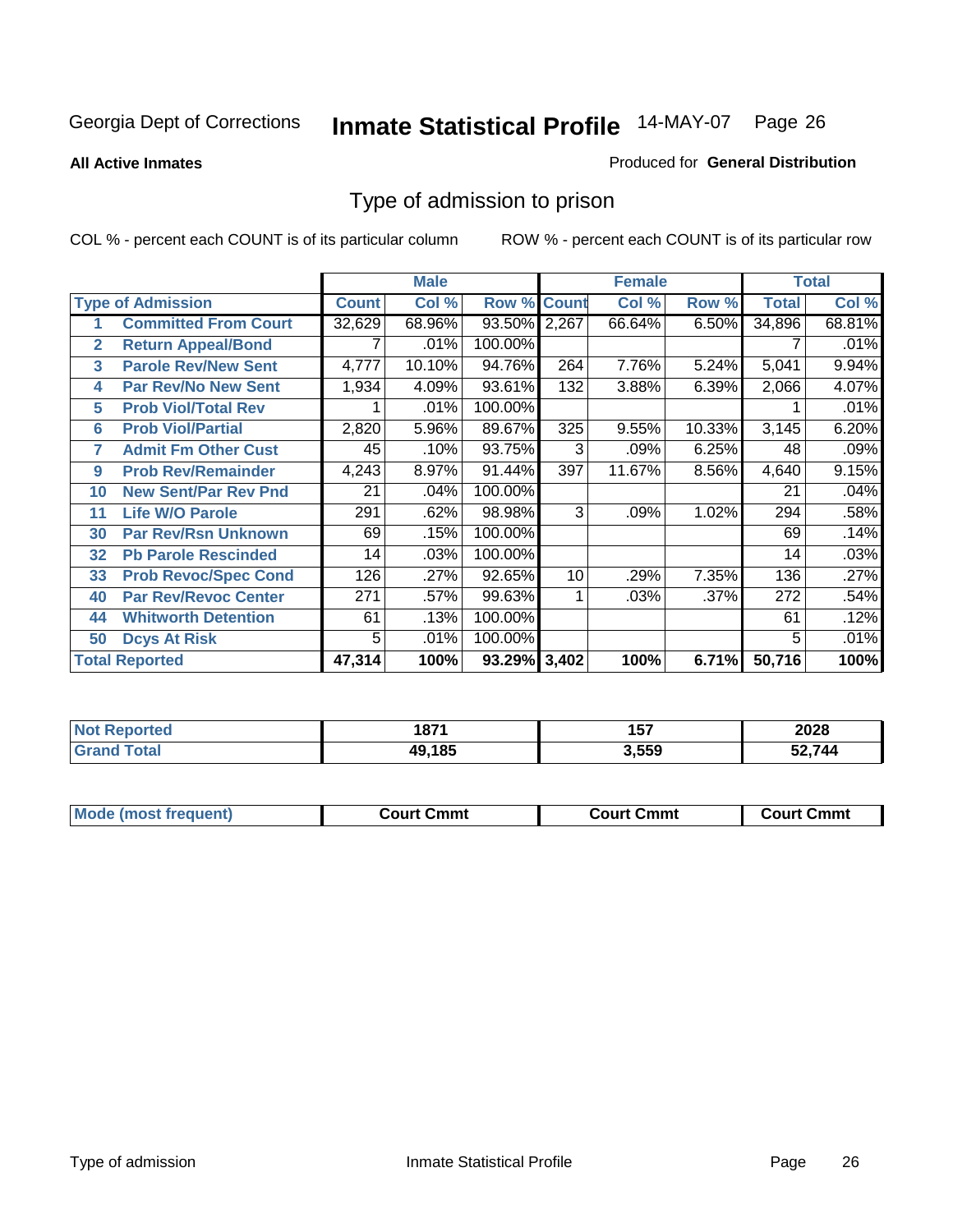**All Active Inmates**

#### Produced for **General Distribution**

### Type of admission to prison

|                |                             |        | <b>Male</b> |                    |     | <b>Female</b> |         |              | <b>Total</b> |
|----------------|-----------------------------|--------|-------------|--------------------|-----|---------------|---------|--------------|--------------|
|                | <b>Type of Admission</b>    | Count  | Col %       | <b>Row % Count</b> |     | Col %         | Row %   | <b>Total</b> | Col %        |
| 1              | <b>Committed From Court</b> | 32,629 | 68.96%      | 93.50% 2,267       |     | 66.64%        | 6.50%   | 34,896       | 68.81%       |
| $\overline{2}$ | <b>Return Appeal/Bond</b>   |        | .01%        | 100.00%            |     |               |         |              | .01%         |
| 3              | <b>Parole Rev/New Sent</b>  | 4,777  | 10.10%      | 94.76%             | 264 | 7.76%         | 5.24%   | 5,041        | 9.94%        |
| 4              | <b>Par Rev/No New Sent</b>  | 1,934  | 4.09%       | 93.61%             | 132 | 3.88%         | 6.39%   | 2,066        | 4.07%        |
| 5              | <b>Prob Viol/Total Rev</b>  |        | .01%        | 100.00%            |     |               |         |              | .01%         |
| 6              | <b>Prob Viol/Partial</b>    | 2,820  | 5.96%       | 89.67%             | 325 | 9.55%         | 10.33%  | 3,145        | 6.20%        |
| 7              | <b>Admit Fm Other Cust</b>  | 45     | .10%        | 93.75%             | 3   | .09%          | 6.25%   | 48           | .09%         |
| 9              | <b>Prob Rev/Remainder</b>   | 4,243  | 8.97%       | 91.44%             | 397 | 11.67%        | 8.56%   | 4,640        | 9.15%        |
| 10             | <b>New Sent/Par Rev Pnd</b> | 21     | .04%        | 100.00%            |     |               |         | 21           | .04%         |
| 11             | <b>Life W/O Parole</b>      | 291    | .62%        | 98.98%             | 3   | .09%          | 1.02%   | 294          | .58%         |
| 30             | <b>Par Rev/Rsn Unknown</b>  | 69     | .15%        | 100.00%            |     |               |         | 69           | .14%         |
| 32             | <b>Pb Parole Rescinded</b>  | 14     | .03%        | 100.00%            |     |               |         | 14           | .03%         |
| 33             | <b>Prob Revoc/Spec Cond</b> | 126    | .27%        | 92.65%             | 10  | .29%          | 7.35%   | 136          | .27%         |
| 40             | <b>Par Rev/Revoc Center</b> | 271    | .57%        | 99.63%             |     | .03%          | $.37\%$ | 272          | .54%         |
| 44             | <b>Whitworth Detention</b>  | 61     | .13%        | 100.00%            |     |               |         | 61           | .12%         |
| 50             | <b>Dcys At Risk</b>         | 5      | .01%        | 100.00%            |     |               |         | 5            | .01%         |
|                | <b>Total Reported</b>       | 47,314 | 100%        | 93.29% 3,402       |     | 100%          | 6.71%   | 50,716       | 100%         |

| ortea<br><b>NOT</b> | 1871   | 157   | 2028   |
|---------------------|--------|-------|--------|
|                     | 49.185 | 3,559 | 52 744 |

| Mo<br>Cmmt<br>Cmmt<br>Court Cmmt<br>:nurt<br>∵∩urt เ<br>most trea |  |  |
|-------------------------------------------------------------------|--|--|
|                                                                   |  |  |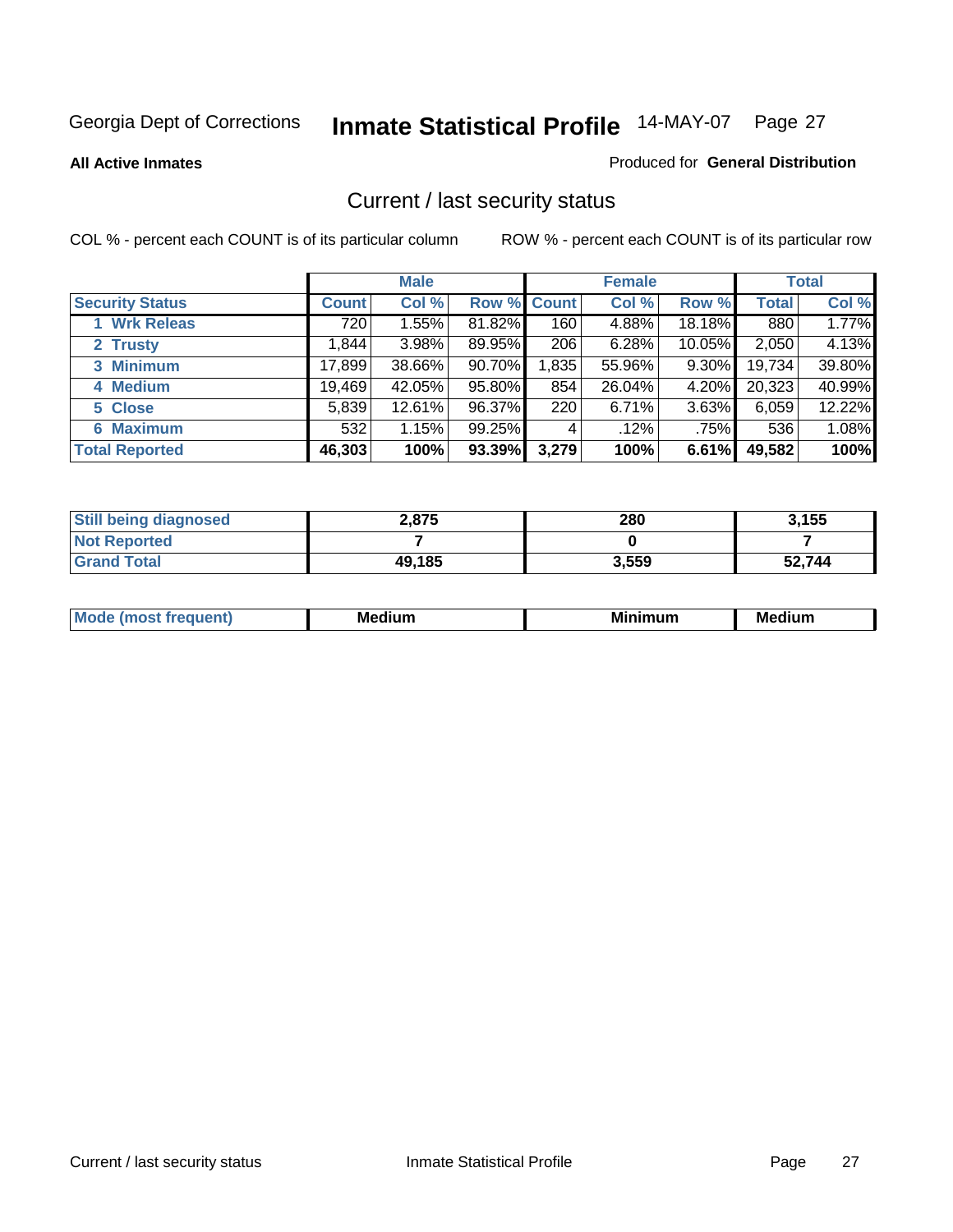**All Active Inmates**

#### Produced for **General Distribution**

### Current / last security status

|                        |         | <b>Male</b> |                    |       | <b>Female</b> |          |              | <b>Total</b> |
|------------------------|---------|-------------|--------------------|-------|---------------|----------|--------------|--------------|
| <b>Security Status</b> | Count l | Col %       | <b>Row % Count</b> |       | Col %         | Row %    | <b>Total</b> | Col %        |
| 1 Wrk Releas           | 720     | 1.55%       | 81.82%             | 160   | 4.88%         | 18.18%   | 880          | 1.77%        |
| 2 Trusty               | ا 844.  | 3.98%       | 89.95%             | 206   | 6.28%         | 10.05%   | 2,050        | 4.13%        |
| 3 Minimum              | 17,899  | 38.66%      | 90.70%             | 1,835 | 55.96%        | 9.30%    | 19,734       | 39.80%       |
| 4 Medium               | 19,469  | 42.05%      | 95.80%             | 854   | 26.04%        | 4.20%    | 20,323       | 40.99%       |
| 5 Close                | 5,839   | 12.61%      | 96.37%             | 220   | 6.71%         | $3.63\%$ | 6,059        | 12.22%       |
| 6 Maximum              | 532     | 1.15%       | 99.25%             | 4     | .12%          | .75%     | 536          | 1.08%        |
| <b>Total Reported</b>  | 46,303  | 100%        | 93.39%             | 3,279 | 100%          | 6.61%    | 49,582       | 100%         |

| <b>Still being diagnosed</b> | 2,875  | 280   | 3.155  |
|------------------------------|--------|-------|--------|
| <b>Not Reported</b>          |        |       |        |
| <b>Grand Total</b>           | 49,185 | 3,559 | 52.744 |

| M | <br><br>$  -$ | <br>- -<br>Me |
|---|---------------|---------------|
|   |               |               |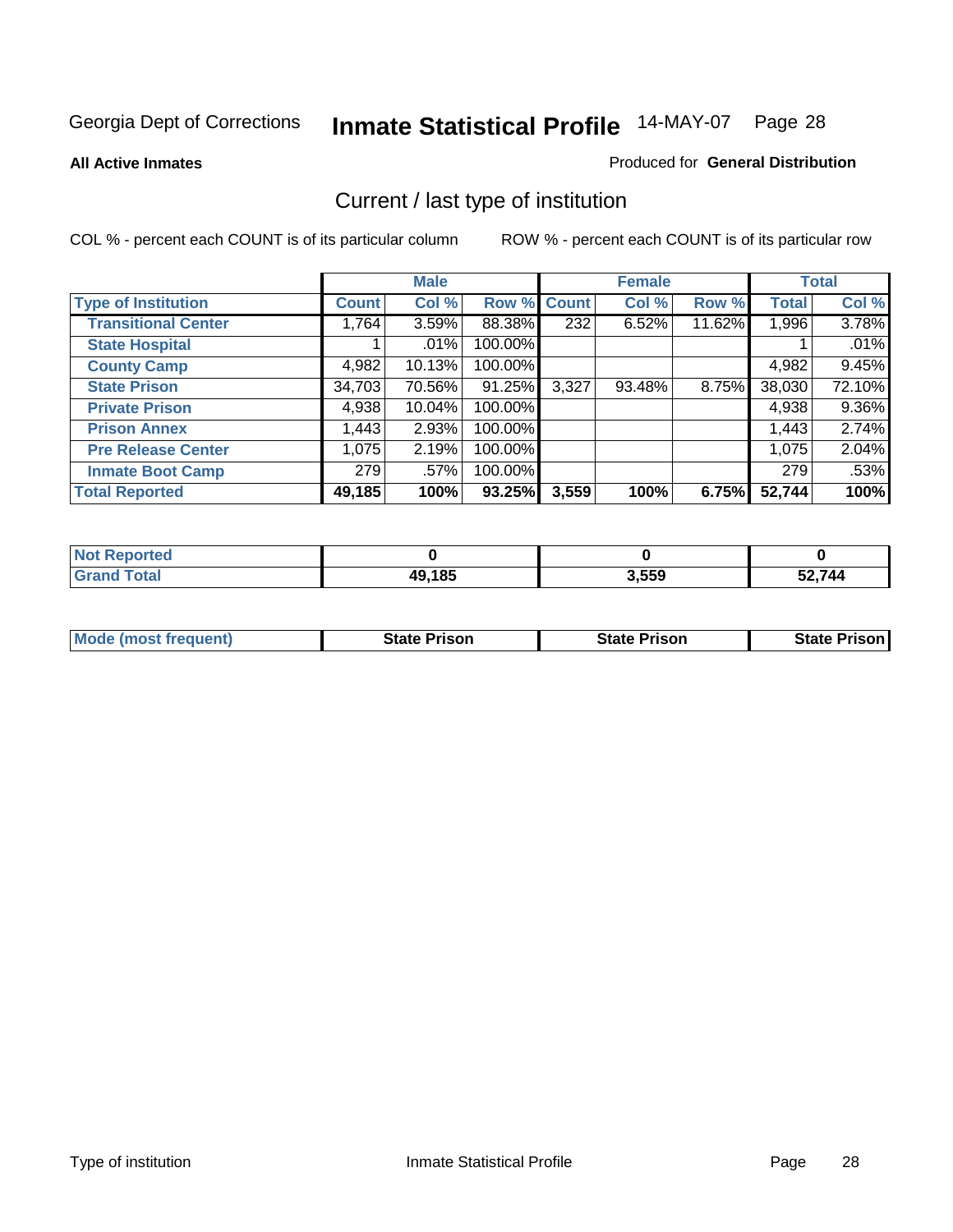**All Active Inmates**

#### Produced for **General Distribution**

### Current / last type of institution

|                            |              | <b>Male</b> |             |       | <b>Female</b> |        |              | <b>Total</b> |
|----------------------------|--------------|-------------|-------------|-------|---------------|--------|--------------|--------------|
| <b>Type of Institution</b> | <b>Count</b> | Col %       | Row % Count |       | Col %         | Row %  | <b>Total</b> | Col %        |
| <b>Transitional Center</b> | 1,764        | 3.59%       | 88.38%      | 232   | 6.52%         | 11.62% | 1,996        | 3.78%        |
| <b>State Hospital</b>      |              | .01%        | 100.00%     |       |               |        |              | .01%         |
| <b>County Camp</b>         | 4,982        | 10.13%      | 100.00%     |       |               |        | 4,982        | 9.45%        |
| <b>State Prison</b>        | 34,703       | 70.56%      | 91.25%      | 3,327 | 93.48%        | 8.75%  | 38,030       | 72.10%       |
| <b>Private Prison</b>      | 4,938        | $10.04\%$   | 100.00%     |       |               |        | 4,938        | $9.36\%$     |
| <b>Prison Annex</b>        | 1,443        | 2.93%       | 100.00%     |       |               |        | 1,443        | 2.74%        |
| <b>Pre Release Center</b>  | 1,075        | 2.19%       | 100.00%     |       |               |        | 1,075        | 2.04%        |
| <b>Inmate Boot Camp</b>    | 279          | $.57\%$     | 100.00%     |       |               |        | 279          | .53%         |
| <b>Total Reported</b>      | 49,185       | 100%        | 93.25%      | 3,559 | 100%          | 6.75%  | 52,744       | 100%         |

| <b>Not</b><br>Reported |        |       |        |
|------------------------|--------|-------|--------|
| <b>Grand Total</b>     | 49,185 | 3,559 | 52.744 |

| <b>Mode (most frequent)</b> | <b>State Prison</b> | <b>State Prison</b> | <b>State Prison I</b> |
|-----------------------------|---------------------|---------------------|-----------------------|
|                             |                     |                     |                       |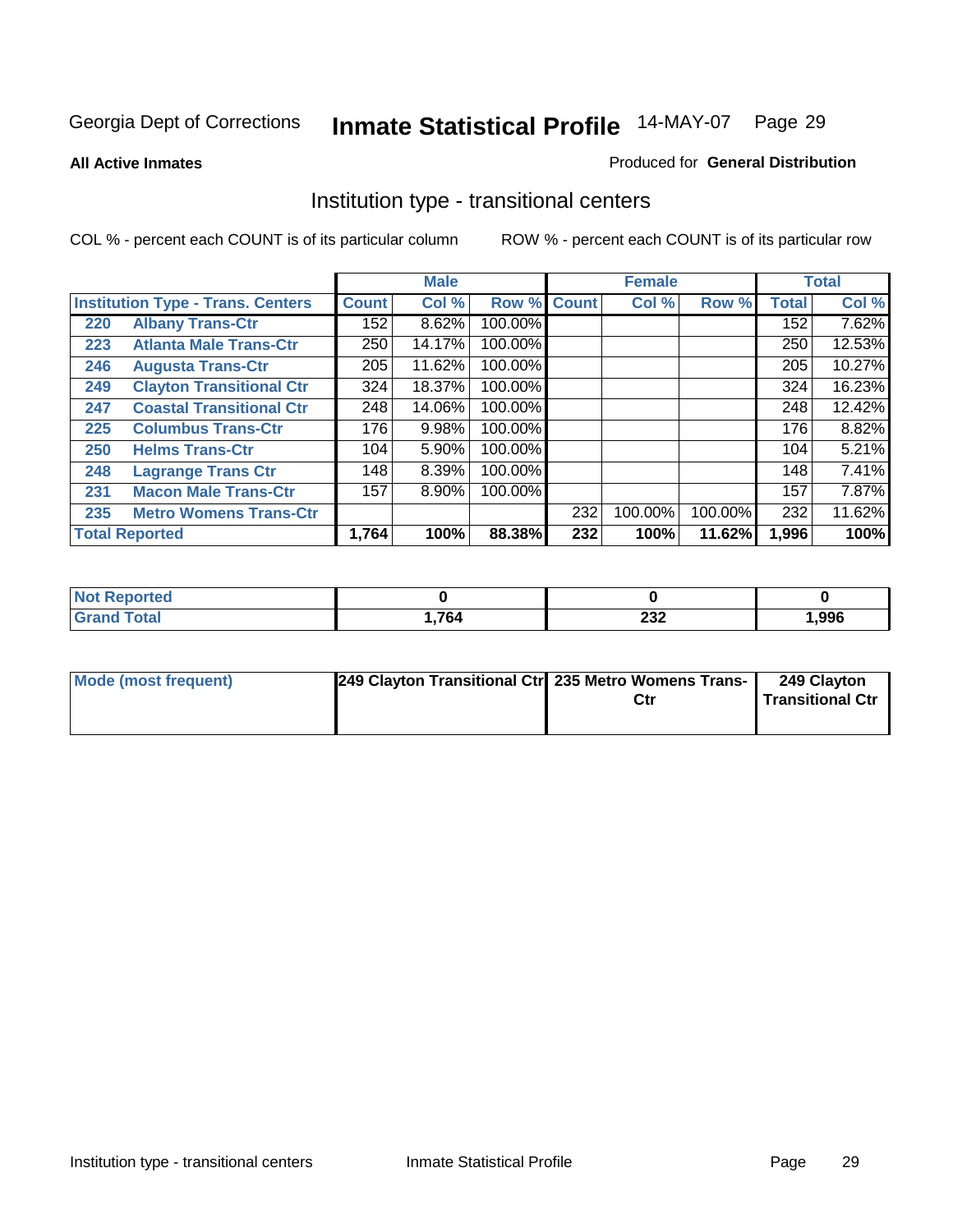**All Active Inmates**

#### Produced for **General Distribution**

### Institution type - transitional centers

|                                          |                                 |              | <b>Male</b> |         |              | <b>Female</b> |         |              | <b>Total</b> |
|------------------------------------------|---------------------------------|--------------|-------------|---------|--------------|---------------|---------|--------------|--------------|
| <b>Institution Type - Trans. Centers</b> |                                 | <b>Count</b> | Col %       | Row %   | <b>Count</b> | Col %         | Row %   | <b>Total</b> | Col %        |
| 220                                      | <b>Albany Trans-Ctr</b>         | 152          | 8.62%       | 100.00% |              |               |         | 152          | 7.62%        |
| 223                                      | <b>Atlanta Male Trans-Ctr</b>   | 250          | 14.17%      | 100.00% |              |               |         | 250          | 12.53%       |
| 246                                      | <b>Augusta Trans-Ctr</b>        | 205          | 11.62%      | 100.00% |              |               |         | 205          | 10.27%       |
| 249                                      | <b>Clayton Transitional Ctr</b> | 324          | 18.37%      | 100.00% |              |               |         | 324          | 16.23%       |
| 247                                      | <b>Coastal Transitional Ctr</b> | 248          | 14.06%      | 100.00% |              |               |         | 248          | 12.42%       |
| 225                                      | <b>Columbus Trans-Ctr</b>       | 176          | 9.98%       | 100.00% |              |               |         | 176          | 8.82%        |
| 250                                      | <b>Helms Trans-Ctr</b>          | 104          | 5.90%       | 100.00% |              |               |         | 104          | 5.21%        |
| 248                                      | <b>Lagrange Trans Ctr</b>       | 148          | 8.39%       | 100.00% |              |               |         | 148          | 7.41%        |
| 231                                      | <b>Macon Male Trans-Ctr</b>     | 157          | 8.90%       | 100.00% |              |               |         | 157          | 7.87%        |
| 235                                      | <b>Metro Womens Trans-Ctr</b>   |              |             |         | 232          | 100.00%       | 100.00% | 232          | 11.62%       |
|                                          | <b>Total Reported</b>           | 1,764        | 100%        | 88.38%  | 232          | 100%          | 11.62%  | 1,996        | 100%         |

| N<br>portea |     |            |      |
|-------------|-----|------------|------|
| _____       | 764 | nne<br>ZJZ | .996 |

| Mode (most frequent) | 249 Clayton Transitional Ctr 235 Metro Womens Trans- | Ctr | 249 Clayton<br>l Transitional Ctr |
|----------------------|------------------------------------------------------|-----|-----------------------------------|
|                      |                                                      |     |                                   |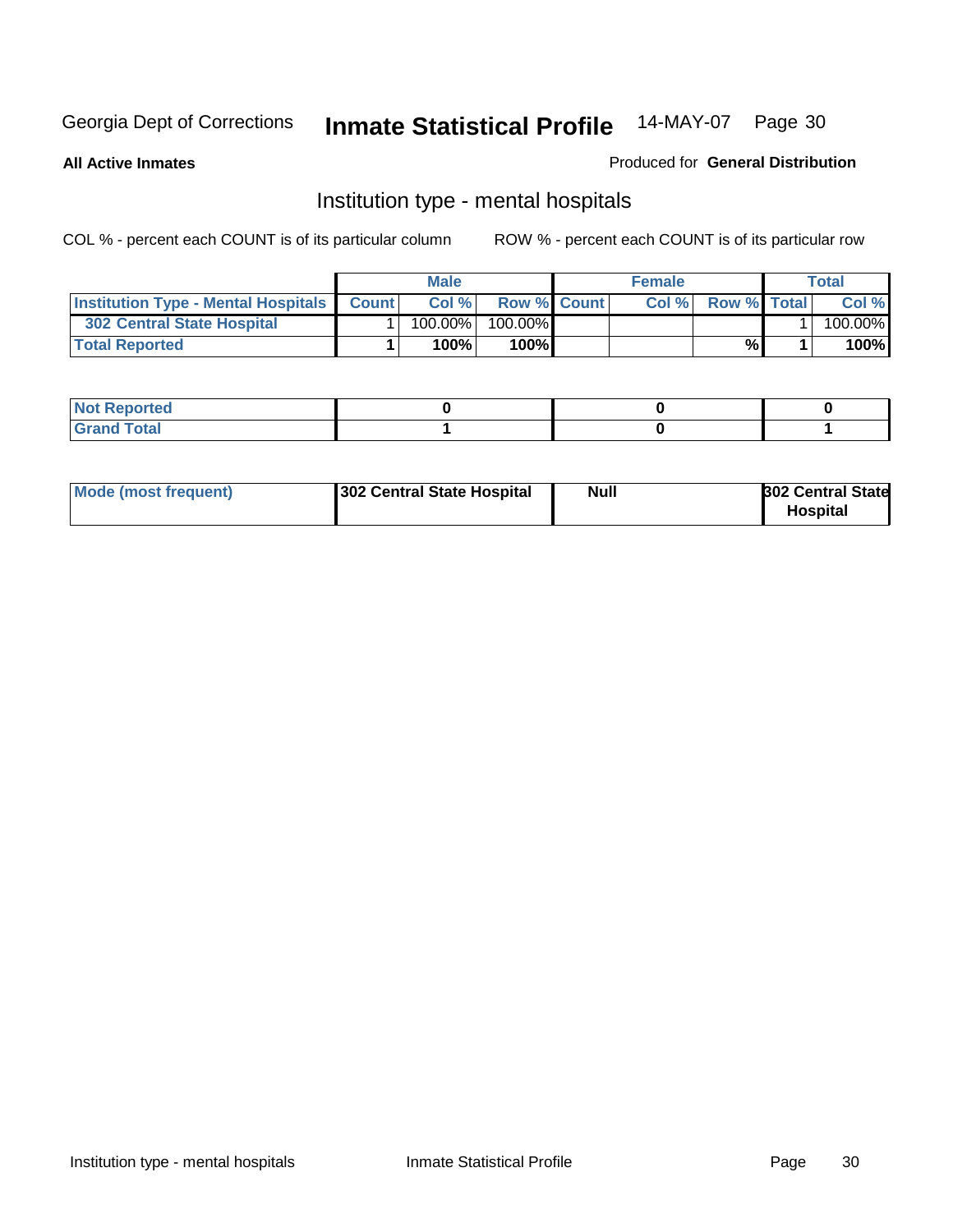**All Active Inmates**

#### Produced for **General Distribution**

### Institution type - mental hospitals

|                                                  | <b>Male</b> |                    | <b>Female</b> |                    | Total   |
|--------------------------------------------------|-------------|--------------------|---------------|--------------------|---------|
| <b>Institution Type - Mental Hospitals Count</b> | Col%        | <b>Row % Count</b> | Col%          | <b>Row % Total</b> | Col %   |
| <b>302 Central State Hospital</b>                | $100.00\%$  | 100.00%            |               |                    | 100.00% |
| <b>Total Reported</b>                            | 100%        | $100\%$            |               | %                  | 100%    |

| Not Reported |  |  |
|--------------|--|--|
| <b>otal</b>  |  |  |

| Mode (most frequent)<br>302 Central State Hospital | Null | <b>302 Central State</b><br><b>Hospital</b> |
|----------------------------------------------------|------|---------------------------------------------|
|----------------------------------------------------|------|---------------------------------------------|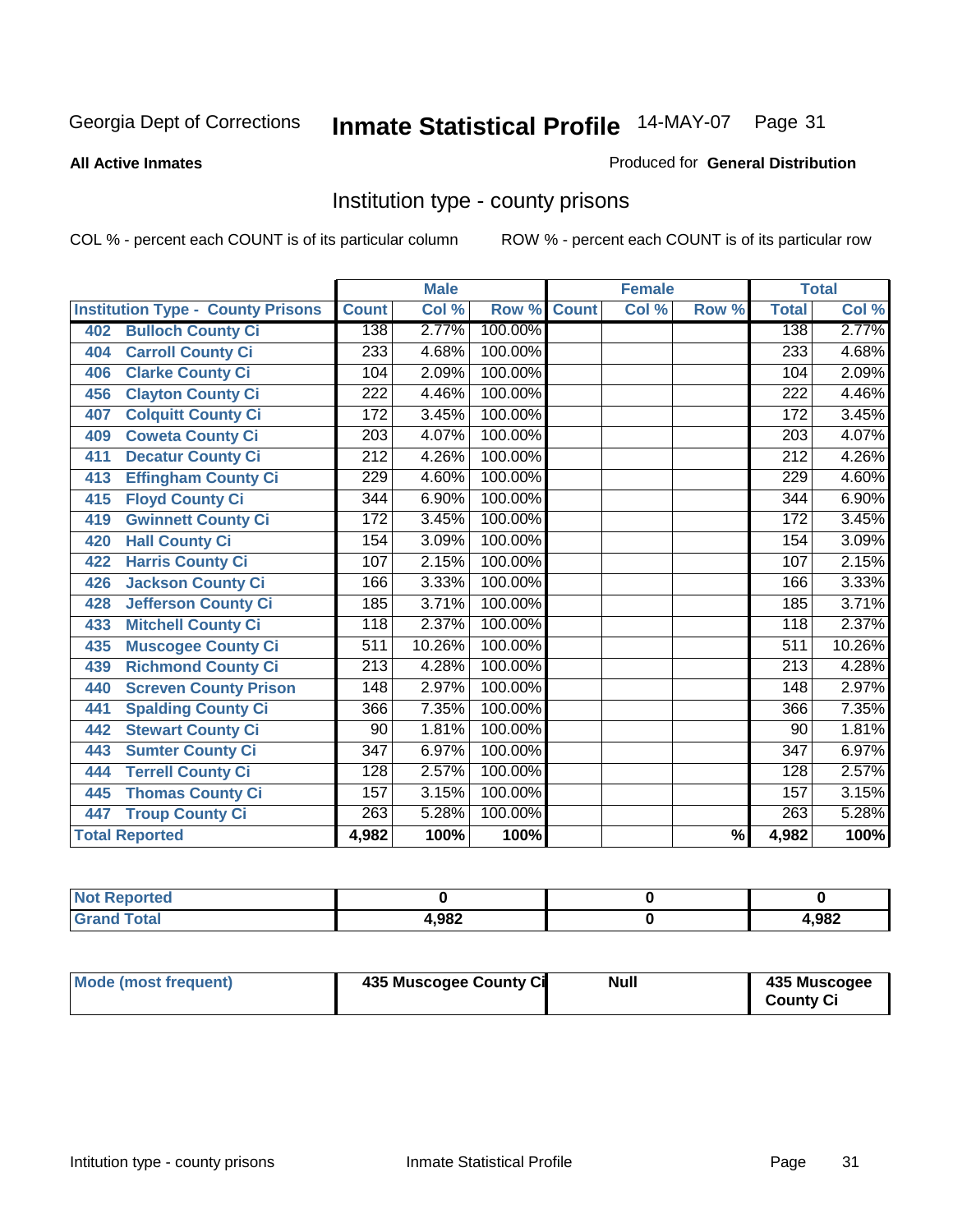#### **All Active Inmates**

#### Produced for **General Distribution**

### Institution type - county prisons

|                                          |                  | <b>Male</b> |         |              | <b>Female</b>             |                          |                  | <b>Total</b> |
|------------------------------------------|------------------|-------------|---------|--------------|---------------------------|--------------------------|------------------|--------------|
| <b>Institution Type - County Prisons</b> | <b>Count</b>     | Col %       | Row %   | <b>Count</b> | $\overline{\text{Col}}$ % | Row %                    | <b>Total</b>     | Col %        |
| <b>Bulloch County Ci</b><br>402          | 138              | 2.77%       | 100.00% |              |                           |                          | 138              | 2.77%        |
| <b>Carroll County Ci</b><br>404          | 233              | 4.68%       | 100.00% |              |                           |                          | 233              | 4.68%        |
| <b>Clarke County Ci</b><br>406           | $\overline{1}04$ | 2.09%       | 100.00% |              |                           |                          | 104              | 2.09%        |
| <b>Clayton County Ci</b><br>456          | 222              | 4.46%       | 100.00% |              |                           |                          | 222              | 4.46%        |
| <b>Colquitt County Ci</b><br>407         | 172              | 3.45%       | 100.00% |              |                           |                          | 172              | 3.45%        |
| <b>Coweta County Ci</b><br>409           | $\overline{203}$ | 4.07%       | 100.00% |              |                           |                          | $\sqrt{203}$     | 4.07%        |
| <b>Decatur County Ci</b><br>411          | $\overline{212}$ | 4.26%       | 100.00% |              |                           |                          | $\overline{212}$ | 4.26%        |
| <b>Effingham County Ci</b><br>413        | 229              | 4.60%       | 100.00% |              |                           |                          | 229              | 4.60%        |
| <b>Floyd County Ci</b><br>415            | $\overline{344}$ | 6.90%       | 100.00% |              |                           |                          | 344              | 6.90%        |
| <b>Gwinnett County Ci</b><br>419         | 172              | 3.45%       | 100.00% |              |                           |                          | 172              | 3.45%        |
| <b>Hall County Ci</b><br>420             | 154              | 3.09%       | 100.00% |              |                           |                          | 154              | 3.09%        |
| <b>Harris County Ci</b><br>422           | 107              | 2.15%       | 100.00% |              |                           |                          | 107              | 2.15%        |
| Jackson County Ci<br>426                 | 166              | 3.33%       | 100.00% |              |                           |                          | 166              | 3.33%        |
| <b>Jefferson County Ci</b><br>428        | 185              | 3.71%       | 100.00% |              |                           |                          | 185              | 3.71%        |
| <b>Mitchell County Ci</b><br>433         | 118              | 2.37%       | 100.00% |              |                           |                          | 118              | 2.37%        |
| <b>Muscogee County Ci</b><br>435         | 511              | 10.26%      | 100.00% |              |                           |                          | 511              | 10.26%       |
| <b>Richmond County Ci</b><br>439         | $\overline{213}$ | 4.28%       | 100.00% |              |                           |                          | 213              | 4.28%        |
| <b>Screven County Prison</b><br>440      | $\overline{148}$ | 2.97%       | 100.00% |              |                           |                          | $\overline{148}$ | 2.97%        |
| <b>Spalding County Ci</b><br>441         | 366              | 7.35%       | 100.00% |              |                           |                          | 366              | 7.35%        |
| <b>Stewart County Ci</b><br>442          | 90               | 1.81%       | 100.00% |              |                           |                          | 90               | 1.81%        |
| <b>Sumter County Ci</b><br>443           | 347              | 6.97%       | 100.00% |              |                           |                          | $\overline{3}47$ | 6.97%        |
| <b>Terrell County Ci</b><br>444          | 128              | 2.57%       | 100.00% |              |                           |                          | 128              | 2.57%        |
| <b>Thomas County Ci</b><br>445           | 157              | 3.15%       | 100.00% |              |                           |                          | 157              | 3.15%        |
| <b>Troup County Ci</b><br>447            | 263              | 5.28%       | 100.00% |              |                           |                          | 263              | 5.28%        |
| <b>Total Reported</b>                    | 4,982            | 100%        | 100%    |              |                           | $\overline{\frac{9}{6}}$ | 4,982            | 100%         |

| τeα |       |       |
|-----|-------|-------|
|     | 1,982 | 1,982 |

| Mode (most frequent) | 435 Muscogee County Ci | <b>Null</b> | 435 Muscogee<br><b>County Ci</b> |
|----------------------|------------------------|-------------|----------------------------------|
|                      |                        |             |                                  |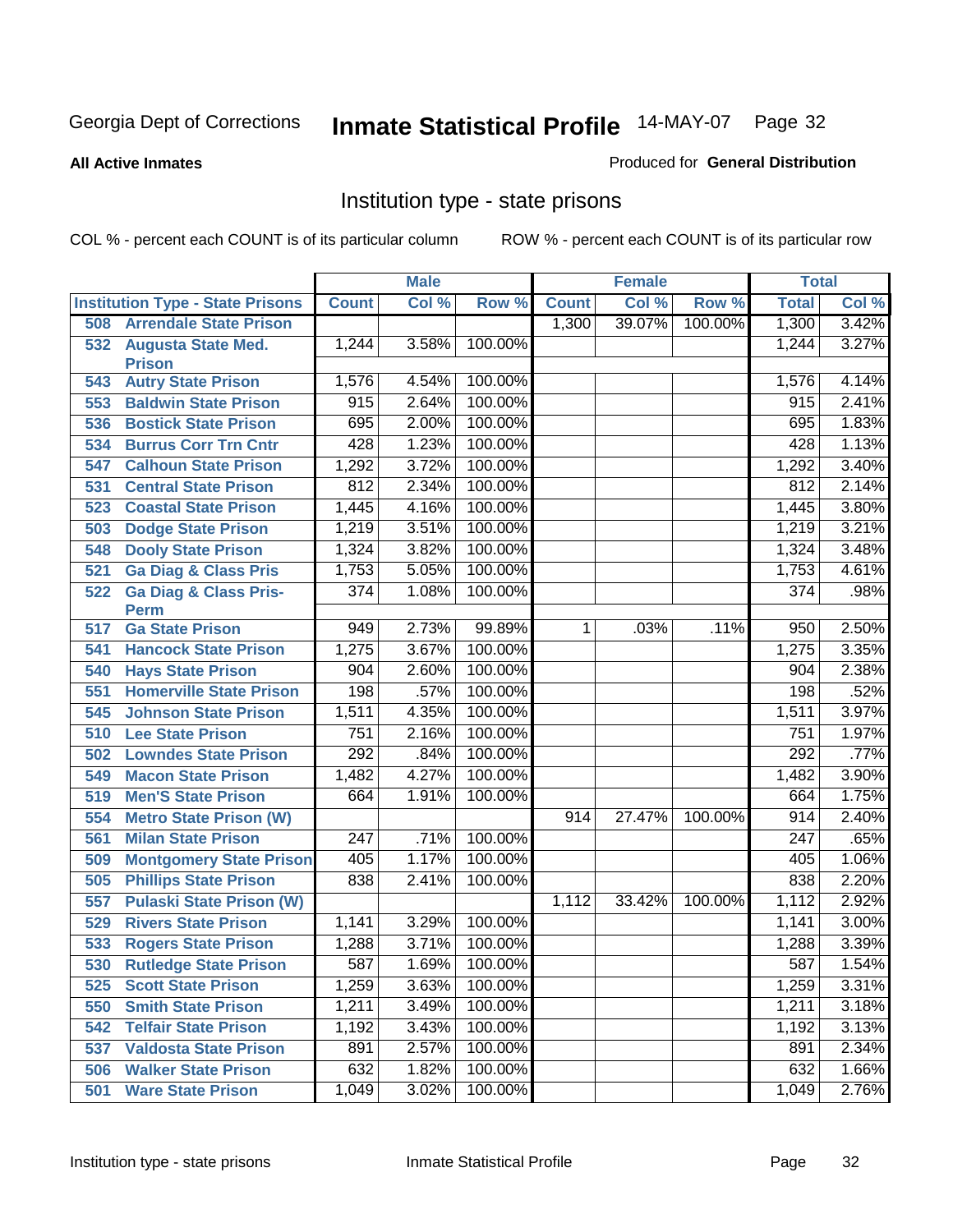**All Active Inmates**

#### Produced for **General Distribution**

### Institution type - state prisons

|     |                                            |                  | <b>Male</b> |         |              | <b>Female</b> |         | <b>Total</b>     |       |
|-----|--------------------------------------------|------------------|-------------|---------|--------------|---------------|---------|------------------|-------|
|     | <b>Institution Type - State Prisons</b>    | <b>Count</b>     | Col %       | Row %   | <b>Count</b> | Col %         | Row %   | <b>Total</b>     | Col % |
| 508 | <b>Arrendale State Prison</b>              |                  |             |         | 1,300        | 39.07%        | 100.00% | 1,300            | 3.42% |
| 532 | <b>Augusta State Med.</b><br><b>Prison</b> | 1,244            | 3.58%       | 100.00% |              |               |         | 1,244            | 3.27% |
| 543 | <b>Autry State Prison</b>                  | 1,576            | 4.54%       | 100.00% |              |               |         | 1,576            | 4.14% |
| 553 | <b>Baldwin State Prison</b>                | 915              | 2.64%       | 100.00% |              |               |         | 915              | 2.41% |
| 536 | <b>Bostick State Prison</b>                | 695              | 2.00%       | 100.00% |              |               |         | 695              | 1.83% |
| 534 | <b>Burrus Corr Trn Cntr</b>                | 428              | 1.23%       | 100.00% |              |               |         | 428              | 1.13% |
| 547 | <b>Calhoun State Prison</b>                | 1,292            | 3.72%       | 100.00% |              |               |         | 1,292            | 3.40% |
| 531 | <b>Central State Prison</b>                | 812              | 2.34%       | 100.00% |              |               |         | 812              | 2.14% |
| 523 | <b>Coastal State Prison</b>                | 1,445            | 4.16%       | 100.00% |              |               |         | 1,445            | 3.80% |
| 503 | <b>Dodge State Prison</b>                  | 1,219            | 3.51%       | 100.00% |              |               |         | 1,219            | 3.21% |
| 548 | <b>Dooly State Prison</b>                  | 1,324            | 3.82%       | 100.00% |              |               |         | 1,324            | 3.48% |
| 521 | <b>Ga Diag &amp; Class Pris</b>            | 1,753            | 5.05%       | 100.00% |              |               |         | 1,753            | 4.61% |
| 522 | <b>Ga Diag &amp; Class Pris-</b>           | 374              | 1.08%       | 100.00% |              |               |         | 374              | .98%  |
|     | <b>Perm</b>                                |                  |             |         |              |               |         |                  |       |
| 517 | <b>Ga State Prison</b>                     | 949              | 2.73%       | 99.89%  | 1.           | .03%          | .11%    | 950              | 2.50% |
| 541 | <b>Hancock State Prison</b>                | 1,275            | 3.67%       | 100.00% |              |               |         | 1,275            | 3.35% |
| 540 | <b>Hays State Prison</b>                   | 904              | 2.60%       | 100.00% |              |               |         | 904              | 2.38% |
| 551 | <b>Homerville State Prison</b>             | 198              | .57%        | 100.00% |              |               |         | 198              | .52%  |
| 545 | <b>Johnson State Prison</b>                | 1,511            | 4.35%       | 100.00% |              |               |         | 1,511            | 3.97% |
| 510 | <b>Lee State Prison</b>                    | 751              | 2.16%       | 100.00% |              |               |         | $\overline{751}$ | 1.97% |
| 502 | <b>Lowndes State Prison</b>                | 292              | .84%        | 100.00% |              |               |         | 292              | .77%  |
| 549 | <b>Macon State Prison</b>                  | 1,482            | 4.27%       | 100.00% |              |               |         | 1,482            | 3.90% |
| 519 | <b>Men'S State Prison</b>                  | 664              | 1.91%       | 100.00% |              |               |         | 664              | 1.75% |
| 554 | <b>Metro State Prison (W)</b>              |                  |             |         | 914          | 27.47%        | 100.00% | 914              | 2.40% |
| 561 | <b>Milan State Prison</b>                  | $\overline{247}$ | .71%        | 100.00% |              |               |         | $\overline{247}$ | .65%  |
| 509 | <b>Montgomery State Prison</b>             | 405              | 1.17%       | 100.00% |              |               |         | 405              | 1.06% |
| 505 | <b>Phillips State Prison</b>               | 838              | 2.41%       | 100.00% |              |               |         | 838              | 2.20% |
| 557 | <b>Pulaski State Prison (W)</b>            |                  |             |         | 1,112        | 33.42%        | 100.00% | 1,112            | 2.92% |
| 529 | <b>Rivers State Prison</b>                 | 1,141            | 3.29%       | 100.00% |              |               |         | 1,141            | 3.00% |
| 533 | <b>Rogers State Prison</b>                 | 1,288            | 3.71%       | 100.00% |              |               |         | 1,288            | 3.39% |
| 530 | <b>Rutledge State Prison</b>               | 587              | 1.69%       | 100.00% |              |               |         | 587              | 1.54% |
| 525 | <b>Scott State Prison</b>                  | 1,259            | 3.63%       | 100.00% |              |               |         | 1,259            | 3.31% |
| 550 | <b>Smith State Prison</b>                  | 1,211            | 3.49%       | 100.00% |              |               |         | 1,211            | 3.18% |
| 542 | <b>Telfair State Prison</b>                | 1,192            | 3.43%       | 100.00% |              |               |         | 1,192            | 3.13% |
| 537 | <b>Valdosta State Prison</b>               | 891              | 2.57%       | 100.00% |              |               |         | 891              | 2.34% |
| 506 | <b>Walker State Prison</b>                 | 632              | 1.82%       | 100.00% |              |               |         | 632              | 1.66% |
| 501 | <b>Ware State Prison</b>                   | 1,049            | 3.02%       | 100.00% |              |               |         | 1,049            | 2.76% |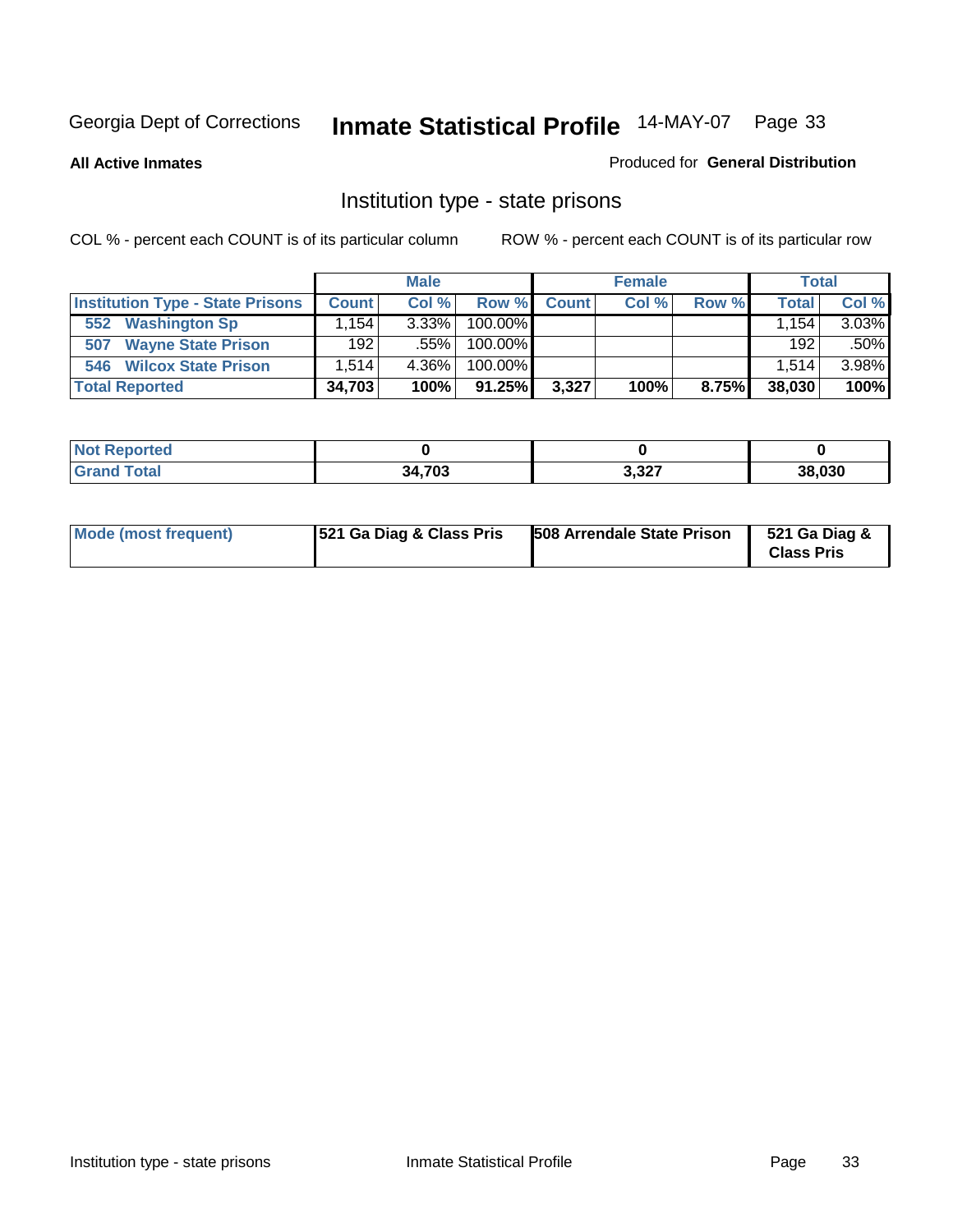**All Active Inmates**

#### Produced for **General Distribution**

### Institution type - state prisons

|                                         |                     | <b>Male</b> |            |       | <b>Female</b> |       |              | <b>Total</b> |
|-----------------------------------------|---------------------|-------------|------------|-------|---------------|-------|--------------|--------------|
| <b>Institution Type - State Prisons</b> | <b>Count</b>        | Col %       | Row %      | Count | Col %         | Row % | <b>Total</b> | Col %        |
| <b>Washington Sp</b><br>552             | $.154$ <sup>1</sup> | $3.33\%$    | $100.00\%$ |       |               |       | .154         | 3.03%        |
| <b>Wayne State Prison</b><br>507        | 192                 | .55%        | $100.00\%$ |       |               |       | 192          | .50%         |
| <b>Wilcox State Prison</b><br>546       | .514                | 4.36%       | $100.00\%$ |       |               |       | 1.514        | 3.98%        |
| <b>Total Reported</b>                   | 34,703              | 100%        | 91.25%     | 3,327 | 100%          | 8.75% | 38,030       | 100%         |

| NOT<br><b>Reported</b> |            |              |       |
|------------------------|------------|--------------|-------|
| <b>Total</b>           | <b>702</b> | 2.227        | 8.030 |
| $\mathbf{v}$ and       | 4,7 UJ     | <b>3.347</b> |       |

| Mode (most frequent) | 521 Ga Diag & Class Pris | 508 Arrendale State Prison | 521 Ga Diag &<br><b>Class Pris</b> |
|----------------------|--------------------------|----------------------------|------------------------------------|
|----------------------|--------------------------|----------------------------|------------------------------------|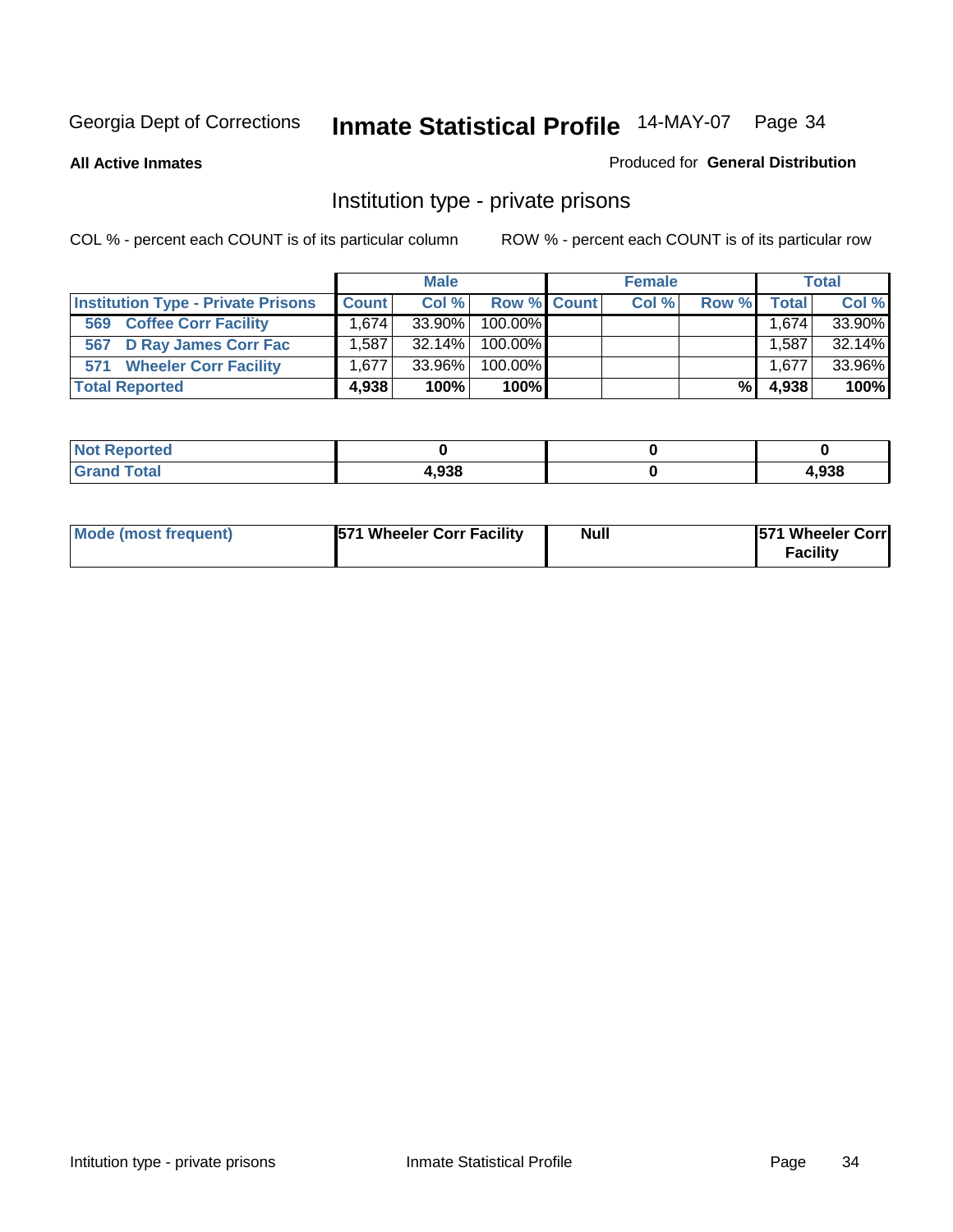**All Active Inmates**

#### Produced for **General Distribution**

### Institution type - private prisons

|                                           |                                  | <b>Male</b> |             | <b>Female</b> |       |              | <b>Total</b> |
|-------------------------------------------|----------------------------------|-------------|-------------|---------------|-------|--------------|--------------|
| <b>Institution Type - Private Prisons</b> | <b>Count</b>                     | Col %       | Row % Count | Col %         | Row % | <b>Total</b> | Col %        |
| <b>Coffee Corr Facility</b><br>569        | 1.674 l                          | 33.90%      | 100.00%     |               |       | 1,674        | 33.90%       |
| 567 D Ray James Corr Fac                  | 1.587                            | 32.14%      | 100.00%     |               |       | .587         | 32.14%       |
| <b>Wheeler Corr Facility</b><br>571       | $,677$ <sup><math>+</math></sup> | 33.96%      | 100.00%     |               |       | 1,677        | 33.96%       |
| <b>Total Reported</b>                     | 4,938                            | 100%        | 100%        |               | %     | 4,938        | 100%         |

| rted<br>NOT              |       |      |
|--------------------------|-------|------|
| <b>Total</b><br>$\sim$ . | 1.938 | ,938 |

| Mode (most frequent) | <b>571 Wheeler Corr Facility</b> | <b>Null</b> | <b>1571 Wheeler Corrl</b><br>Facility |
|----------------------|----------------------------------|-------------|---------------------------------------|
|----------------------|----------------------------------|-------------|---------------------------------------|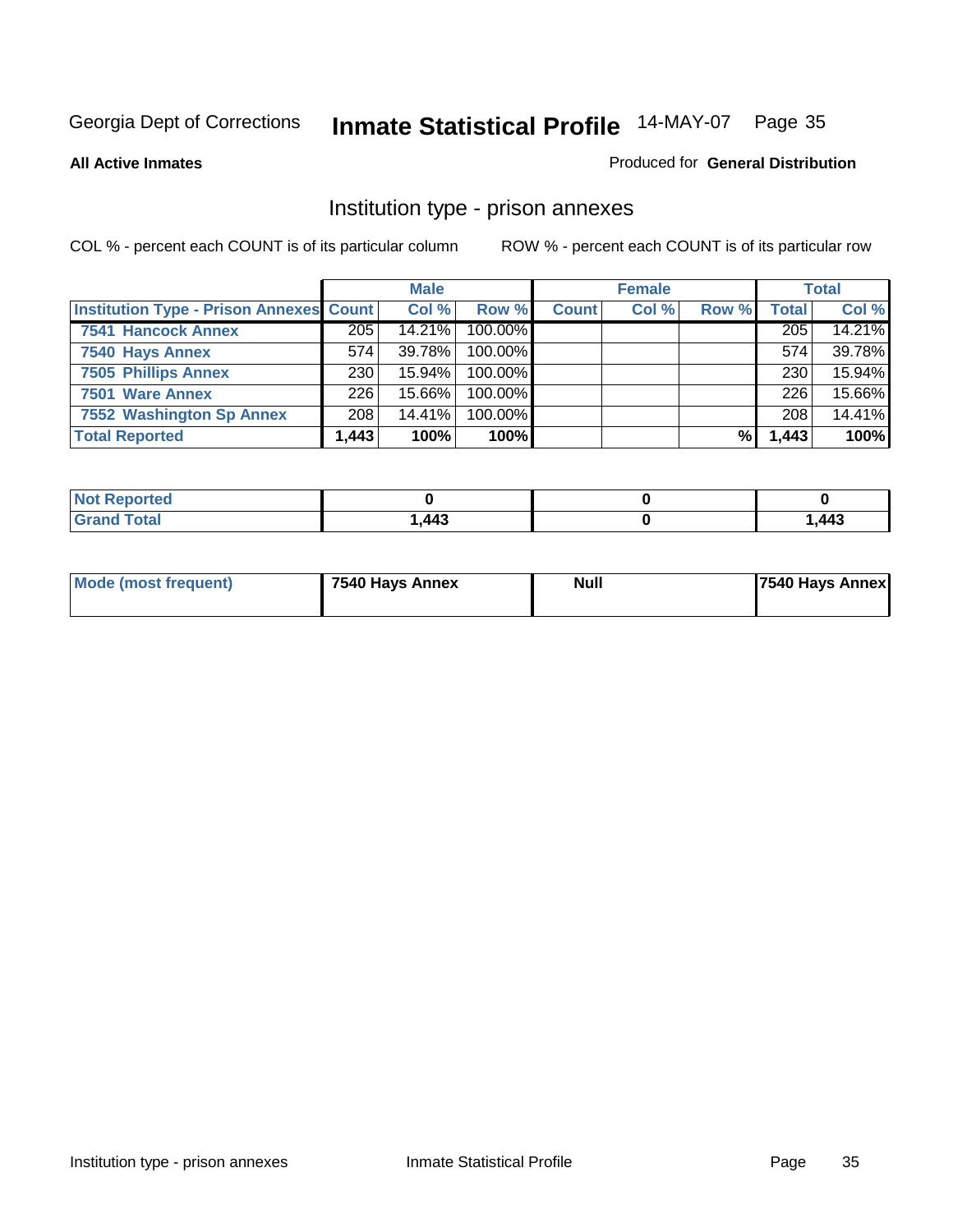#### **All Active Inmates**

#### Produced for **General Distribution**

### Institution type - prison annexes

|                                                |       | <b>Male</b> |            |              | <b>Female</b> |       |              | <b>Total</b> |
|------------------------------------------------|-------|-------------|------------|--------------|---------------|-------|--------------|--------------|
| <b>Institution Type - Prison Annexes Count</b> |       | Col %       | Row %      | <b>Count</b> | Col %         | Row % | <b>Total</b> | Col %        |
| <b>7541 Hancock Annex</b>                      | 205   | 14.21%      | 100.00%    |              |               |       | 205          | 14.21%       |
| 7540 Hays Annex                                | 574   | 39.78%      | $100.00\%$ |              |               |       | 574          | 39.78%       |
| <b>7505 Phillips Annex</b>                     | 230   | $15.94\%$   | 100.00%    |              |               |       | 230          | 15.94%       |
| 7501 Ware Annex                                | 226   | 15.66%      | $100.00\%$ |              |               |       | 226          | 15.66%       |
| 7552 Washington Sp Annex                       | 208   | 14.41%      | 100.00%    |              |               |       | 208          | 14.41%       |
| <b>Total Reported</b>                          | 1,443 | 100%        | 100%       |              |               | %     | 1,443        | 100%         |

| Reported<br>⊹ NΩf ⊾ |      |       |
|---------------------|------|-------|
| <b>Grand Total</b>  | .443 | 1,443 |

| Mode (most frequent) | 7540 Hays Annex | <b>Null</b> | 7540 Hays Annex |
|----------------------|-----------------|-------------|-----------------|
|                      |                 |             |                 |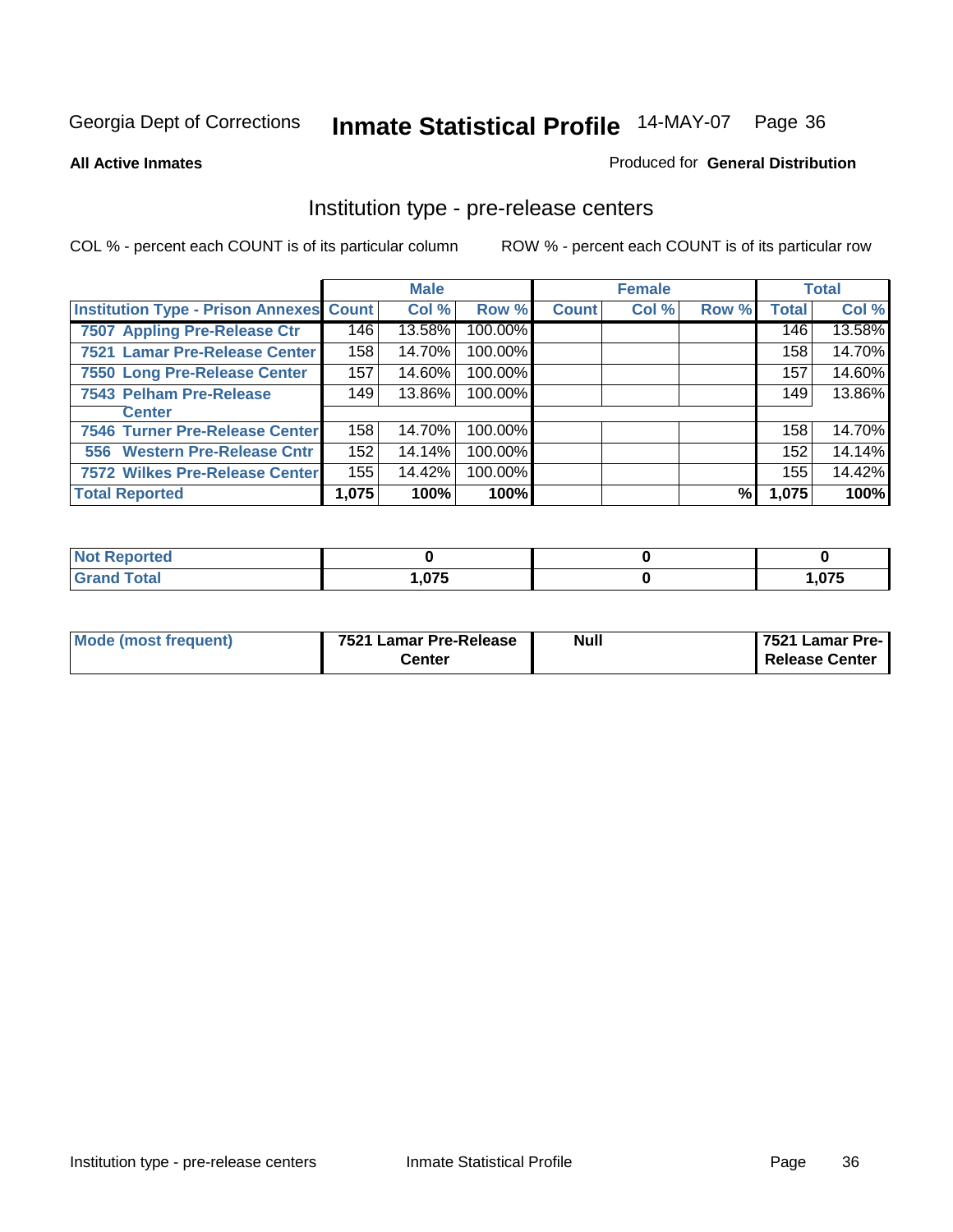#### **All Active Inmates**

#### Produced for **General Distribution**

#### Institution type - pre-release centers

|                                                |       | <b>Male</b> |         |              | <b>Female</b> |       |              | <b>Total</b> |
|------------------------------------------------|-------|-------------|---------|--------------|---------------|-------|--------------|--------------|
| <b>Institution Type - Prison Annexes Count</b> |       | Col %       | Row %   | <b>Count</b> | Col %         | Row % | <b>Total</b> | Col %        |
| 7507 Appling Pre-Release Ctr                   | 146   | 13.58%      | 100.00% |              |               |       | 146          | 13.58%       |
| 7521 Lamar Pre-Release Center                  | 158   | 14.70%      | 100.00% |              |               |       | 158          | 14.70%       |
| 7550 Long Pre-Release Center                   | 157   | 14.60%      | 100.00% |              |               |       | 157          | 14.60%       |
| 7543 Pelham Pre-Release                        | 149   | 13.86%      | 100.00% |              |               |       | 149          | 13.86%       |
| <b>Center</b>                                  |       |             |         |              |               |       |              |              |
| 7546 Turner Pre-Release Center                 | 158   | 14.70%      | 100.00% |              |               |       | 158          | 14.70%       |
| 556 Western Pre-Release Cntr                   | 152   | 14.14%      | 100.00% |              |               |       | 152          | 14.14%       |
| 7572 Wilkes Pre-Release Center                 | 155   | 14.42%      | 100.00% |              |               |       | 155          | 14.42%       |
| <b>Total Reported</b>                          | 1,075 | 100%        | 100%    |              |               | %     | 1,075        | 100%         |

| Reported                     |                     |      |
|------------------------------|---------------------|------|
| <b>Total</b><br><b>Grand</b> | 075<br>$\cdots$ viv | ,075 |

| Mode (most frequent) | 7521 Lamar Pre-Release | <b>Null</b> | 7521 Lamar Pre- |
|----------------------|------------------------|-------------|-----------------|
|                      | Center                 |             | Release Center  |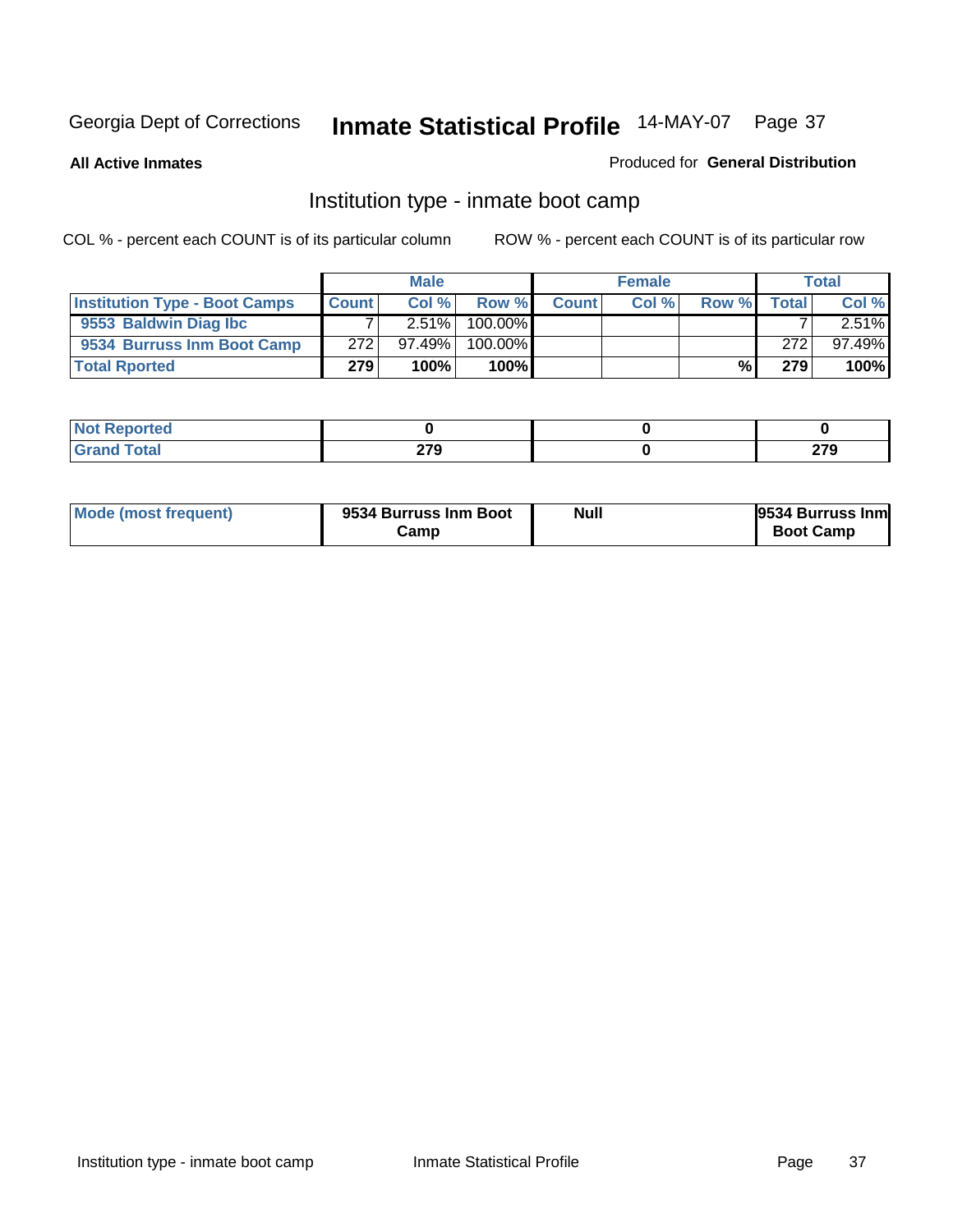**All Active Inmates**

#### Produced for **General Distribution**

# Institution type - inmate boot camp

|                                      |              | <b>Male</b> |               |              | <b>Female</b> |       |        | <b>Total</b> |
|--------------------------------------|--------------|-------------|---------------|--------------|---------------|-------|--------|--------------|
| <b>Institution Type - Boot Camps</b> | <b>Count</b> | Col%        | Row %         | <b>Count</b> | Col %         | Row % | Totall | Col %        |
| 9553 Baldwin Diag Ibc                |              | 2.51%       | $100.00\%$    |              |               |       |        | 2.51%        |
| 9534 Burruss Inm Boot Camp           | 272          | $97.49\%$   | 100.00%       |              |               |       | 272    | 97.49%       |
| <b>Total Rported</b>                 | 279          | 100%        | 100% <b>I</b> |              |               | %।    | 279    | 100%         |

| ted.        |     |      |
|-------------|-----|------|
| <b>otal</b> | 270 | 270  |
| ---         |     | 21 J |

| Mode (most frequent) | 9534 Burruss Inm Boot<br>בΣamp | <b>Null</b> | <b>9534 Burruss Inml</b><br><b>Boot Camp</b> |
|----------------------|--------------------------------|-------------|----------------------------------------------|
|----------------------|--------------------------------|-------------|----------------------------------------------|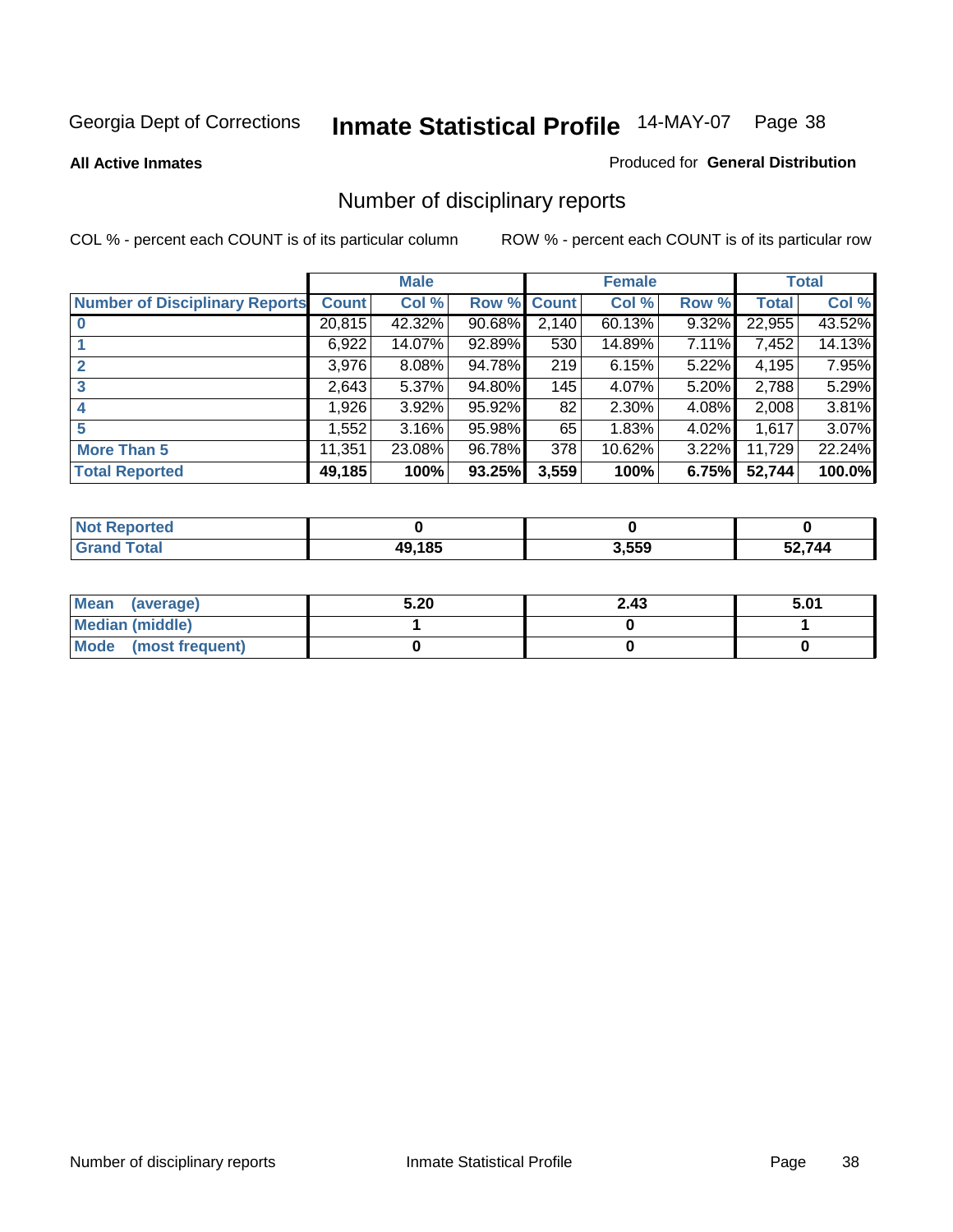#### **All Active Inmates**

#### Produced for **General Distribution**

# Number of disciplinary reports

|                                       |              | <b>Male</b> |        |              | <b>Female</b> |          |              | <b>Total</b> |
|---------------------------------------|--------------|-------------|--------|--------------|---------------|----------|--------------|--------------|
| <b>Number of Disciplinary Reports</b> | <b>Count</b> | Col %       | Row %  | <b>Count</b> | Col %         | Row %    | <b>Total</b> | Col %        |
|                                       | 20,815       | 42.32%      | 90.68% | 2,140        | 60.13%        | 9.32%    | 22,955       | 43.52%       |
|                                       | 6,922        | 14.07%      | 92.89% | 530          | 14.89%        | $7.11\%$ | 7,452        | 14.13%       |
| 2                                     | 3,976        | $8.08\%$    | 94.78% | 219          | 6.15%         | $5.22\%$ | 4,195        | 7.95%        |
| 3                                     | 2,643        | 5.37%       | 94.80% | 145          | 4.07%         | 5.20%    | 2,788        | 5.29%        |
|                                       | 926.         | $3.92\%$    | 95.92% | 82           | 2.30%         | $4.08\%$ | 2,008        | 3.81%        |
| 5                                     | ,552         | $3.16\%$    | 95.98% | 65           | 1.83%         | 4.02%    | 1,617        | 3.07%        |
| <b>More Than 5</b>                    | 11,351       | 23.08%      | 96.78% | 378          | 10.62%        | $3.22\%$ | 11,729       | 22.24%       |
| <b>Total Reported</b>                 | 49,185       | 100%        | 93.25% | 3,559        | 100%          | 6.75%    | 52,744       | 100.0%       |

| $\sim$ 10<br>______ | $AQ$ 1.8F | 3,559 | 744 |
|---------------------|-----------|-------|-----|

| Mean (average)       | 5.20 | 2.43 | 5.01 |
|----------------------|------|------|------|
| Median (middle)      |      |      |      |
| Mode (most frequent) |      |      |      |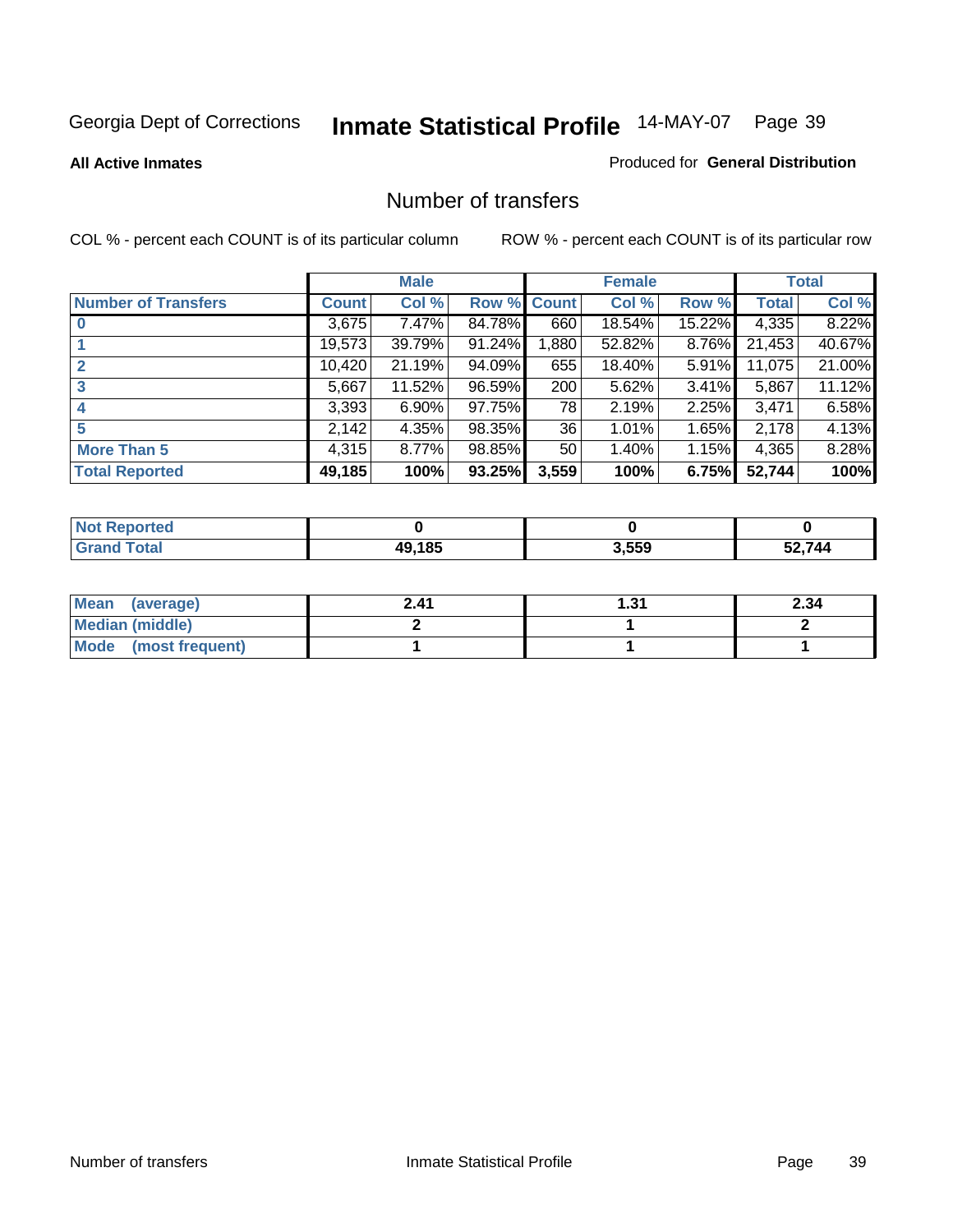Produced for **General Distribution**

#### **All Active Inmates**

### Number of transfers

|                            |         | <b>Male</b> |        |              | <b>Female</b> |          |              | <b>Total</b> |
|----------------------------|---------|-------------|--------|--------------|---------------|----------|--------------|--------------|
| <b>Number of Transfers</b> | Count l | Col %       | Row %  | <b>Count</b> | Col %         | Row %    | <b>Total</b> | Col %        |
|                            | 3,675   | $7.47\%$    | 84.78% | 660          | 18.54%        | 15.22%   | 4,335        | 8.22%        |
|                            | 19,573  | 39.79%      | 91.24% | 1,880        | 52.82%        | 8.76%    | 21,453       | 40.67%       |
| $\mathbf{2}$               | 10,420  | 21.19%      | 94.09% | 655          | 18.40%        | 5.91%    | 11,075       | 21.00%       |
| 3                          | 5,667   | $11.52\%$   | 96.59% | 200          | 5.62%         | $3.41\%$ | 5,867        | 11.12%       |
|                            | 3,393   | $6.90\%$    | 97.75% | 78           | 2.19%         | $2.25\%$ | 3.471        | 6.58%        |
| 5                          | 2,142   | 4.35%       | 98.35% | 36           | 1.01%         | 1.65%    | 2,178        | 4.13%        |
| <b>More Than 5</b>         | 4,315   | $8.77\%$    | 98.85% | 50           | 1.40%         | $1.15\%$ | 4,365        | 8.28%        |
| <b>Total Reported</b>      | 49,185  | 100%        | 93.25% | 3,559        | 100%          | 6.75%    | 52,744       | 100%         |

| $\sim$ 10<br>______ | $AQ$ 1.8F | 3,559 | 744 |
|---------------------|-----------|-------|-----|

| Mean (average)       | 2.41 | 31. ا | 2.34 |
|----------------------|------|-------|------|
| Median (middle)      |      |       |      |
| Mode (most frequent) |      |       |      |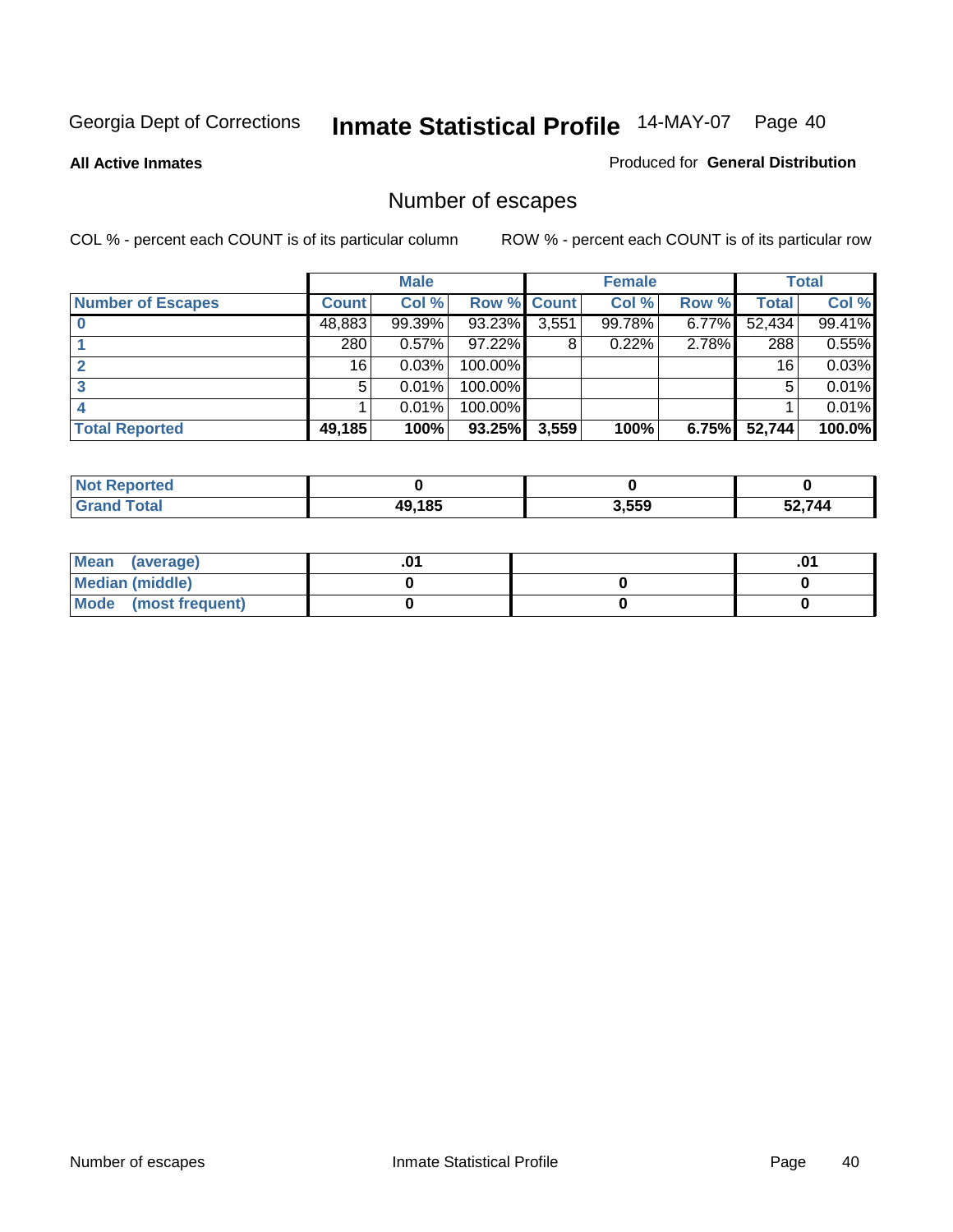**All Active Inmates**

#### Produced for **General Distribution**

# Number of escapes

|                          |              | <b>Male</b> |             |       | <b>Female</b> |       |        | <b>Total</b> |
|--------------------------|--------------|-------------|-------------|-------|---------------|-------|--------|--------------|
| <b>Number of Escapes</b> | <b>Count</b> | Col %       | Row % Count |       | Col %         | Row % | Total  | Col %        |
|                          | 48,883       | 99.39%      | 93.23%      | 3,551 | 99.78%        | 6.77% | 52,434 | 99.41%       |
|                          | 280          | 0.57%       | 97.22%      | 8     | 0.22%         | 2.78% | 288    | 0.55%        |
|                          | 16           | 0.03%       | 100.00%     |       |               |       | 16     | 0.03%        |
|                          | 5            | 0.01%       | 100.00%     |       |               |       | 5      | 0.01%        |
|                          |              | 0.01%       | $100.00\%$  |       |               |       |        | 0.01%        |
| <b>Total Reported</b>    | 49,185       | 100%        | 93.25%      | 3,559 | 100%          | 6.75% | 52,744 | 100.0%       |

| <b>rted</b><br>N <sub>o1</sub> |        |       |        |
|--------------------------------|--------|-------|--------|
| int                            | 49.185 | 3,559 | 52.744 |

| Mean (average)       |  | .01 |
|----------------------|--|-----|
| Median (middle)      |  |     |
| Mode (most frequent) |  |     |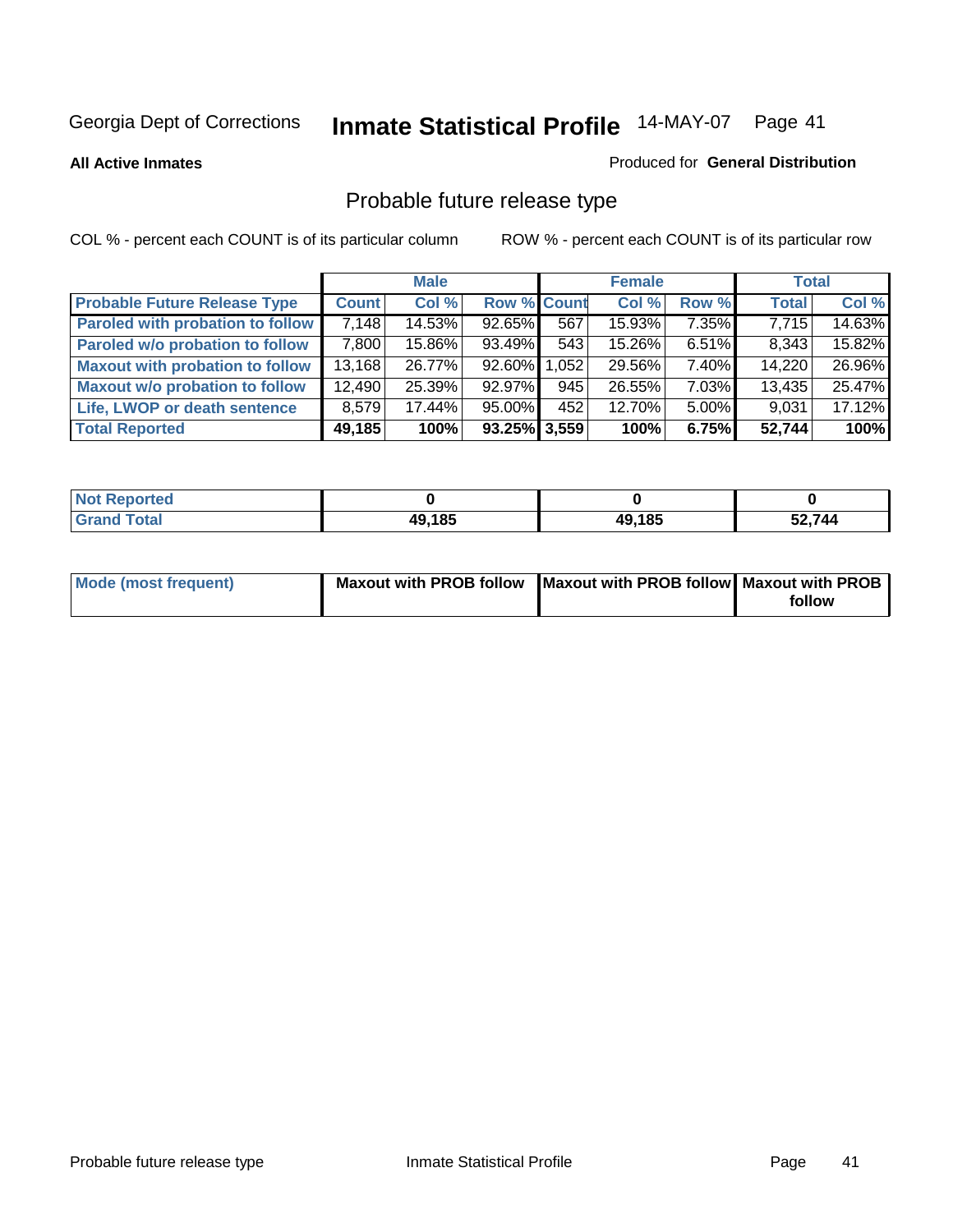**All Active Inmates**

#### Produced for **General Distribution**

# Probable future release type

|                                         |              | <b>Male</b> |                    |       | <b>Female</b> |          | <b>Total</b> |        |
|-----------------------------------------|--------------|-------------|--------------------|-------|---------------|----------|--------------|--------|
| <b>Probable Future Release Type</b>     | <b>Count</b> | Col %       | <b>Row % Count</b> |       | Col %         | Row %    | <b>Total</b> | Col %  |
| <b>Paroled with probation to follow</b> | 7,148        | 14.53%      | $92.65\%$          | 567   | 15.93%        | 7.35%    | 7,715        | 14.63% |
| Paroled w/o probation to follow         | 7,800        | 15.86%      | 93.49%             | 543   | 15.26%        | $6.51\%$ | 8,343        | 15.82% |
| <b>Maxout with probation to follow</b>  | 13,168       | 26.77%      | 92.60%             | 1,052 | 29.56%        | $7.40\%$ | 14,220       | 26.96% |
| <b>Maxout w/o probation to follow</b>   | 12,490       | 25.39%      | 92.97%             | 945   | 26.55%        | 7.03%    | 13,435       | 25.47% |
| Life, LWOP or death sentence            | 8,579        | 17.44%      | $95.00\%$          | 452   | 12.70%        | $5.00\%$ | 9,031        | 17.12% |
| <b>Total Reported</b>                   | 49,185       | 100%        | $93.25\%$ 3,559    |       | 100%          | 6.75%    | 52,744       | 100%   |

| <b>Not</b> is<br>Reported |        |        |        |
|---------------------------|--------|--------|--------|
| <b>Grand Total</b>        | 49,185 | 49,185 | 52,744 |

| Mode (most frequent) | Maxout with PROB follow   Maxout with PROB follow   Maxout with PROB |        |
|----------------------|----------------------------------------------------------------------|--------|
|                      |                                                                      | follow |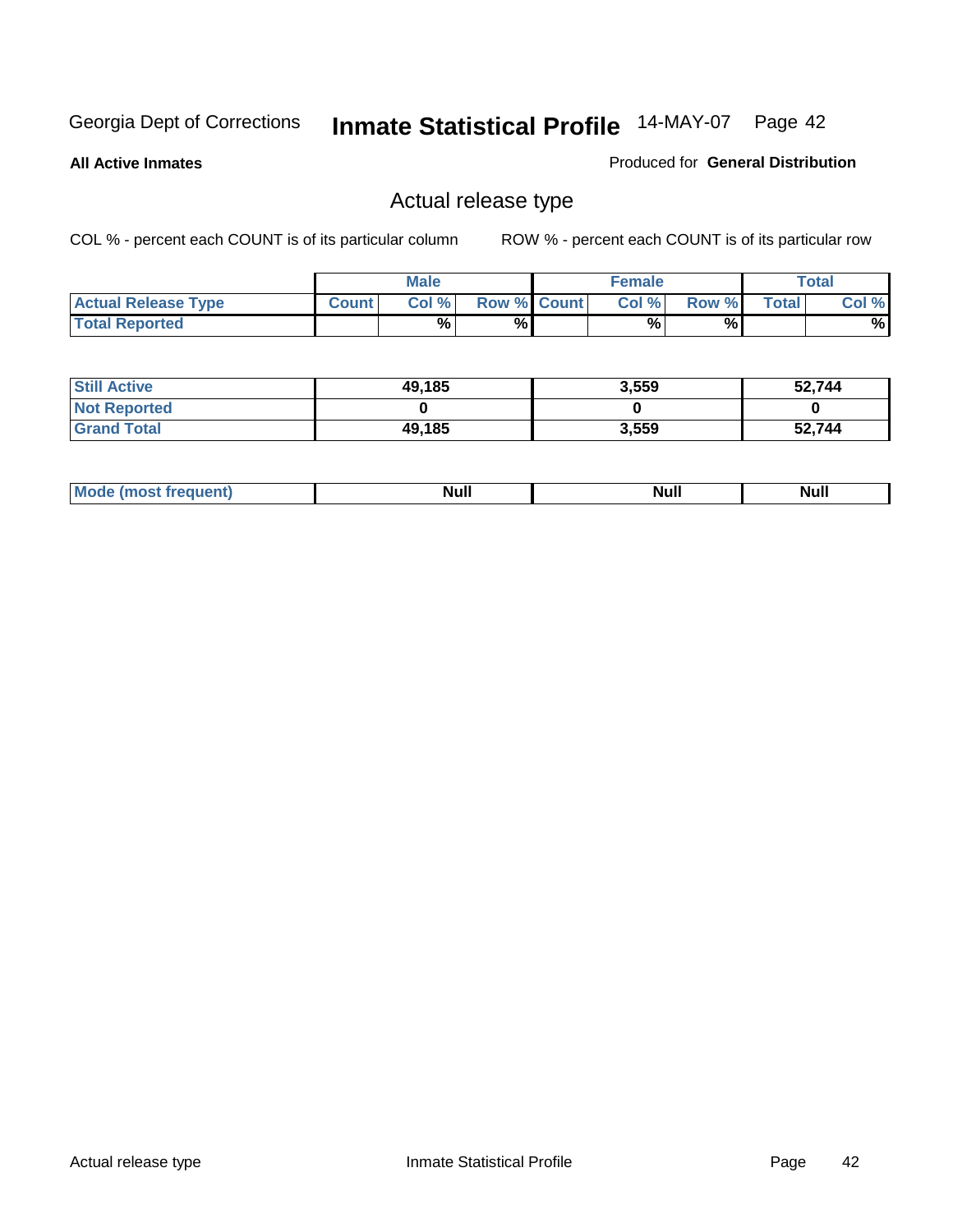**All Active Inmates**

Produced for **General Distribution**

# Actual release type

|                            |              | <b>Male</b> |                    | <b>Female</b> |        |       | $\tau$ otal |
|----------------------------|--------------|-------------|--------------------|---------------|--------|-------|-------------|
| <b>Actual Release Type</b> | <b>Count</b> | Col %       | <b>Row % Count</b> | Col %         | Row %I | Total | Col %       |
| <b>Total Reported</b>      |              | %           | %                  | %             | %      |       | %           |

| <b>Still Active</b> | 49,185 | 3,559 | 52,744 |
|---------------------|--------|-------|--------|
| <b>Not Reported</b> |        |       |        |
| <b>Grand Total</b>  | 49,185 | 3,559 | 52,744 |

| īМ | м.<br>$-$ - $-$ - $-$ - $-$ | Null | $\cdots$ |
|----|-----------------------------|------|----------|
|    |                             |      |          |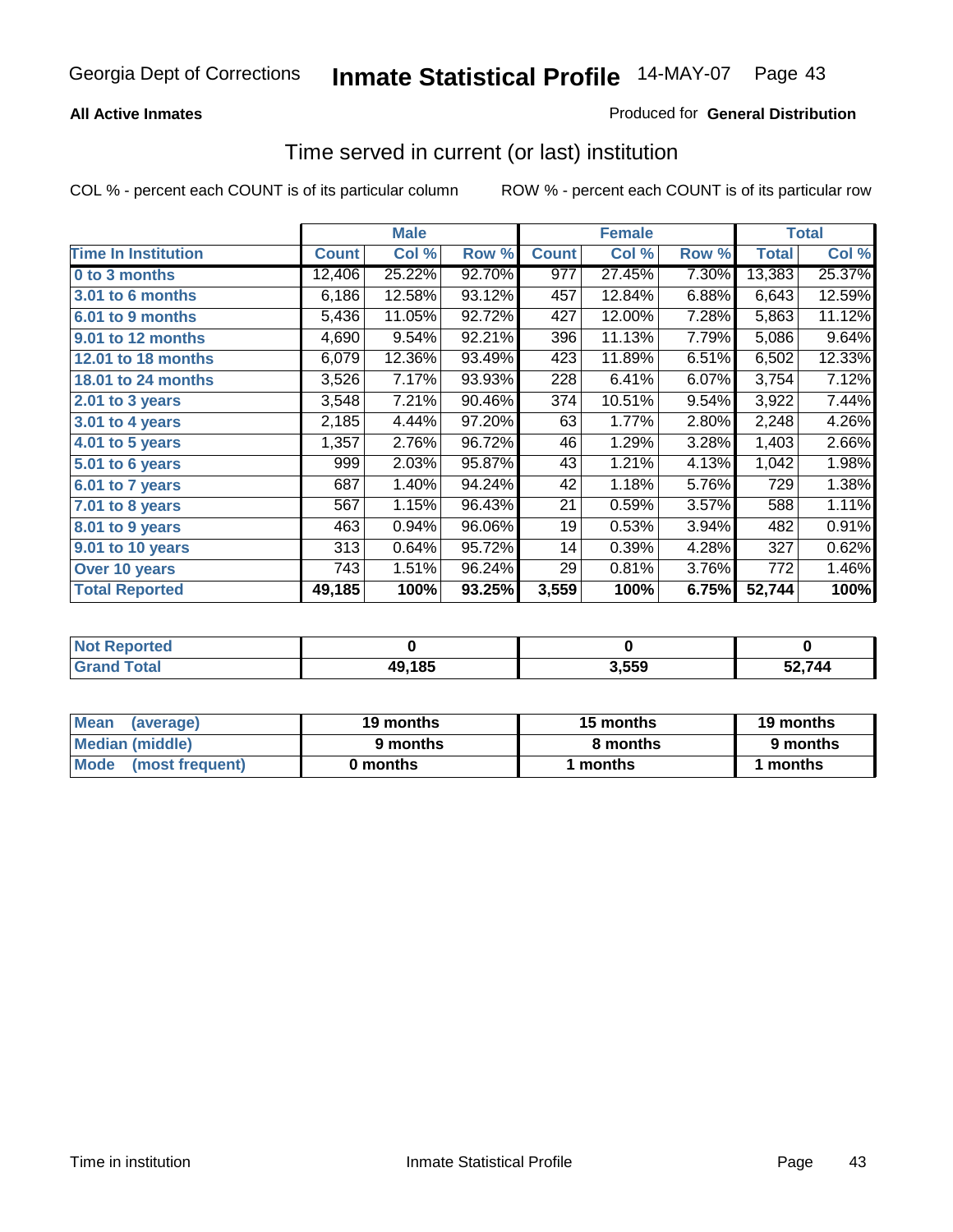### **All Active Inmates**

### Produced for **General Distribution**

## Time served in current (or last) institution

|                              |              | <b>Male</b> |        |              | <b>Female</b> |       |              | <b>Total</b> |
|------------------------------|--------------|-------------|--------|--------------|---------------|-------|--------------|--------------|
| <b>Time In Institution</b>   | <b>Count</b> | Col %       | Row %  | <b>Count</b> | Col %         | Row % | <b>Total</b> | Col %        |
| 0 to 3 months                | 12,406       | 25.22%      | 92.70% | 977          | 27.45%        | 7.30% | 13,383       | 25.37%       |
| <b>3.01 to 6 months</b>      | 6,186        | 12.58%      | 93.12% | 457          | 12.84%        | 6.88% | 6,643        | 12.59%       |
| 6.01 to 9 months             | 5,436        | 11.05%      | 92.72% | 427          | 12.00%        | 7.28% | 5,863        | 11.12%       |
| 9.01 to 12 months            | 4,690        | 9.54%       | 92.21% | 396          | 11.13%        | 7.79% | 5,086        | 9.64%        |
| <b>12.01 to 18 months</b>    | 6,079        | 12.36%      | 93.49% | 423          | 11.89%        | 6.51% | 6,502        | 12.33%       |
| <b>18.01 to 24 months</b>    | 3,526        | 7.17%       | 93.93% | 228          | 6.41%         | 6.07% | 3,754        | 7.12%        |
| 2.01 to 3 years              | 3,548        | 7.21%       | 90.46% | 374          | 10.51%        | 9.54% | 3,922        | 7.44%        |
| 3.01 to 4 years              | 2,185        | 4.44%       | 97.20% | 63           | 1.77%         | 2.80% | 2,248        | 4.26%        |
| $\overline{4.01}$ to 5 years | 1,357        | 2.76%       | 96.72% | 46           | 1.29%         | 3.28% | 1,403        | 2.66%        |
| 5.01 to 6 years              | 999          | 2.03%       | 95.87% | 43           | 1.21%         | 4.13% | 1,042        | 1.98%        |
| 6.01 to 7 years              | 687          | 1.40%       | 94.24% | 42           | 1.18%         | 5.76% | 729          | 1.38%        |
| 7.01 to 8 years              | 567          | 1.15%       | 96.43% | 21           | 0.59%         | 3.57% | 588          | 1.11%        |
| 8.01 to 9 years              | 463          | 0.94%       | 96.06% | 19           | 0.53%         | 3.94% | 482          | 0.91%        |
| 9.01 to 10 years             | 313          | 0.64%       | 95.72% | 14           | 0.39%         | 4.28% | 327          | 0.62%        |
| Over 10 years                | 743          | 1.51%       | 96.24% | 29           | 0.81%         | 3.76% | 772          | 1.46%        |
| <b>Total Reported</b>        | 49,185       | 100%        | 93.25% | 3,559        | 100%          | 6.75% | 52,744       | 100%         |

| <b>Not Reported</b> |        |      |        |
|---------------------|--------|------|--------|
| <b>Total</b>        | 49,185 | ,559 | 2.744ۃ |

| Mean<br>(average)       | 19 months | 15 months | 19 months |  |
|-------------------------|-----------|-----------|-----------|--|
| Median (middle)         | 9 months  | 8 months  | 9 months  |  |
| Mode<br>(most frequent) | 0 months  | 1 months  | months    |  |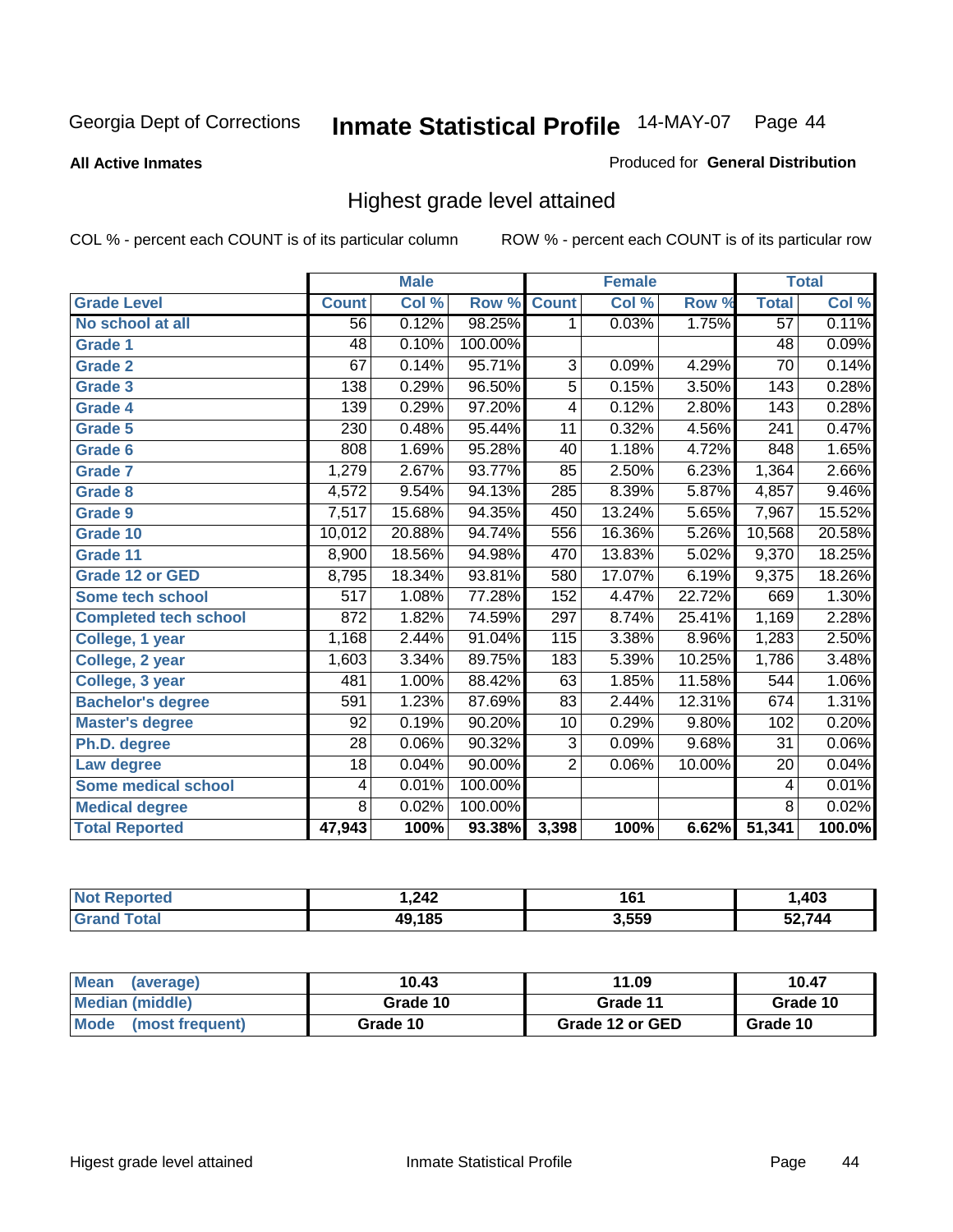**All Active Inmates**

#### Produced for **General Distribution**

# Highest grade level attained

|                              |                  | <b>Male</b> |         |                  | <b>Female</b> |        |                  | <b>Total</b> |
|------------------------------|------------------|-------------|---------|------------------|---------------|--------|------------------|--------------|
| <b>Grade Level</b>           | <b>Count</b>     | Col %       | Row %   | <b>Count</b>     | Col %         | Row %  | <b>Total</b>     | Col %        |
| No school at all             | $\overline{56}$  | 0.12%       | 98.25%  | 1                | 0.03%         | 1.75%  | 57               | 0.11%        |
| <b>Grade 1</b>               | 48               | 0.10%       | 100.00% |                  |               |        | $\overline{48}$  | 0.09%        |
| <b>Grade 2</b>               | 67               | 0.14%       | 95.71%  | 3                | 0.09%         | 4.29%  | $\overline{70}$  | 0.14%        |
| <b>Grade 3</b>               | $\overline{138}$ | 0.29%       | 96.50%  | $\overline{5}$   | 0.15%         | 3.50%  | $\overline{143}$ | 0.28%        |
| <b>Grade 4</b>               | 139              | 0.29%       | 97.20%  | 4                | 0.12%         | 2.80%  | 143              | 0.28%        |
| <b>Grade 5</b>               | 230              | 0.48%       | 95.44%  | $\overline{11}$  | 0.32%         | 4.56%  | 241              | 0.47%        |
| Grade 6                      | 808              | 1.69%       | 95.28%  | 40               | 1.18%         | 4.72%  | 848              | 1.65%        |
| <b>Grade 7</b>               | 1,279            | 2.67%       | 93.77%  | 85               | 2.50%         | 6.23%  | 1,364            | 2.66%        |
| <b>Grade 8</b>               | 4,572            | 9.54%       | 94.13%  | $\overline{285}$ | 8.39%         | 5.87%  | 4,857            | 9.46%        |
| <b>Grade 9</b>               | 7,517            | 15.68%      | 94.35%  | 450              | 13.24%        | 5.65%  | 7,967            | 15.52%       |
| Grade 10                     | 10,012           | 20.88%      | 94.74%  | 556              | 16.36%        | 5.26%  | 10,568           | 20.58%       |
| Grade 11                     | 8,900            | 18.56%      | 94.98%  | 470              | 13.83%        | 5.02%  | 9,370            | 18.25%       |
| <b>Grade 12 or GED</b>       | 8,795            | 18.34%      | 93.81%  | 580              | 17.07%        | 6.19%  | 9,375            | 18.26%       |
| Some tech school             | $\overline{517}$ | 1.08%       | 77.28%  | 152              | 4.47%         | 22.72% | 669              | 1.30%        |
| <b>Completed tech school</b> | 872              | 1.82%       | 74.59%  | 297              | 8.74%         | 25.41% | 1,169            | 2.28%        |
| College, 1 year              | 1,168            | 2.44%       | 91.04%  | 115              | 3.38%         | 8.96%  | 1,283            | 2.50%        |
| College, 2 year              | 1,603            | 3.34%       | 89.75%  | 183              | 5.39%         | 10.25% | 1,786            | 3.48%        |
| College, 3 year              | 481              | 1.00%       | 88.42%  | 63               | 1.85%         | 11.58% | 544              | 1.06%        |
| <b>Bachelor's degree</b>     | 591              | 1.23%       | 87.69%  | 83               | 2.44%         | 12.31% | 674              | 1.31%        |
| <b>Master's degree</b>       | 92               | 0.19%       | 90.20%  | 10               | 0.29%         | 9.80%  | 102              | 0.20%        |
| Ph.D. degree                 | $\overline{28}$  | 0.06%       | 90.32%  | 3                | 0.09%         | 9.68%  | $\overline{31}$  | $0.06\%$     |
| Law degree                   | $\overline{18}$  | 0.04%       | 90.00%  | $\overline{2}$   | 0.06%         | 10.00% | $\overline{20}$  | 0.04%        |
| <b>Some medical school</b>   | 4                | 0.01%       | 100.00% |                  |               |        | 4                | 0.01%        |
| <b>Medical degree</b>        | $\overline{8}$   | 0.02%       | 100.00% |                  |               |        | $\overline{8}$   | 0.02%        |
| <b>Total Reported</b>        | 47,943           | 100%        | 93.38%  | 3,398            | 100%          | 6.62%  | 51,341           | 100.0%       |

| 242, ا | 1С,<br>v | ,403       |
|--------|----------|------------|
| .185   | 3,559    | <b>711</b> |

| <b>Mean</b><br>(average)       | 10.43    | 11.09           | 10.47    |
|--------------------------------|----------|-----------------|----------|
| Median (middle)                | Grade 10 | Grade 11        | Grade 10 |
| <b>Mode</b><br>(most frequent) | Grade 10 | Grade 12 or GED | Grade 10 |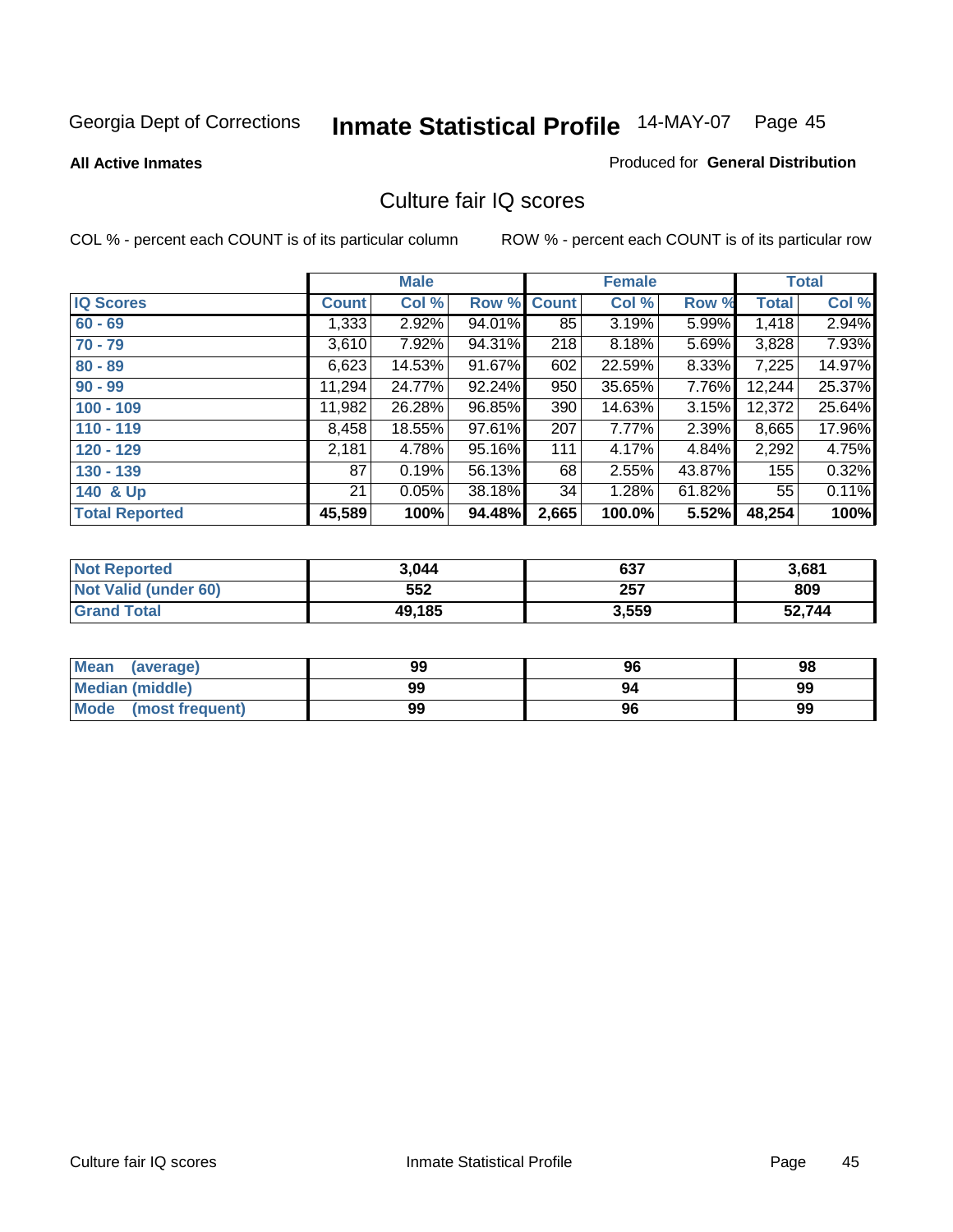**All Active Inmates**

#### Produced for **General Distribution**

## Culture fair IQ scores

|                       |              | <b>Male</b> |        |              | <b>Female</b> |        |              | <b>Total</b> |
|-----------------------|--------------|-------------|--------|--------------|---------------|--------|--------------|--------------|
| <b>IQ Scores</b>      | <b>Count</b> | Col %       | Row %  | <b>Count</b> | Col %         | Row %  | <b>Total</b> | Col %        |
| $60 - 69$             | 1,333        | 2.92%       | 94.01% | 85           | 3.19%         | 5.99%  | 1,418        | 2.94%        |
| $70 - 79$             | 3,610        | 7.92%       | 94.31% | 218          | 8.18%         | 5.69%  | 3,828        | 7.93%        |
| $80 - 89$             | 6,623        | 14.53%      | 91.67% | 602          | 22.59%        | 8.33%  | 7,225        | 14.97%       |
| $90 - 99$             | 11,294       | 24.77%      | 92.24% | 950          | 35.65%        | 7.76%  | 12,244       | 25.37%       |
| $100 - 109$           | 11,982       | 26.28%      | 96.85% | 390          | 14.63%        | 3.15%  | 12,372       | 25.64%       |
| $110 - 119$           | 8,458        | 18.55%      | 97.61% | 207          | 7.77%         | 2.39%  | 8,665        | 17.96%       |
| $120 - 129$           | 2,181        | 4.78%       | 95.16% | 111          | 4.17%         | 4.84%  | 2,292        | 4.75%        |
| $130 - 139$           | 87           | 0.19%       | 56.13% | 68           | 2.55%         | 43.87% | 155          | 0.32%        |
| 140 & Up              | 21           | 0.05%       | 38.18% | 34           | 1.28%         | 61.82% | 55           | 0.11%        |
| <b>Total Reported</b> | 45,589       | 100%        | 94.48% | 2,665        | 100.0%        | 5.52%  | 48,254       | 100%         |

| <b>Not Reported</b>         | 3,044  | 637   | 3,681  |
|-----------------------------|--------|-------|--------|
| <b>Not Valid (under 60)</b> | 552    | 257   | 809    |
| <b>Grand Total</b>          | 49,185 | 3,559 | 52,744 |

| <b>Mean</b><br>(average)       | 99 | 96 | 98 |
|--------------------------------|----|----|----|
| <b>Median (middle)</b>         | 99 | 94 | 99 |
| <b>Mode</b><br>(most frequent) | 99 | 96 | 99 |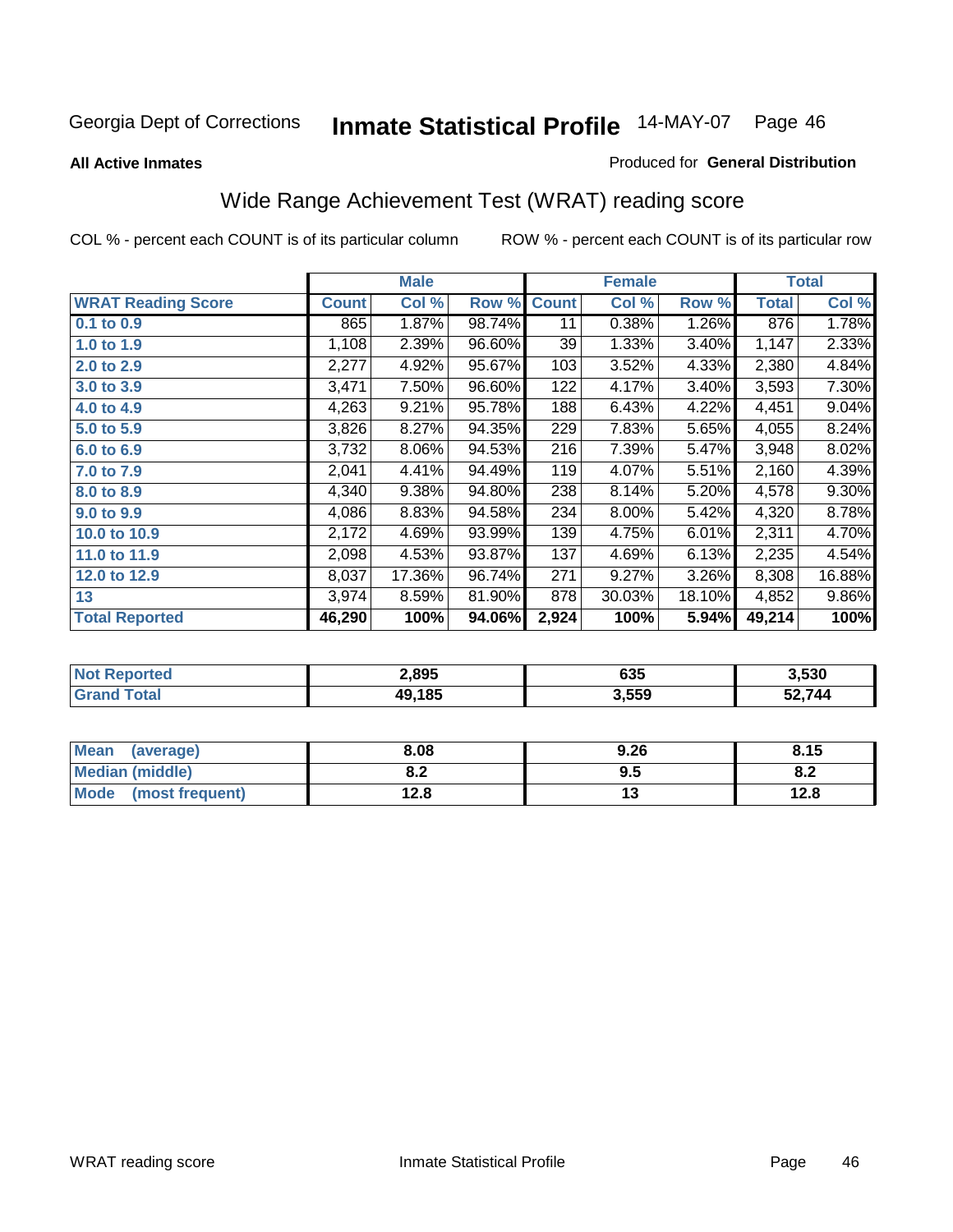#### **All Active Inmates**

#### Produced for **General Distribution**

# Wide Range Achievement Test (WRAT) reading score

|                           |              | <b>Male</b> |        |              | <b>Female</b> |        |                    | <b>Total</b> |
|---------------------------|--------------|-------------|--------|--------------|---------------|--------|--------------------|--------------|
| <b>WRAT Reading Score</b> | <b>Count</b> | Col %       | Row %  | <b>Count</b> | Col %         | Row %  | <b>Total</b>       | Col %        |
| $0.1$ to $0.9$            | 865          | 1.87%       | 98.74% | 11           | 0.38%         | 1.26%  | 876                | 1.78%        |
| 1.0 to 1.9                | 1,108        | 2.39%       | 96.60% | 39           | 1.33%         | 3.40%  | 1,147              | 2.33%        |
| 2.0 to 2.9                | 2,277        | 4.92%       | 95.67% | 103          | 3.52%         | 4.33%  | 2,380              | 4.84%        |
| 3.0 to 3.9                | 3,471        | 7.50%       | 96.60% | 122          | 4.17%         | 3.40%  | 3,593              | 7.30%        |
| 4.0 to 4.9                | 4,263        | 9.21%       | 95.78% | 188          | 6.43%         | 4.22%  | 4,451              | 9.04%        |
| 5.0 to 5.9                | 3,826        | 8.27%       | 94.35% | 229          | 7.83%         | 5.65%  | 4,055              | 8.24%        |
| 6.0 to 6.9                | 3,732        | 8.06%       | 94.53% | 216          | 7.39%         | 5.47%  | $\overline{3,948}$ | 8.02%        |
| 7.0 to 7.9                | 2,041        | 4.41%       | 94.49% | 119          | 4.07%         | 5.51%  | 2,160              | 4.39%        |
| 8.0 to 8.9                | 4,340        | 9.38%       | 94.80% | 238          | 8.14%         | 5.20%  | 4,578              | $9.30\%$     |
| 9.0 to 9.9                | 4,086        | 8.83%       | 94.58% | 234          | 8.00%         | 5.42%  | 4,320              | 8.78%        |
| 10.0 to 10.9              | 2,172        | 4.69%       | 93.99% | 139          | 4.75%         | 6.01%  | 2,311              | 4.70%        |
| 11.0 to 11.9              | 2,098        | 4.53%       | 93.87% | 137          | 4.69%         | 6.13%  | 2,235              | 4.54%        |
| 12.0 to 12.9              | 8,037        | 17.36%      | 96.74% | 271          | 9.27%         | 3.26%  | 8,308              | 16.88%       |
| 13                        | 3,974        | 8.59%       | 81.90% | 878          | 30.03%        | 18.10% | 4,852              | $9.86\%$     |
| <b>Total Reported</b>     | 46,290       | 100%        | 94.06% | 2,924        | 100%          | 5.94%  | 49,214             | 100%         |

| 2,895 | 635   | 3,530 |
|-------|-------|-------|
| .185  | 3,559 | 744   |

| <b>Mean</b><br>(average) | 8.08       | 9.26 | 8.15 |
|--------------------------|------------|------|------|
| <b>Median (middle)</b>   | י ה<br>0.Z | 9.5  | o.z  |
| Mode<br>(most frequent)  | 12.8       | . .  | 12.8 |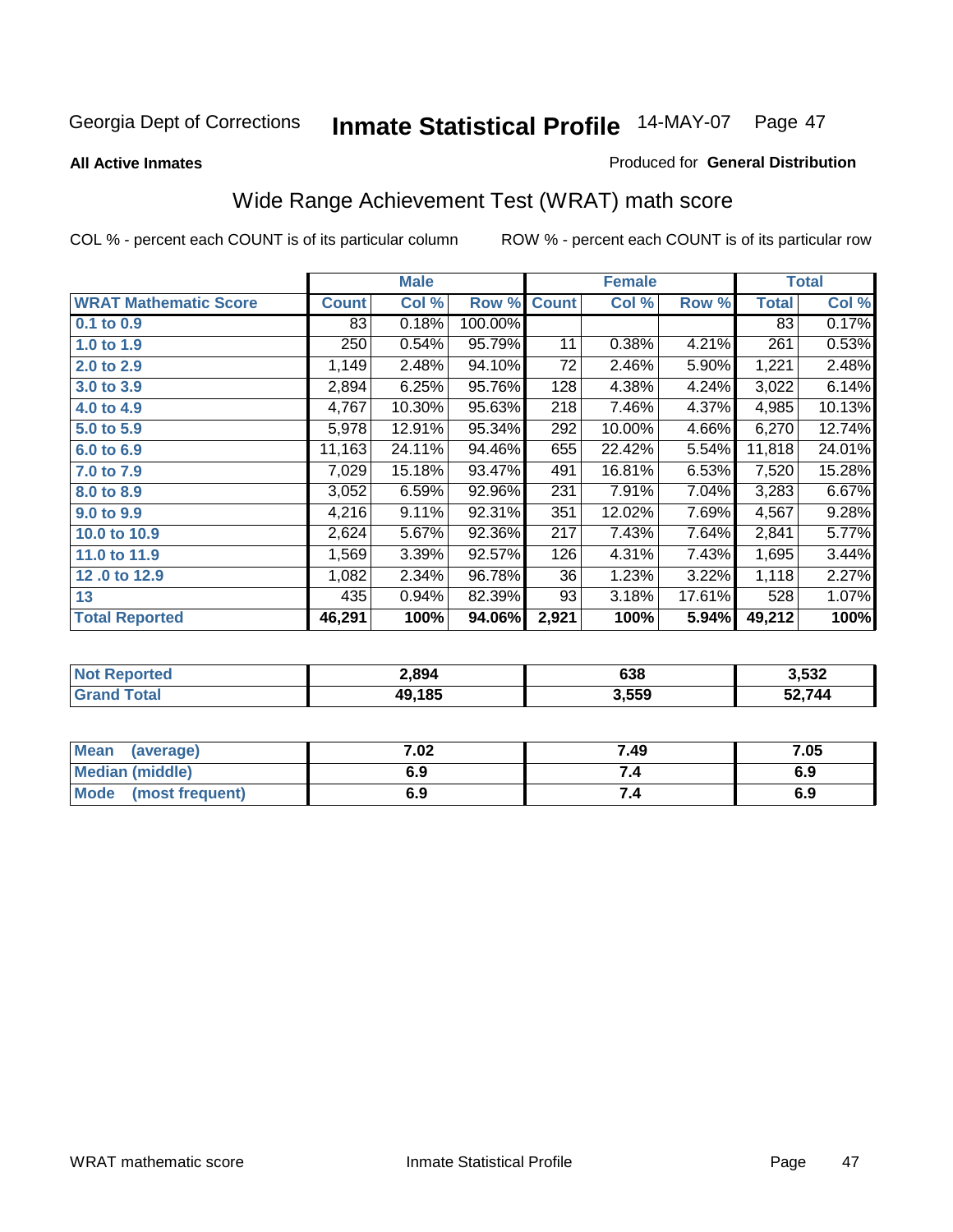**All Active Inmates**

#### Produced for **General Distribution**

# Wide Range Achievement Test (WRAT) math score

|                              |              | <b>Male</b> |         |              | <b>Female</b> |        |              | <b>Total</b> |
|------------------------------|--------------|-------------|---------|--------------|---------------|--------|--------------|--------------|
| <b>WRAT Mathematic Score</b> | <b>Count</b> | Col %       | Row %   | <b>Count</b> | Col %         | Row %  | <b>Total</b> | Col %        |
| 0.1 to 0.9                   | 831          | 0.18%       | 100.00% |              |               |        | 83           | 0.17%        |
| 1.0 to 1.9                   | 250          | 0.54%       | 95.79%  | 11           | 0.38%         | 4.21%  | 261          | 0.53%        |
| 2.0 to 2.9                   | 1,149        | 2.48%       | 94.10%  | 72           | 2.46%         | 5.90%  | 1,221        | 2.48%        |
| 3.0 to 3.9                   | 2,894        | 6.25%       | 95.76%  | 128          | 4.38%         | 4.24%  | 3,022        | 6.14%        |
| 4.0 to 4.9                   | 4,767        | 10.30%      | 95.63%  | 218          | 7.46%         | 4.37%  | 4,985        | 10.13%       |
| 5.0 to 5.9                   | 5,978        | 12.91%      | 95.34%  | 292          | 10.00%        | 4.66%  | 6,270        | 12.74%       |
| 6.0 to 6.9                   | 11,163       | 24.11%      | 94.46%  | 655          | 22.42%        | 5.54%  | 11,818       | 24.01%       |
| 7.0 to 7.9                   | 7,029        | 15.18%      | 93.47%  | 491          | 16.81%        | 6.53%  | 7,520        | 15.28%       |
| 8.0 to 8.9                   | 3,052        | 6.59%       | 92.96%  | 231          | 7.91%         | 7.04%  | 3,283        | 6.67%        |
| 9.0 to 9.9                   | 4,216        | 9.11%       | 92.31%  | 351          | 12.02%        | 7.69%  | 4,567        | 9.28%        |
| 10.0 to 10.9                 | 2,624        | 5.67%       | 92.36%  | 217          | 7.43%         | 7.64%  | 2,841        | 5.77%        |
| 11.0 to 11.9                 | 1,569        | 3.39%       | 92.57%  | 126          | 4.31%         | 7.43%  | 1,695        | 3.44%        |
| 12.0 to 12.9                 | 1,082        | 2.34%       | 96.78%  | 36           | 1.23%         | 3.22%  | 1,118        | 2.27%        |
| 13                           | 435          | 0.94%       | 82.39%  | 93           | 3.18%         | 17.61% | 528          | 1.07%        |
| <b>Total Reported</b>        | 46,291       | 100%        | 94.06%  | 2,921        | 100%          | 5.94%  | 49,212       | 100%         |

|      | 2,894  | 638   | 3,532  |
|------|--------|-------|--------|
| otal | 49.185 | 3,559 | 52.744 |

| Mean<br>(average)              | 7.02 | 7.49 | 7.05 |
|--------------------------------|------|------|------|
| <b>Median (middle)</b>         | 6.9  |      | 6.9  |
| <b>Mode</b><br>(most frequent) | 6.9  | 7.4  | 6.9  |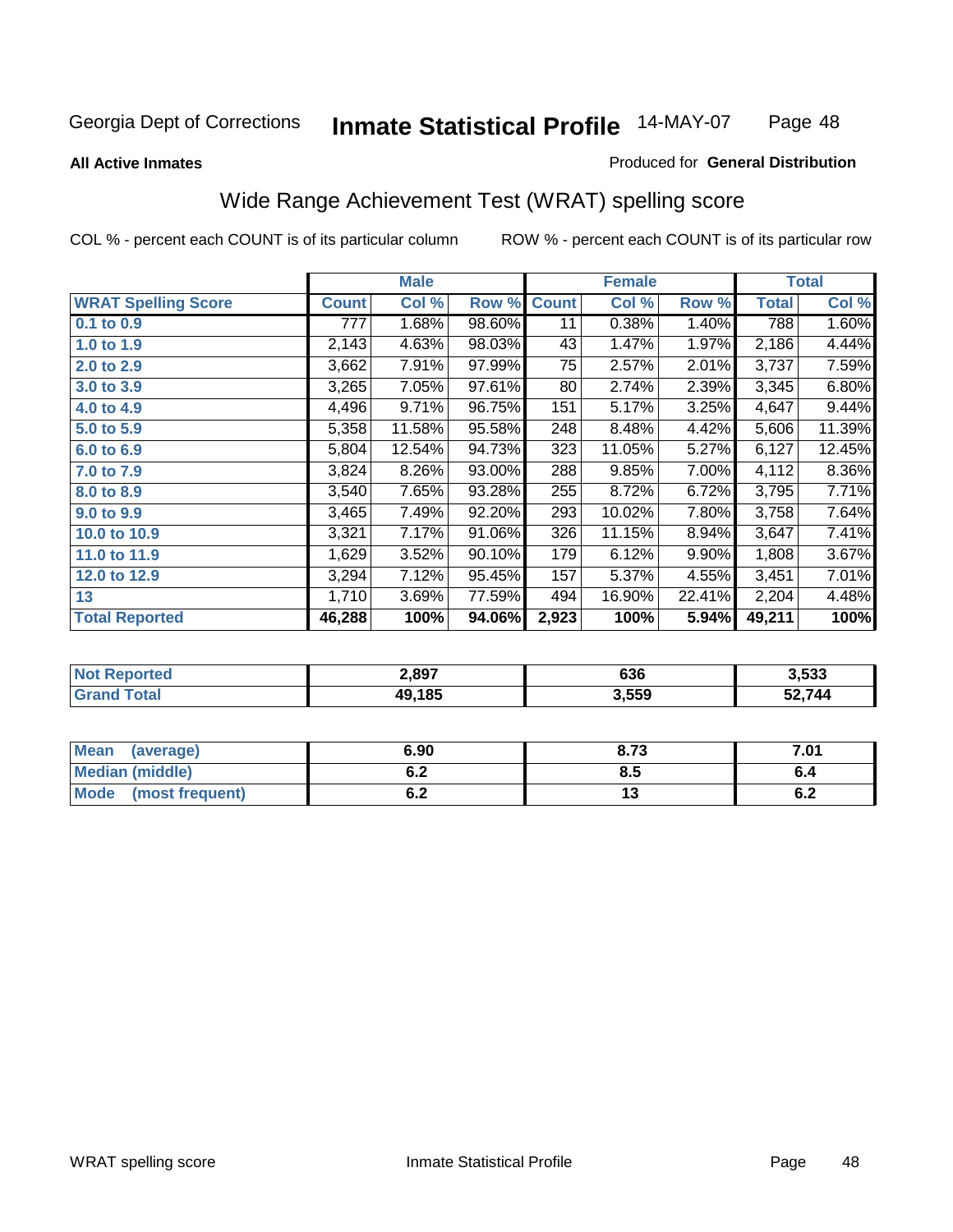#### **All Active Inmates**

#### Produced for **General Distribution**

# Wide Range Achievement Test (WRAT) spelling score

|                            |              | <b>Male</b> |        |              | <b>Female</b> |        |              | <b>Total</b> |
|----------------------------|--------------|-------------|--------|--------------|---------------|--------|--------------|--------------|
| <b>WRAT Spelling Score</b> | <b>Count</b> | Col %       | Row %  | <b>Count</b> | Col %         | Row %  | <b>Total</b> | Col %        |
| $0.1$ to $0.9$             | 777          | 1.68%       | 98.60% | 11           | 0.38%         | 1.40%  | 788          | 1.60%        |
| 1.0 to 1.9                 | 2,143        | 4.63%       | 98.03% | 43           | 1.47%         | 1.97%  | 2,186        | 4.44%        |
| 2.0 to 2.9                 | 3,662        | 7.91%       | 97.99% | 75           | 2.57%         | 2.01%  | 3,737        | 7.59%        |
| 3.0 to 3.9                 | 3,265        | 7.05%       | 97.61% | 80           | 2.74%         | 2.39%  | 3,345        | 6.80%        |
| 4.0 to 4.9                 | 4,496        | 9.71%       | 96.75% | 151          | 5.17%         | 3.25%  | 4,647        | 9.44%        |
| 5.0 to 5.9                 | 5,358        | 11.58%      | 95.58% | 248          | 8.48%         | 4.42%  | 5,606        | 11.39%       |
| 6.0 to 6.9                 | 5,804        | 12.54%      | 94.73% | 323          | 11.05%        | 5.27%  | 6,127        | 12.45%       |
| 7.0 to 7.9                 | 3,824        | 8.26%       | 93.00% | 288          | 9.85%         | 7.00%  | 4,112        | 8.36%        |
| 8.0 to 8.9                 | 3,540        | 7.65%       | 93.28% | 255          | 8.72%         | 6.72%  | 3,795        | 7.71%        |
| 9.0 to 9.9                 | 3,465        | 7.49%       | 92.20% | 293          | 10.02%        | 7.80%  | 3,758        | 7.64%        |
| 10.0 to 10.9               | 3,321        | 7.17%       | 91.06% | 326          | 11.15%        | 8.94%  | 3,647        | 7.41%        |
| 11.0 to 11.9               | 1,629        | 3.52%       | 90.10% | 179          | 6.12%         | 9.90%  | 1,808        | 3.67%        |
| 12.0 to 12.9               | 3,294        | 7.12%       | 95.45% | 157          | 5.37%         | 4.55%  | 3,451        | 7.01%        |
| 13                         | 1,710        | 3.69%       | 77.59% | 494          | 16.90%        | 22.41% | 2,204        | 4.48%        |
| <b>Total Reported</b>      | 46,288       | 100%        | 94.06% | 2,923        | 100%          | 5.94%  | 49,211       | 100%         |

| rrer. | 2,897 | coc<br>ხან | 3.533 |
|-------|-------|------------|-------|
|       | .185  | 3,559      | 744   |

| <b>Mean</b><br>(average)       | 6.90       | 8.73 | 7.01 |
|--------------------------------|------------|------|------|
| <b>Median (middle)</b>         | ο.Ζ        | ბ.Ე  |      |
| <b>Mode</b><br>(most frequent) | . .<br>U.Z | . J  | υ.Ζ  |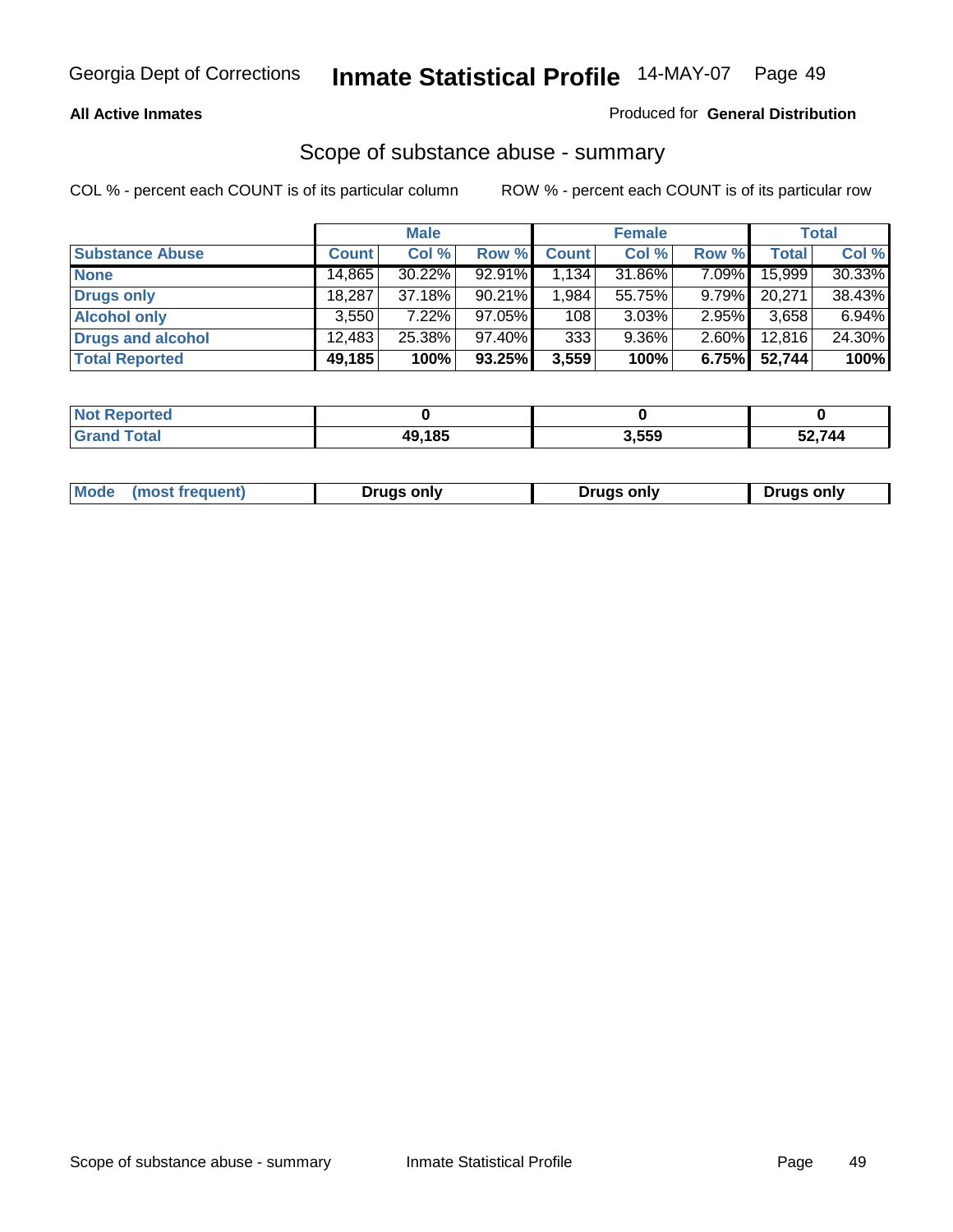#### **All Active Inmates**

#### Produced for **General Distribution**

### Scope of substance abuse - summary

|                        |              | <b>Male</b> |           |              | <b>Female</b> |          |              | <b>Total</b> |
|------------------------|--------------|-------------|-----------|--------------|---------------|----------|--------------|--------------|
| <b>Substance Abuse</b> | <b>Count</b> | Col %       | Row %     | <b>Count</b> | Col %         | Row %    | <b>Total</b> | Col %        |
| <b>None</b>            | 14,865       | $30.22\%$   | 92.91%    | 1,134        | 31.86%        | $7.09\%$ | 15,999       | 30.33%       |
| <b>Drugs only</b>      | 18.287       | 37.18%      | $90.21\%$ | 1,984        | 55.75%        | $9.79\%$ | 20,271       | 38.43%       |
| <b>Alcohol only</b>    | 3.550        | $7.22\%$    | 97.05%    | 108          | 3.03%         | $2.95\%$ | 3,658        | 6.94%        |
| Drugs and alcohol      | 12,483       | 25.38%      | $97.40\%$ | 333          | $9.36\%$      | $2.60\%$ | 12,816       | 24.30%       |
| <b>Total Reported</b>  | 49,185       | 100%        | 93.25%    | 3,559        | 100%          | 6.75%    | 52,744       | 100%         |

| <b>Not Reported</b>          |        |       |        |
|------------------------------|--------|-------|--------|
| <b>Total</b><br><b>Grand</b> | 49.185 | 3,559 | 52,744 |

|  | Mode<br>(most frequent) | Drugs only | Drugs only | Drugs only |
|--|-------------------------|------------|------------|------------|
|--|-------------------------|------------|------------|------------|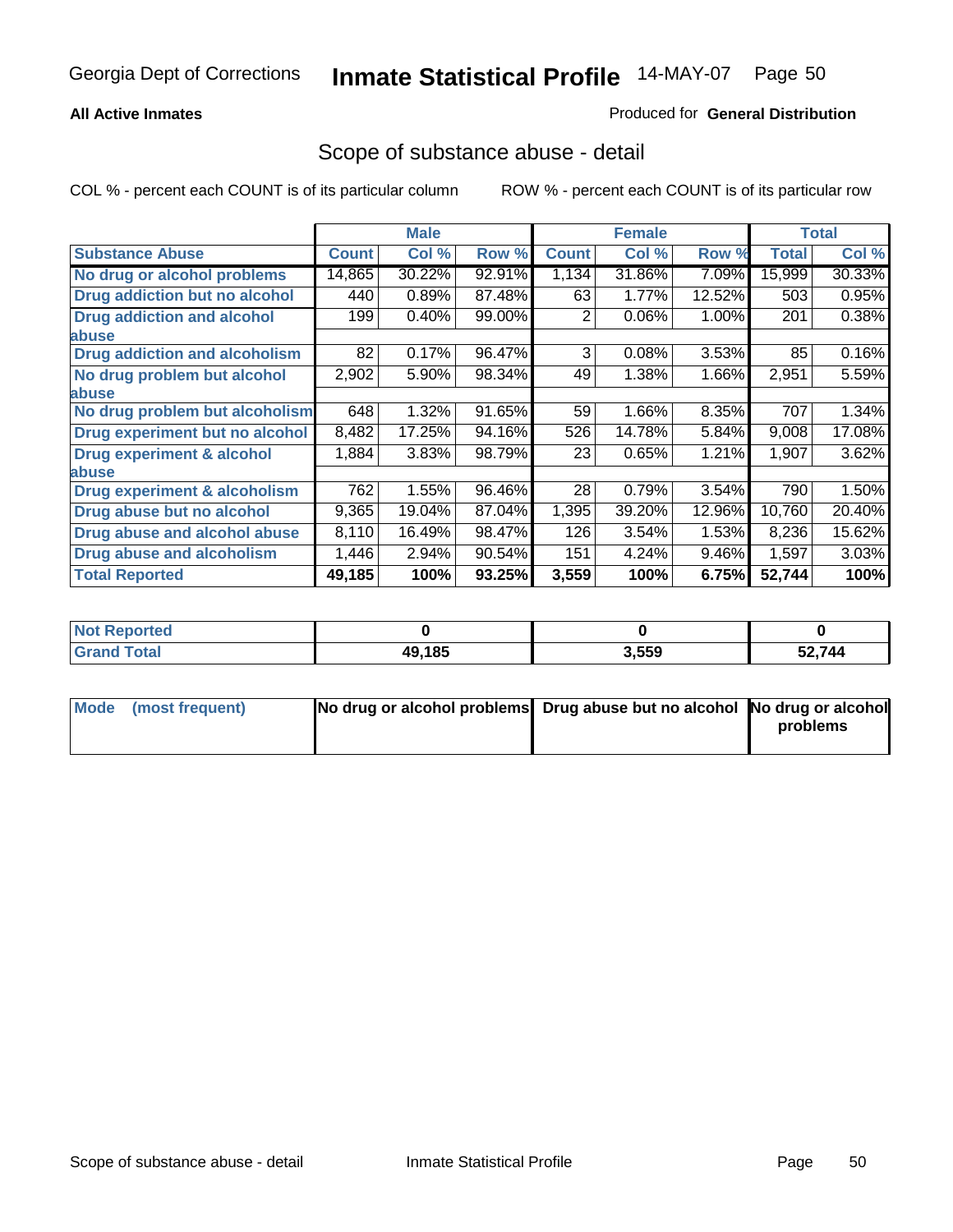#### **All Active Inmates**

#### Produced for **General Distribution**

### Scope of substance abuse - detail

|                                      |              | <b>Male</b> |        |              | <b>Female</b> |        |              | <b>Total</b> |
|--------------------------------------|--------------|-------------|--------|--------------|---------------|--------|--------------|--------------|
| <b>Substance Abuse</b>               | <b>Count</b> | Col %       | Row %  | <b>Count</b> | Col %         | Row %  | <b>Total</b> | Col %        |
| No drug or alcohol problems          | 14,865       | 30.22%      | 92.91% | 1,134        | 31.86%        | 7.09%  | 15,999       | 30.33%       |
| Drug addiction but no alcohol        | 440          | 0.89%       | 87.48% | 63           | 1.77%         | 12.52% | 503          | 0.95%        |
| <b>Drug addiction and alcohol</b>    | 199          | 0.40%       | 99.00% | 2            | 0.06%         | 1.00%  | 201          | 0.38%        |
| abuse                                |              |             |        |              |               |        |              |              |
| <b>Drug addiction and alcoholism</b> | 82           | 0.17%       | 96.47% | 3            | 0.08%         | 3.53%  | 85           | 0.16%        |
| No drug problem but alcohol          | 2,902        | 5.90%       | 98.34% | 49           | 1.38%         | 1.66%  | 2,951        | 5.59%        |
| <b>labuse</b>                        |              |             |        |              |               |        |              |              |
| No drug problem but alcoholism       | 648          | 1.32%       | 91.65% | 59           | 1.66%         | 8.35%  | 707          | 1.34%        |
| Drug experiment but no alcohol       | 8,482        | 17.25%      | 94.16% | 526          | 14.78%        | 5.84%  | 9,008        | 17.08%       |
| <b>Drug experiment &amp; alcohol</b> | 1,884        | 3.83%       | 98.79% | 23           | 0.65%         | 1.21%  | 1,907        | 3.62%        |
| <b>labuse</b>                        |              |             |        |              |               |        |              |              |
| Drug experiment & alcoholism         | 762          | 1.55%       | 96.46% | 28           | 0.79%         | 3.54%  | 790          | 1.50%        |
| Drug abuse but no alcohol            | 9,365        | 19.04%      | 87.04% | 1,395        | 39.20%        | 12.96% | 10,760       | 20.40%       |
| Drug abuse and alcohol abuse         | 8,110        | 16.49%      | 98.47% | 126          | 3.54%         | 1.53%  | 8,236        | 15.62%       |
| <b>Drug abuse and alcoholism</b>     | 1,446        | 2.94%       | 90.54% | 151          | 4.24%         | 9.46%  | 1,597        | 3.03%        |
| <b>Total Reported</b>                | 49,185       | 100%        | 93.25% | 3,559        | 100%          | 6.75%  | 52,744       | 100%         |

| <b>Reported</b><br><b>Not</b> |        |       |        |
|-------------------------------|--------|-------|--------|
| <b>Total</b>                  | 49.185 | 3,559 | 52,744 |

| Mode (most frequent) | No drug or alcohol problems Drug abuse but no alcohol No drug or alcohol |          |
|----------------------|--------------------------------------------------------------------------|----------|
|                      |                                                                          | problems |
|                      |                                                                          |          |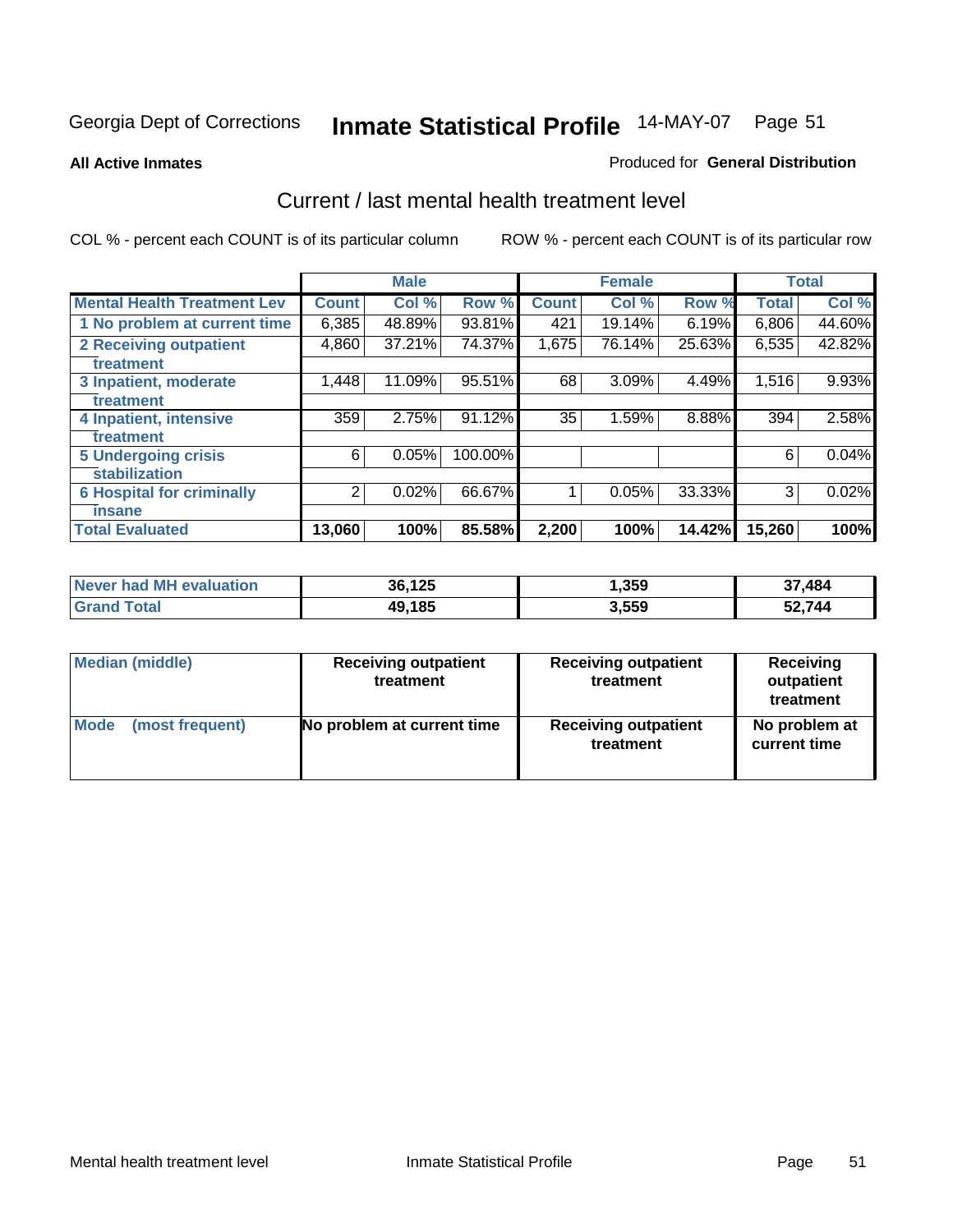#### **All Active Inmates**

#### Produced for **General Distribution**

## Current / last mental health treatment level

|                                    |              | <b>Male</b> |         |              | <b>Female</b> |        |              | <b>Total</b> |
|------------------------------------|--------------|-------------|---------|--------------|---------------|--------|--------------|--------------|
| <b>Mental Health Treatment Lev</b> | <b>Count</b> | Col %       | Row %   | <b>Count</b> | Col%          | Row %  | <b>Total</b> | Col%         |
| 1 No problem at current time       | 6,385        | 48.89%      | 93.81%  | 421          | 19.14%        | 6.19%  | 6,806        | 44.60%       |
| <b>2 Receiving outpatient</b>      | 4,860        | 37.21%      | 74.37%  | 1,675        | 76.14%        | 25.63% | 6,535        | 42.82%       |
| treatment                          |              |             |         |              |               |        |              |              |
| 3 Inpatient, moderate              | 1,448        | 11.09%      | 95.51%  | 68           | 3.09%         | 4.49%  | 1,516        | 9.93%        |
| treatment                          |              |             |         |              |               |        |              |              |
| 4 Inpatient, intensive             | 359          | 2.75%       | 91.12%  | 35           | 1.59%         | 8.88%  | 394          | 2.58%        |
| treatment                          |              |             |         |              |               |        |              |              |
| <b>5 Undergoing crisis</b>         | 6            | 0.05%       | 100.00% |              |               |        | 6            | 0.04%        |
| stabilization                      |              |             |         |              |               |        |              |              |
| <b>6 Hospital for criminally</b>   | 2            | 0.02%       | 66.67%  |              | 0.05%         | 33.33% | 3            | 0.02%        |
| insane                             |              |             |         |              |               |        |              |              |
| <b>Total Evaluated</b>             | 13,060       | 100%        | 85.58%  | 2,200        | 100%          | 14.42% | 15,260       | 100%         |

| Never had MH evaluation | 36,125 | 1,359 | 37,484 |
|-------------------------|--------|-------|--------|
| <b>Grand Total</b>      | 49,185 | 3,559 | 52,744 |

| Median (middle) | <b>Receiving outpatient</b><br>treatment | <b>Receiving outpatient</b><br>treatment | <b>Receiving</b><br>outpatient<br>treatment |
|-----------------|------------------------------------------|------------------------------------------|---------------------------------------------|
| Mode            | No problem at current time               | <b>Receiving outpatient</b>              | No problem at                               |
| (most frequent) |                                          | treatment                                | current time                                |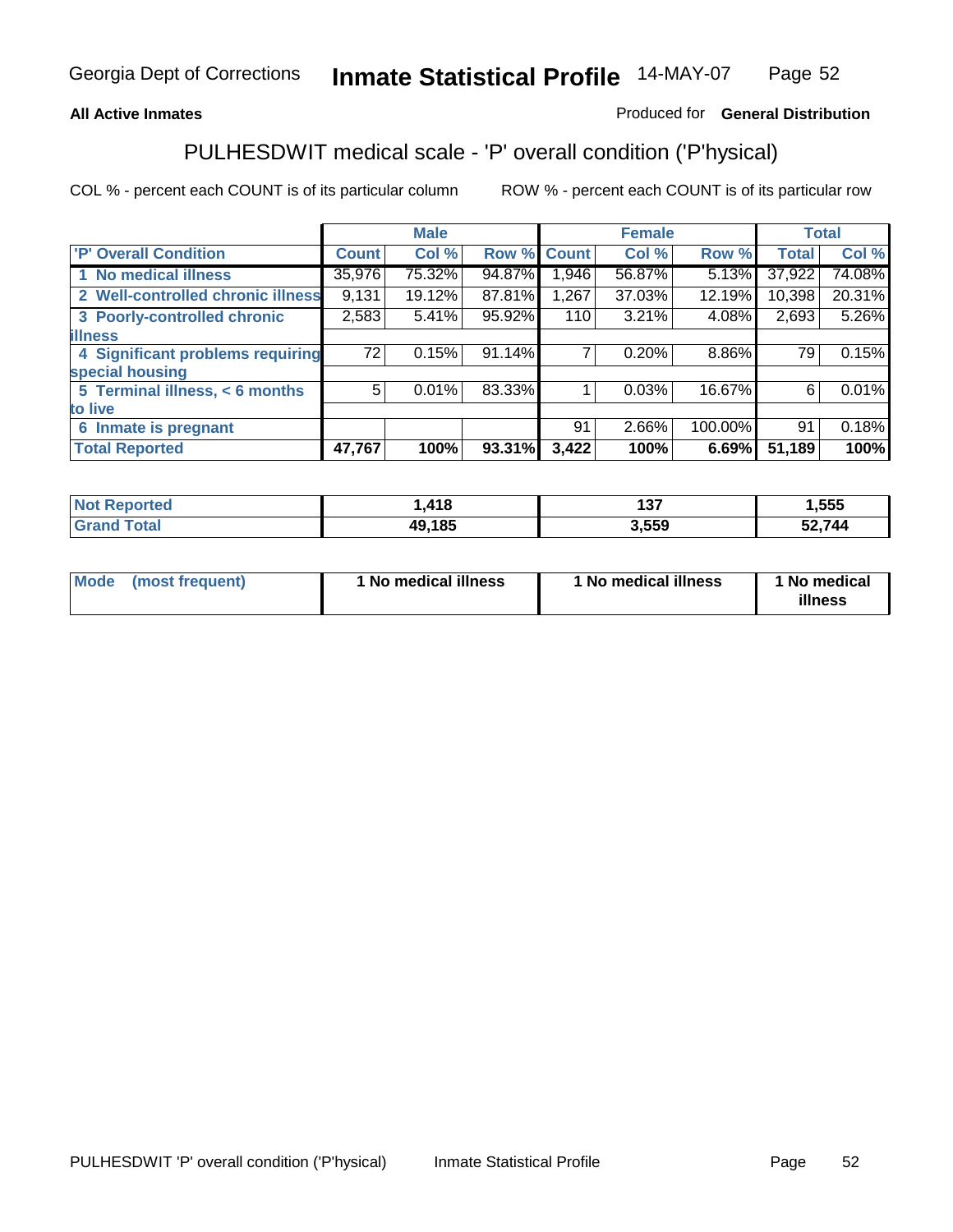### **All Active Inmates**

### Produced for **General Distribution**

# PULHESDWIT medical scale - 'P' overall condition ('P'hysical)

|                                   |                | <b>Male</b> |        |              | <b>Female</b> |         |              | <b>Total</b> |
|-----------------------------------|----------------|-------------|--------|--------------|---------------|---------|--------------|--------------|
| 'P' Overall Condition             | <b>Count</b>   | Col %       | Row %  | <b>Count</b> | Col %         | Row %   | <b>Total</b> | Col %        |
| 1 No medical illness              | 35,976         | 75.32%      | 94.87% | 1,946        | 56.87%        | 5.13%   | 37,922       | 74.08%       |
| 2 Well-controlled chronic illness | 9,131          | 19.12%      | 87.81% | 1,267        | 37.03%        | 12.19%  | 10,398       | 20.31%       |
| 3 Poorly-controlled chronic       | 2,583          | 5.41%       | 95.92% | 110          | 3.21%         | 4.08%   | 2,693        | 5.26%        |
| <b>illness</b>                    |                |             |        |              |               |         |              |              |
| 4 Significant problems requiring  | 72             | 0.15%       | 91.14% |              | 0.20%         | 8.86%   | 79           | 0.15%        |
| special housing                   |                |             |        |              |               |         |              |              |
| 5 Terminal illness, < 6 months    | 5 <sup>1</sup> | 0.01%       | 83.33% |              | 0.03%         | 16.67%  | 6            | 0.01%        |
| to live                           |                |             |        |              |               |         |              |              |
| 6 Inmate is pregnant              |                |             |        | 91           | 2.66%         | 100.00% | 91           | 0.18%        |
| <b>Total Reported</b>             | 47,767         | 100%        | 93.31% | 3,422        | 100%          | 6.69%   | 51,189       | 100%         |

| rteo | $A$ <sup>4</sup> $Q$<br>- 10 | 107<br>ושו  | ,555   |
|------|------------------------------|-------------|--------|
| ota  | 49,185<br>44                 | 550<br>.JJJ | 52,744 |

| Mode | (most frequent) | <sup>1</sup> No medical illness | 1 No medical illness | 1 No medical<br>illness |
|------|-----------------|---------------------------------|----------------------|-------------------------|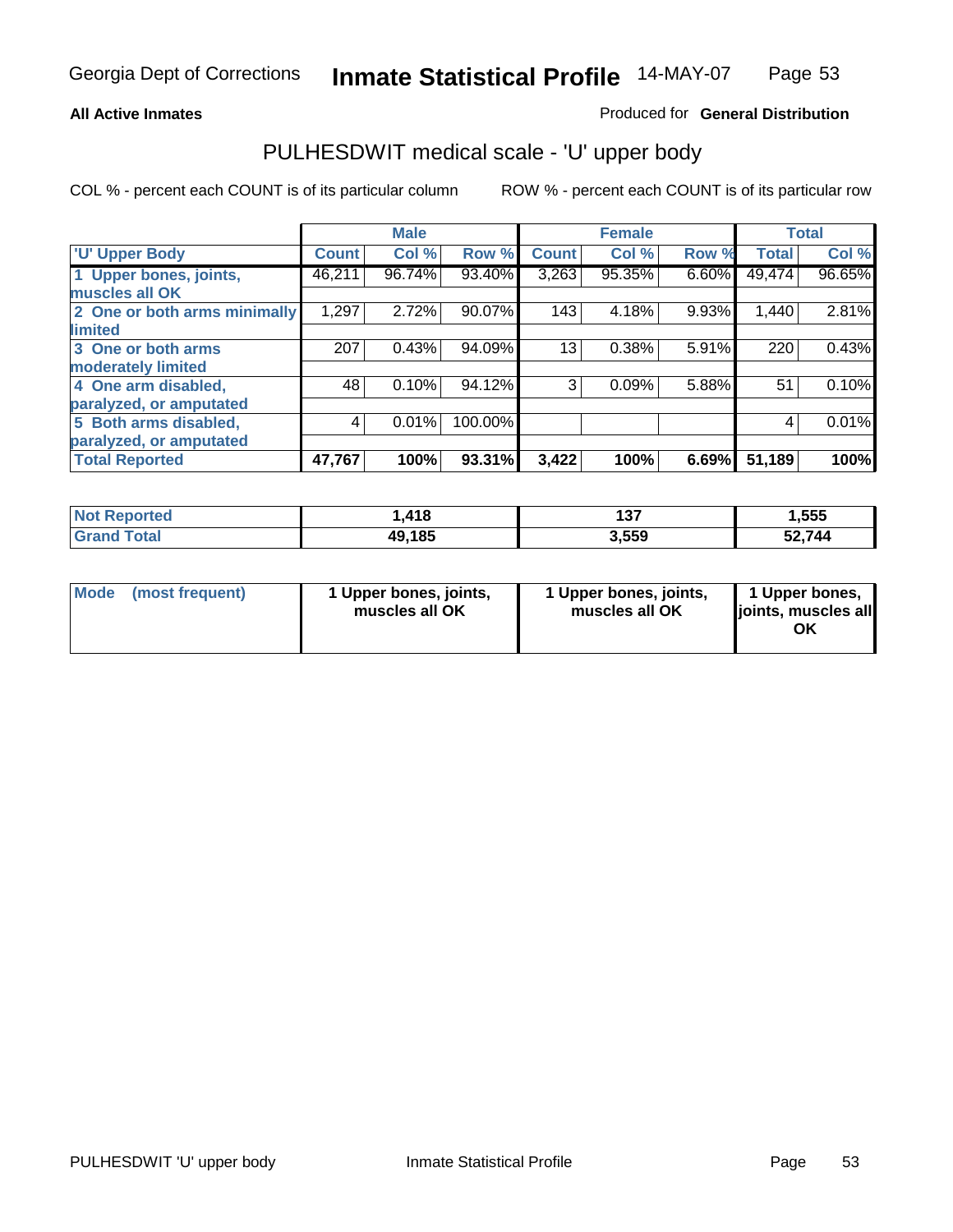#### **All Active Inmates**

#### Produced for **General Distribution**

## PULHESDWIT medical scale - 'U' upper body

|                              |              | <b>Male</b> |         |              | <b>Female</b> |       |              | <b>Total</b> |
|------------------------------|--------------|-------------|---------|--------------|---------------|-------|--------------|--------------|
| <b>U' Upper Body</b>         | <b>Count</b> | Col %       | Row %   | <b>Count</b> | Col %         | Row % | <b>Total</b> | Col %        |
| 1 Upper bones, joints,       | 46,211       | 96.74%      | 93.40%  | 3,263        | 95.35%        | 6.60% | 49,474       | 96.65%       |
| muscles all OK               |              |             |         |              |               |       |              |              |
| 2 One or both arms minimally | 1,297        | 2.72%       | 90.07%  | 143          | 4.18%         | 9.93% | 1,440        | 2.81%        |
| limited                      |              |             |         |              |               |       |              |              |
| 3 One or both arms           | 207          | 0.43%       | 94.09%  | 13           | 0.38%         | 5.91% | 220          | 0.43%        |
| moderately limited           |              |             |         |              |               |       |              |              |
| 4 One arm disabled,          | 48           | 0.10%       | 94.12%  | 3            | 0.09%         | 5.88% | 51           | 0.10%        |
| paralyzed, or amputated      |              |             |         |              |               |       |              |              |
| 5 Both arms disabled,        | 4            | 0.01%       | 100.00% |              |               |       | 4            | 0.01%        |
| paralyzed, or amputated      |              |             |         |              |               |       |              |              |
| <b>Total Reported</b>        | 47,767       | 100%        | 93.31%  | 3,422        | 100%          | 6.69% | 51,189       | 100%         |

| N <sub>of</sub><br><b>Reported</b> | ,418   | 137   | I,555  |
|------------------------------------|--------|-------|--------|
| Total                              | 49,185 | 3,559 | 52.744 |

| <b>Mode</b> | (most frequent) | 1 Upper bones, joints,<br>muscles all OK | 1 Upper bones, joints,<br>muscles all OK | 1 Upper bones,<br>joints, muscles all<br>ΟK |
|-------------|-----------------|------------------------------------------|------------------------------------------|---------------------------------------------|
|-------------|-----------------|------------------------------------------|------------------------------------------|---------------------------------------------|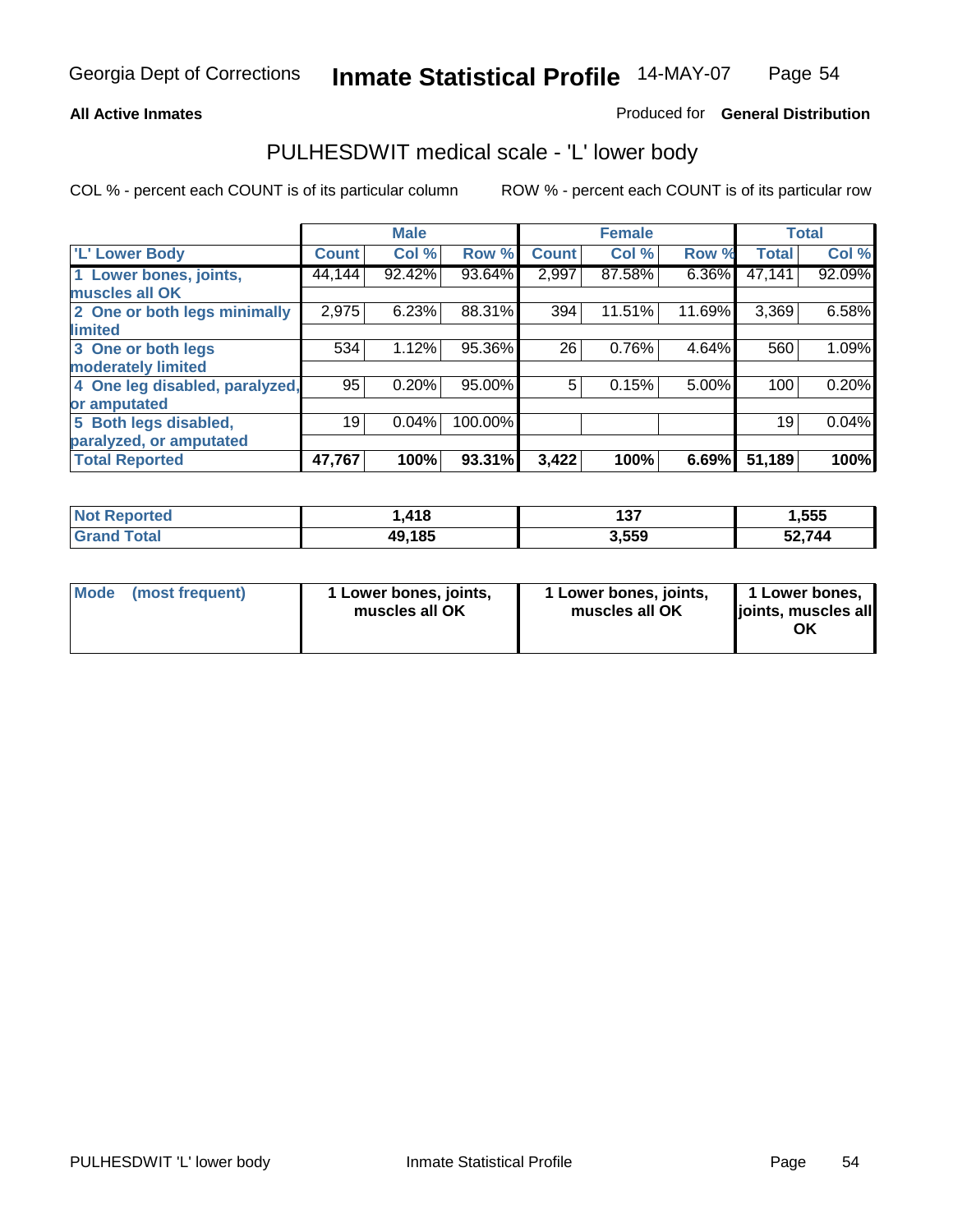#### **All Active Inmates**

### Produced for **General Distribution**

### PULHESDWIT medical scale - 'L' lower body

|                                |              | <b>Male</b> |         |              | <b>Female</b> |          |              | <b>Total</b> |
|--------------------------------|--------------|-------------|---------|--------------|---------------|----------|--------------|--------------|
| <b>L' Lower Body</b>           | <b>Count</b> | Col %       | Row %   | <b>Count</b> | Col %         | Row %    | <b>Total</b> | Col %        |
| 1 Lower bones, joints,         | 44,144       | 92.42%      | 93.64%  | 2,997        | 87.58%        | 6.36%    | 47,141       | 92.09%       |
| muscles all OK                 |              |             |         |              |               |          |              |              |
| 2 One or both legs minimally   | 2,975        | 6.23%       | 88.31%  | 394          | 11.51%        | 11.69%   | 3,369        | 6.58%        |
| limited                        |              |             |         |              |               |          |              |              |
| 3 One or both legs             | 534          | 1.12%       | 95.36%  | 26           | 0.76%         | 4.64%    | 560          | 1.09%        |
| moderately limited             |              |             |         |              |               |          |              |              |
| 4 One leg disabled, paralyzed, | 95           | 0.20%       | 95.00%  | 5            | 0.15%         | $5.00\%$ | 100          | 0.20%        |
| or amputated                   |              |             |         |              |               |          |              |              |
| 5 Both legs disabled,          | 19           | 0.04%       | 100.00% |              |               |          | 19           | 0.04%        |
| paralyzed, or amputated        |              |             |         |              |               |          |              |              |
| <b>Total Reported</b>          | 47,767       | 100%        | 93.31%  | 3,422        | 100%          | 6.69%    | 51,189       | 100%         |

| <b>Not Reported</b>      | ,418   | 137   | 1,555  |
|--------------------------|--------|-------|--------|
| <b>Total</b><br>'Grand . | 49,185 | 3,559 | 52,744 |

|  | Mode (most frequent) | 1 Lower bones, joints,<br>muscles all OK | 1 Lower bones, joints,<br>muscles all OK | 1 Lower bones,<br>joints, muscles all<br>OK |
|--|----------------------|------------------------------------------|------------------------------------------|---------------------------------------------|
|--|----------------------|------------------------------------------|------------------------------------------|---------------------------------------------|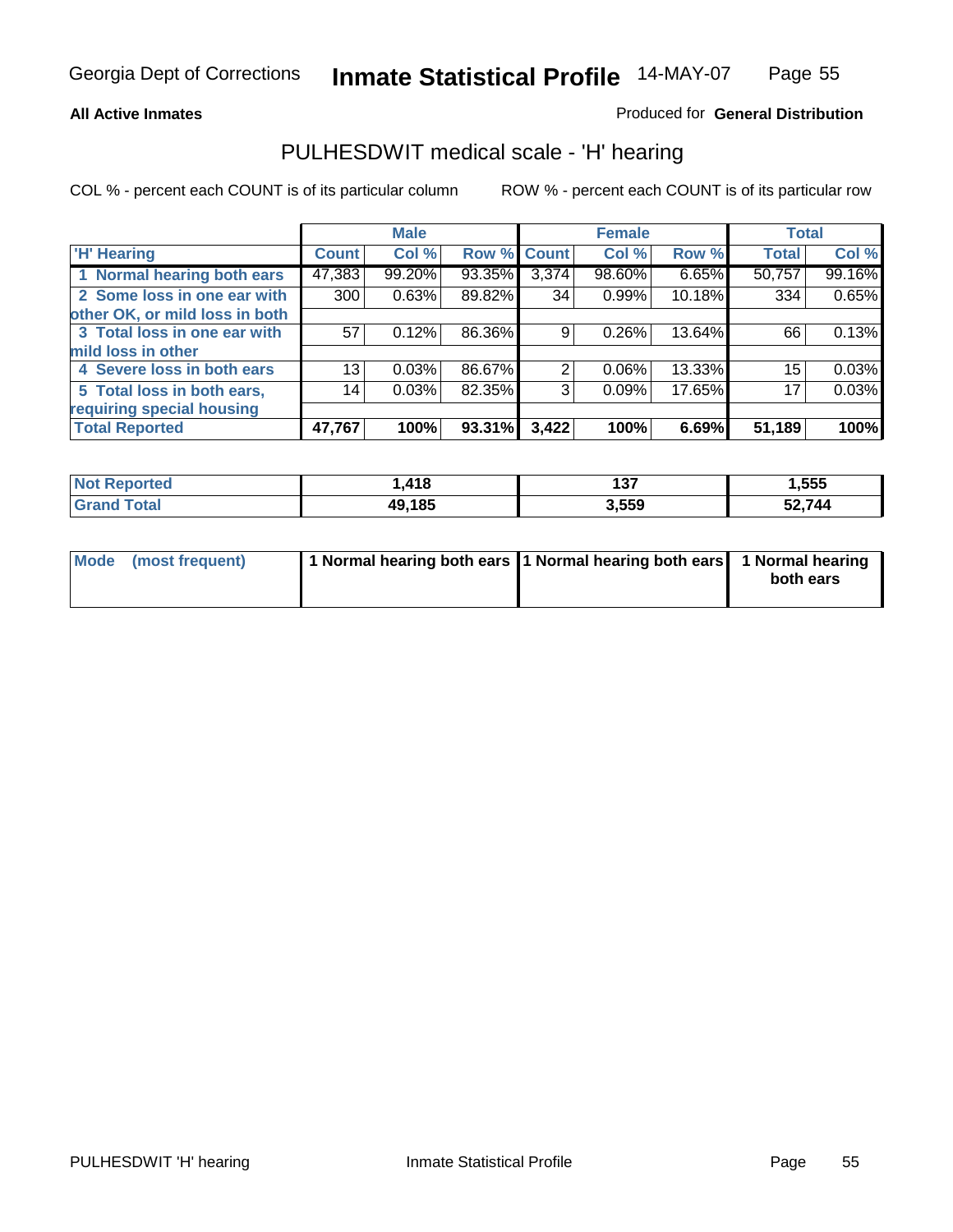#### **All Active Inmates**

#### Produced for **General Distribution**

### PULHESDWIT medical scale - 'H' hearing

|                                |              | <b>Male</b> |             |       | <b>Female</b> |        | <b>Total</b> |        |
|--------------------------------|--------------|-------------|-------------|-------|---------------|--------|--------------|--------|
| <b>H'</b> Hearing              | <b>Count</b> | Col %       | Row % Count |       | Col %         | Row %  | <b>Total</b> | Col %  |
| 1 Normal hearing both ears     | 47,383       | 99.20%      | 93.35%      | 3,374 | 98.60%        | 6.65%  | 50,757       | 99.16% |
| 2 Some loss in one ear with    | 300          | 0.63%       | 89.82%      | 34    | 0.99%         | 10.18% | 334          | 0.65%  |
| other OK, or mild loss in both |              |             |             |       |               |        |              |        |
| 3 Total loss in one ear with   | 57           | 0.12%       | 86.36%      | 9     | $0.26\%$      | 13.64% | 66           | 0.13%  |
| mild loss in other             |              |             |             |       |               |        |              |        |
| 4 Severe loss in both ears     | 13           | 0.03%       | 86.67%      | 2     | $0.06\%$      | 13.33% | 15           | 0.03%  |
| 5 Total loss in both ears,     | 14           | 0.03%       | 82.35%      | 3     | 0.09%         | 17.65% | 17           | 0.03%  |
| requiring special housing      |              |             |             |       |               |        |              |        |
| <b>Total Reported</b>          | 47,767       | 100%        | 93.31%      | 3,422 | 100%          | 6.69%  | 51,189       | 100%   |

| orted       | 44 C<br>/ I O | ---<br>וטו | 555. ا |
|-------------|---------------|------------|--------|
| $f$ oto $f$ | 49,185        | 3,559      | 52,744 |

| Mode (most frequent) | 1 Normal hearing both ears   1 Normal hearing both ears   1 Normal hearing |           |
|----------------------|----------------------------------------------------------------------------|-----------|
|                      |                                                                            | both ears |
|                      |                                                                            |           |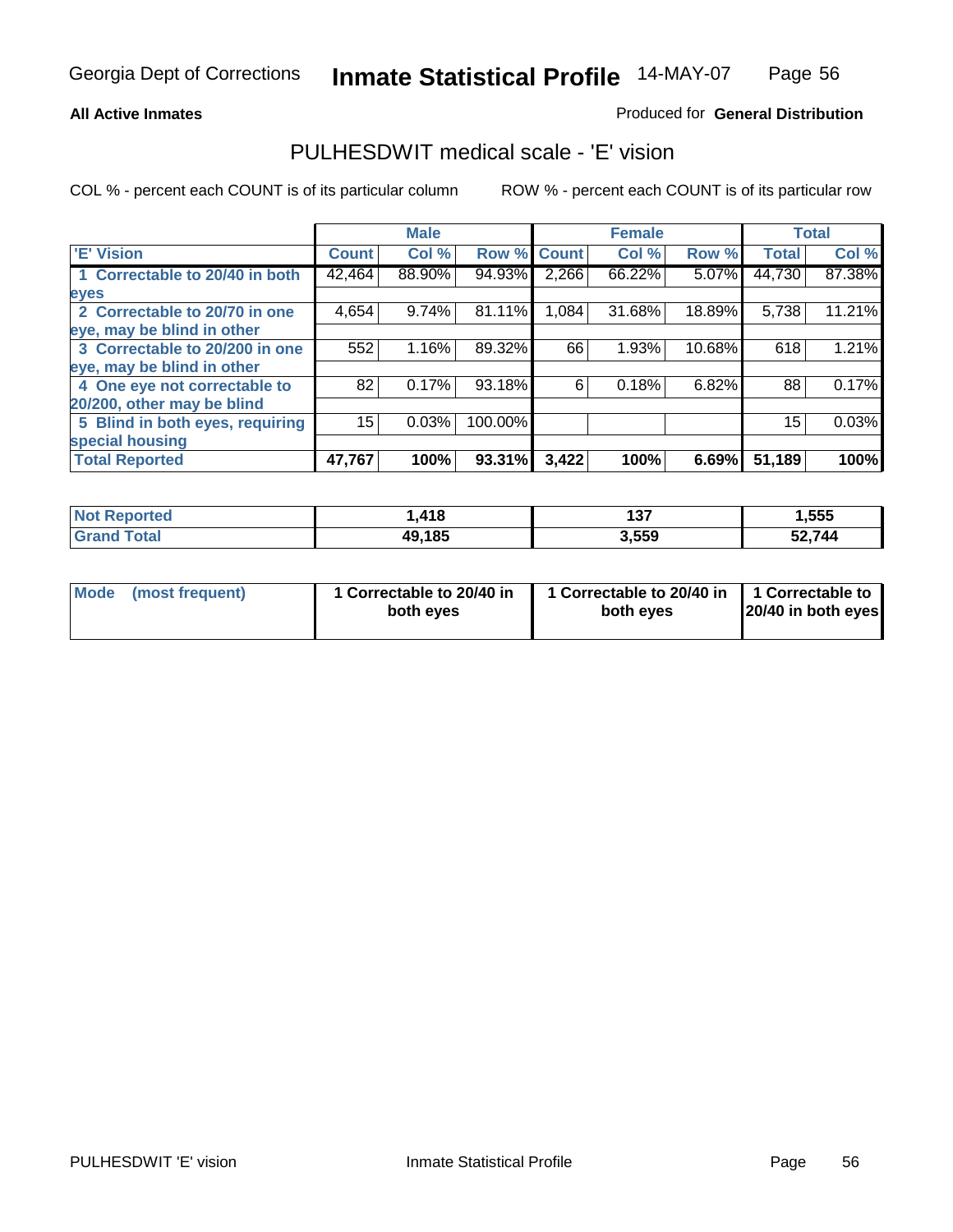### **All Active Inmates**

### Produced for **General Distribution**

### PULHESDWIT medical scale - 'E' vision

|                                 |              | <b>Male</b> |             |       | <b>Female</b> |        |              | <b>Total</b> |
|---------------------------------|--------------|-------------|-------------|-------|---------------|--------|--------------|--------------|
| 'E' Vision                      | <b>Count</b> | Col %       | Row % Count |       | Col %         | Row %  | <b>Total</b> | Col %        |
| 1 Correctable to 20/40 in both  | 42,464       | 88.90%      | 94.93%      | 2,266 | 66.22%        | 5.07%  | 44,730       | 87.38%       |
| eyes                            |              |             |             |       |               |        |              |              |
| 2 Correctable to 20/70 in one   | 4,654        | 9.74%       | 81.11%      | 1,084 | 31.68%        | 18.89% | 5,738        | 11.21%       |
| eye, may be blind in other      |              |             |             |       |               |        |              |              |
| 3 Correctable to 20/200 in one  | 552          | 1.16%       | 89.32%      | 66    | 1.93%         | 10.68% | 618          | 1.21%        |
| eye, may be blind in other      |              |             |             |       |               |        |              |              |
| 4 One eye not correctable to    | 82           | 0.17%       | 93.18%      | 6     | 0.18%         | 6.82%  | 88           | 0.17%        |
| 20/200, other may be blind      |              |             |             |       |               |        |              |              |
| 5 Blind in both eyes, requiring | 15           | 0.03%       | 100.00%     |       |               |        | 15           | 0.03%        |
| special housing                 |              |             |             |       |               |        |              |              |
| <b>Total Reported</b>           | 47,767       | 100%        | 93.31%      | 3,422 | 100%          | 6.69%  | 51,189       | 100%         |

| <b>Not Reported</b> | .418   | כ מ<br>، 3 ا | 1,555  |
|---------------------|--------|--------------|--------|
| Total<br>Grs        | 49,185 | 3,559        | 52,744 |

| Mode | (most frequent) | 1 Correctable to 20/40 in<br>both eves | 1 Correctable to 20/40 in   1 Correctable to<br>both eves | 20/40 in both eyes |
|------|-----------------|----------------------------------------|-----------------------------------------------------------|--------------------|
|      |                 |                                        |                                                           |                    |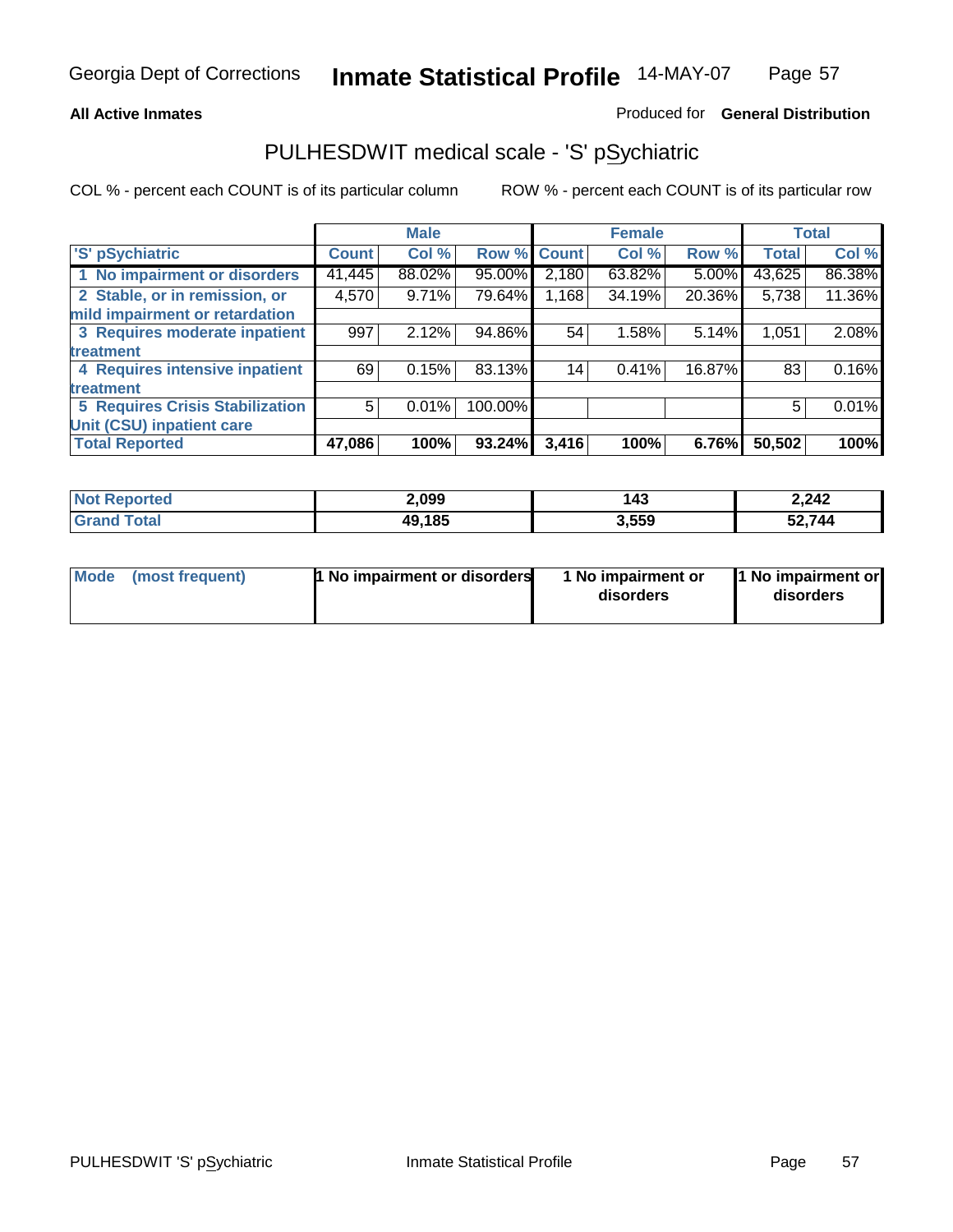#### **All Active Inmates**

#### Produced for **General Distribution**

# PULHESDWIT medical scale - 'S' pSychiatric

|                                        |              | <b>Male</b> |         |              | <b>Female</b> |        |              | <b>Total</b> |
|----------------------------------------|--------------|-------------|---------|--------------|---------------|--------|--------------|--------------|
| 'S' pSychiatric                        | <b>Count</b> | Col %       | Row %   | <b>Count</b> | Col %         | Row %  | <b>Total</b> | Col %        |
| 1 No impairment or disorders           | 41,445       | 88.02%      | 95.00%  | 2,180        | 63.82%        | 5.00%  | 43,625       | 86.38%       |
| 2 Stable, or in remission, or          | 4,570        | 9.71%       | 79.64%  | 1,168        | 34.19%        | 20.36% | 5,738        | 11.36%       |
| mild impairment or retardation         |              |             |         |              |               |        |              |              |
| 3 Requires moderate inpatient          | 997          | 2.12%       | 94.86%  | 54           | 1.58%         | 5.14%  | 1,051        | 2.08%        |
| treatment                              |              |             |         |              |               |        |              |              |
| 4 Requires intensive inpatient         | 69           | 0.15%       | 83.13%  | 14           | 0.41%         | 16.87% | 83           | 0.16%        |
| treatment                              |              |             |         |              |               |        |              |              |
| <b>5 Requires Crisis Stabilization</b> | 5            | 0.01%       | 100.00% |              |               |        | 5            | 0.01%        |
| Unit (CSU) inpatient care              |              |             |         |              |               |        |              |              |
| <b>Total Reported</b>                  | 47,086       | 100%        | 93.24%  | 3,416        | 100%          | 6.76%  | 50,502       | 100%         |

| <b>Not Reported</b>    | 2,099  | 143   | 2,242  |
|------------------------|--------|-------|--------|
| $\tau$ otal<br>' Grand | 49,185 | 3,559 | 52,744 |

| Mode (most frequent) | <b>1</b> No impairment or disorders | 1 No impairment or<br>disorders | 1 No impairment or<br>disorders |
|----------------------|-------------------------------------|---------------------------------|---------------------------------|
|                      |                                     |                                 |                                 |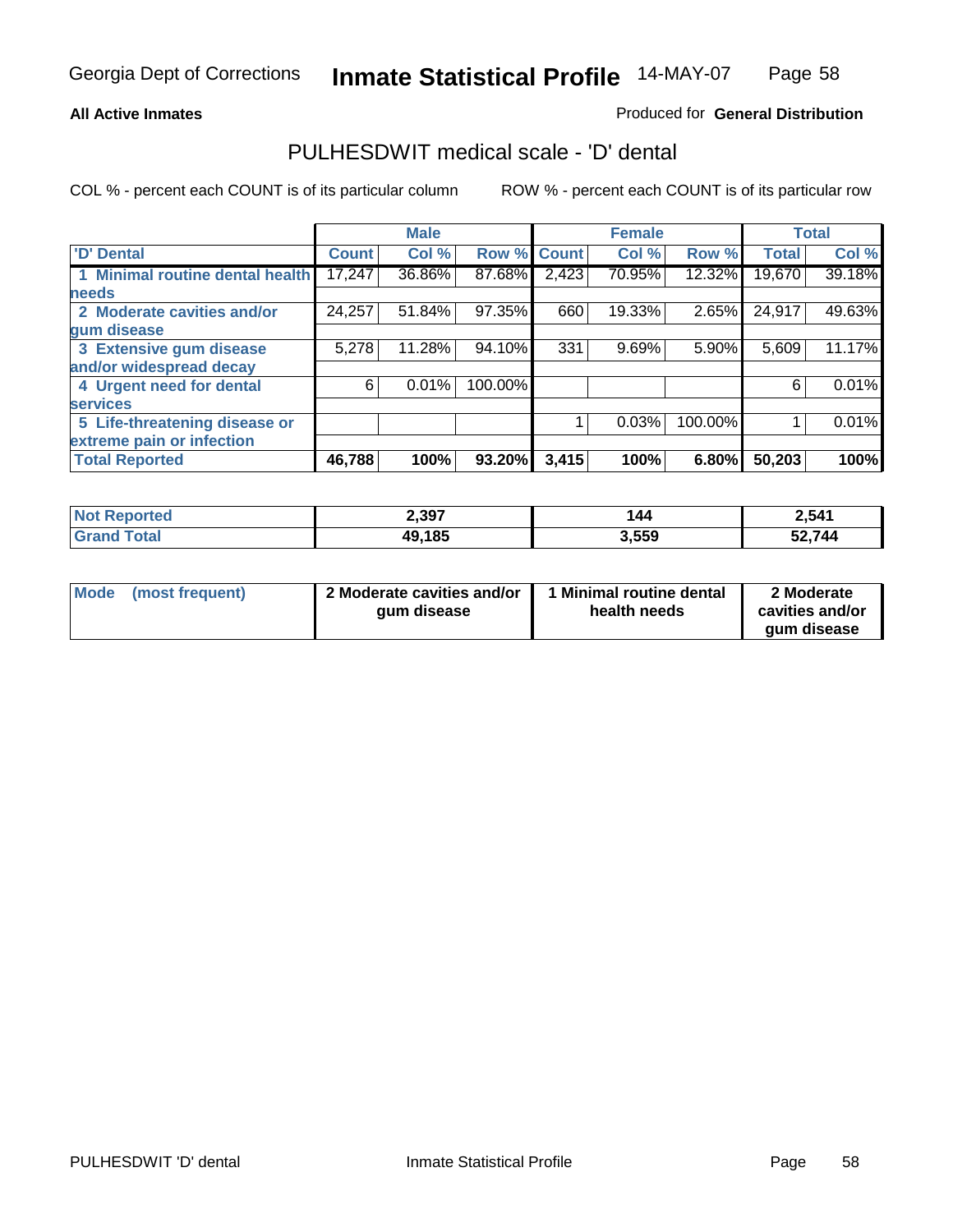#### **All Active Inmates**

#### Produced for **General Distribution**

### PULHESDWIT medical scale - 'D' dental

|                                                    |              | <b>Male</b> |             |       | <b>Female</b> |         |              | <b>Total</b> |
|----------------------------------------------------|--------------|-------------|-------------|-------|---------------|---------|--------------|--------------|
| <b>D' Dental</b>                                   | <b>Count</b> | Col %       | Row % Count |       | Col %         | Row %   | <b>Total</b> | Col %        |
| 1 Minimal routine dental health                    | 17,247       | 36.86%      | 87.68%      | 2,423 | 70.95%        | 12.32%  | 19,670       | 39.18%       |
| <b>needs</b><br>2 Moderate cavities and/or         | 24,257       | 51.84%      | 97.35%      | 660   | 19.33%        | 2.65%   | 24,917       | 49.63%       |
| gum disease<br>3 Extensive gum disease             | 5,278        | 11.28%      | 94.10%      | 331   | 9.69%         | 5.90%   | 5,609        | 11.17%       |
| and/or widespread decay                            |              |             |             |       |               |         |              |              |
| 4 Urgent need for dental<br><b>services</b>        | 6            | 0.01%       | 100.00%     |       |               |         | 6            | 0.01%        |
| 5 Life-threatening disease or                      |              |             |             |       | 0.03%         | 100.00% |              | 0.01%        |
| extreme pain or infection<br><b>Total Reported</b> | 46,788       | 100%        | 93.20%      | 3,415 | 100%          | 6.80%   | 50,203       | 100%         |

| <b>Not Reported</b>   | 2,397  | 144   | 2,541  |
|-----------------------|--------|-------|--------|
| Total<br><b>Grand</b> | 49,185 | 3,559 | 52,744 |

| <b>Mode</b> | (most frequent) | 2 Moderate cavities and/or<br>qum disease | Minimal routine dental<br>health needs | 2 Moderate<br>cavities and/or |
|-------------|-----------------|-------------------------------------------|----------------------------------------|-------------------------------|
|             |                 |                                           |                                        | qum disease                   |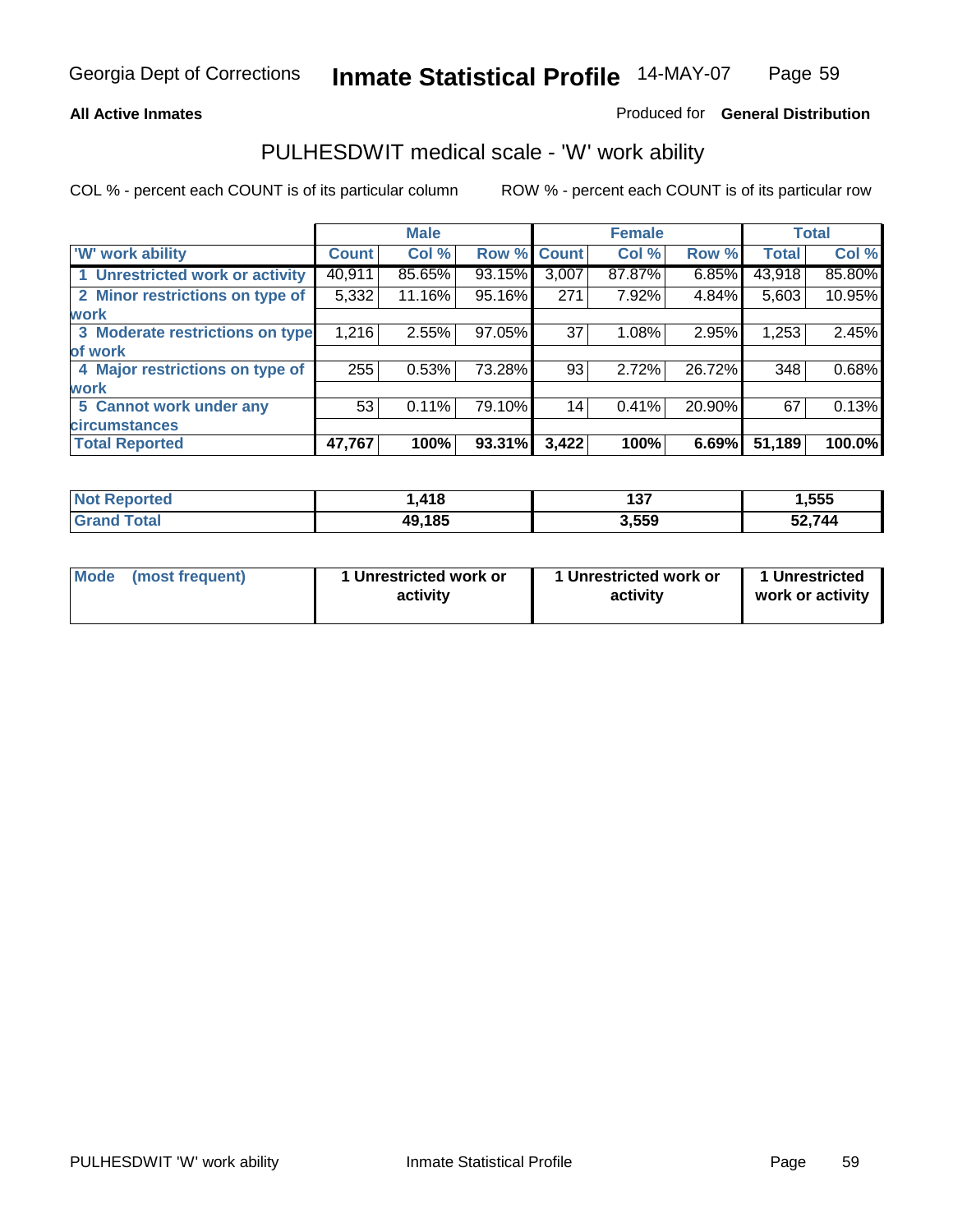#### **All Active Inmates**

#### Produced for **General Distribution**

### PULHESDWIT medical scale - 'W' work ability

|                                 |              | <b>Male</b> |             |       | <b>Female</b> |        |              | <b>Total</b> |
|---------------------------------|--------------|-------------|-------------|-------|---------------|--------|--------------|--------------|
| W' work ability                 | <b>Count</b> | Col %       | Row % Count |       | Col %         | Row %  | <b>Total</b> | Col %        |
| 1 Unrestricted work or activity | 40,911       | 85.65%      | 93.15%      | 3,007 | 87.87%        | 6.85%  | 43,918       | 85.80%       |
| 2 Minor restrictions on type of | 5,332        | 11.16%      | 95.16%      | 271   | 7.92%         | 4.84%  | 5,603        | 10.95%       |
| <b>work</b>                     |              |             |             |       |               |        |              |              |
| 3 Moderate restrictions on type | 1,216        | 2.55%       | 97.05%      | 37    | 1.08%         | 2.95%  | 1,253        | 2.45%        |
| of work                         |              |             |             |       |               |        |              |              |
| 4 Major restrictions on type of | 255          | 0.53%       | 73.28%      | 93    | 2.72%         | 26.72% | 348          | 0.68%        |
| work                            |              |             |             |       |               |        |              |              |
| 5 Cannot work under any         | 53           | 0.11%       | 79.10%      | 14    | 0.41%         | 20.90% | 67           | 0.13%        |
| <b>circumstances</b>            |              |             |             |       |               |        |              |              |
| <b>Total Reported</b>           | 47,767       | 100%        | 93.31%      | 3,422 | 100%          | 6.69%  | 51,189       | 100.0%       |

| <b>Not Reported</b> | .418.  | 4.27<br>וטו | ,555   |
|---------------------|--------|-------------|--------|
| <b>Grand Total</b>  | 49,185 | 3,559       | 52,744 |

| Mode            | 1 Unrestricted work or | 1 Unrestricted work or | 1 Unrestricted   |
|-----------------|------------------------|------------------------|------------------|
| (most frequent) | activity               | activity               | work or activity |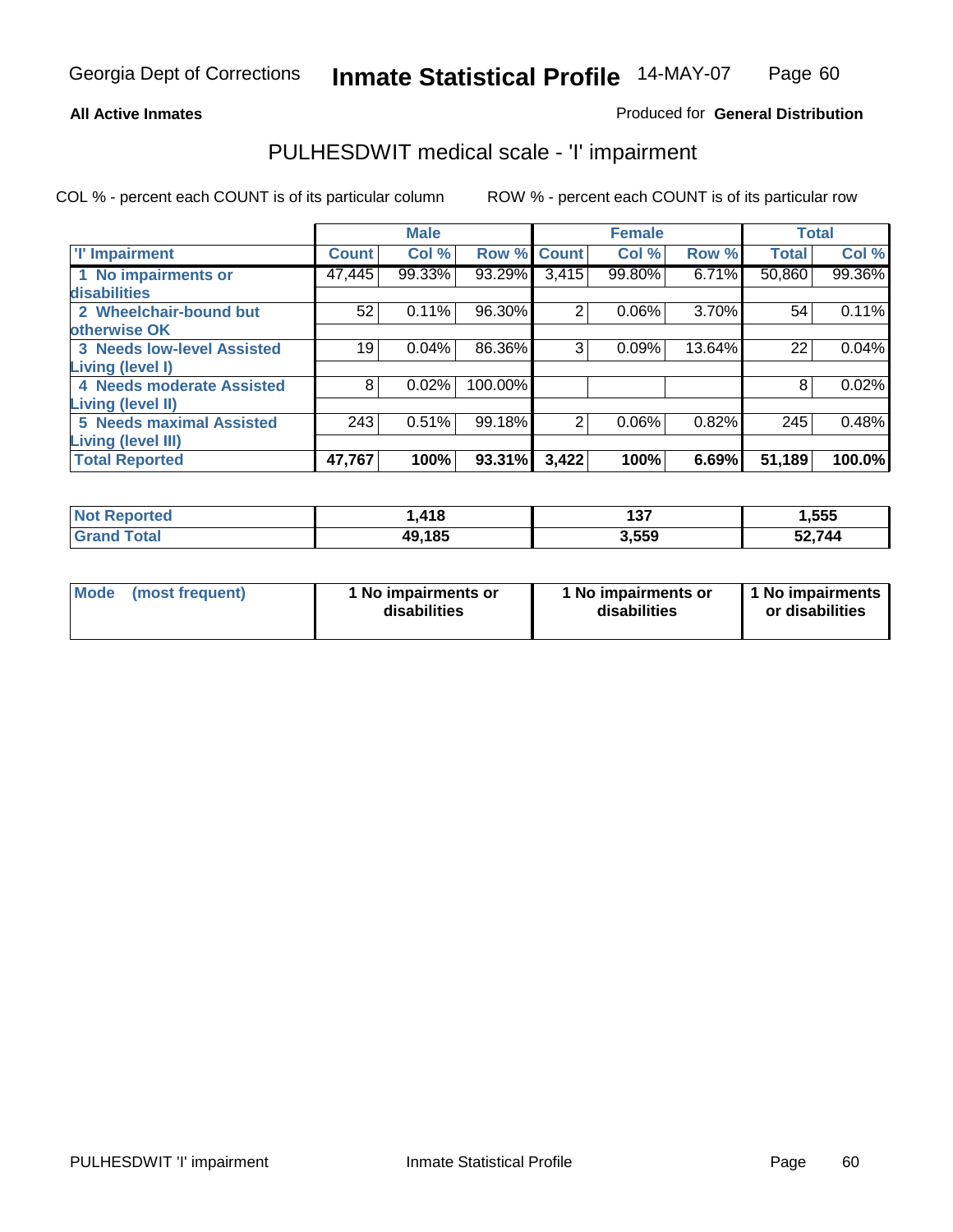### **All Active Inmates**

### Produced for **General Distribution**

# PULHESDWIT medical scale - 'I' impairment

|                                   |              | <b>Male</b> |             |       | <b>Female</b> |        | <b>Total</b> |        |
|-----------------------------------|--------------|-------------|-------------|-------|---------------|--------|--------------|--------|
| <b>T' Impairment</b>              | <b>Count</b> | Col %       | Row % Count |       | Col %         | Row %  | <b>Total</b> | Col %  |
| 1 No impairments or               | 47,445       | 99.33%      | $93.29\%$   | 3,415 | 99.80%        | 6.71%  | 50,860       | 99.36% |
| disabilities                      |              |             |             |       |               |        |              |        |
| 2 Wheelchair-bound but            | 52           | 0.11%       | 96.30%      | 2     | 0.06%         | 3.70%  | 54           | 0.11%  |
| otherwise OK                      |              |             |             |       |               |        |              |        |
| <b>3 Needs low-level Assisted</b> | 19           | 0.04%       | 86.36%      | 3     | 0.09%         | 13.64% | 22           | 0.04%  |
| Living (level I)                  |              |             |             |       |               |        |              |        |
| 4 Needs moderate Assisted         | 8            | 0.02%       | 100.00%     |       |               |        | 8            | 0.02%  |
| <b>Living (level II)</b>          |              |             |             |       |               |        |              |        |
| <b>5 Needs maximal Assisted</b>   | 243          | 0.51%       | 99.18%      | 2     | 0.06%         | 0.82%  | 245          | 0.48%  |
| <b>Living (level III)</b>         |              |             |             |       |               |        |              |        |
| <b>Total Reported</b>             | 47,767       | 100%        | 93.31%      | 3,422 | 100%          | 6.69%  | 51,189       | 100.0% |

| N <sub>O</sub><br><b>Reported</b> | ,418   | 137   | 1,555 |
|-----------------------------------|--------|-------|-------|
| 'otal                             | 49,185 | 3,559 | .744  |

| <b>Mode</b> | (most frequent) | 1 No impairments or<br>disabilities | 1 No impairments or<br>disabilities | 1 1 No impairments<br>or disabilities |
|-------------|-----------------|-------------------------------------|-------------------------------------|---------------------------------------|
|-------------|-----------------|-------------------------------------|-------------------------------------|---------------------------------------|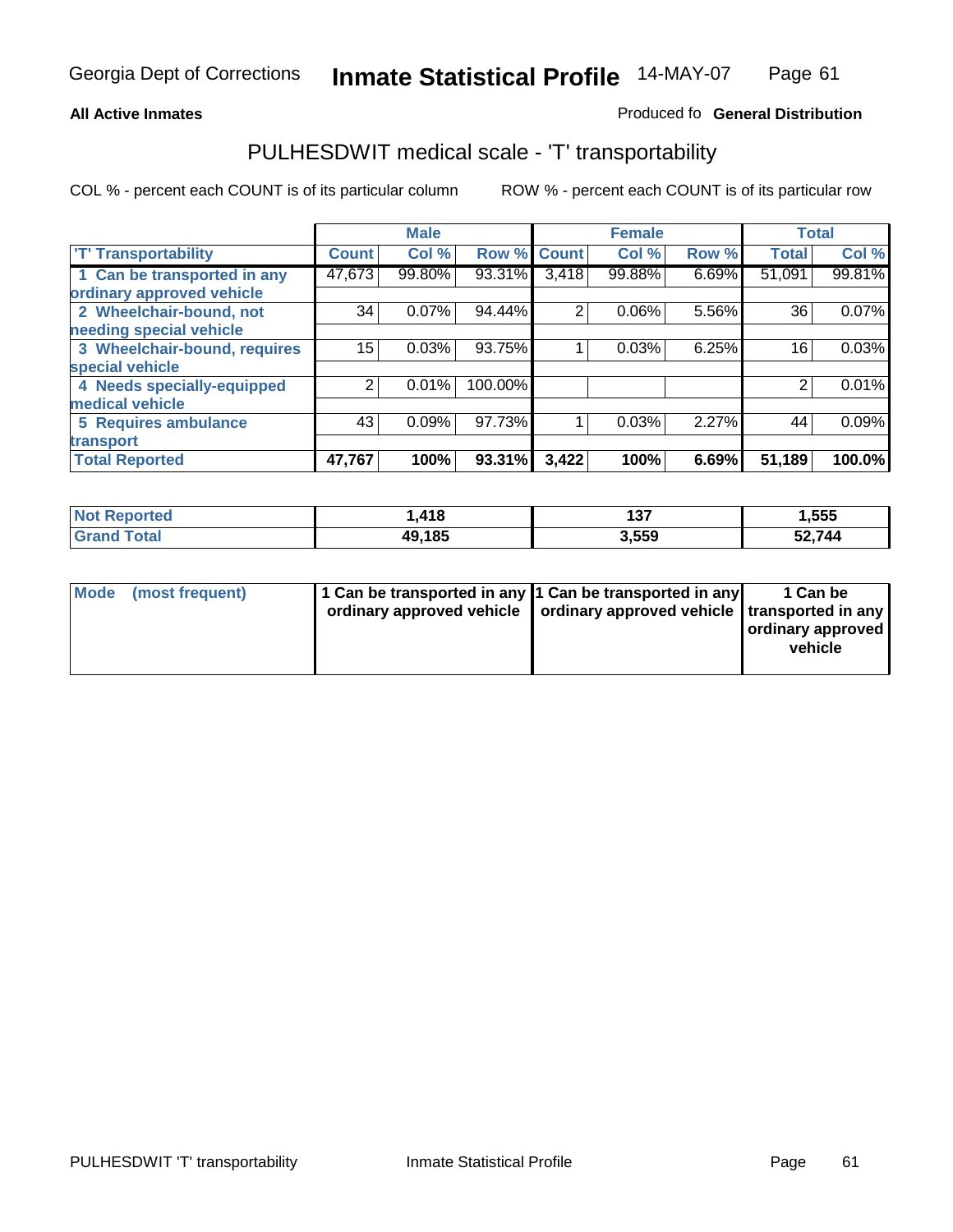#### **Inmate Statistical Profile** 14-MAY-07 Page Page 61

### **All Active Inmates Allowski** Produced fo **General Distribution**

## PULHESDWIT medical scale - 'T' transportability

|                              |              | <b>Male</b> |         |              | <b>Female</b> |       |              | <b>Total</b> |
|------------------------------|--------------|-------------|---------|--------------|---------------|-------|--------------|--------------|
| <b>T' Transportability</b>   | <b>Count</b> | Col %       | Row %   | <b>Count</b> | Col %         | Row % | <b>Total</b> | Col %        |
| 1 Can be transported in any  | 47,673       | 99.80%      | 93.31%  | 3,418        | 99.88%        | 6.69% | 51,091       | 99.81%       |
| ordinary approved vehicle    |              |             |         |              |               |       |              |              |
| 2 Wheelchair-bound, not      | 34           | 0.07%       | 94.44%  | 2            | 0.06%         | 5.56% | 36           | 0.07%        |
| needing special vehicle      |              |             |         |              |               |       |              |              |
| 3 Wheelchair-bound, requires | 15           | 0.03%       | 93.75%  |              | 0.03%         | 6.25% | 16           | 0.03%        |
| special vehicle              |              |             |         |              |               |       |              |              |
| 4 Needs specially-equipped   | 2            | 0.01%       | 100.00% |              |               |       |              | 0.01%        |
| medical vehicle              |              |             |         |              |               |       |              |              |
| <b>5 Requires ambulance</b>  | 43           | 0.09%       | 97.73%  |              | 0.03%         | 2.27% | 44           | 0.09%        |
| transport                    |              |             |         |              |               |       |              |              |
| <b>Total Reported</b>        | 47,767       | 100%        | 93.31%  | 3,422        | 100%          | 6.69% | 51,189       | 100.0%       |

| ported:<br>' Not      | ,418   | 137   | 1,555         |
|-----------------------|--------|-------|---------------|
| <b>c</b> otal<br>Gr2r | 49,185 | 3,559 | 2,744<br>ו ∠כ |

| Mode (most frequent) | 1 Can be transported in any 1 Can be transported in any | ordinary approved vehicle   ordinary approved vehicle   transported in any | 1 Can be<br>ordinary approved<br>vehicle |
|----------------------|---------------------------------------------------------|----------------------------------------------------------------------------|------------------------------------------|
|                      |                                                         |                                                                            |                                          |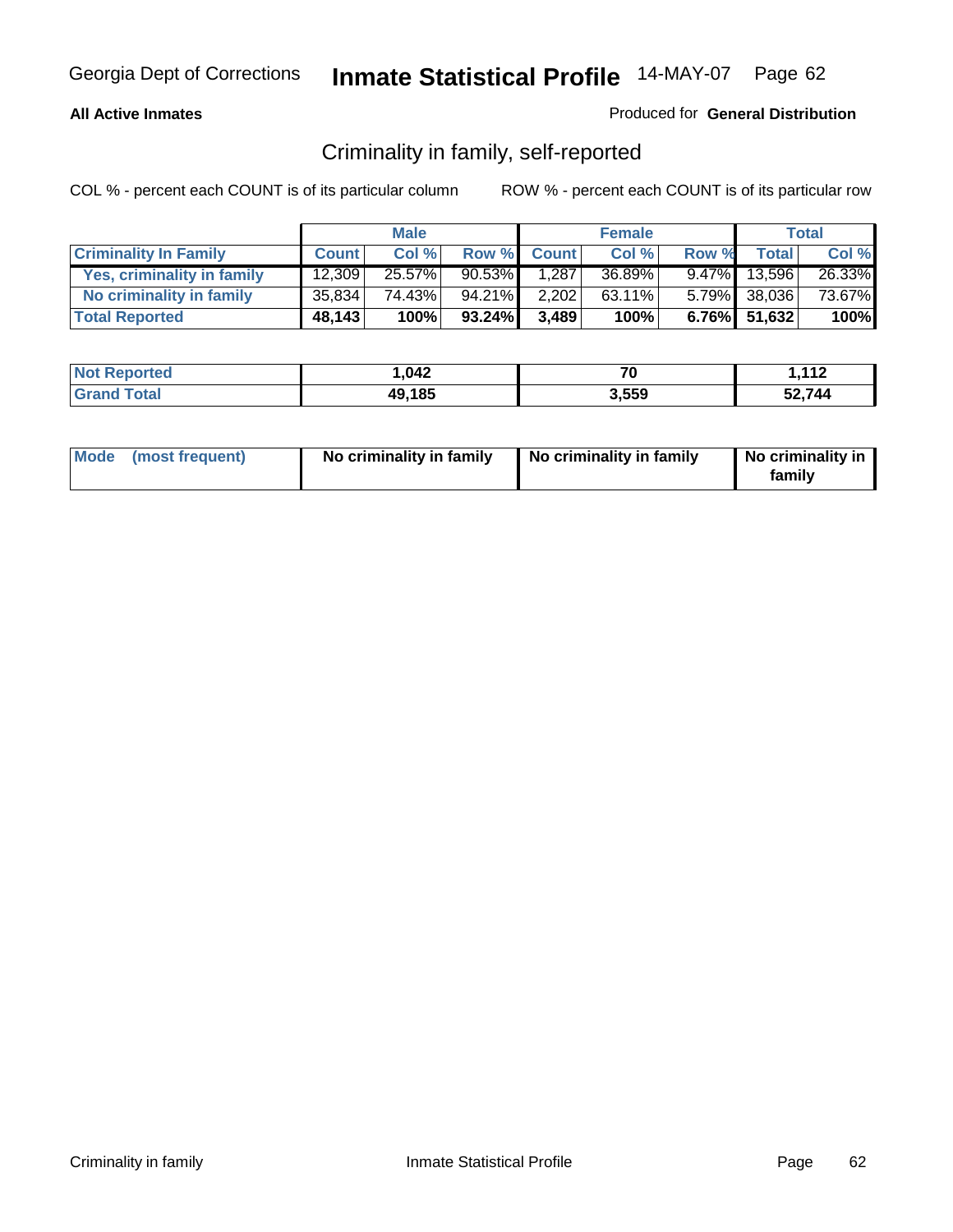### **All Active Inmates**

### Produced for **General Distribution**

# Criminality in family, self-reported

|                              |              | <b>Male</b> |           |              | <b>Female</b> |       |                 | <b>Total</b> |
|------------------------------|--------------|-------------|-----------|--------------|---------------|-------|-----------------|--------------|
| <b>Criminality In Family</b> | <b>Count</b> | Col %       | Row %     | <b>Count</b> | Col %         | Row % | <b>Total</b>    | Col %        |
| Yes, criminality in family   | 12,309       | $25.57\%$   | $90.53\%$ | 1,287        | 36.89%        |       | $9.47\%$ 13,596 | 26.33%       |
| No criminality in family     | 35,834       | 74.43%      | 94.21%    | 2,202        | $63.11\%$     |       | 5.79% 38,036    | 73.67%       |
| <b>Total Reported</b>        | 48,143       | 100%        | $93.24\%$ | 3,489        | 100%          |       | 6.76% 51,632    | 100%         |

| N      | ,042        | --   | $\overline{A}$ |
|--------|-------------|------|----------------|
|        |             | ιU   | .              |
| ______ | .185<br>49, | .559 | $-11$<br>'Д. / |

|  | Mode (most frequent) | No criminality in family | No criminality in family | No criminality in<br>family |
|--|----------------------|--------------------------|--------------------------|-----------------------------|
|--|----------------------|--------------------------|--------------------------|-----------------------------|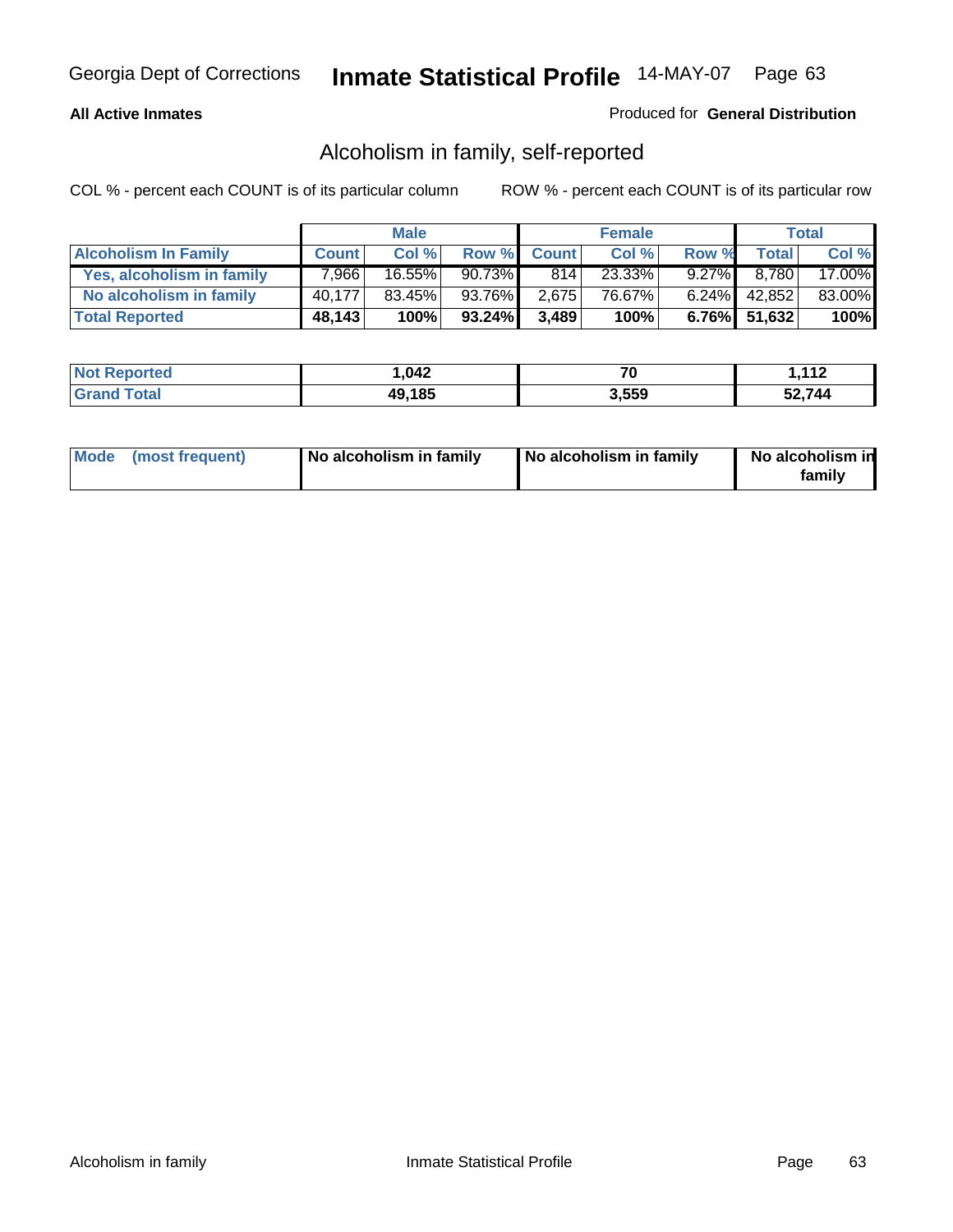### **All Active Inmates**

### Produced for **General Distribution**

# Alcoholism in family, self-reported

|                             |              | <b>Male</b> |           |              | <b>Female</b> |          |                 | <b>Total</b> |
|-----------------------------|--------------|-------------|-----------|--------------|---------------|----------|-----------------|--------------|
| <b>Alcoholism In Family</b> | <b>Count</b> | Col %       | Row %     | <b>Count</b> | Col %         | Row %    | <b>Total</b>    | Col %        |
| Yes, alcoholism in family   | 7.966        | 16.55%      | 90.73%    | 814          | 23.33%        | $9.27\%$ | 8.780           | 17.00%       |
| No alcoholism in family     | 40.177       | 83.45%      | 93.76%I   | 2,675        | 76.67%        |          | 6.24% 42,852    | 83.00%       |
| <b>Total Reported</b>       | 48,143       | 100%        | $93.24\%$ | 3,489        | 100%          |          | $6.76\%$ 51,632 | 100%         |

| <b>Not Reported</b> | 1,042  | 70<br>'U | 112<br>I . I I 4 |
|---------------------|--------|----------|------------------|
| <b>Grand Total</b>  | 49,185 | 3,559    | 52.744           |

|  | Mode (most frequent) | No alcoholism in family | No alcoholism in family | No alcoholism in<br>family |
|--|----------------------|-------------------------|-------------------------|----------------------------|
|--|----------------------|-------------------------|-------------------------|----------------------------|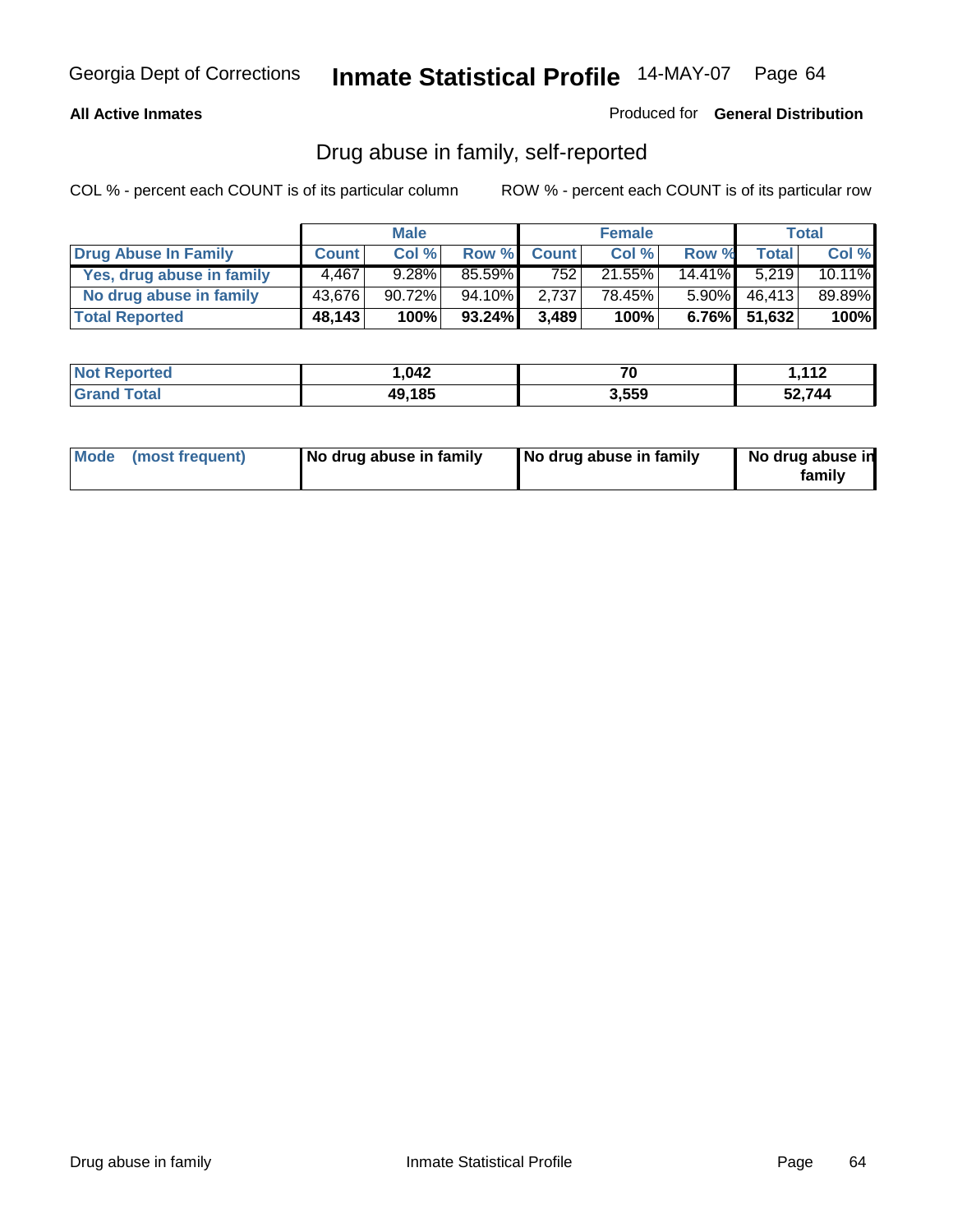#### **All Active Inmates**

Produced for **General Distribution**

# Drug abuse in family, self-reported

|                           |              | <b>Male</b> |        |              | <b>Female</b> |           |              | <b>Total</b> |
|---------------------------|--------------|-------------|--------|--------------|---------------|-----------|--------------|--------------|
| Drug Abuse In Family      | <b>Count</b> | Col %       | Row %  | <b>Count</b> | Col %         | Row %     | <b>Total</b> | Col %        |
| Yes, drug abuse in family | 4,467        | 9.28%       | 85.59% | 752          | 21.55%        | $14.41\%$ | 5.219        | 10.11%       |
| No drug abuse in family   | 43,676       | $90.72\%$   | 94.10% | 2,737        | 78.45%        | $5.90\%$  | 46,413       | 89.89%       |
| <b>Total Reported</b>     | 48,143       | 100%        | 93.24% | 3,489        | 100%          |           | 6.76% 51,632 | 100%         |

| <b>Not Reported</b> | 1,042  | 70<br>'U | 112<br>I . I I 4 |
|---------------------|--------|----------|------------------|
| <b>Grand Total</b>  | 49,185 | 3,559    | 52.744           |

|  | Mode (most frequent) | No drug abuse in family | No drug abuse in family | No drug abuse in<br>family |
|--|----------------------|-------------------------|-------------------------|----------------------------|
|--|----------------------|-------------------------|-------------------------|----------------------------|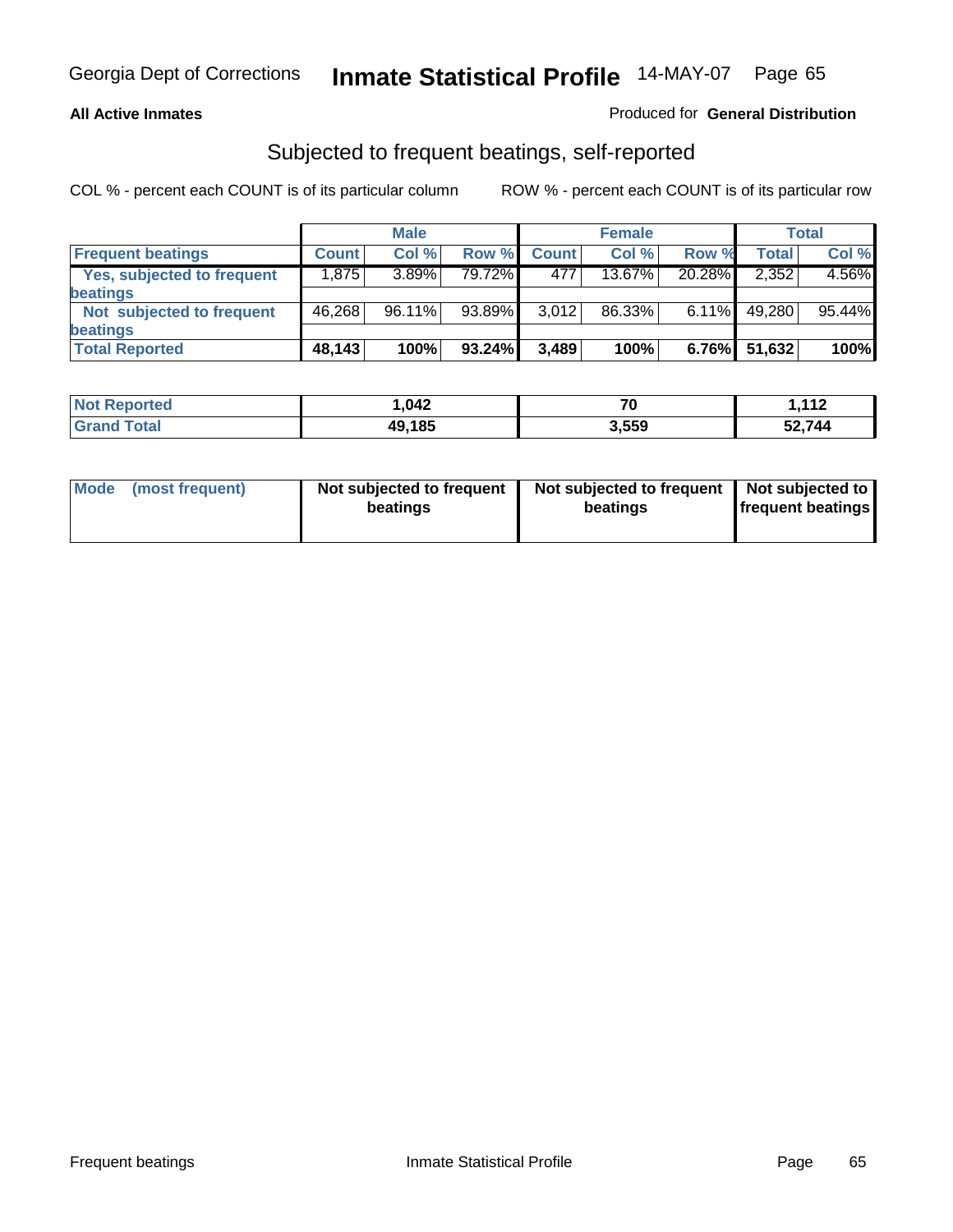#### **All Active Inmates**

### Produced for **General Distribution**

## Subjected to frequent beatings, self-reported

|                                   |              | <b>Male</b> |        |              | <b>Female</b> |          |        | <b>Total</b> |
|-----------------------------------|--------------|-------------|--------|--------------|---------------|----------|--------|--------------|
| <b>Frequent beatings</b>          | <b>Count</b> | Col%        | Row %  | <b>Count</b> | Col%          | Row %    | Total  | Col %        |
| <b>Yes, subjected to frequent</b> | 1.8751       | 3.89%       | 79.72% | 477          | 13.67%        | 20.28%   | 2,352  | 4.56%        |
| beatings                          |              |             |        |              |               |          |        |              |
| Not subjected to frequent         | 46,268       | $96.11\%$   | 93.89% | 3,012        | 86.33%        | $6.11\%$ | 49,280 | 95.44%       |
| beatings                          |              |             |        |              |               |          |        |              |
| <b>Total Reported</b>             | 48,143       | 100%        | 93.24% | 3,489        | 100%          | $6.76\%$ | 51,632 | 100%         |

| <b>Not Reported</b>    | 042. ا | - -<br>'U | 112<br>. <i>.</i> |
|------------------------|--------|-----------|-------------------|
| <b>Total</b><br>.Gran. | 49,185 | 3,559     | 52,744            |

| <b>Mode</b><br>(most frequent) | Not subjected to frequent<br>beatings | Not subjected to frequent   Not subjected to  <br>beatings | <b>frequent beatings</b> |  |
|--------------------------------|---------------------------------------|------------------------------------------------------------|--------------------------|--|
|                                |                                       |                                                            |                          |  |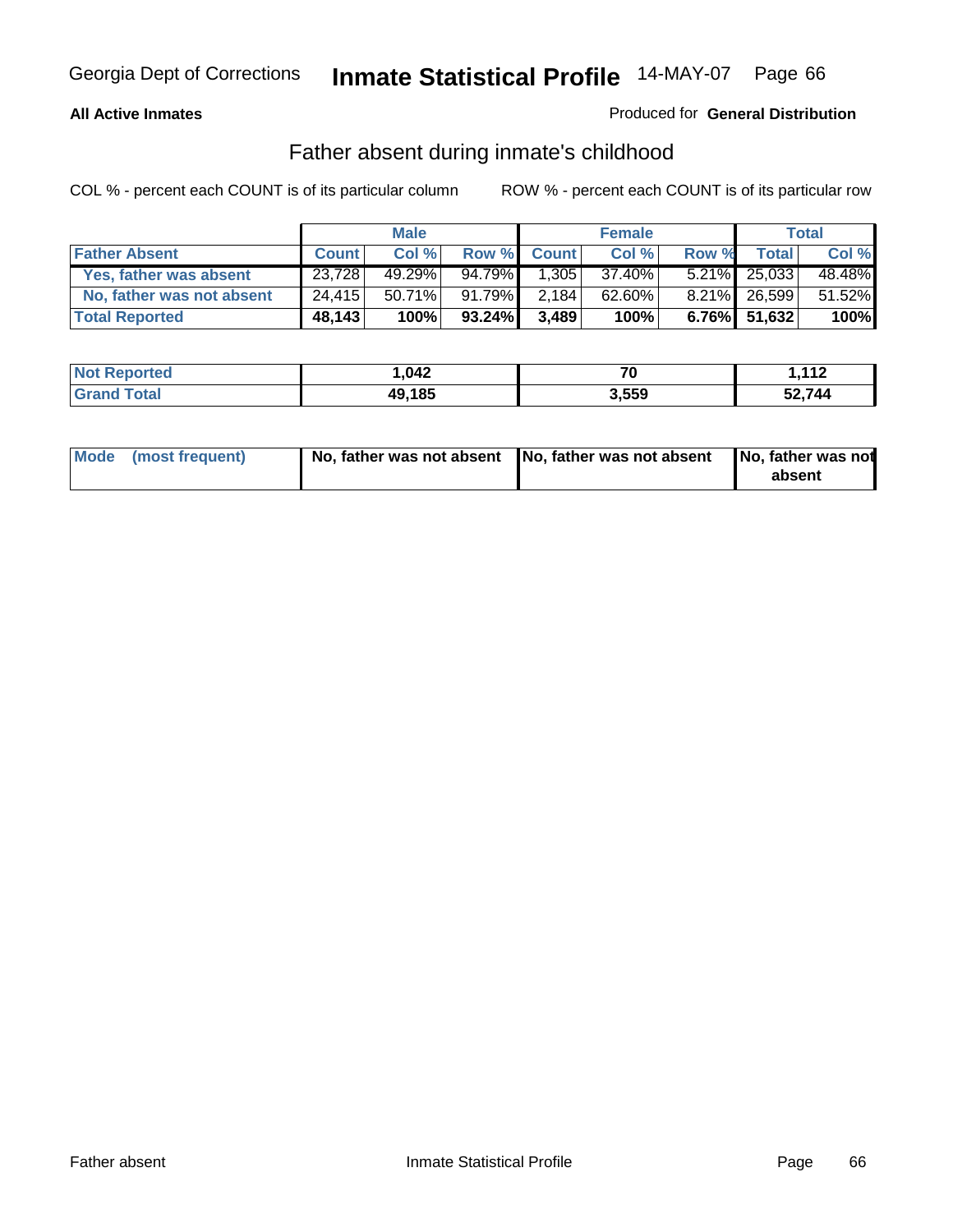### **All Active Inmates**

### Produced for **General Distribution**

# Father absent during inmate's childhood

|                           |              | <b>Male</b> |           |             | <b>Female</b> |       |                 | Total  |
|---------------------------|--------------|-------------|-----------|-------------|---------------|-------|-----------------|--------|
| <b>Father Absent</b>      | <b>Count</b> | Col %       |           | Row % Count | Col %         | Row % | <b>Total</b>    | Col %  |
| Yes, father was absent    | 23.728       | 49.29%      | $94.79\%$ | 1,305       | 37.40%        |       | 5.21% 25,033    | 48.48% |
| No, father was not absent | 24.415       | $50.71\%$   | 91.79%    | 2,184       | 62.60%        |       | 8.21% 26,599    | 51.52% |
| <b>Total Reported</b>     | 48,143       | 100%        | $93.24\%$ | 3,489       | 100%          |       | $6.76\%$ 51,632 | 100%   |

| <b>Not Reported</b> | 042. ا | 70<br>r u | 112<br>1, I I Z |
|---------------------|--------|-----------|-----------------|
| <b>Total</b>        | 49,185 | 3,559     | 52.744          |

| Mode (most frequent) |  | 「No, father was not absent ┃No, father was not absent ┃No, father was not | absent |
|----------------------|--|---------------------------------------------------------------------------|--------|
|----------------------|--|---------------------------------------------------------------------------|--------|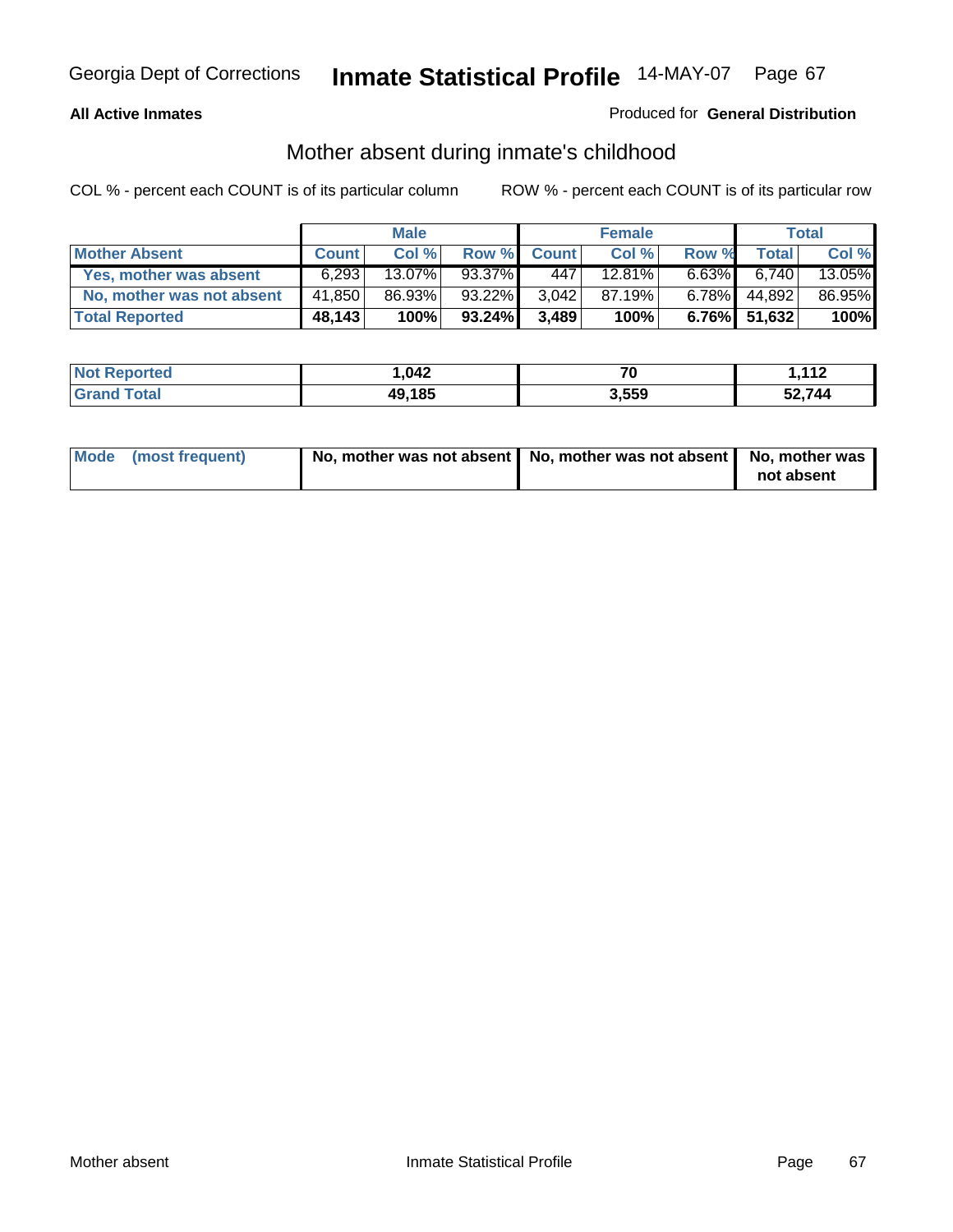### **All Active Inmates**

### Produced for **General Distribution**

# Mother absent during inmate's childhood

|                           |              | <b>Male</b> |        |              | <b>Female</b> |          |              | Total  |
|---------------------------|--------------|-------------|--------|--------------|---------------|----------|--------------|--------|
| <b>Mother Absent</b>      | <b>Count</b> | Col %       | Row %  | <b>Count</b> | Col %         | Row %    | <b>Total</b> | Col %  |
| Yes, mother was absent    | 6,293        | 13.07%      | 93.37% | 447          | 12.81%        | $6.63\%$ | 6.740        | 13.05% |
| No, mother was not absent | 41,850       | 86.93%      | 93.22% | 3.042        | 87.19%        | $6.78\%$ | 44,892       | 86.95% |
| <b>Total Reported</b>     | 48,143       | 100%        | 93.24% | 3,489        | 100%          |          | 6.76% 51,632 | 100%   |

| <b>Not Reported</b> | 1,042  | 70<br>'U | 112<br>I . I I 4 |
|---------------------|--------|----------|------------------|
| <b>Grand Total</b>  | 49,185 | 3,559    | 52.744           |

| Mode (most frequent) | No, mother was not absent $\vert$ No, mother was not absent $\vert$ No, mother was | not absent |
|----------------------|------------------------------------------------------------------------------------|------------|
|                      |                                                                                    |            |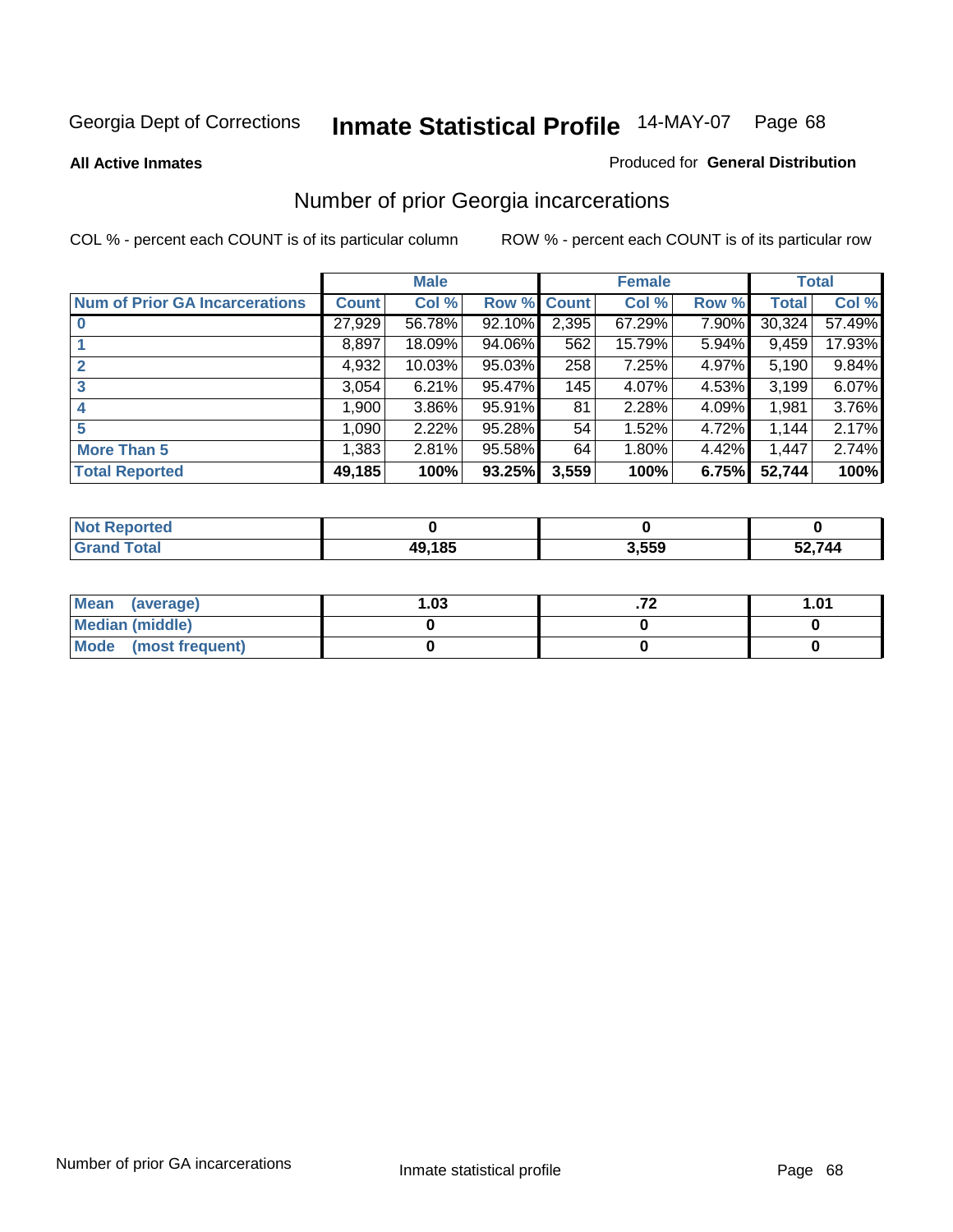#### **All Active Inmates**

#### Produced for **General Distribution**

# Number of prior Georgia incarcerations

|                                       |              | <b>Male</b> |                    |       | <b>Female</b> |       |        | <b>Total</b> |
|---------------------------------------|--------------|-------------|--------------------|-------|---------------|-------|--------|--------------|
| <b>Num of Prior GA Incarcerations</b> | <b>Count</b> | Col %       | <b>Row % Count</b> |       | Col %         | Row % | Total  | Col %        |
| $\bf{0}$                              | 27,929       | 56.78%      | 92.10%             | 2,395 | 67.29%        | 7.90% | 30,324 | 57.49%       |
|                                       | 8,897        | 18.09%      | 94.06%             | 562   | 15.79%        | 5.94% | 9,459  | 17.93%       |
|                                       | 4,932        | 10.03%      | 95.03%             | 258   | 7.25%         | 4.97% | 5,190  | 9.84%        |
|                                       | 3,054        | 6.21%       | 95.47%             | 145   | 4.07%         | 4.53% | 3,199  | 6.07%        |
|                                       | 1,900        | 3.86%       | 95.91%             | 81    | 2.28%         | 4.09% | 1,981  | 3.76%        |
| 5                                     | 1,090        | 2.22%       | 95.28%             | 54    | 1.52%         | 4.72% | 1,144  | 2.17%        |
| <b>More Than 5</b>                    | 1,383        | 2.81%       | 95.58%             | 64    | 1.80%         | 4.42% | 1,447  | 2.74%        |
| <b>Total Reported</b>                 | 49,185       | 100%        | 93.25%             | 3,559 | 100%          | 6.75% | 52,744 | 100%         |

| N              |        |      |        |
|----------------|--------|------|--------|
| . Cir<br>_____ | 49.185 | .559 | 52.744 |

| Mean (average)       | l.O3 | 1.01 |
|----------------------|------|------|
| Median (middle)      |      |      |
| Mode (most frequent) |      |      |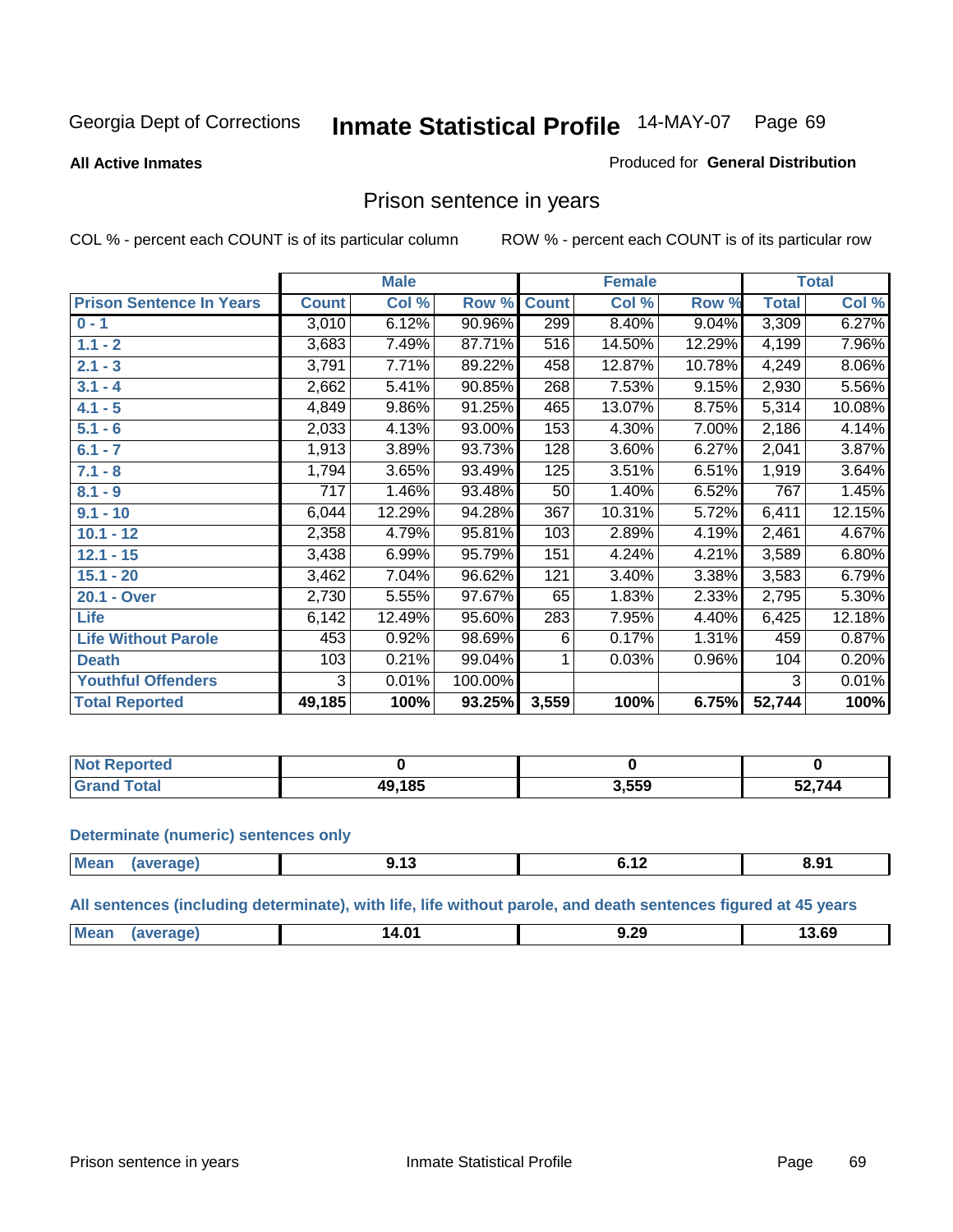**All Active Inmates**

#### Produced for **General Distribution**

# Prison sentence in years

COL % - percent each COUNT is of its particular column ROW % - percent each COUNT is of its particular row

|                                 |              | <b>Male</b> |         |              | <b>Female</b> |        | <b>Total</b> |        |
|---------------------------------|--------------|-------------|---------|--------------|---------------|--------|--------------|--------|
| <b>Prison Sentence In Years</b> | <b>Count</b> | Col %       | Row %   | <b>Count</b> | Col %         | Row %  | <b>Total</b> | Col %  |
| $0 - 1$                         | 3,010        | 6.12%       | 90.96%  | 299          | 8.40%         | 9.04%  | 3,309        | 6.27%  |
| $1.1 - 2$                       | 3,683        | 7.49%       | 87.71%  | 516          | 14.50%        | 12.29% | 4,199        | 7.96%  |
| $2.1 - 3$                       | 3,791        | 7.71%       | 89.22%  | 458          | 12.87%        | 10.78% | 4,249        | 8.06%  |
| $3.1 - 4$                       | 2,662        | 5.41%       | 90.85%  | 268          | 7.53%         | 9.15%  | 2,930        | 5.56%  |
| $4.1 - 5$                       | 4,849        | 9.86%       | 91.25%  | 465          | 13.07%        | 8.75%  | 5,314        | 10.08% |
| $5.1 - 6$                       | 2,033        | 4.13%       | 93.00%  | 153          | 4.30%         | 7.00%  | 2,186        | 4.14%  |
| $6.1 - 7$                       | 1,913        | 3.89%       | 93.73%  | 128          | 3.60%         | 6.27%  | 2,041        | 3.87%  |
| $7.1 - 8$                       | 1,794        | 3.65%       | 93.49%  | 125          | 3.51%         | 6.51%  | 1,919        | 3.64%  |
| $8.1 - 9$                       | 717          | 1.46%       | 93.48%  | 50           | 1.40%         | 6.52%  | 767          | 1.45%  |
| $9.1 - 10$                      | 6,044        | 12.29%      | 94.28%  | 367          | 10.31%        | 5.72%  | 6,411        | 12.15% |
| $10.1 - 12$                     | 2,358        | 4.79%       | 95.81%  | 103          | 2.89%         | 4.19%  | 2,461        | 4.67%  |
| $12.1 - 15$                     | 3,438        | 6.99%       | 95.79%  | 151          | 4.24%         | 4.21%  | 3,589        | 6.80%  |
| $15.1 - 20$                     | 3,462        | 7.04%       | 96.62%  | 121          | 3.40%         | 3.38%  | 3,583        | 6.79%  |
| 20.1 - Over                     | 2,730        | 5.55%       | 97.67%  | 65           | 1.83%         | 2.33%  | 2,795        | 5.30%  |
| <b>Life</b>                     | 6,142        | 12.49%      | 95.60%  | 283          | 7.95%         | 4.40%  | 6,425        | 12.18% |
| <b>Life Without Parole</b>      | 453          | 0.92%       | 98.69%  | 6            | 0.17%         | 1.31%  | 459          | 0.87%  |
| <b>Death</b>                    | 103          | 0.21%       | 99.04%  |              | 0.03%         | 0.96%  | 104          | 0.20%  |
| <b>Youthful Offenders</b>       | 3            | 0.01%       | 100.00% |              |               |        | 3            | 0.01%  |
| <b>Total Reported</b>           | 49,185       | 100%        | 93.25%  | 3,559        | 100%          | 6.75%  | 52,744       | 100%   |

| ported<br><b>NOT</b> |        |       |       |
|----------------------|--------|-------|-------|
| <b>otal</b>          | 49,185 | 3,559 | 2,744 |

#### **Determinate (numeric) sentences only**

| Mear | апе | - 1 | <b>01 C</b><br>υ.υ |
|------|-----|-----|--------------------|
|      |     |     |                    |

**All sentences (including determinate), with life, life without parole, and death sentences figured at 45 years**

| 20<br>.                |        |              |      |      |
|------------------------|--------|--------------|------|------|
| -------<br>____<br>___ | $M$ ea | $\mathbf{a}$ | J.ZJ | 3.69 |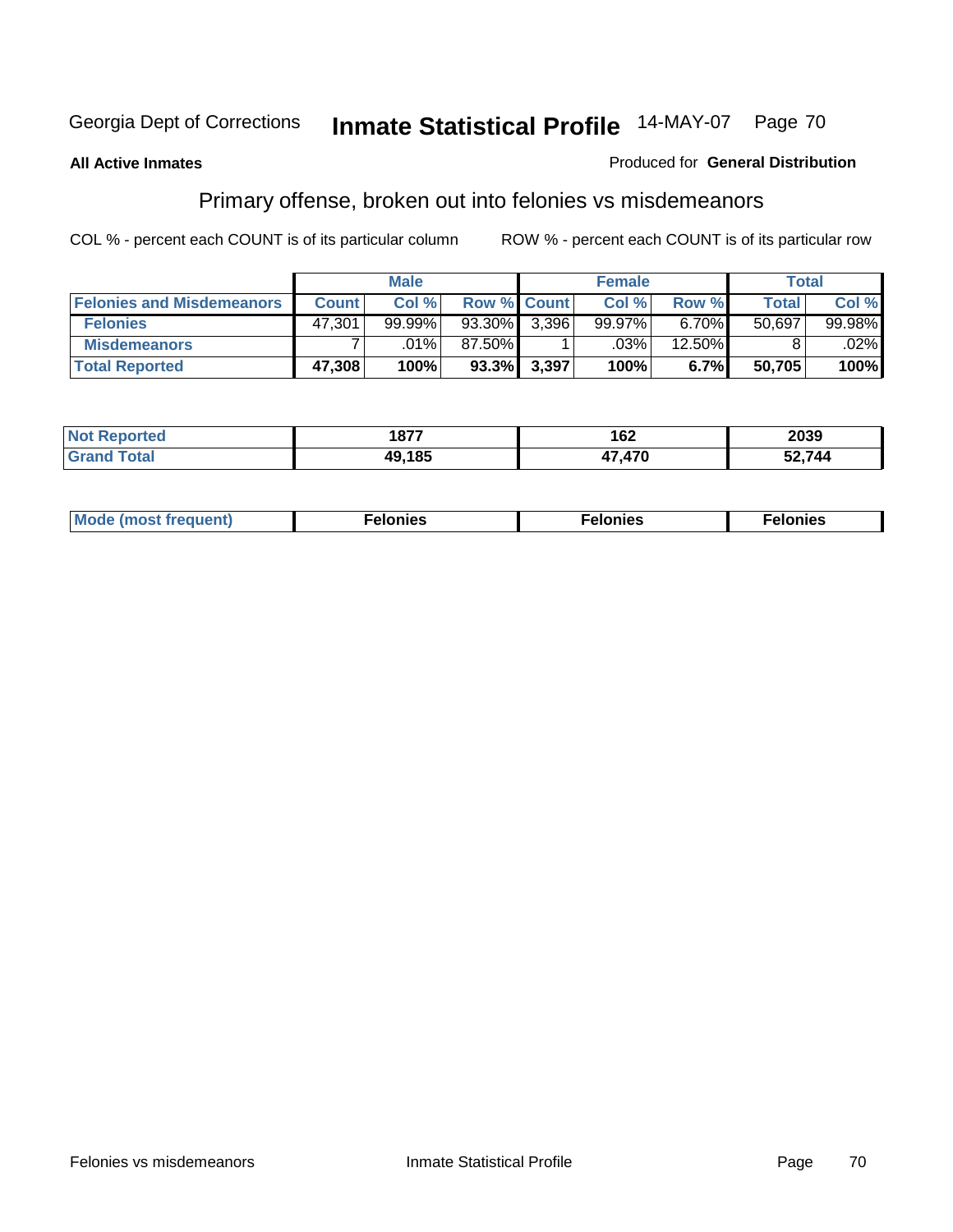#### **All Active Inmates**

#### Produced for **General Distribution**

# Primary offense, broken out into felonies vs misdemeanors

|                                  |              | <b>Male</b> |                    |       | <b>Female</b> |        |              | Total   |
|----------------------------------|--------------|-------------|--------------------|-------|---------------|--------|--------------|---------|
| <b>Felonies and Misdemeanors</b> | <b>Count</b> | Col%        | <b>Row % Count</b> |       | Col %         | Row %  | <b>Total</b> | Col %   |
| <b>Felonies</b>                  | 47,301       | $99.99\%$   | 93.30%             | 3.396 | 99.97%        | 6.70%  | 50,697       | 99.98%  |
| <b>Misdemeanors</b>              |              | $.01\%$     | 87.50%             |       | .03%          | 12.50% |              | $.02\%$ |
| <b>Total Reported</b>            | 47,308       | 100%        | 93.3%              | 3,397 | 100%          | 6.7%   | 50,705       | 100%    |

| <b>Not</b><br>ted <sup>-</sup><br>. | 1877     | 167<br>I VZ         | 2039  |
|-------------------------------------|----------|---------------------|-------|
|                                     | 10 4 O.E | 170<br>$\mathbf{r}$ | 2.744 |

| Mode (most frequent) | elonies | elonies | onies<br>-е к |
|----------------------|---------|---------|---------------|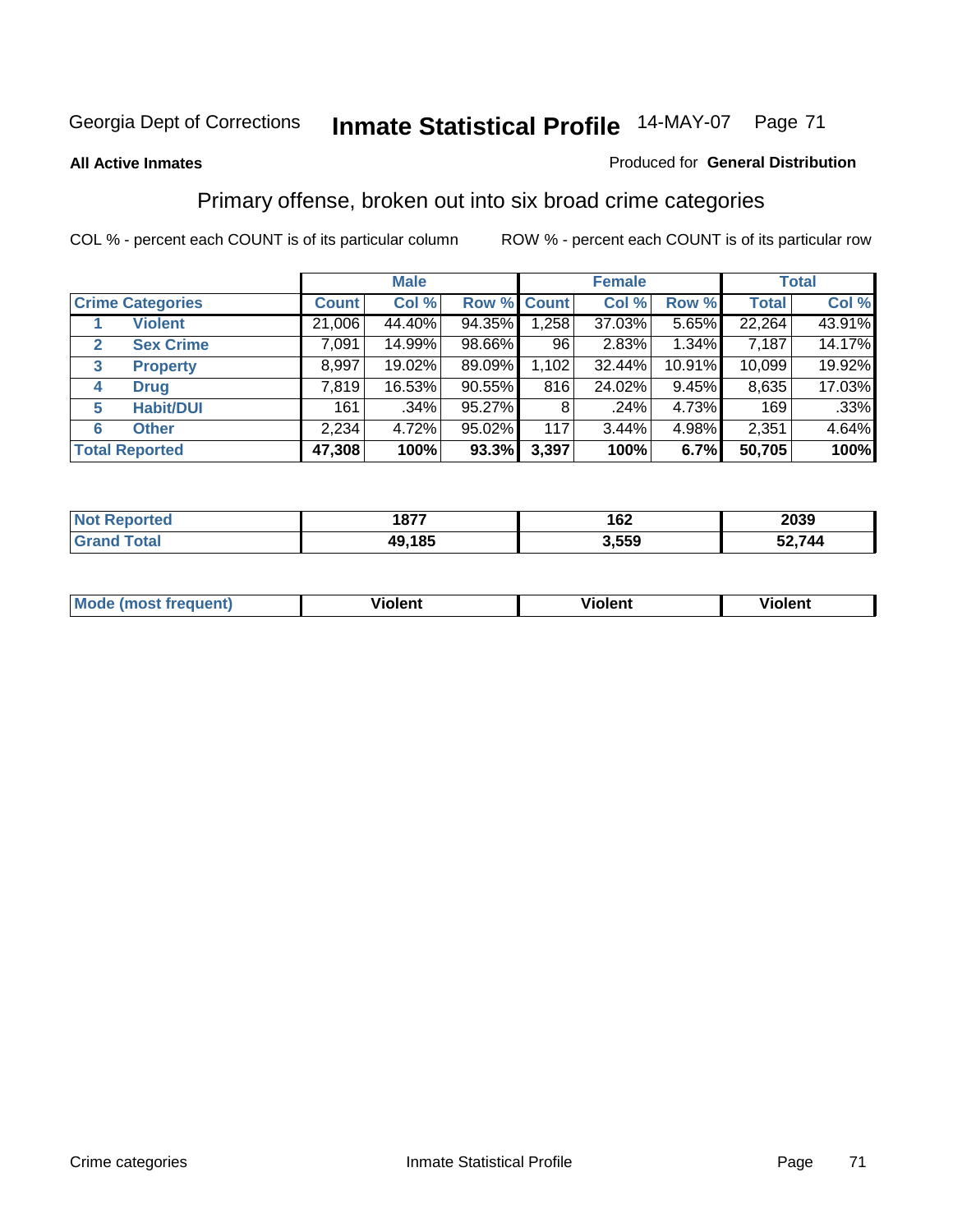#### **All Active Inmates**

#### Produced for **General Distribution**

# Primary offense, broken out into six broad crime categories

|                                  |              | <b>Male</b> |                    |       | <b>Female</b> |        |              | <b>Total</b> |  |
|----------------------------------|--------------|-------------|--------------------|-------|---------------|--------|--------------|--------------|--|
| <b>Crime Categories</b>          | <b>Count</b> | Col %       | <b>Row % Count</b> |       | Col %         | Row %  | <b>Total</b> | Col %        |  |
| <b>Violent</b>                   | 21,006       | 44.40%      | 94.35%             | 1,258 | 37.03%        | 5.65%  | 22,264       | 43.91%       |  |
| <b>Sex Crime</b><br>$\mathbf{2}$ | 7,091        | 14.99%      | 98.66%             | 96    | 2.83%         | 1.34%  | 7,187        | 14.17%       |  |
| $\mathbf{3}$<br><b>Property</b>  | 8,997        | 19.02%      | 89.09%             | 1,102 | 32.44%        | 10.91% | 10,099       | 19.92%       |  |
| <b>Drug</b><br>4                 | 7,819        | 16.53%      | $90.55\%$          | 816   | 24.02%        | 9.45%  | 8,635        | 17.03%       |  |
| <b>Habit/DUI</b><br>5            | 161          | $.34\%$     | 95.27%             | 8'    | .24%          | 4.73%  | 169          | .33%         |  |
| <b>Other</b><br>6                | 2,234        | 4.72%       | 95.02%             | 117   | 3.44%         | 4.98%  | 2,351        | 4.64%        |  |
| <b>Total Reported</b>            | 47,308       | 100%        | 93.3%              | 3,397 | 100%          | 6.7%   | 50,705       | 100%         |  |

| 1877   | 162   | 2039   |
|--------|-------|--------|
| 49,185 | 3,559 | 12,744 |

|  | <b>Mou</b><br>--- | .<br>วlent | ---<br>olent | ≀lent |
|--|-------------------|------------|--------------|-------|
|--|-------------------|------------|--------------|-------|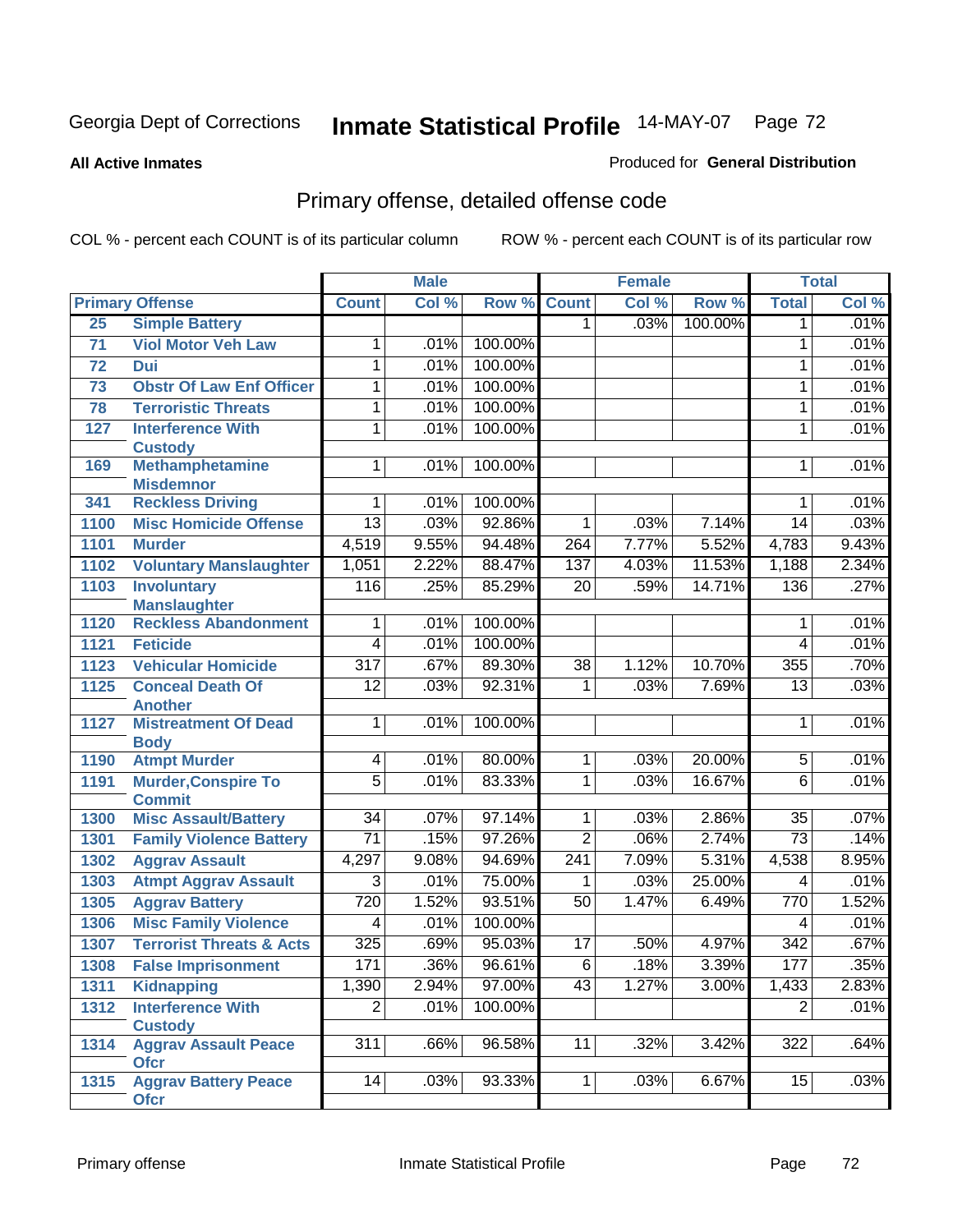**All Active Inmates**

#### Produced for **General Distribution**

# Primary offense, detailed offense code

|      |                                            |                  | <b>Male</b> |         |                 | <b>Female</b>              |         |                 | <b>Total</b> |
|------|--------------------------------------------|------------------|-------------|---------|-----------------|----------------------------|---------|-----------------|--------------|
|      | <b>Primary Offense</b>                     | <b>Count</b>     | Col %       | Row %   | <b>Count</b>    | $\overline{\text{Col }^9}$ | Row %   | <b>Total</b>    | Col %        |
| 25   | <b>Simple Battery</b>                      |                  |             |         | 1.              | .03%                       | 100.00% | 1               | .01%         |
| 71   | <b>Viol Motor Veh Law</b>                  | 1                | .01%        | 100.00% |                 |                            |         | 1               | .01%         |
| 72   | <b>Dui</b>                                 | 1                | .01%        | 100.00% |                 |                            |         | 1               | .01%         |
| 73   | <b>Obstr Of Law Enf Officer</b>            | 1                | .01%        | 100.00% |                 |                            |         | 1               | .01%         |
| 78   | <b>Terroristic Threats</b>                 | 1                | .01%        | 100.00% |                 |                            |         | $\mathbf{1}$    | .01%         |
| 127  | <b>Interference With</b>                   | 1                | .01%        | 100.00% |                 |                            |         | 1               | .01%         |
|      | <b>Custody</b>                             |                  |             |         |                 |                            |         |                 |              |
| 169  | <b>Methamphetamine</b><br><b>Misdemnor</b> | 1                | .01%        | 100.00% |                 |                            |         | 1               | .01%         |
| 341  | <b>Reckless Driving</b>                    | 1                | .01%        | 100.00% |                 |                            |         | 1               | .01%         |
| 1100 | <b>Misc Homicide Offense</b>               | $\overline{13}$  | .03%        | 92.86%  | 1               | .03%                       | 7.14%   | $\overline{14}$ | .03%         |
| 1101 | <b>Murder</b>                              | 4,519            | 9.55%       | 94.48%  | 264             | 7.77%                      | 5.52%   | 4,783           | 9.43%        |
| 1102 | <b>Voluntary Manslaughter</b>              | 1,051            | 2.22%       | 88.47%  | 137             | 4.03%                      | 11.53%  | 1,188           | 2.34%        |
| 1103 | <b>Involuntary</b>                         | 116              | .25%        | 85.29%  | $\overline{20}$ | .59%                       | 14.71%  | 136             | .27%         |
|      | <b>Manslaughter</b>                        |                  |             |         |                 |                            |         |                 |              |
| 1120 | <b>Reckless Abandonment</b>                | 1                | .01%        | 100.00% |                 |                            |         | 1               | .01%         |
| 1121 | <b>Feticide</b>                            | 4                | .01%        | 100.00% |                 |                            |         | 4               | .01%         |
| 1123 | <b>Vehicular Homicide</b>                  | $\overline{317}$ | .67%        | 89.30%  | $\overline{38}$ | 1.12%                      | 10.70%  | 355             | .70%         |
| 1125 | <b>Conceal Death Of</b>                    | $\overline{12}$  | .03%        | 92.31%  | 1               | .03%                       | 7.69%   | $\overline{13}$ | .03%         |
|      | <b>Another</b>                             |                  |             |         |                 |                            |         |                 |              |
| 1127 | <b>Mistreatment Of Dead</b>                | 1                | .01%        | 100.00% |                 |                            |         | 1               | .01%         |
| 1190 | <b>Body</b><br><b>Atmpt Murder</b>         | $\overline{4}$   | .01%        | 80.00%  | 1               | .03%                       | 20.00%  | $\overline{5}$  | .01%         |
| 1191 | <b>Murder, Conspire To</b>                 | 5                | .01%        | 83.33%  | 1               | .03%                       | 16.67%  | $\overline{6}$  | .01%         |
|      | <b>Commit</b>                              |                  |             |         |                 |                            |         |                 |              |
| 1300 | <b>Misc Assault/Battery</b>                | $\overline{34}$  | .07%        | 97.14%  | $\overline{1}$  | .03%                       | 2.86%   | $\overline{35}$ | .07%         |
| 1301 | <b>Family Violence Battery</b>             | $\overline{71}$  | .15%        | 97.26%  | $\overline{2}$  | .06%                       | 2.74%   | $\overline{73}$ | .14%         |
| 1302 | <b>Aggrav Assault</b>                      | 4,297            | 9.08%       | 94.69%  | 241             | 7.09%                      | 5.31%   | 4,538           | 8.95%        |
| 1303 | <b>Atmpt Aggrav Assault</b>                | $\overline{3}$   | .01%        | 75.00%  | 1               | .03%                       | 25.00%  | 4               | .01%         |
| 1305 | <b>Aggrav Battery</b>                      | 720              | 1.52%       | 93.51%  | 50              | 1.47%                      | 6.49%   | 770             | 1.52%        |
| 1306 | <b>Misc Family Violence</b>                | 4                | .01%        | 100.00% |                 |                            |         | 4               | .01%         |
| 1307 | <b>Terrorist Threats &amp; Acts</b>        | 325              | .69%        | 95.03%  | $\overline{17}$ | .50%                       | 4.97%   | 342             | .67%         |
|      | 1308 False Imprisonment                    | $\overline{171}$ | .36%        | 96.61%  | $\overline{6}$  | .18%                       | 3.39%   | $\frac{1}{177}$ | .35%         |
| 1311 | <b>Kidnapping</b>                          | 1,390            | 2.94%       | 97.00%  | 43              | 1.27%                      | 3.00%   | 1,433           | 2.83%        |
| 1312 | <b>Interference With</b>                   | $\overline{2}$   | .01%        | 100.00% |                 |                            |         | $\overline{2}$  | .01%         |
|      | <b>Custody</b>                             |                  |             |         |                 |                            |         |                 |              |
| 1314 | <b>Aggrav Assault Peace</b><br><b>Ofcr</b> | $\overline{311}$ | .66%        | 96.58%  | 11              | .32%                       | 3.42%   | 322             | .64%         |
| 1315 | <b>Aggrav Battery Peace</b><br><b>Ofcr</b> | 14               | .03%        | 93.33%  | $\mathbf{1}$    | .03%                       | 6.67%   | 15              | .03%         |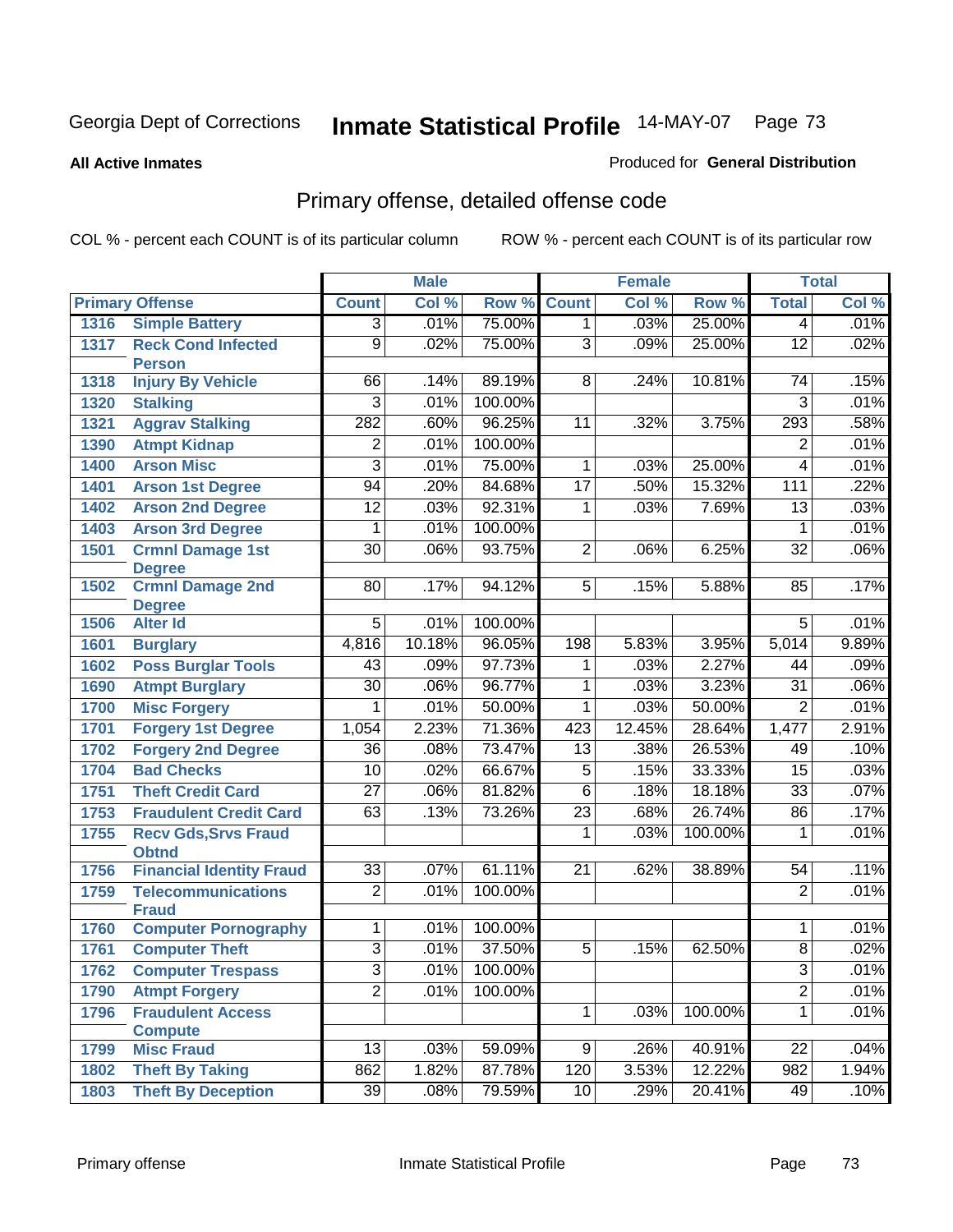#### **All Active Inmates**

### Produced for **General Distribution**

# Primary offense, detailed offense code

|      |                                  |                 | <b>Male</b> |         |                 | Female |         |                 | <b>Total</b> |
|------|----------------------------------|-----------------|-------------|---------|-----------------|--------|---------|-----------------|--------------|
|      | <b>Primary Offense</b>           | <b>Count</b>    | Col %       | Row %   | <b>Count</b>    | Col %  | Row %   | <b>Total</b>    | Col %        |
| 1316 | <b>Simple Battery</b>            | $\overline{3}$  | .01%        | 75.00%  | $\overline{1}$  | .03%   | 25.00%  | $\overline{4}$  | .01%         |
| 1317 | <b>Reck Cond Infected</b>        | $\overline{9}$  | .02%        | 75.00%  | $\overline{3}$  | .09%   | 25.00%  | $\overline{12}$ | .02%         |
|      | <b>Person</b>                    |                 |             |         |                 |        |         |                 |              |
| 1318 | <b>Injury By Vehicle</b>         | 66              | .14%        | 89.19%  | 8               | .24%   | 10.81%  | 74              | .15%         |
| 1320 | <b>Stalking</b>                  | $\overline{3}$  | .01%        | 100.00% |                 |        |         | $\overline{3}$  | .01%         |
| 1321 | <b>Aggrav Stalking</b>           | 282             | .60%        | 96.25%  | 11              | .32%   | 3.75%   | 293             | .58%         |
| 1390 | <b>Atmpt Kidnap</b>              | $\overline{2}$  | .01%        | 100.00% |                 |        |         | 2               | .01%         |
| 1400 | <b>Arson Misc</b>                | 3               | .01%        | 75.00%  | $\mathbf{1}$    | .03%   | 25.00%  | 4               | .01%         |
| 1401 | <b>Arson 1st Degree</b>          | 94              | .20%        | 84.68%  | $\overline{17}$ | .50%   | 15.32%  | 111             | .22%         |
| 1402 | <b>Arson 2nd Degree</b>          | $\overline{12}$ | .03%        | 92.31%  | $\mathbf{1}$    | .03%   | 7.69%   | 13              | .03%         |
| 1403 | <b>Arson 3rd Degree</b>          | 1               | .01%        | 100.00% |                 |        |         | 1               | .01%         |
| 1501 | <b>Crmnl Damage 1st</b>          | $\overline{30}$ | .06%        | 93.75%  | $\overline{2}$  | .06%   | 6.25%   | $\overline{32}$ | .06%         |
|      | <b>Degree</b>                    |                 |             |         |                 |        |         |                 |              |
| 1502 | <b>Crmnl Damage 2nd</b>          | $\overline{80}$ | .17%        | 94.12%  | $5\overline{)}$ | .15%   | 5.88%   | 85              | .17%         |
| 1506 | <b>Degree</b><br><b>Alter Id</b> | $\overline{5}$  | .01%        | 100.00% |                 |        |         | 5               | .01%         |
| 1601 | <b>Burglary</b>                  | 4,816           | 10.18%      | 96.05%  | 198             | 5.83%  | 3.95%   | 5,014           | 9.89%        |
| 1602 | <b>Poss Burglar Tools</b>        | 43              | .09%        | 97.73%  | 1               | .03%   | 2.27%   | 44              | .09%         |
| 1690 | <b>Atmpt Burglary</b>            | $\overline{30}$ | .06%        | 96.77%  | $\overline{1}$  | .03%   | 3.23%   | $\overline{31}$ | .06%         |
| 1700 | <b>Misc Forgery</b>              | 1               | .01%        | 50.00%  | $\overline{1}$  | .03%   | 50.00%  | $\overline{2}$  | .01%         |
| 1701 | <b>Forgery 1st Degree</b>        | 1,054           | 2.23%       | 71.36%  | 423             | 12.45% | 28.64%  | 1,477           | 2.91%        |
| 1702 | <b>Forgery 2nd Degree</b>        | $\overline{36}$ | .08%        | 73.47%  | $\overline{13}$ | .38%   | 26.53%  | 49              | .10%         |
| 1704 | <b>Bad Checks</b>                | $\overline{10}$ | .02%        | 66.67%  | $\overline{5}$  | .15%   | 33.33%  | $\overline{15}$ | .03%         |
| 1751 | <b>Theft Credit Card</b>         | $\overline{27}$ | .06%        | 81.82%  | $\overline{6}$  | .18%   | 18.18%  | $\overline{33}$ | .07%         |
| 1753 | <b>Fraudulent Credit Card</b>    | 63              | .13%        | 73.26%  | $\overline{23}$ | .68%   | 26.74%  | 86              | .17%         |
| 1755 | <b>Recv Gds, Srvs Fraud</b>      |                 |             |         | 1               | .03%   | 100.00% | 1               | .01%         |
|      | <b>Obtnd</b>                     |                 |             |         |                 |        |         |                 |              |
| 1756 | <b>Financial Identity Fraud</b>  | $\overline{33}$ | .07%        | 61.11%  | 21              | .62%   | 38.89%  | 54              | .11%         |
| 1759 | <b>Telecommunications</b>        | $\overline{2}$  | .01%        | 100.00% |                 |        |         | $\overline{2}$  | .01%         |
|      | <b>Fraud</b>                     |                 |             |         |                 |        |         |                 |              |
| 1760 | <b>Computer Pornography</b>      | 1               | .01%        | 100.00% |                 |        |         | 1               | .01%         |
| 1761 | <b>Computer Theft</b>            | $\overline{3}$  | .01%        | 37.50%  | $\overline{5}$  | .15%   | 62.50%  | $\overline{8}$  | .02%         |
| 1762 | <b>Computer Trespass</b>         | $\overline{3}$  | .01%        | 100.00% |                 |        |         | $\overline{3}$  | .01%         |
| 1790 | <b>Atmpt Forgery</b>             | $\overline{2}$  | .01%        | 100.00% |                 |        |         | $\overline{2}$  | .01%         |
| 1796 | <b>Fraudulent Access</b>         |                 |             |         | 1               | .03%   | 100.00% | 1               | .01%         |
|      | <b>Compute</b>                   |                 |             |         |                 |        |         |                 |              |
| 1799 | <b>Misc Fraud</b>                | 13              | .03%        | 59.09%  | 9               | .26%   | 40.91%  | $\overline{22}$ | .04%         |
| 1802 | <b>Theft By Taking</b>           | 862             | 1.82%       | 87.78%  | 120             | 3.53%  | 12.22%  | 982             | 1.94%        |
| 1803 | <b>Theft By Deception</b>        | $\overline{39}$ | .08%        | 79.59%  | 10 <sup>°</sup> | .29%   | 20.41%  | 49              | .10%         |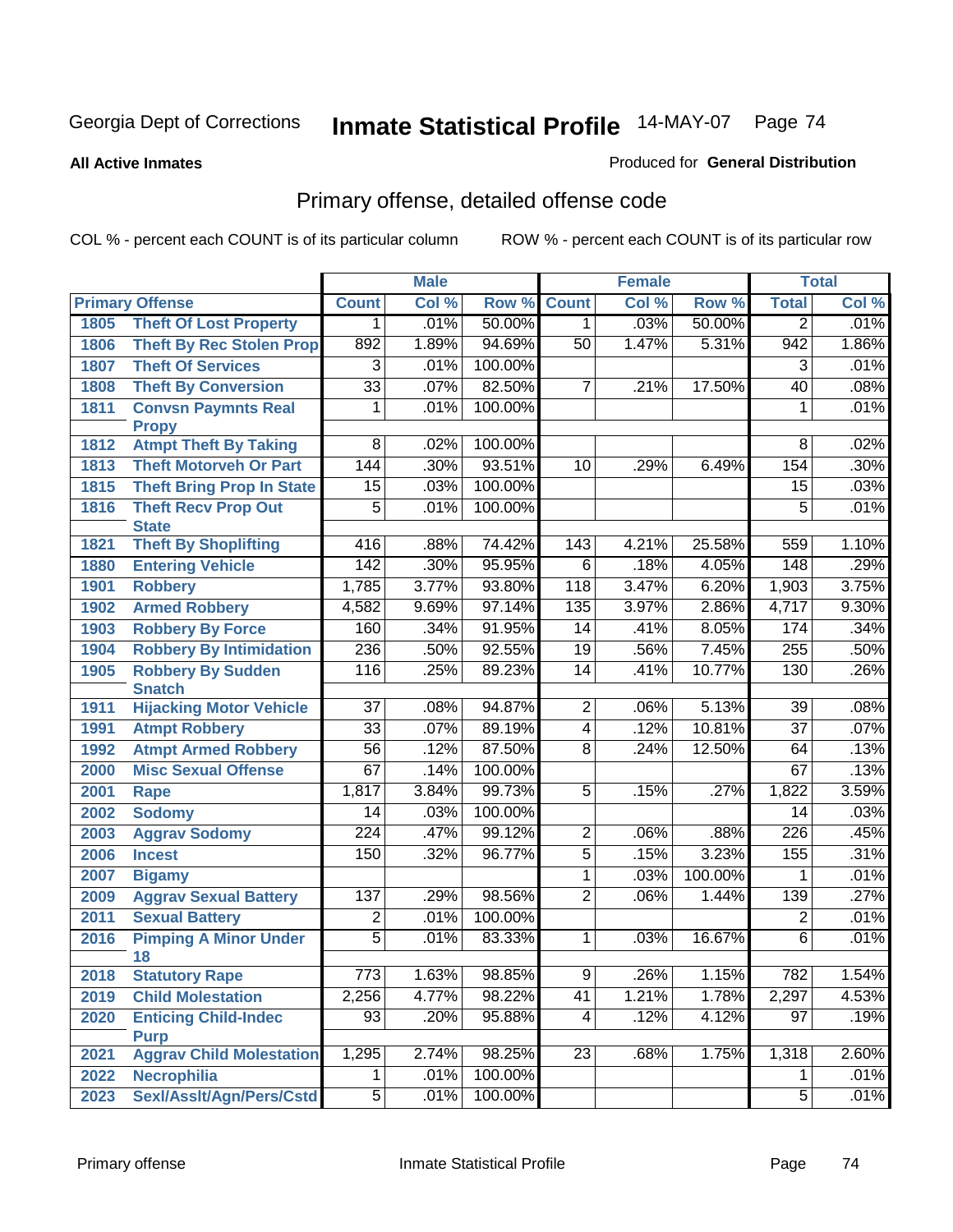#### **All Active Inmates**

### Produced for **General Distribution**

# Primary offense, detailed offense code

|      |                                           |                  | <b>Male</b> |         |                  | <b>Female</b>  |         |                  | <b>Total</b> |
|------|-------------------------------------------|------------------|-------------|---------|------------------|----------------|---------|------------------|--------------|
|      | <b>Primary Offense</b>                    | <b>Count</b>     | Col %       | Row %   | <b>Count</b>     | Col %          | Row %   | <b>Total</b>     | Col %        |
| 1805 | <b>Theft Of Lost Property</b>             | 1                | .01%        | 50.00%  | $\overline{1}$   | .03%           | 50.00%  | 2                | .01%         |
| 1806 | <b>Theft By Rec Stolen Prop</b>           | 892              | 1.89%       | 94.69%  | 50               | 1.47%          | 5.31%   | $\overline{942}$ | 1.86%        |
| 1807 | <b>Theft Of Services</b>                  | $\overline{3}$   | .01%        | 100.00% |                  |                |         | 3                | .01%         |
| 1808 | <b>Theft By Conversion</b>                | $\overline{33}$  | .07%        | 82.50%  | $\overline{7}$   | .21%           | 17.50%  | 40               | .08%         |
| 1811 | <b>Convsn Paymnts Real</b>                | 1                | .01%        | 100.00% |                  |                |         | $\mathbf 1$      | .01%         |
|      | <b>Propy</b>                              |                  |             |         |                  |                |         |                  |              |
| 1812 | <b>Atmpt Theft By Taking</b>              | 8                | .02%        | 100.00% |                  |                |         | 8                | .02%         |
| 1813 | <b>Theft Motorveh Or Part</b>             | 144              | .30%        | 93.51%  | 10               | .29%           | 6.49%   | 154              | .30%         |
| 1815 | <b>Theft Bring Prop In State</b>          | 15               | .03%        | 100.00% |                  |                |         | 15               | .03%         |
| 1816 | <b>Theft Recv Prop Out</b>                | $\overline{5}$   | .01%        | 100.00% |                  |                |         | $\overline{5}$   | .01%         |
|      | <b>State</b>                              | 416              | .88%        | 74.42%  | 143              | 4.21%          | 25.58%  | 559              | 1.10%        |
| 1821 | <b>Theft By Shoplifting</b>               | 142              | .30%        | 95.95%  | $\overline{6}$   | .18%           | 4.05%   | 148              | .29%         |
| 1880 | <b>Entering Vehicle</b>                   |                  |             |         |                  |                |         |                  | 3.75%        |
| 1901 | <b>Robbery</b>                            | 1,785            | 3.77%       | 93.80%  | $\overline{118}$ | 3.47%<br>3.97% | 6.20%   | 1,903            |              |
| 1902 | <b>Armed Robbery</b>                      | 4,582            | 9.69%       | 97.14%  | 135              |                | 2.86%   | 4,717            | 9.30%        |
| 1903 | <b>Robbery By Force</b>                   | 160              | .34%        | 91.95%  | 14               | .41%           | 8.05%   | 174              | .34%         |
| 1904 | <b>Robbery By Intimidation</b>            | 236              | .50%        | 92.55%  | $\overline{19}$  | .56%           | 7.45%   | 255              | .50%         |
| 1905 | <b>Robbery By Sudden</b><br><b>Snatch</b> | 116              | .25%        | 89.23%  | $\overline{14}$  | .41%           | 10.77%  | 130              | .26%         |
| 1911 | <b>Hijacking Motor Vehicle</b>            | $\overline{37}$  | .08%        | 94.87%  | $\overline{2}$   | .06%           | 5.13%   | $\overline{39}$  | .08%         |
| 1991 | <b>Atmpt Robbery</b>                      | $\overline{33}$  | .07%        | 89.19%  | $\overline{4}$   | .12%           | 10.81%  | $\overline{37}$  | .07%         |
| 1992 | <b>Atmpt Armed Robbery</b>                | 56               | .12%        | 87.50%  | $\overline{8}$   | .24%           | 12.50%  | 64               | .13%         |
| 2000 | <b>Misc Sexual Offense</b>                | 67               | .14%        | 100.00% |                  |                |         | 67               | .13%         |
| 2001 | <b>Rape</b>                               | 1,817            | 3.84%       | 99.73%  | $\overline{5}$   | .15%           | .27%    | 1,822            | 3.59%        |
| 2002 | <b>Sodomy</b>                             | $\overline{14}$  | .03%        | 100.00% |                  |                |         | $\overline{14}$  | .03%         |
| 2003 | <b>Aggrav Sodomy</b>                      | $\overline{224}$ | .47%        | 99.12%  | $\overline{2}$   | .06%           | .88%    | $\overline{226}$ | .45%         |
| 2006 | <b>Incest</b>                             | 150              | .32%        | 96.77%  | $\overline{5}$   | .15%           | 3.23%   | 155              | .31%         |
| 2007 | <b>Bigamy</b>                             |                  |             |         | 1                | .03%           | 100.00% | 1                | .01%         |
| 2009 | <b>Aggrav Sexual Battery</b>              | 137              | .29%        | 98.56%  | $\overline{2}$   | .06%           | 1.44%   | 139              | .27%         |
| 2011 | <b>Sexual Battery</b>                     | $\overline{2}$   | .01%        | 100.00% |                  |                |         | $\overline{2}$   | .01%         |
| 2016 | <b>Pimping A Minor Under</b>              | $\overline{5}$   | .01%        | 83.33%  | $\overline{1}$   | .03%           | 16.67%  | $\overline{6}$   | .01%         |
|      | 18                                        |                  |             |         |                  |                |         |                  |              |
| 2018 | <b>Statutory Rape</b>                     | 773              | 1.63%       | 98.85%  | 9                | .26%           | 1.15%   | 782              | 1.54%        |
| 2019 | <b>Child Molestation</b>                  | 2,256            | 4.77%       | 98.22%  | $\overline{41}$  | 1.21%          | 1.78%   | 2,297            | 4.53%        |
| 2020 | <b>Enticing Child-Indec</b>               | 93               | .20%        | 95.88%  | 4                | .12%           | 4.12%   | 97               | .19%         |
|      | <b>Purp</b>                               |                  |             |         |                  |                |         |                  |              |
| 2021 | <b>Aggrav Child Molestation</b>           | 1,295            | 2.74%       | 98.25%  | 23               | .68%           | 1.75%   | 1,318            | 2.60%        |
| 2022 | <b>Necrophilia</b>                        | $\mathbf 1$      | .01%        | 100.00% |                  |                |         | 1                | .01%         |
| 2023 | Sexl/Asslt/Agn/Pers/Cstd                  | $\overline{5}$   | .01%        | 100.00% |                  |                |         | 5                | .01%         |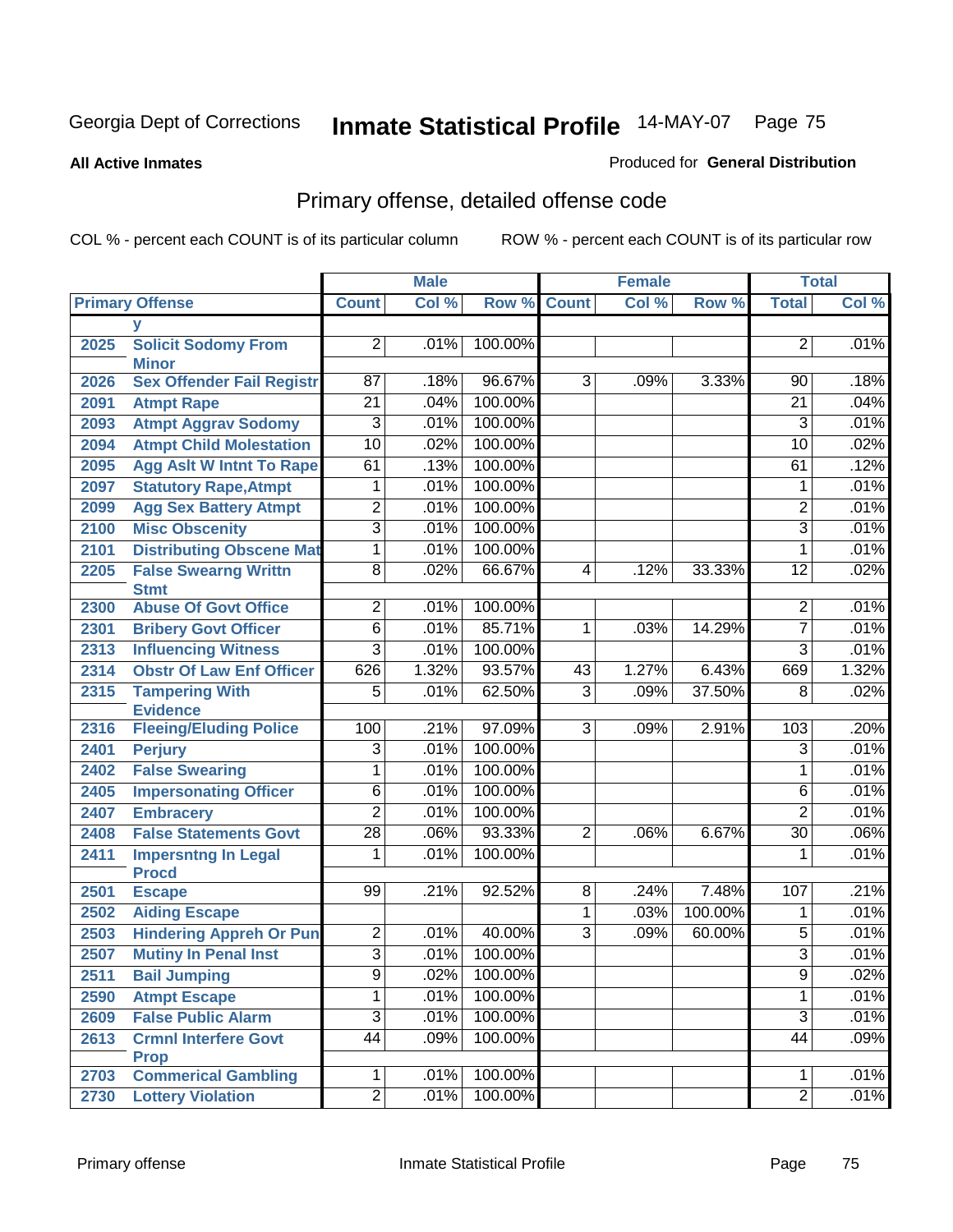**All Active Inmates**

#### Produced for **General Distribution**

# Primary offense, detailed offense code

|      |                                            |                 | <b>Male</b> |         |                | Female |         |                 | <b>Total</b> |
|------|--------------------------------------------|-----------------|-------------|---------|----------------|--------|---------|-----------------|--------------|
|      | <b>Primary Offense</b>                     | <b>Count</b>    | Col %       | Row %   | <b>Count</b>   | Col %  | Row %   | <b>Total</b>    | Col %        |
|      | V                                          |                 |             |         |                |        |         |                 |              |
| 2025 | <b>Solicit Sodomy From</b><br><b>Minor</b> | $\overline{2}$  | .01%        | 100.00% |                |        |         | $\overline{2}$  | .01%         |
| 2026 | <b>Sex Offender Fail Registr</b>           | 87              | .18%        | 96.67%  | 3              | .09%   | 3.33%   | 90              | .18%         |
| 2091 | <b>Atmpt Rape</b>                          | $\overline{21}$ | .04%        | 100.00% |                |        |         | 21              | .04%         |
| 2093 | <b>Atmpt Aggrav Sodomy</b>                 | $\overline{3}$  | .01%        | 100.00% |                |        |         | 3               | .01%         |
| 2094 | <b>Atmpt Child Molestation</b>             | $\overline{10}$ | .02%        | 100.00% |                |        |         | 10              | .02%         |
| 2095 | <b>Agg Aslt W Intnt To Rape</b>            | 61              | .13%        | 100.00% |                |        |         | 61              | .12%         |
| 2097 | <b>Statutory Rape, Atmpt</b>               | 1               | .01%        | 100.00% |                |        |         | 1               | .01%         |
| 2099 | <b>Agg Sex Battery Atmpt</b>               | $\overline{2}$  | .01%        | 100.00% |                |        |         | $\overline{2}$  | .01%         |
| 2100 | <b>Misc Obscenity</b>                      | $\overline{3}$  | .01%        | 100.00% |                |        |         | 3               | .01%         |
| 2101 | <b>Distributing Obscene Mat</b>            | $\overline{1}$  | .01%        | 100.00% |                |        |         | 1               | .01%         |
| 2205 | <b>False Swearng Writtn</b><br><b>Stmt</b> | $\overline{8}$  | .02%        | 66.67%  | 4              | .12%   | 33.33%  | $\overline{12}$ | .02%         |
| 2300 | <b>Abuse Of Govt Office</b>                | $\overline{2}$  | .01%        | 100.00% |                |        |         | $\overline{2}$  | .01%         |
| 2301 | <b>Bribery Govt Officer</b>                | $\overline{6}$  | .01%        | 85.71%  | 1              | .03%   | 14.29%  | $\overline{7}$  | .01%         |
| 2313 | <b>Influencing Witness</b>                 | $\overline{3}$  | .01%        | 100.00% |                |        |         | $\overline{3}$  | .01%         |
| 2314 | <b>Obstr Of Law Enf Officer</b>            | 626             | 1.32%       | 93.57%  | 43             | 1.27%  | 6.43%   | 669             | 1.32%        |
| 2315 | <b>Tampering With</b>                      | $\overline{5}$  | .01%        | 62.50%  | $\overline{3}$ | .09%   | 37.50%  | 8               | .02%         |
|      | <b>Evidence</b>                            |                 |             |         |                |        |         |                 |              |
| 2316 | <b>Fleeing/Eluding Police</b>              | 100             | .21%        | 97.09%  | $\overline{3}$ | .09%   | 2.91%   | 103             | .20%         |
| 2401 | <b>Perjury</b>                             | $\overline{3}$  | .01%        | 100.00% |                |        |         | $\overline{3}$  | .01%         |
| 2402 | <b>False Swearing</b>                      | 1               | .01%        | 100.00% |                |        |         | 1               | .01%         |
| 2405 | <b>Impersonating Officer</b>               | $\overline{6}$  | .01%        | 100.00% |                |        |         | 6               | .01%         |
| 2407 | <b>Embracery</b>                           | $\overline{2}$  | .01%        | 100.00% |                |        |         | $\overline{2}$  | .01%         |
| 2408 | <b>False Statements Govt</b>               | $\overline{28}$ | .06%        | 93.33%  | $\overline{2}$ | .06%   | 6.67%   | $\overline{30}$ | .06%         |
| 2411 | <b>Impersntng In Legal</b><br><b>Procd</b> | 1               | .01%        | 100.00% |                |        |         | 1               | .01%         |
| 2501 | <b>Escape</b>                              | 99              | .21%        | 92.52%  | 8              | .24%   | 7.48%   | 107             | .21%         |
| 2502 | <b>Aiding Escape</b>                       |                 |             |         | 1              | .03%   | 100.00% | 1               | .01%         |
| 2503 | <b>Hindering Appreh Or Pun</b>             | $\overline{2}$  | .01%        | 40.00%  | 3              | .09%   | 60.00%  | $\overline{5}$  | .01%         |
| 2507 | <b>Mutiny In Penal Inst</b>                | $\overline{3}$  | .01%        | 100.00% |                |        |         | $\overline{3}$  | .01%         |
| 2511 | <b>Bail Jumping</b>                        | 9               | .02%        | 100.00% |                |        |         | 9               | $.02\%$      |
| 2590 | <b>Atmpt Escape</b>                        | $\overline{1}$  | .01%        | 100.00% |                |        |         | $\mathbf{1}$    | .01%         |
| 2609 | <b>False Public Alarm</b>                  | $\overline{3}$  | .01%        | 100.00% |                |        |         | $\overline{3}$  | .01%         |
| 2613 | <b>Crmnl Interfere Govt</b>                | 44              | .09%        | 100.00% |                |        |         | 44              | .09%         |
| 2703 | <b>Prop</b><br><b>Commerical Gambling</b>  | $\overline{1}$  | .01%        | 100.00% |                |        |         | $\mathbf 1$     | .01%         |
| 2730 | <b>Lottery Violation</b>                   | $\overline{2}$  | .01%        | 100.00% |                |        |         | $\overline{2}$  | .01%         |
|      |                                            |                 |             |         |                |        |         |                 |              |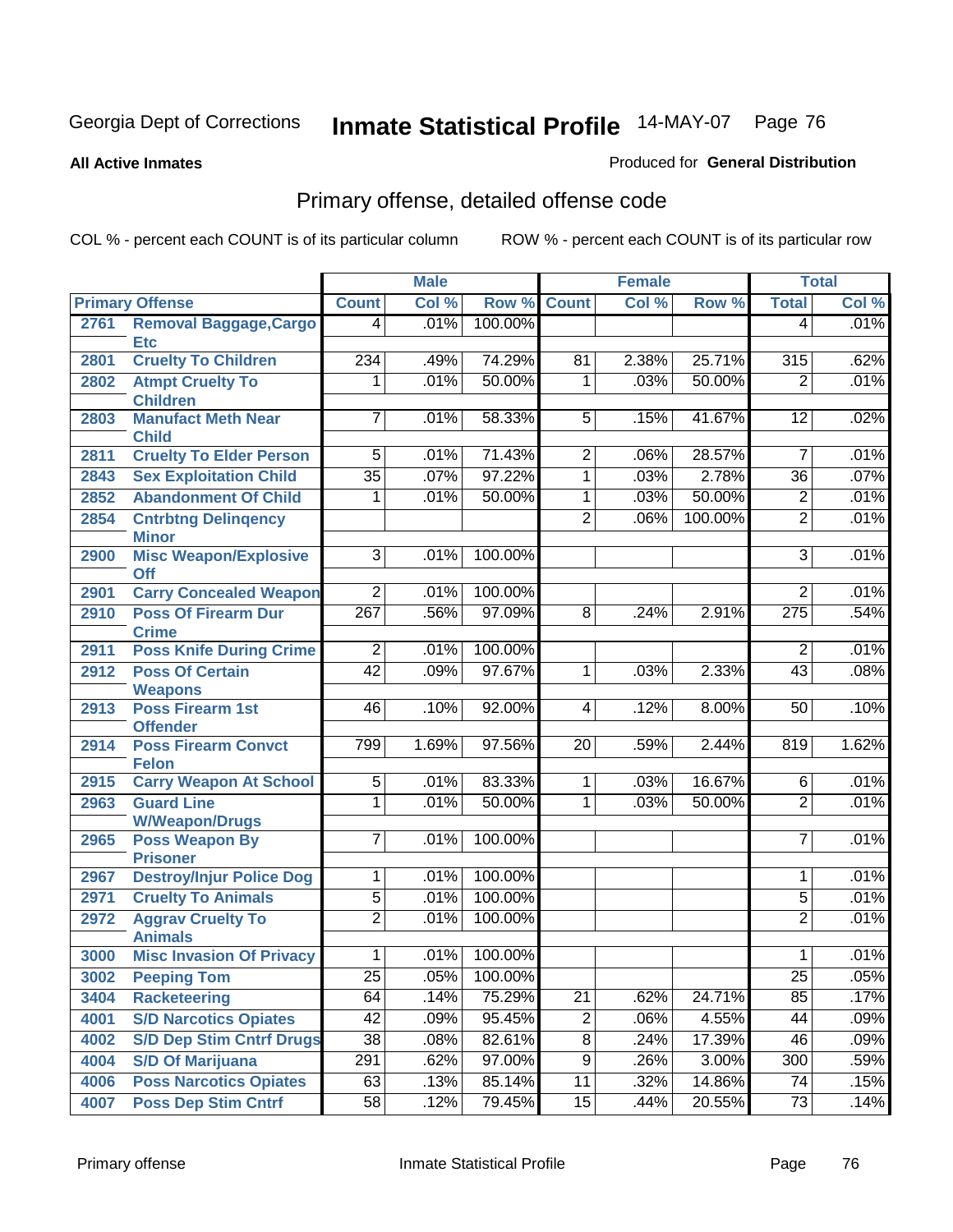**All Active Inmates**

### Produced for **General Distribution**

# Primary offense, detailed offense code

|      |                                                     |                 | <b>Male</b> |         |                 | <b>Female</b> |          |                  | <b>Total</b> |
|------|-----------------------------------------------------|-----------------|-------------|---------|-----------------|---------------|----------|------------------|--------------|
|      | <b>Primary Offense</b>                              | <b>Count</b>    | Col %       | Row %   | <b>Count</b>    | Col %         | Row %    | <b>Total</b>     | Col %        |
| 2761 | <b>Removal Baggage, Cargo</b>                       | 4               | .01%        | 100.00% |                 |               |          | $\overline{4}$   | .01%         |
|      | <b>Etc</b>                                          |                 |             |         |                 |               |          |                  |              |
| 2801 | <b>Cruelty To Children</b>                          | 234             | .49%        | 74.29%  | $\overline{81}$ | 2.38%         | 25.71%   | 315              | .62%         |
| 2802 | <b>Atmpt Cruelty To</b><br><b>Children</b>          | 1               | .01%        | 50.00%  | 1               | .03%          | 50.00%   | $\overline{2}$   | .01%         |
| 2803 | <b>Manufact Meth Near</b><br><b>Child</b>           | $\overline{7}$  | .01%        | 58.33%  | $5\overline{)}$ | .15%          | 41.67%   | 12               | .02%         |
| 2811 | <b>Cruelty To Elder Person</b>                      | $\overline{5}$  | .01%        | 71.43%  | $\overline{2}$  | .06%          | 28.57%   | 7                | .01%         |
| 2843 | <b>Sex Exploitation Child</b>                       | $\overline{35}$ | .07%        | 97.22%  | $\overline{1}$  | .03%          | 2.78%    | $\overline{36}$  | .07%         |
| 2852 | <b>Abandonment Of Child</b>                         | 1               | .01%        | 50.00%  | 1               | .03%          | 50.00%   | $\overline{c}$   | .01%         |
| 2854 | <b>Cntrbtng Delingency</b>                          |                 |             |         | $\overline{2}$  | .06%          | 100.00%  | $\overline{2}$   | .01%         |
| 2900 | <b>Minor</b><br><b>Misc Weapon/Explosive</b><br>Off | $\overline{3}$  | .01%        | 100.00% |                 |               |          | $\overline{3}$   | .01%         |
| 2901 | <b>Carry Concealed Weapon</b>                       | $\overline{2}$  | .01%        | 100.00% |                 |               |          | $\overline{2}$   | .01%         |
| 2910 | <b>Poss Of Firearm Dur</b><br><b>Crime</b>          | 267             | .56%        | 97.09%  | $\overline{8}$  | .24%          | 2.91%    | $\overline{275}$ | .54%         |
| 2911 | <b>Poss Knife During Crime</b>                      | $\overline{2}$  | .01%        | 100.00% |                 |               |          | $\overline{2}$   | .01%         |
| 2912 | <b>Poss Of Certain</b>                              | $\overline{42}$ | .09%        | 97.67%  | 1               | .03%          | 2.33%    | 43               | .08%         |
|      | <b>Weapons</b>                                      |                 |             |         |                 |               |          |                  |              |
| 2913 | <b>Poss Firearm 1st</b>                             | $\overline{46}$ | .10%        | 92.00%  | $\overline{4}$  | .12%          | 8.00%    | 50               | .10%         |
|      | <b>Offender</b>                                     |                 |             |         |                 |               |          |                  |              |
| 2914 | <b>Poss Firearm Convct</b>                          | 799             | 1.69%       | 97.56%  | 20              | .59%          | 2.44%    | 819              | 1.62%        |
| 2915 | <b>Felon</b><br><b>Carry Weapon At School</b>       | $\overline{5}$  | .01%        | 83.33%  | $\overline{1}$  | .03%          | 16.67%   | $6\overline{6}$  | .01%         |
| 2963 | <b>Guard Line</b>                                   | 1               | .01%        | 50.00%  | 1               | .03%          | 50.00%   | $\overline{2}$   | .01%         |
|      | <b>W/Weapon/Drugs</b>                               |                 |             |         |                 |               |          |                  |              |
| 2965 | <b>Poss Weapon By</b>                               | $\overline{7}$  | .01%        | 100.00% |                 |               |          | 7                | .01%         |
|      | <b>Prisoner</b>                                     |                 |             |         |                 |               |          |                  |              |
| 2967 | <b>Destroy/Injur Police Dog</b>                     | 1               | .01%        | 100.00% |                 |               |          | 1                | .01%         |
| 2971 | <b>Cruelty To Animals</b>                           | $\overline{5}$  | .01%        | 100.00% |                 |               |          | $\overline{5}$   | .01%         |
| 2972 | <b>Aggrav Cruelty To</b><br><b>Animals</b>          | $\overline{2}$  | .01%        | 100.00% |                 |               |          | $\overline{2}$   | .01%         |
| 3000 | <b>Misc Invasion Of Privacy</b>                     | 1               | .01%        | 100.00% |                 |               |          | 1                | .01%         |
| 3002 | <b>Peeping Tom</b>                                  | $\overline{25}$ | .05%        | 100.00% |                 |               |          | 25               | .05%         |
| 3404 | <b>Racketeering</b>                                 | 64              | .14%        | 75.29%  | $\overline{21}$ | .62%          | 24.71%   | 85               | .17%         |
| 4001 | <b>S/D Narcotics Opiates</b>                        | 42              | .09%        | 95.45%  | $\overline{2}$  | .06%          | 4.55%    | 44               | .09%         |
| 4002 | <b>S/D Dep Stim Cntrf Drugs</b>                     | $\overline{38}$ | .08%        | 82.61%  | 8               | .24%          | 17.39%   | 46               | .09%         |
| 4004 | <b>S/D Of Marijuana</b>                             | 291             | .62%        | 97.00%  | $\overline{9}$  | .26%          | $3.00\%$ | 300              | .59%         |
| 4006 | <b>Poss Narcotics Opiates</b>                       | 63              | .13%        | 85.14%  | $\overline{11}$ | .32%          | 14.86%   | 74               | .15%         |
| 4007 | <b>Poss Dep Stim Cntrf</b>                          | 58              | .12%        | 79.45%  | 15              | .44%          | 20.55%   | 73               | .14%         |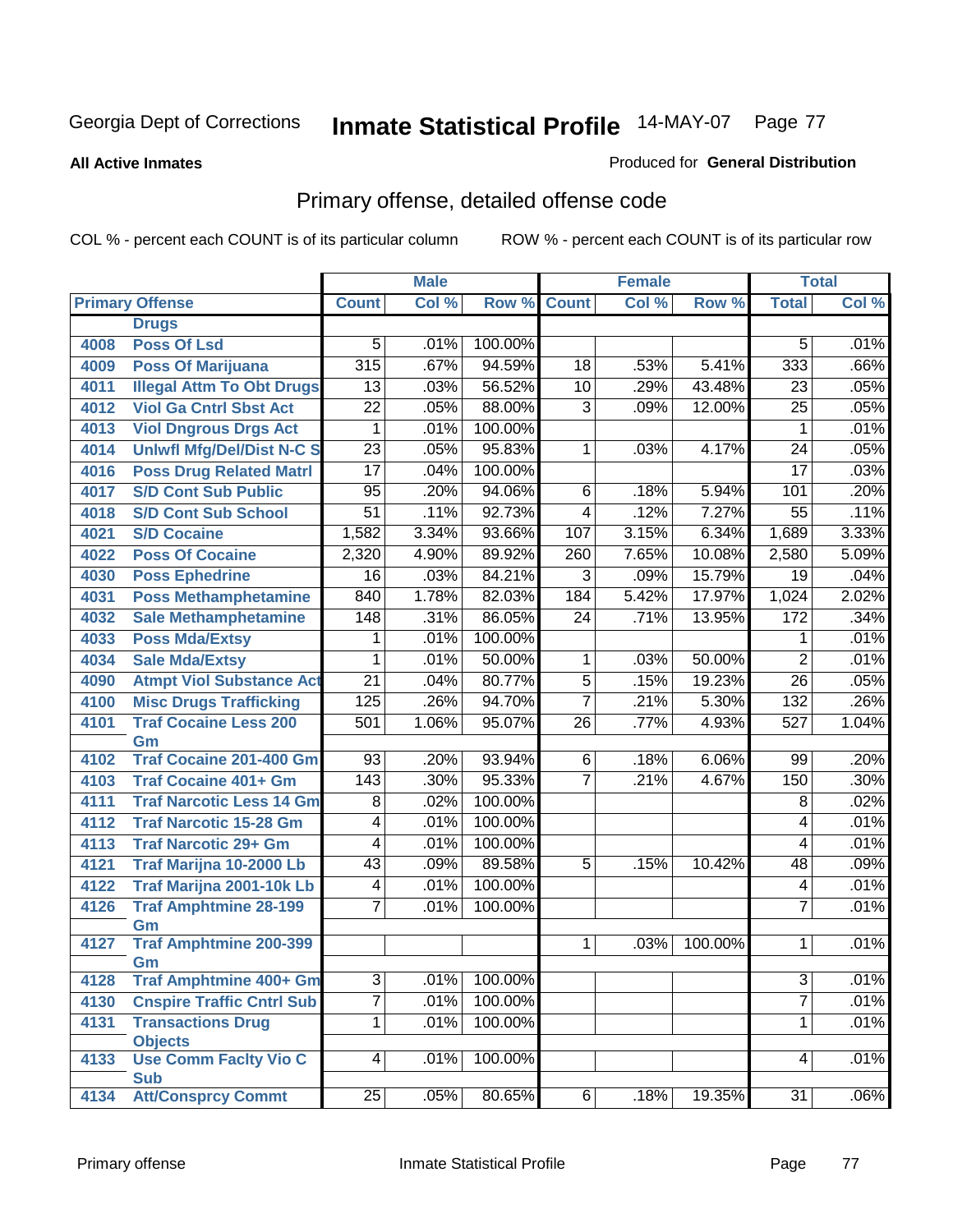#### **All Active Inmates**

### Produced for **General Distribution**

# Primary offense, detailed offense code

|      |                                     |                  | <b>Male</b> |            |                 | <b>Female</b> |         |                  | <b>Total</b> |
|------|-------------------------------------|------------------|-------------|------------|-----------------|---------------|---------|------------------|--------------|
|      | <b>Primary Offense</b>              | <b>Count</b>     | Col %       | Row %      | <b>Count</b>    | Col %         | Row %   | <b>Total</b>     | Col %        |
|      | <b>Drugs</b>                        |                  |             |            |                 |               |         |                  |              |
| 4008 | <b>Poss Of Lsd</b>                  | 5                | .01%        | 100.00%    |                 |               |         | 5                | .01%         |
| 4009 | <b>Poss Of Marijuana</b>            | 315              | .67%        | 94.59%     | 18              | .53%          | 5.41%   | 333              | .66%         |
| 4011 | <b>Illegal Attm To Obt Drugs</b>    | $\overline{13}$  | .03%        | 56.52%     | 10              | .29%          | 43.48%  | $\overline{23}$  | .05%         |
| 4012 | <b>Viol Ga Cntrl Sbst Act</b>       | $\overline{22}$  | .05%        | 88.00%     | $\overline{3}$  | .09%          | 12.00%  | $\overline{25}$  | .05%         |
| 4013 | <b>Viol Dngrous Drgs Act</b>        | $\mathbf{1}$     | .01%        | 100.00%    |                 |               |         | $\mathbf 1$      | .01%         |
| 4014 | <b>Uniwfl Mfg/Del/Dist N-C S</b>    | $\overline{23}$  | .05%        | 95.83%     | $\mathbf 1$     | .03%          | 4.17%   | $\overline{24}$  | .05%         |
| 4016 | <b>Poss Drug Related Matri</b>      | $\overline{17}$  | .04%        | 100.00%    |                 |               |         | $\overline{17}$  | .03%         |
| 4017 | <b>S/D Cont Sub Public</b>          | $\overline{95}$  | .20%        | 94.06%     | 6               | .18%          | 5.94%   | 101              | .20%         |
| 4018 | <b>S/D Cont Sub School</b>          | $\overline{51}$  | .11%        | 92.73%     | $\overline{4}$  | .12%          | 7.27%   | $\overline{55}$  | .11%         |
| 4021 | <b>S/D Cocaine</b>                  | 1,582            | 3.34%       | 93.66%     | 107             | 3.15%         | 6.34%   | 1,689            | 3.33%        |
| 4022 | <b>Poss Of Cocaine</b>              | 2,320            | 4.90%       | 89.92%     | 260             | 7.65%         | 10.08%  | 2,580            | 5.09%        |
| 4030 | <b>Poss Ephedrine</b>               | 16               | .03%        | 84.21%     | $\overline{3}$  | .09%          | 15.79%  | $\overline{19}$  | .04%         |
| 4031 | <b>Poss Methamphetamine</b>         | 840              | 1.78%       | 82.03%     | 184             | 5.42%         | 17.97%  | 1,024            | 2.02%        |
| 4032 | <b>Sale Methamphetamine</b>         | 148              | .31%        | 86.05%     | 24              | .71%          | 13.95%  | 172              | .34%         |
| 4033 | <b>Poss Mda/Extsy</b>               | 1                | .01%        | 100.00%    |                 |               |         | 1                | .01%         |
| 4034 | <b>Sale Mda/Extsy</b>               | $\mathbf{1}$     | .01%        | 50.00%     | $\mathbf{1}$    | .03%          | 50.00%  | $\overline{2}$   | .01%         |
| 4090 | <b>Atmpt Viol Substance Act</b>     | $\overline{21}$  | .04%        | 80.77%     | $\overline{5}$  | .15%          | 19.23%  | $\overline{26}$  | .05%         |
| 4100 | <b>Misc Drugs Trafficking</b>       | 125              | .26%        | 94.70%     | $\overline{7}$  | .21%          | 5.30%   | $\overline{132}$ | .26%         |
| 4101 | <b>Traf Cocaine Less 200</b>        | 501              | 1.06%       | 95.07%     | $\overline{26}$ | .77%          | 4.93%   | $\overline{527}$ | 1.04%        |
|      | Gm                                  |                  |             |            |                 |               |         |                  |              |
| 4102 | Traf Cocaine 201-400 Gm             | 93               | .20%        | 93.94%     | 6               | .18%          | 6.06%   | 99               | .20%         |
| 4103 | <b>Traf Cocaine 401+ Gm</b>         | $\overline{143}$ | .30%        | 95.33%     | 7               | .21%          | 4.67%   | 150              | .30%         |
| 4111 | <b>Traf Narcotic Less 14 Gm</b>     | 8                | .02%        | 100.00%    |                 |               |         | 8                | .02%         |
| 4112 | <b>Traf Narcotic 15-28 Gm</b>       | 4                | .01%        | 100.00%    |                 |               |         | 4                | .01%         |
| 4113 | <b>Traf Narcotic 29+ Gm</b>         | 4                | .01%        | 100.00%    |                 |               |         | 4                | .01%         |
| 4121 | Traf Marijna 10-2000 Lb             | 43               | .09%        | 89.58%     | 5               | .15%          | 10.42%  | 48               | .09%         |
| 4122 | Traf Marijna 2001-10k Lb            | 4                | .01%        | 100.00%    |                 |               |         | 4                | .01%         |
| 4126 | <b>Traf Amphtmine 28-199</b>        | $\overline{7}$   | .01%        | 100.00%    |                 |               |         | $\overline{7}$   | .01%         |
|      | Gm                                  |                  |             |            |                 |               |         |                  | .01%         |
| 4127 | <b>Traf Amphtmine 200-399</b><br>Gm |                  |             |            | $\overline{1}$  | .03%          | 100.00% | 1                |              |
| 4128 | <b>Traf Amphtmine 400+ Gm</b>       | $\overline{3}$   | .01%        | $100.00\%$ |                 |               |         | $\overline{3}$   | .01%         |
| 4130 | <b>Cnspire Traffic Cntrl Sub</b>    | $\overline{7}$   | .01%        | 100.00%    |                 |               |         | $\overline{7}$   | .01%         |
| 4131 | <b>Transactions Drug</b>            | $\overline{1}$   | .01%        | 100.00%    |                 |               |         | $\mathbf{1}$     | .01%         |
|      | <b>Objects</b>                      |                  |             |            |                 |               |         |                  |              |
| 4133 | <b>Use Comm Facity Vio C</b>        | $\vert 4 \vert$  | .01%        | 100.00%    |                 |               |         | 4                | .01%         |
|      | <b>Sub</b>                          |                  |             |            |                 |               |         |                  |              |
| 4134 | <b>Att/Consprcy Commt</b>           | 25               | .05%        | 80.65%     | $\overline{6}$  | .18%          | 19.35%  | 31               | .06%         |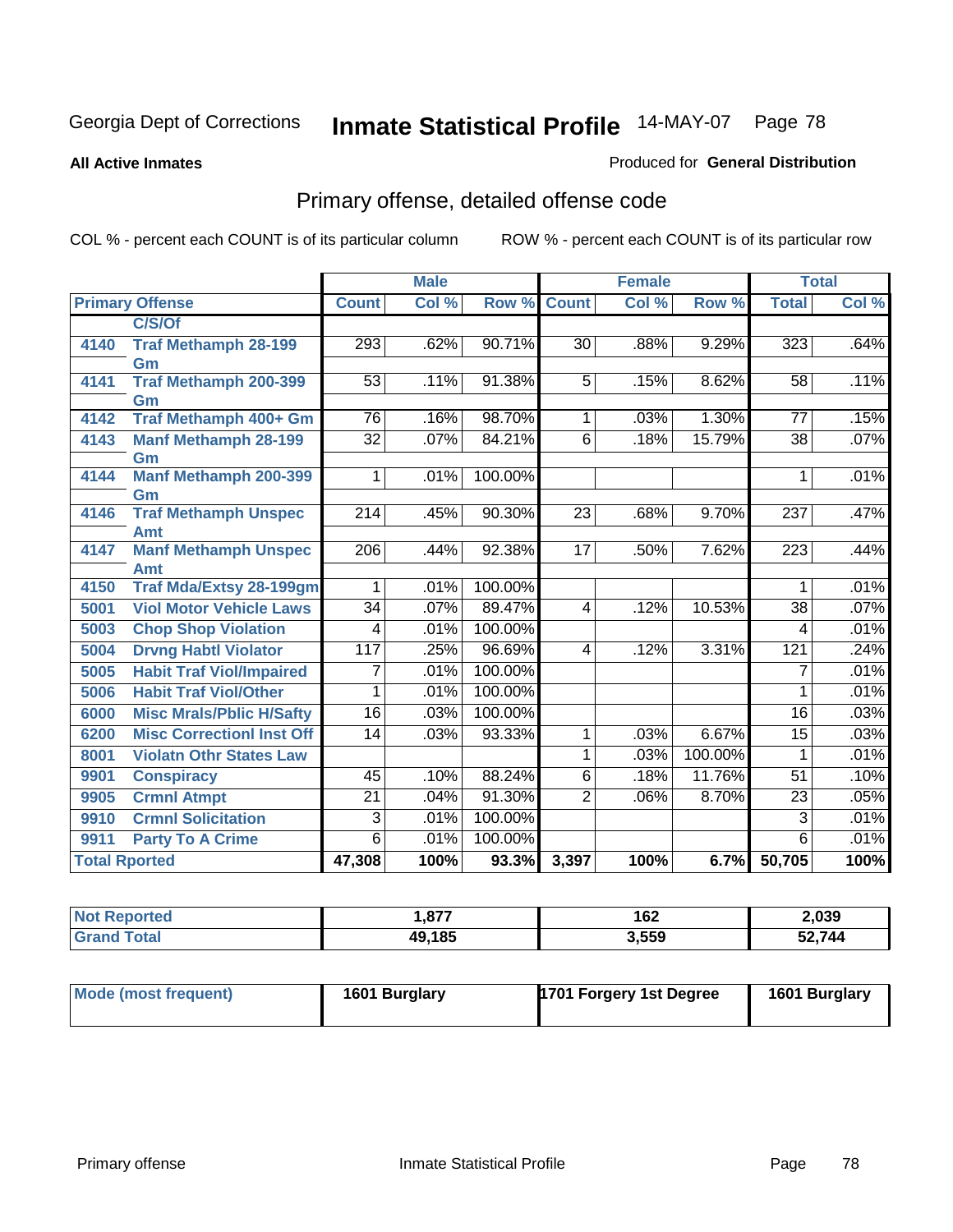#### **All Active Inmates**

#### Produced for **General Distribution**

# Primary offense, detailed offense code

|                      |                                              | <b>Male</b>      |       |         |                 | <b>Female</b> |         | <b>Total</b>     |       |
|----------------------|----------------------------------------------|------------------|-------|---------|-----------------|---------------|---------|------------------|-------|
|                      | <b>Primary Offense</b>                       | <b>Count</b>     | Col % | Row %   | <b>Count</b>    | Col %         | Row %   | <b>Total</b>     | Col % |
|                      | C/S/Of                                       |                  |       |         |                 |               |         |                  |       |
| 4140                 | <b>Traf Methamph 28-199</b>                  | 293              | .62%  | 90.71%  | $\overline{30}$ | .88%          | 9.29%   | 323              | .64%  |
|                      | Gm                                           |                  |       |         |                 |               |         |                  |       |
| 4141                 | <b>Traf Methamph 200-399</b>                 | $\overline{53}$  | .11%  | 91.38%  | 5               | .15%          | 8.62%   | 58               | .11%  |
| 4142                 | Gm<br>Traf Methamph 400+ Gm                  | 76               | .16%  | 98.70%  | $\mathbf{1}$    | .03%          | 1.30%   | 77               | .15%  |
| 4143                 | <b>Manf Methamph 28-199</b>                  | $\overline{32}$  | .07%  | 84.21%  | $\overline{6}$  | .18%          | 15.79%  | $\overline{38}$  | .07%  |
|                      | Gm                                           |                  |       |         |                 |               |         |                  |       |
| 4144                 | <b>Manf Methamph 200-399</b>                 |                  | .01%  | 100.00% |                 |               |         | 1                | .01%  |
|                      | Gm                                           |                  |       |         |                 |               |         |                  |       |
| 4146                 | <b>Traf Methamph Unspec</b>                  | $\overline{21}4$ | .45%  | 90.30%  | $\overline{23}$ | .68%          | 9.70%   | $\overline{237}$ | .47%  |
|                      | Amt                                          |                  |       |         |                 |               |         |                  |       |
| 4147                 | <b>Manf Methamph Unspec</b>                  | 206              | .44%  | 92.38%  | 17              | .50%          | 7.62%   | 223              | .44%  |
| 4150                 | <b>Amt</b><br><b>Traf Mda/Extsy 28-199gm</b> |                  | .01%  | 100.00% |                 |               |         | 1                | .01%  |
|                      |                                              | $\overline{34}$  | .07%  | 89.47%  |                 |               | 10.53%  | $\overline{38}$  |       |
| 5001                 | <b>Viol Motor Vehicle Laws</b>               |                  |       |         | $\overline{4}$  | .12%          |         |                  | .07%  |
| 5003                 | <b>Chop Shop Violation</b>                   | 4                | .01%  | 100.00% |                 |               |         | 4                | .01%  |
| 5004                 | <b>Drvng Habtl Violator</b>                  | $\overline{117}$ | .25%  | 96.69%  | $\overline{4}$  | .12%          | 3.31%   | $\overline{121}$ | .24%  |
| 5005                 | <b>Habit Traf Viol/Impaired</b>              | 7                | .01%  | 100.00% |                 |               |         | 7                | .01%  |
| 5006                 | <b>Habit Traf Viol/Other</b>                 | 1                | .01%  | 100.00% |                 |               |         | 1                | .01%  |
| 6000                 | <b>Misc Mrals/Pblic H/Safty</b>              | $\overline{16}$  | .03%  | 100.00% |                 |               |         | $\overline{16}$  | .03%  |
| 6200                 | <b>Misc CorrectionI Inst Off</b>             | $\overline{14}$  | .03%  | 93.33%  | 1               | .03%          | 6.67%   | $\overline{15}$  | .03%  |
| 8001                 | <b>Violatn Othr States Law</b>               |                  |       |         | 1               | .03%          | 100.00% | 1                | .01%  |
| 9901                 | <b>Conspiracy</b>                            | $\overline{45}$  | .10%  | 88.24%  | $\overline{6}$  | .18%          | 11.76%  | $\overline{51}$  | .10%  |
| 9905                 | <b>Crmnl Atmpt</b>                           | $\overline{21}$  | .04%  | 91.30%  | $\overline{2}$  | .06%          | 8.70%   | $\overline{23}$  | .05%  |
| 9910                 | <b>Crmnl Solicitation</b>                    | $\overline{3}$   | .01%  | 100.00% |                 |               |         | $\overline{3}$   | .01%  |
| 9911                 | <b>Party To A Crime</b>                      | 6                | .01%  | 100.00% |                 |               |         | 6                | .01%  |
| <b>Total Rported</b> |                                              | 47,308           | 100%  | 93.3%   | 3,397           | 100%          | 6.7%    | 50,705           | 100%  |

| <b>ported</b> | ,877   | 162<br>$ -$ | 2,039  |
|---------------|--------|-------------|--------|
| ™otal         | 49,185 | 3,559       | 52,744 |

| Mode (most frequent) | 1601 Burglary | 1701 Forgery 1st Degree | 1601 Burglary |
|----------------------|---------------|-------------------------|---------------|
|                      |               |                         |               |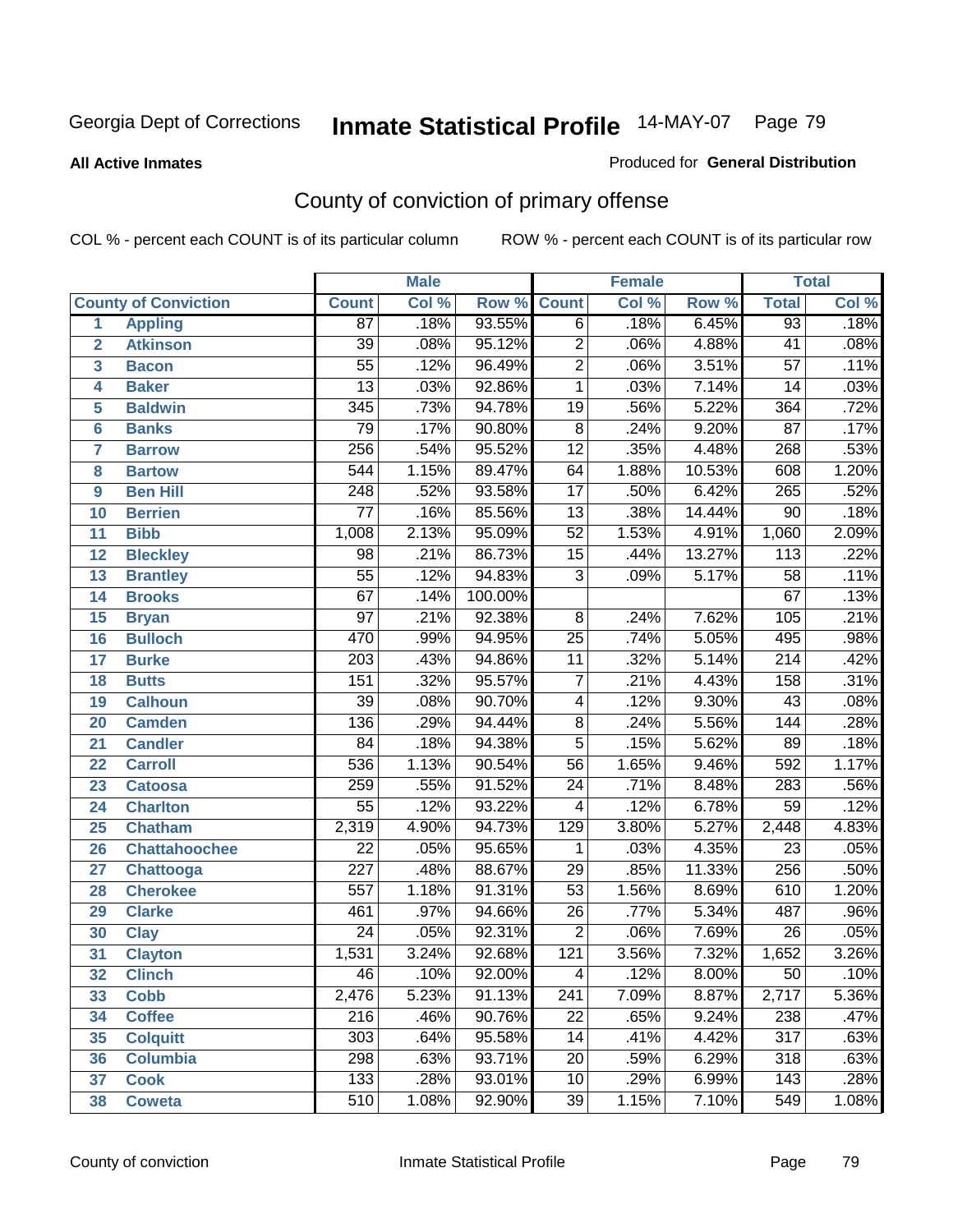#### **All Active Inmates**

### Produced for **General Distribution**

# County of conviction of primary offense

|                         |                             |                  | <b>Male</b> |         | <b>Female</b>    |       |        |                  | <b>Total</b>               |
|-------------------------|-----------------------------|------------------|-------------|---------|------------------|-------|--------|------------------|----------------------------|
|                         | <b>County of Conviction</b> | <b>Count</b>     | Col %       | Row %   | <b>Count</b>     | Col % | Row %  | <b>Total</b>     | $\overline{\text{Col }\%}$ |
| 1                       | <b>Appling</b>              | 87               | .18%        | 93.55%  | $\overline{6}$   | .18%  | 6.45%  | 93               | .18%                       |
| $\overline{2}$          | <b>Atkinson</b>             | $\overline{39}$  | .08%        | 95.12%  | $\overline{2}$   | .06%  | 4.88%  | $\overline{41}$  | .08%                       |
| $\overline{\mathbf{3}}$ | <b>Bacon</b>                | $\overline{55}$  | .12%        | 96.49%  | $\overline{2}$   | .06%  | 3.51%  | $\overline{57}$  | .11%                       |
| 4                       | <b>Baker</b>                | $\overline{13}$  | .03%        | 92.86%  | $\mathbf{1}$     | .03%  | 7.14%  | $\overline{14}$  | .03%                       |
| 5                       | <b>Baldwin</b>              | $\overline{345}$ | .73%        | 94.78%  | $\overline{19}$  | .56%  | 5.22%  | 364              | .72%                       |
| 6                       | <b>Banks</b>                | $\overline{79}$  | .17%        | 90.80%  | $\overline{8}$   | .24%  | 9.20%  | $\overline{87}$  | .17%                       |
| $\overline{\mathbf{7}}$ | <b>Barrow</b>               | 256              | .54%        | 95.52%  | $\overline{12}$  | .35%  | 4.48%  | 268              | .53%                       |
| 8                       | <b>Bartow</b>               | $\overline{544}$ | 1.15%       | 89.47%  | 64               | 1.88% | 10.53% | 608              | 1.20%                      |
| 9                       | <b>Ben Hill</b>             | $\overline{248}$ | .52%        | 93.58%  | $\overline{17}$  | .50%  | 6.42%  | $\overline{265}$ | .52%                       |
| 10                      | <b>Berrien</b>              | $\overline{77}$  | .16%        | 85.56%  | $\overline{13}$  | .38%  | 14.44% | $\overline{90}$  | .18%                       |
| 11                      | <b>Bibb</b>                 | 1,008            | 2.13%       | 95.09%  | $\overline{52}$  | 1.53% | 4.91%  | 1,060            | 2.09%                      |
| 12                      | <b>Bleckley</b>             | $\overline{98}$  | .21%        | 86.73%  | $\overline{15}$  | .44%  | 13.27% | $\overline{113}$ | .22%                       |
| $\overline{13}$         | <b>Brantley</b>             | $\overline{55}$  | .12%        | 94.83%  | $\overline{3}$   | .09%  | 5.17%  | $\overline{58}$  | .11%                       |
| $\overline{14}$         | <b>Brooks</b>               | $\overline{67}$  | .14%        | 100.00% |                  |       |        | 67               | .13%                       |
| 15                      | <b>Bryan</b>                | $\overline{97}$  | .21%        | 92.38%  | $\overline{8}$   | .24%  | 7.62%  | 105              | .21%                       |
| 16                      | <b>Bulloch</b>              | 470              | .99%        | 94.95%  | $\overline{25}$  | .74%  | 5.05%  | 495              | .98%                       |
| $\overline{17}$         | <b>Burke</b>                | $\sqrt{203}$     | .43%        | 94.86%  | $\overline{11}$  | .32%  | 5.14%  | $\overline{214}$ | .42%                       |
| 18                      | <b>Butts</b>                | 151              | .32%        | 95.57%  | $\overline{7}$   | .21%  | 4.43%  | 158              | .31%                       |
| 19                      | <b>Calhoun</b>              | $\overline{39}$  | .08%        | 90.70%  | 4                | .12%  | 9.30%  | 43               | .08%                       |
| 20                      | <b>Camden</b>               | 136              | .29%        | 94.44%  | $\overline{8}$   | .24%  | 5.56%  | 144              | .28%                       |
| 21                      | <b>Candler</b>              | $\overline{84}$  | .18%        | 94.38%  | $\overline{5}$   | .15%  | 5.62%  | 89               | .18%                       |
| $\overline{22}$         | <b>Carroll</b>              | $\overline{536}$ | 1.13%       | 90.54%  | $\overline{56}$  | 1.65% | 9.46%  | 592              | 1.17%                      |
| 23                      | <b>Catoosa</b>              | 259              | .55%        | 91.52%  | $\overline{24}$  | .71%  | 8.48%  | 283              | .56%                       |
| 24                      | <b>Charlton</b>             | $\overline{55}$  | .12%        | 93.22%  | $\overline{4}$   | .12%  | 6.78%  | $\overline{59}$  | .12%                       |
| 25                      | <b>Chatham</b>              | 2,319            | 4.90%       | 94.73%  | $\overline{129}$ | 3.80% | 5.27%  | 2,448            | 4.83%                      |
| 26                      | <b>Chattahoochee</b>        | $\overline{22}$  | .05%        | 95.65%  | 1                | .03%  | 4.35%  | $\overline{23}$  | .05%                       |
| 27                      | <b>Chattooga</b>            | $\overline{227}$ | .48%        | 88.67%  | $\overline{29}$  | .85%  | 11.33% | 256              | .50%                       |
| 28                      | <b>Cherokee</b>             | $\overline{557}$ | 1.18%       | 91.31%  | $\overline{53}$  | 1.56% | 8.69%  | 610              | 1.20%                      |
| 29                      | <b>Clarke</b>               | 461              | .97%        | 94.66%  | $\overline{26}$  | .77%  | 5.34%  | 487              | .96%                       |
| 30                      | <b>Clay</b>                 | $\overline{24}$  | .05%        | 92.31%  | $\overline{2}$   | .06%  | 7.69%  | $\overline{26}$  | .05%                       |
| $\overline{31}$         | <b>Clayton</b>              | 1,531            | 3.24%       | 92.68%  | 121              | 3.56% | 7.32%  | 1,652            | 3.26%                      |
| 32                      | <b>Clinch</b>               | 46               | .10%        | 92.00%  | 4                | .12%  | 8.00%  | 50               | .10%                       |
| 33                      | <b>Cobb</b>                 | 2,476            | 5.23%       | 91.13%  | 241              | 7.09% | 8.87%  | 2,717            | 5.36%                      |
| 34                      | <b>Coffee</b>               | $\overline{216}$ | .46%        | 90.76%  | $\overline{22}$  | .65%  | 9.24%  | 238              | .47%                       |
| 35                      | <b>Colquitt</b>             | 303              | .64%        | 95.58%  | 14               | .41%  | 4.42%  | $\overline{317}$ | .63%                       |
| 36                      | <b>Columbia</b>             | 298              | .63%        | 93.71%  | 20               | .59%  | 6.29%  | 318              | .63%                       |
| 37                      | <b>Cook</b>                 | 133              | .28%        | 93.01%  | 10               | .29%  | 6.99%  | 143              | .28%                       |
| 38                      | <b>Coweta</b>               | $\overline{510}$ | 1.08%       | 92.90%  | $\overline{39}$  | 1.15% | 7.10%  | 549              | 1.08%                      |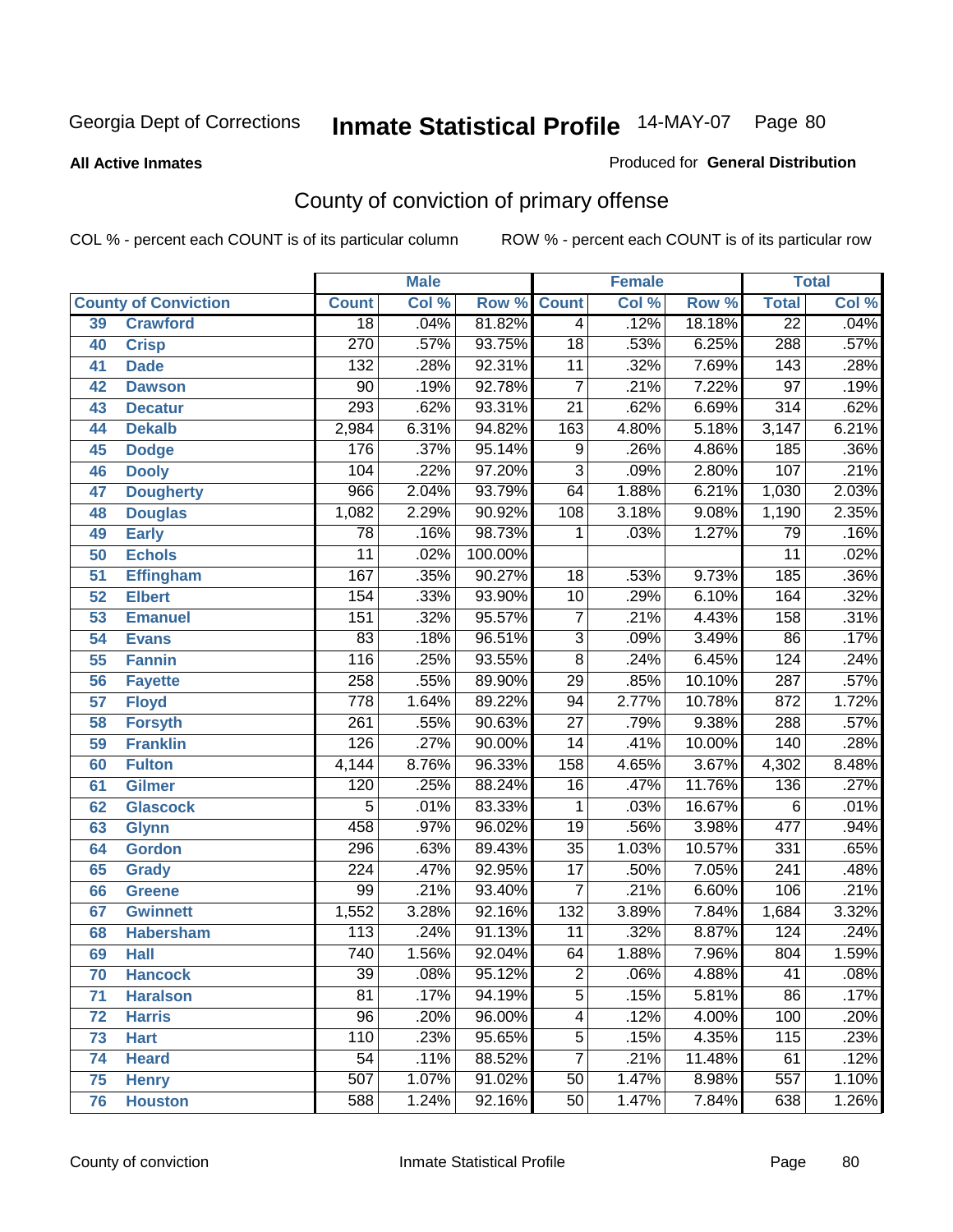#### **All Active Inmates**

#### Produced for **General Distribution**

# County of conviction of primary offense

|                 |                             |                  | <b>Male</b> |         | <b>Female</b>    |       |        | <b>Total</b>     |       |  |
|-----------------|-----------------------------|------------------|-------------|---------|------------------|-------|--------|------------------|-------|--|
|                 | <b>County of Conviction</b> | <b>Count</b>     | Col %       | Row %   | <b>Count</b>     | Col % | Row %  | <b>Total</b>     | Col % |  |
| 39              | <b>Crawford</b>             | $\overline{18}$  | .04%        | 81.82%  | $\overline{4}$   | .12%  | 18.18% | $\overline{22}$  | .04%  |  |
| 40              | <b>Crisp</b>                | 270              | .57%        | 93.75%  | $\overline{18}$  | .53%  | 6.25%  | 288              | .57%  |  |
| 41              | <b>Dade</b>                 | $\overline{132}$ | .28%        | 92.31%  | $\overline{11}$  | .32%  | 7.69%  | $\overline{143}$ | .28%  |  |
| 42              | <b>Dawson</b>               | 90               | .19%        | 92.78%  | 7                | .21%  | 7.22%  | $\overline{97}$  | .19%  |  |
| 43              | <b>Decatur</b>              | 293              | .62%        | 93.31%  | $\overline{21}$  | .62%  | 6.69%  | $\overline{314}$ | .62%  |  |
| 44              | <b>Dekalb</b>               | 2,984            | 6.31%       | 94.82%  | 163              | 4.80% | 5.18%  | 3,147            | 6.21% |  |
| 45              | <b>Dodge</b>                | 176              | .37%        | 95.14%  | 9                | .26%  | 4.86%  | 185              | .36%  |  |
| 46              | <b>Dooly</b>                | 104              | .22%        | 97.20%  | $\overline{3}$   | .09%  | 2.80%  | 107              | .21%  |  |
| 47              | <b>Dougherty</b>            | 966              | 2.04%       | 93.79%  | 64               | 1.88% | 6.21%  | 1,030            | 2.03% |  |
| 48              | <b>Douglas</b>              | 1,082            | 2.29%       | 90.92%  | 108              | 3.18% | 9.08%  | 1,190            | 2.35% |  |
| 49              | <b>Early</b>                | 78               | .16%        | 98.73%  | 1                | .03%  | 1.27%  | 79               | .16%  |  |
| 50              | <b>Echols</b>               | $\overline{11}$  | .02%        | 100.00% |                  |       |        | $\overline{11}$  | .02%  |  |
| $\overline{51}$ | <b>Effingham</b>            | 167              | .35%        | 90.27%  | 18               | .53%  | 9.73%  | 185              | .36%  |  |
| 52              | <b>Elbert</b>               | 154              | .33%        | 93.90%  | 10               | .29%  | 6.10%  | 164              | .32%  |  |
| 53              | <b>Emanuel</b>              | 151              | .32%        | 95.57%  | $\overline{7}$   | .21%  | 4.43%  | 158              | .31%  |  |
| $\overline{54}$ | <b>Evans</b>                | 83               | .18%        | 96.51%  | $\overline{3}$   | .09%  | 3.49%  | 86               | .17%  |  |
| 55              | <b>Fannin</b>               | 116              | .25%        | 93.55%  | $\overline{8}$   | .24%  | 6.45%  | 124              | .24%  |  |
| 56              | <b>Fayette</b>              | 258              | .55%        | 89.90%  | 29               | .85%  | 10.10% | 287              | .57%  |  |
| 57              | <b>Floyd</b>                | 778              | 1.64%       | 89.22%  | 94               | 2.77% | 10.78% | 872              | 1.72% |  |
| 58              | <b>Forsyth</b>              | $\overline{261}$ | .55%        | 90.63%  | $\overline{27}$  | .79%  | 9.38%  | 288              | .57%  |  |
| 59              | <b>Franklin</b>             | 126              | .27%        | 90.00%  | $\overline{14}$  | .41%  | 10.00% | $\overline{140}$ | .28%  |  |
| 60              | <b>Fulton</b>               | 4,144            | 8.76%       | 96.33%  | 158              | 4.65% | 3.67%  | 4,302            | 8.48% |  |
| 61              | Gilmer                      | 120              | .25%        | 88.24%  | $\overline{16}$  | .47%  | 11.76% | 136              | .27%  |  |
| 62              | <b>Glascock</b>             | $\overline{5}$   | .01%        | 83.33%  | $\mathbf{1}$     | .03%  | 16.67% | $\overline{6}$   | .01%  |  |
| 63              | <b>Glynn</b>                | 458              | .97%        | 96.02%  | $\overline{19}$  | .56%  | 3.98%  | 477              | .94%  |  |
| 64              | <b>Gordon</b>               | 296              | .63%        | 89.43%  | $\overline{35}$  | 1.03% | 10.57% | 331              | .65%  |  |
| 65              | <b>Grady</b>                | $\overline{224}$ | .47%        | 92.95%  | $\overline{17}$  | .50%  | 7.05%  | 241              | .48%  |  |
| 66              | <b>Greene</b>               | 99               | .21%        | 93.40%  | $\overline{7}$   | .21%  | 6.60%  | 106              | .21%  |  |
| 67              | <b>Gwinnett</b>             | 1,552            | 3.28%       | 92.16%  | $\overline{132}$ | 3.89% | 7.84%  | 1,684            | 3.32% |  |
| 68              | <b>Habersham</b>            | 113              | .24%        | 91.13%  | $\overline{11}$  | .32%  | 8.87%  | 124              | .24%  |  |
| 69              | <b>Hall</b>                 | $\overline{740}$ | 1.56%       | 92.04%  | 64               | 1.88% | 7.96%  | 804              | 1.59% |  |
| 70              | <b>Hancock</b>              | 39               | .08%        | 95.12%  | 2                | .06%  | 4.88%  | 41               | .08%  |  |
| 71              | <b>Haralson</b>             | $\overline{81}$  | .17%        | 94.19%  | $\overline{5}$   | .15%  | 5.81%  | $\overline{86}$  | .17%  |  |
| 72              | <b>Harris</b>               | $\overline{96}$  | .20%        | 96.00%  | $\overline{4}$   | .12%  | 4.00%  | 100              | .20%  |  |
| 73              | <b>Hart</b>                 | 110              | .23%        | 95.65%  | $\overline{5}$   | .15%  | 4.35%  | 115              | .23%  |  |
| 74              | <b>Heard</b>                | $\overline{54}$  | .11%        | 88.52%  | $\overline{7}$   | .21%  | 11.48% | 61               | .12%  |  |
| 75              | <b>Henry</b>                | $\overline{507}$ | 1.07%       | 91.02%  | 50               | 1.47% | 8.98%  | 557              | 1.10% |  |
| 76              | <b>Houston</b>              | 588              | 1.24%       | 92.16%  | $\overline{50}$  | 1.47% | 7.84%  | 638              | 1.26% |  |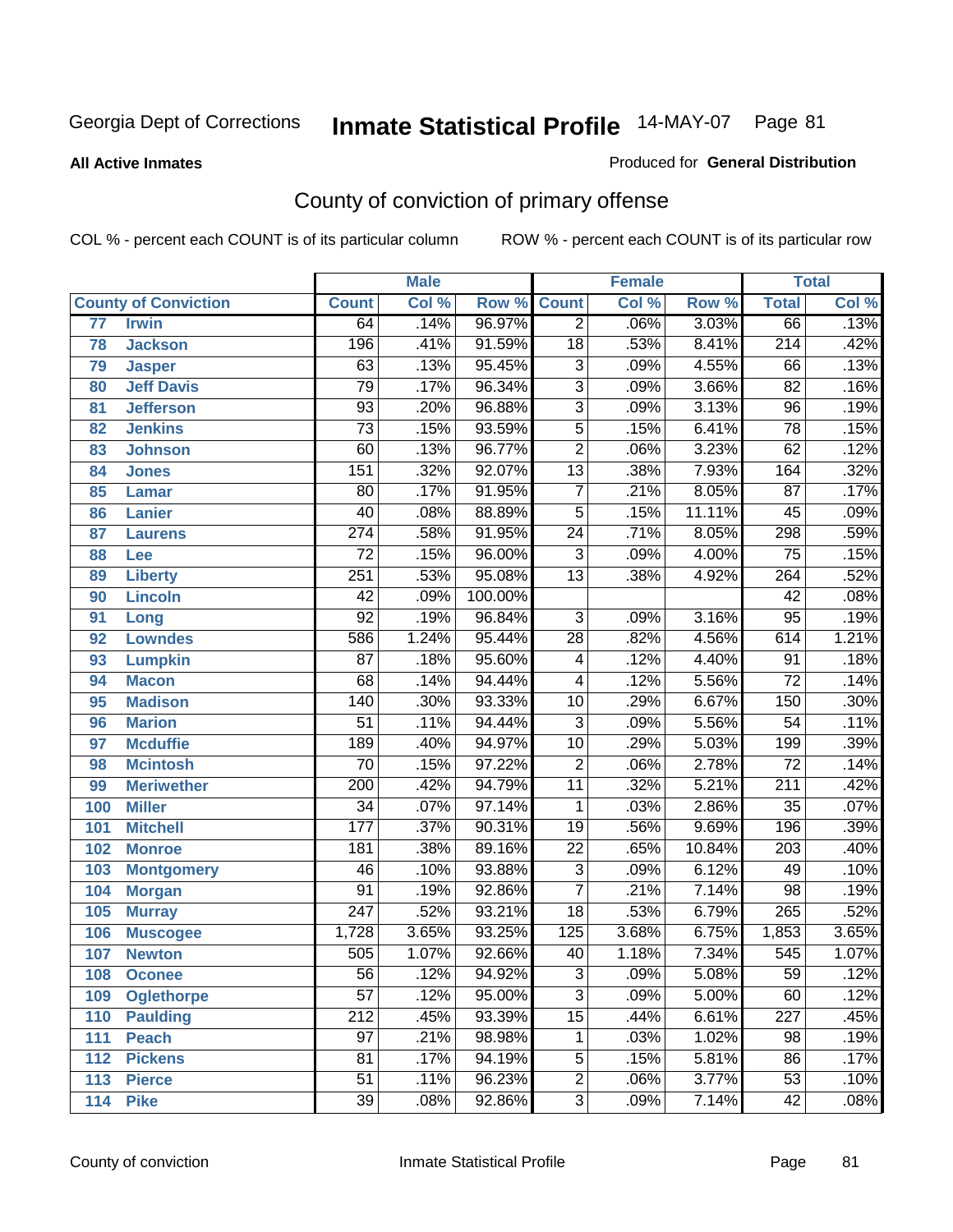#### **All Active Inmates**

#### Produced for **General Distribution**

# County of conviction of primary offense

|                 |                             |                  | <b>Male</b> |         | <b>Female</b>    |       |        | <b>Total</b>     |       |
|-----------------|-----------------------------|------------------|-------------|---------|------------------|-------|--------|------------------|-------|
|                 | <b>County of Conviction</b> | <b>Count</b>     | Col %       | Row %   | <b>Count</b>     | Col % | Row %  | <b>Total</b>     | Col % |
| $\overline{77}$ | <b>Irwin</b>                | 64               | .14%        | 96.97%  | $\overline{2}$   | .06%  | 3.03%  | 66               | .13%  |
| 78              | <b>Jackson</b>              | 196              | .41%        | 91.59%  | $\overline{18}$  | .53%  | 8.41%  | $\overline{214}$ | .42%  |
| 79              | <b>Jasper</b>               | 63               | .13%        | 95.45%  | $\overline{3}$   | .09%  | 4.55%  | 66               | .13%  |
| 80              | <b>Jeff Davis</b>           | $\overline{79}$  | .17%        | 96.34%  | $\overline{3}$   | .09%  | 3.66%  | $\overline{82}$  | .16%  |
| 81              | <b>Jefferson</b>            | $\overline{93}$  | .20%        | 96.88%  | $\overline{3}$   | .09%  | 3.13%  | $\overline{96}$  | .19%  |
| 82              | <b>Jenkins</b>              | $\overline{73}$  | .15%        | 93.59%  | $\overline{5}$   | .15%  | 6.41%  | $\overline{78}$  | .15%  |
| 83              | <b>Johnson</b>              | 60               | .13%        | 96.77%  | $\overline{2}$   | .06%  | 3.23%  | 62               | .12%  |
| 84              | <b>Jones</b>                | 151              | .32%        | 92.07%  | $\overline{13}$  | .38%  | 7.93%  | 164              | .32%  |
| 85              | <b>Lamar</b>                | $\overline{80}$  | .17%        | 91.95%  | $\overline{7}$   | .21%  | 8.05%  | $\overline{87}$  | .17%  |
| 86              | <b>Lanier</b>               | 40               | .08%        | 88.89%  | $\overline{5}$   | .15%  | 11.11% | $\overline{45}$  | .09%  |
| 87              | <b>Laurens</b>              | $\overline{274}$ | .58%        | 91.95%  | $\overline{24}$  | .71%  | 8.05%  | 298              | .59%  |
| 88              | <b>Lee</b>                  | $\overline{72}$  | .15%        | 96.00%  | $\overline{3}$   | .09%  | 4.00%  | $\overline{75}$  | .15%  |
| 89              | <b>Liberty</b>              | $\overline{251}$ | .53%        | 95.08%  | $\overline{13}$  | .38%  | 4.92%  | 264              | .52%  |
| 90              | <b>Lincoln</b>              | $\overline{42}$  | .09%        | 100.00% |                  |       |        | $\overline{42}$  | .08%  |
| 91              | Long                        | $\overline{92}$  | .19%        | 96.84%  | $\overline{3}$   | .09%  | 3.16%  | $\overline{95}$  | .19%  |
| 92              | <b>Lowndes</b>              | 586              | 1.24%       | 95.44%  | $\overline{28}$  | .82%  | 4.56%  | 614              | 1.21% |
| 93              | <b>Lumpkin</b>              | $\overline{87}$  | .18%        | 95.60%  | 4                | .12%  | 4.40%  | $\overline{91}$  | .18%  |
| 94              | <b>Macon</b>                | $\overline{68}$  | .14%        | 94.44%  | 4                | .12%  | 5.56%  | $\overline{72}$  | .14%  |
| 95              | <b>Madison</b>              | 140              | .30%        | 93.33%  | 10               | .29%  | 6.67%  | 150              | .30%  |
| 96              | <b>Marion</b>               | $\overline{51}$  | .11%        | 94.44%  | $\overline{3}$   | .09%  | 5.56%  | $\overline{54}$  | .11%  |
| 97              | <b>Mcduffie</b>             | 189              | .40%        | 94.97%  | 10               | .29%  | 5.03%  | 199              | .39%  |
| 98              | <b>Mcintosh</b>             | $\overline{70}$  | .15%        | 97.22%  | $\overline{2}$   | .06%  | 2.78%  | $\overline{72}$  | .14%  |
| 99              | <b>Meriwether</b>           | $\overline{200}$ | .42%        | 94.79%  | $\overline{11}$  | .32%  | 5.21%  | $\overline{211}$ | .42%  |
| 100             | <b>Miller</b>               | $\overline{34}$  | .07%        | 97.14%  | $\mathbf{1}$     | .03%  | 2.86%  | $\overline{35}$  | .07%  |
| 101             | <b>Mitchell</b>             | 177              | .37%        | 90.31%  | $\overline{19}$  | .56%  | 9.69%  | 196              | .39%  |
| 102             | <b>Monroe</b>               | 181              | .38%        | 89.16%  | $\overline{22}$  | .65%  | 10.84% | $\overline{203}$ | .40%  |
| 103             | <b>Montgomery</b>           | 46               | .10%        | 93.88%  | $\overline{3}$   | .09%  | 6.12%  | 49               | .10%  |
| 104             | <b>Morgan</b>               | $\overline{91}$  | .19%        | 92.86%  | $\overline{7}$   | .21%  | 7.14%  | $\overline{98}$  | .19%  |
| 105             | <b>Murray</b>               | $\overline{247}$ | .52%        | 93.21%  | $\overline{18}$  | .53%  | 6.79%  | $\overline{265}$ | .52%  |
| 106             | <b>Muscogee</b>             | 1,728            | 3.65%       | 93.25%  | $\overline{125}$ | 3.68% | 6.75%  | 1,853            | 3.65% |
| 107             | <b>Newton</b>               | 505              | 1.07%       | 92.66%  | 40               | 1.18% | 7.34%  | $\overline{545}$ | 1.07% |
| 108             | <b>Oconee</b>               | 56               | .12%        | 94.92%  | 3                | .09%  | 5.08%  | 59               | .12%  |
| 109             | <b>Oglethorpe</b>           | $\overline{57}$  | .12%        | 95.00%  | $\overline{3}$   | .09%  | 5.00%  | 60               | .12%  |
| 110             | <b>Paulding</b>             | $\overline{212}$ | .45%        | 93.39%  | $\overline{15}$  | .44%  | 6.61%  | $\overline{227}$ | .45%  |
| 111             | <b>Peach</b>                | $\overline{97}$  | .21%        | 98.98%  | $\mathbf 1$      | .03%  | 1.02%  | 98               | .19%  |
| 112             | <b>Pickens</b>              | 81               | .17%        | 94.19%  | $\overline{5}$   | .15%  | 5.81%  | $\overline{86}$  | .17%  |
| 113             | <b>Pierce</b>               | $\overline{51}$  | .11%        | 96.23%  | $\overline{2}$   | .06%  | 3.77%  | $\overline{53}$  | .10%  |
| 114             | <b>Pike</b>                 | $\overline{39}$  | .08%        | 92.86%  | $\overline{3}$   | .09%  | 7.14%  | 42               | .08%  |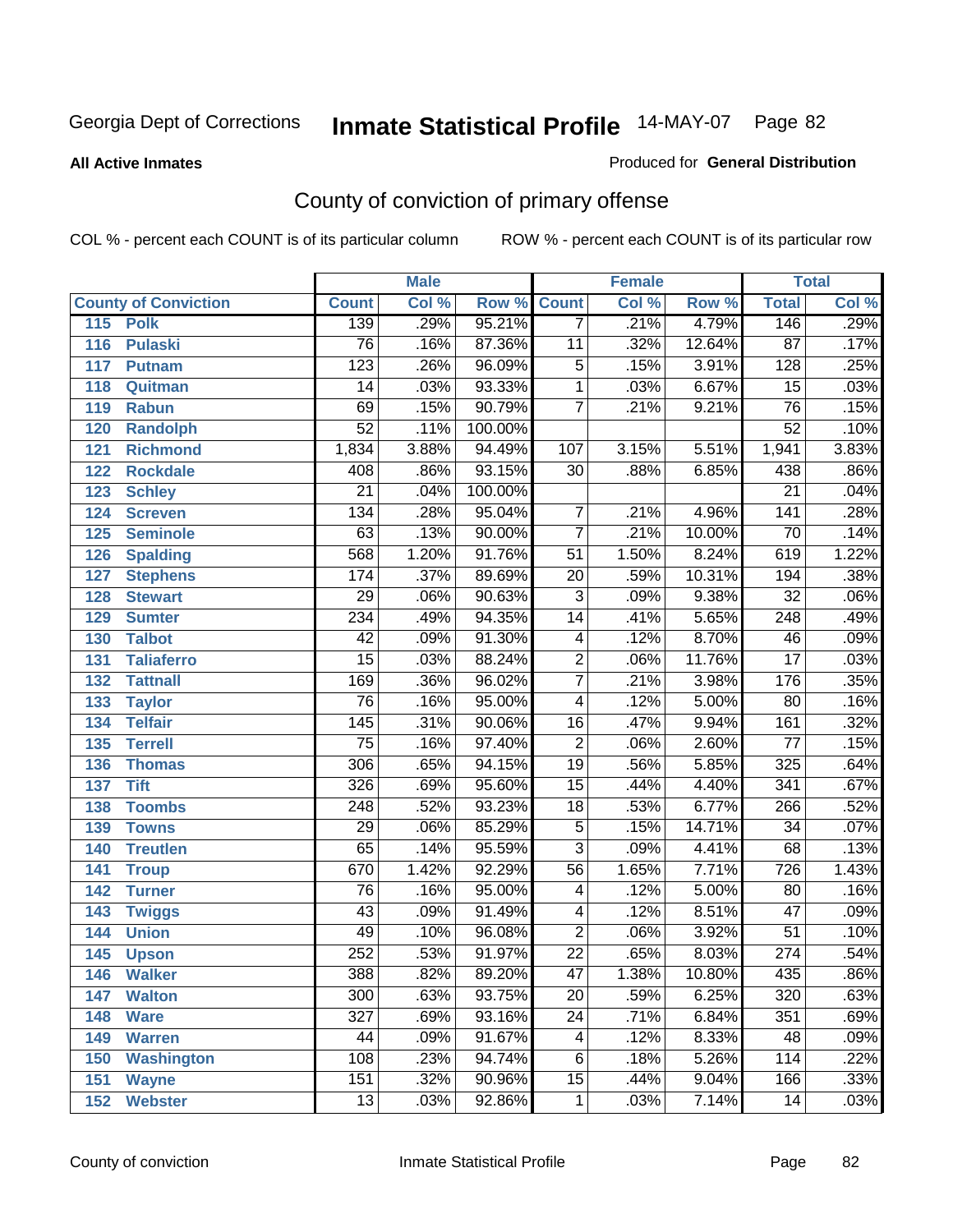**All Active Inmates**

### Produced for **General Distribution**

# County of conviction of primary offense

|                             |                  | <b>Male</b> |                    | <b>Female</b>           |       |        | <b>Total</b>     |         |
|-----------------------------|------------------|-------------|--------------------|-------------------------|-------|--------|------------------|---------|
| <b>County of Conviction</b> | <b>Count</b>     | Col %       | <b>Row % Count</b> |                         | Col % | Row %  | <b>Total</b>     | Col %   |
| 115<br><b>Polk</b>          | 139              | .29%        | 95.21%             | $\overline{7}$          | .21%  | 4.79%  | 146              | .29%    |
| 116<br><b>Pulaski</b>       | 76               | .16%        | 87.36%             | 11                      | .32%  | 12.64% | $\overline{87}$  | .17%    |
| 117<br><b>Putnam</b>        | $\overline{123}$ | .26%        | 96.09%             | 5                       | .15%  | 3.91%  | $\overline{128}$ | .25%    |
| 118<br>Quitman              | 14               | .03%        | 93.33%             | $\mathbf{1}$            | .03%  | 6.67%  | $\overline{15}$  | .03%    |
| 119<br><b>Rabun</b>         | 69               | .15%        | 90.79%             | $\overline{7}$          | .21%  | 9.21%  | $\overline{76}$  | .15%    |
| 120<br><b>Randolph</b>      | $\overline{52}$  | .11%        | 100.00%            |                         |       |        | $\overline{52}$  | .10%    |
| <b>Richmond</b><br>121      | 1,834            | 3.88%       | 94.49%             | 107                     | 3.15% | 5.51%  | 1,941            | 3.83%   |
| 122<br><b>Rockdale</b>      | 408              | .86%        | 93.15%             | 30                      | .88%  | 6.85%  | 438              | .86%    |
| 123<br><b>Schley</b>        | $\overline{21}$  | .04%        | 100.00%            |                         |       |        | $\overline{21}$  | .04%    |
| 124<br><b>Screven</b>       | 134              | .28%        | 95.04%             | $\overline{7}$          | .21%  | 4.96%  | $\overline{141}$ | .28%    |
| 125<br><b>Seminole</b>      | 63               | .13%        | 90.00%             | $\overline{7}$          | .21%  | 10.00% | 70               | .14%    |
| 126<br><b>Spalding</b>      | 568              | 1.20%       | 91.76%             | 51                      | 1.50% | 8.24%  | 619              | 1.22%   |
| 127<br><b>Stephens</b>      | 174              | .37%        | 89.69%             | $\overline{20}$         | .59%  | 10.31% | 194              | .38%    |
| 128<br><b>Stewart</b>       | $\overline{29}$  | .06%        | 90.63%             | $\overline{3}$          | .09%  | 9.38%  | $\overline{32}$  | .06%    |
| 129<br><b>Sumter</b>        | 234              | .49%        | 94.35%             | 14                      | .41%  | 5.65%  | $\overline{248}$ | .49%    |
| <b>Talbot</b><br>130        | $\overline{42}$  | .09%        | 91.30%             | $\overline{\mathbf{4}}$ | .12%  | 8.70%  | 46               | .09%    |
| 131<br><b>Taliaferro</b>    | $\overline{15}$  | .03%        | 88.24%             | $\overline{2}$          | .06%  | 11.76% | $\overline{17}$  | .03%    |
| <b>Tattnall</b><br>132      | 169              | .36%        | 96.02%             | $\overline{7}$          | .21%  | 3.98%  | 176              | .35%    |
| 133<br><b>Taylor</b>        | $\overline{76}$  | .16%        | 95.00%             | $\overline{4}$          | .12%  | 5.00%  | 80               | .16%    |
| <b>Telfair</b><br>134       | $\overline{145}$ | .31%        | 90.06%             | 16                      | .47%  | 9.94%  | 161              | .32%    |
| 135<br><b>Terrell</b>       | $\overline{75}$  | .16%        | 97.40%             | $\overline{2}$          | .06%  | 2.60%  | $\overline{77}$  | .15%    |
| 136<br><b>Thomas</b>        | 306              | .65%        | 94.15%             | $\overline{19}$         | .56%  | 5.85%  | 325              | .64%    |
| 137<br><b>Tift</b>          | 326              | .69%        | 95.60%             | $\overline{15}$         | .44%  | 4.40%  | $\overline{341}$ | .67%    |
| <b>Toombs</b><br>138        | $\overline{248}$ | .52%        | 93.23%             | 18                      | .53%  | 6.77%  | 266              | .52%    |
| 139<br><b>Towns</b>         | 29               | .06%        | 85.29%             | $\overline{5}$          | .15%  | 14.71% | $\overline{34}$  | .07%    |
| <b>Treutlen</b><br>140      | 65               | .14%        | 95.59%             | $\overline{3}$          | .09%  | 4.41%  | 68               | .13%    |
| 141<br><b>Troup</b>         | 670              | 1.42%       | 92.29%             | $\overline{56}$         | 1.65% | 7.71%  | 726              | 1.43%   |
| 142<br><b>Turner</b>        | 76               | .16%        | 95.00%             | 4                       | .12%  | 5.00%  | 80               | .16%    |
| 143<br><b>Twiggs</b>        | $\overline{43}$  | .09%        | 91.49%             | $\overline{4}$          | .12%  | 8.51%  | $\overline{47}$  | .09%    |
| 144<br><b>Union</b>         | 49               | .10%        | 96.08%             | $\overline{2}$          | .06%  | 3.92%  | $\overline{51}$  | .10%    |
| 145<br><b>Upson</b>         | $\overline{252}$ | .53%        | 91.97%             | $\overline{22}$         | .65%  | 8.03%  | $\overline{274}$ | .54%    |
| 146<br><b>Walker</b>        | 388              | .82%        | 89.20%             | 47                      | 1.38% | 10.80% | 435              | $.86\%$ |
| 147<br><b>Walton</b>        | 300              | .63%        | 93.75%             | $\overline{20}$         | .59%  | 6.25%  | 320              | .63%    |
| 148<br><b>Ware</b>          | $\overline{327}$ | .69%        | 93.16%             | $\overline{24}$         | .71%  | 6.84%  | 351              | .69%    |
| <b>Warren</b><br>149        | 44               | .09%        | 91.67%             | 4                       | .12%  | 8.33%  | 48               | .09%    |
| <b>Washington</b><br>150    | 108              | .23%        | 94.74%             | 6                       | .18%  | 5.26%  | 114              | .22%    |
| 151<br><b>Wayne</b>         | 151              | .32%        | 90.96%             | 15                      | .44%  | 9.04%  | 166              | .33%    |
| 152<br><b>Webster</b>       | $\overline{13}$  | .03%        | 92.86%             | $\mathbf{1}$            | .03%  | 7.14%  | 14               | .03%    |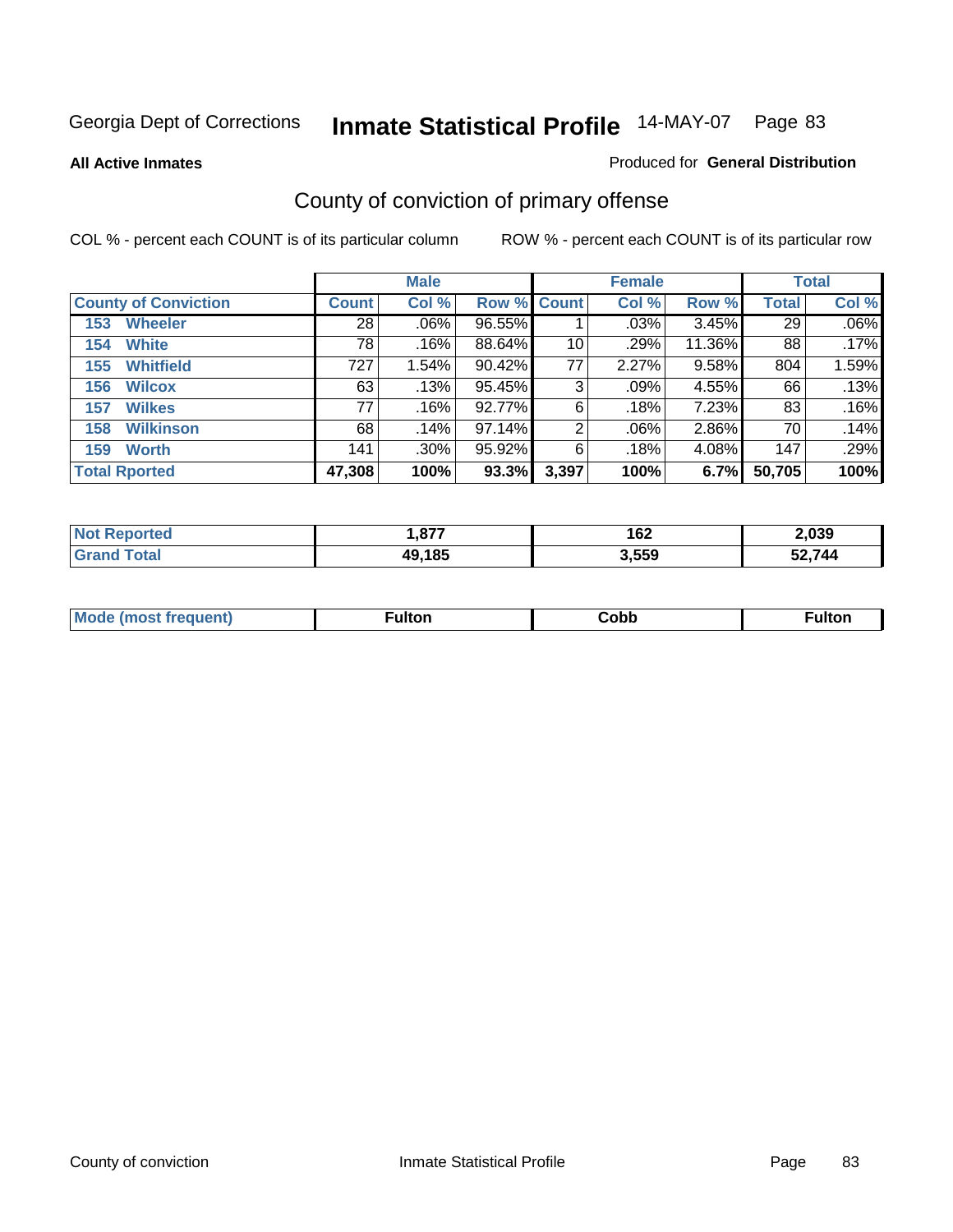**All Active Inmates**

#### Produced for **General Distribution**

# County of conviction of primary offense

|                             |              | <b>Male</b> |             |                | <b>Female</b> |          |              | <b>Total</b> |
|-----------------------------|--------------|-------------|-------------|----------------|---------------|----------|--------------|--------------|
| <b>County of Conviction</b> | <b>Count</b> | Col %       | Row % Count |                | Col %         | Row %    | <b>Total</b> | Col %        |
| <b>Wheeler</b><br>153       | 28           | $.06\%$     | 96.55%      |                | .03%          | $3.45\%$ | 29           | $.06\%$      |
| <b>White</b><br>154         | 78           | .16%        | 88.64%      | 10             | .29%          | 11.36%   | 88           | .17%         |
| <b>Whitfield</b><br>155     | 727          | 1.54%       | 90.42%      | 77             | 2.27%         | 9.58%    | 804          | 1.59%        |
| 156<br><b>Wilcox</b>        | 63           | .13%        | 95.45%      | 3              | $.09\%$       | 4.55%    | 66           | .13%         |
| <b>Wilkes</b><br>157        | 77           | .16%        | 92.77%      | 6              | .18%          | 7.23%    | 83           | .16%         |
| <b>Wilkinson</b><br>158     | 68           | .14%        | 97.14%      | $\overline{2}$ | $.06\%$       | 2.86%    | 70           | .14%         |
| <b>Worth</b><br>159         | 141          | $.30\%$     | $95.92\%$   | 6              | .18%          | 4.08%    | 147          | .29%         |
| <b>Total Rported</b>        | 47,308       | 100%        | 93.3%       | 3,397          | 100%          | 6.7%     | 50,705       | 100%         |

| тео<br><b>N</b> | . 877  | 162   | 2,039 |
|-----------------|--------|-------|-------|
|                 | 49,185 | 3,559 | 2.744 |

| <b>Mo</b><br>uenti<br>. | ∙ulton<br>____ | Cobb | <b>ultor</b> |
|-------------------------|----------------|------|--------------|
|                         |                |      |              |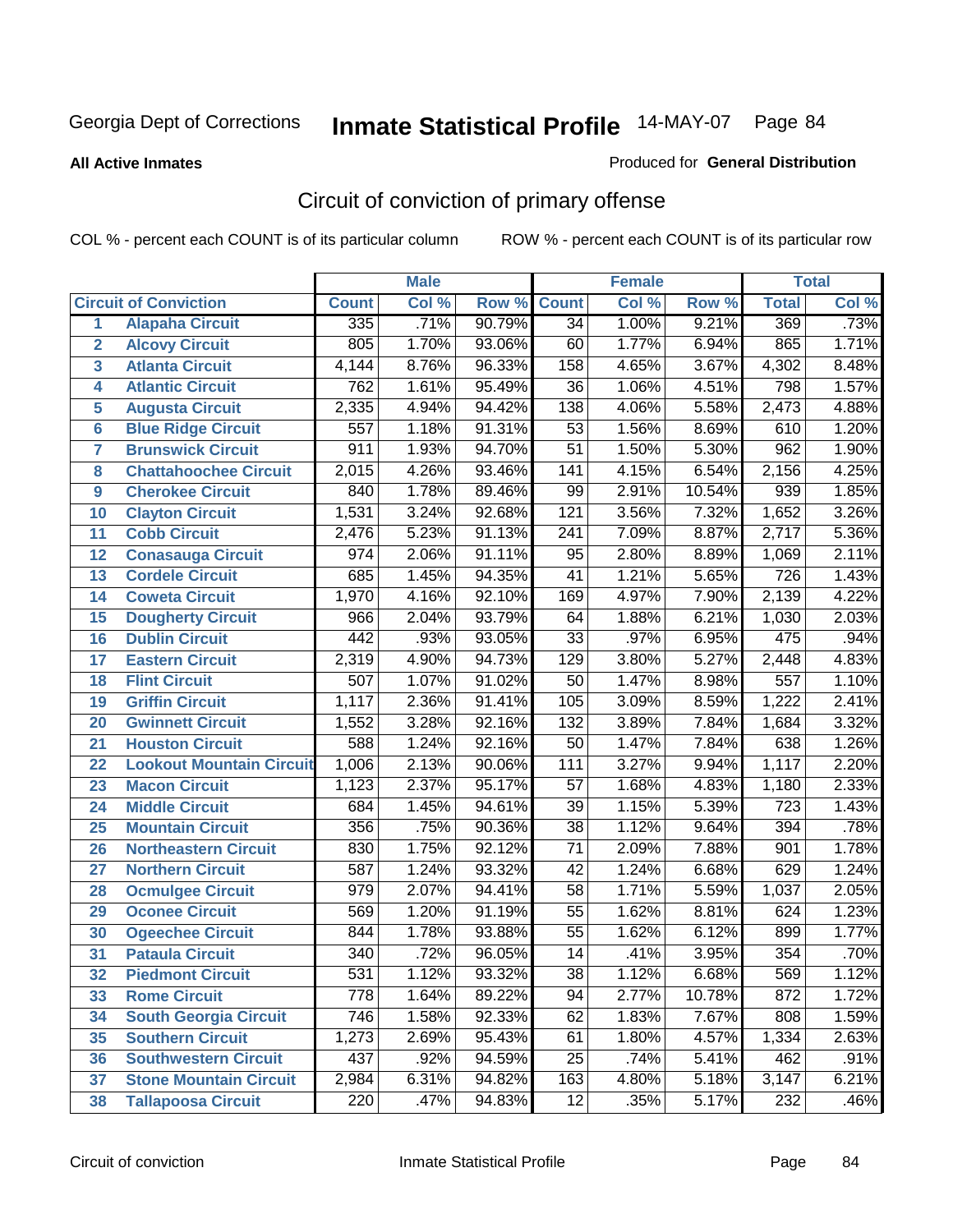**All Active Inmates**

#### Produced for **General Distribution**

# Circuit of conviction of primary offense

|                         |                                 |                    | <b>Male</b> |        |                  | <b>Female</b> |        |                  | <b>Total</b> |
|-------------------------|---------------------------------|--------------------|-------------|--------|------------------|---------------|--------|------------------|--------------|
|                         | <b>Circuit of Conviction</b>    | <b>Count</b>       | Col %       | Row %  | <b>Count</b>     | Col %         | Row %  | <b>Total</b>     | Col %        |
| 1                       | <b>Alapaha Circuit</b>          | 335                | .71%        | 90.79% | $\overline{34}$  | 1.00%         | 9.21%  | 369              | .73%         |
| $\overline{2}$          | <b>Alcovy Circuit</b>           | 805                | 1.70%       | 93.06% | 60               | 1.77%         | 6.94%  | 865              | 1.71%        |
| $\overline{\mathbf{3}}$ | <b>Atlanta Circuit</b>          | 4,144              | 8.76%       | 96.33% | 158              | 4.65%         | 3.67%  | 4,302            | 8.48%        |
| 4                       | <b>Atlantic Circuit</b>         | 762                | 1.61%       | 95.49% | $\overline{36}$  | 1.06%         | 4.51%  | 798              | 1.57%        |
| 5                       | <b>Augusta Circuit</b>          | 2,335              | 4.94%       | 94.42% | 138              | 4.06%         | 5.58%  | 2,473            | 4.88%        |
| $6\phantom{a}$          | <b>Blue Ridge Circuit</b>       | $\overline{557}$   | 1.18%       | 91.31% | $\overline{53}$  | 1.56%         | 8.69%  | 610              | 1.20%        |
| $\overline{\mathbf{7}}$ | <b>Brunswick Circuit</b>        | 911                | 1.93%       | 94.70% | $\overline{51}$  | 1.50%         | 5.30%  | 962              | 1.90%        |
| 8                       | <b>Chattahoochee Circuit</b>    | 2,015              | 4.26%       | 93.46% | $\overline{141}$ | 4.15%         | 6.54%  | 2,156            | 4.25%        |
| 9                       | <b>Cherokee Circuit</b>         | 840                | 1.78%       | 89.46% | 99               | 2.91%         | 10.54% | 939              | 1.85%        |
| 10                      | <b>Clayton Circuit</b>          | 1,531              | 3.24%       | 92.68% | $\overline{121}$ | 3.56%         | 7.32%  | 1,652            | 3.26%        |
| 11                      | <b>Cobb Circuit</b>             | $\overline{2,}476$ | 5.23%       | 91.13% | $\overline{241}$ | 7.09%         | 8.87%  | 2,717            | 5.36%        |
| 12                      | <b>Conasauga Circuit</b>        | 974                | 2.06%       | 91.11% | 95               | 2.80%         | 8.89%  | 1,069            | 2.11%        |
| 13                      | <b>Cordele Circuit</b>          | 685                | 1.45%       | 94.35% | $\overline{41}$  | 1.21%         | 5.65%  | 726              | 1.43%        |
| 14                      | <b>Coweta Circuit</b>           | 1,970              | 4.16%       | 92.10% | 169              | 4.97%         | 7.90%  | 2,139            | 4.22%        |
| 15                      | <b>Dougherty Circuit</b>        | 966                | 2.04%       | 93.79% | 64               | 1.88%         | 6.21%  | 1,030            | 2.03%        |
| 16                      | <b>Dublin Circuit</b>           | 442                | .93%        | 93.05% | $\overline{33}$  | .97%          | 6.95%  | 475              | .94%         |
| 17                      | <b>Eastern Circuit</b>          | 2,319              | 4.90%       | 94.73% | $\overline{129}$ | 3.80%         | 5.27%  | 2,448            | 4.83%        |
| 18                      | <b>Flint Circuit</b>            | $\overline{507}$   | 1.07%       | 91.02% | $\overline{50}$  | 1.47%         | 8.98%  | $\overline{557}$ | 1.10%        |
| 19                      | <b>Griffin Circuit</b>          | 1,117              | 2.36%       | 91.41% | 105              | 3.09%         | 8.59%  | 1,222            | 2.41%        |
| 20                      | <b>Gwinnett Circuit</b>         | 1,552              | 3.28%       | 92.16% | $\overline{132}$ | 3.89%         | 7.84%  | 1,684            | 3.32%        |
| 21                      | <b>Houston Circuit</b>          | 588                | 1.24%       | 92.16% | $\overline{50}$  | 1.47%         | 7.84%  | 638              | 1.26%        |
| $\overline{22}$         | <b>Lookout Mountain Circuit</b> | 1,006              | 2.13%       | 90.06% | $\overline{111}$ | 3.27%         | 9.94%  | 1,117            | 2.20%        |
| 23                      | <b>Macon Circuit</b>            | 1,123              | 2.37%       | 95.17% | 57               | 1.68%         | 4.83%  | 1,180            | 2.33%        |
| 24                      | <b>Middle Circuit</b>           | 684                | 1.45%       | 94.61% | $\overline{39}$  | 1.15%         | 5.39%  | $\overline{723}$ | 1.43%        |
| 25                      | <b>Mountain Circuit</b>         | 356                | .75%        | 90.36% | $\overline{38}$  | 1.12%         | 9.64%  | 394              | .78%         |
| 26                      | <b>Northeastern Circuit</b>     | 830                | 1.75%       | 92.12% | $\overline{71}$  | 2.09%         | 7.88%  | 901              | 1.78%        |
| 27                      | <b>Northern Circuit</b>         | 587                | 1.24%       | 93.32% | $\overline{42}$  | 1.24%         | 6.68%  | 629              | 1.24%        |
| 28                      | <b>Ocmulgee Circuit</b>         | 979                | 2.07%       | 94.41% | $\overline{58}$  | 1.71%         | 5.59%  | 1,037            | 2.05%        |
| 29                      | <b>Oconee Circuit</b>           | 569                | 1.20%       | 91.19% | $\overline{55}$  | 1.62%         | 8.81%  | 624              | 1.23%        |
| 30                      | <b>Ogeechee Circuit</b>         | 844                | 1.78%       | 93.88% | $\overline{55}$  | 1.62%         | 6.12%  | 899              | 1.77%        |
| $\overline{31}$         | <b>Pataula Circuit</b>          | 340                | .72%        | 96.05% | 14               | .41%          | 3.95%  | 354              | .70%         |
| 32                      | <b>Piedmont Circuit</b>         | 531                | 1.12%       | 93.32% | 38               | 1.12%         | 6.68%  | 569              | 1.12%        |
| 33                      | <b>Rome Circuit</b>             | 778                | 1.64%       | 89.22% | 94               | 2.77%         | 10.78% | 872              | 1.72%        |
| 34                      | <b>South Georgia Circuit</b>    | 746                | 1.58%       | 92.33% | 62               | 1.83%         | 7.67%  | 808              | 1.59%        |
| 35                      | <b>Southern Circuit</b>         | 1,273              | 2.69%       | 95.43% | 61               | 1.80%         | 4.57%  | 1,334            | 2.63%        |
| 36                      | <b>Southwestern Circuit</b>     | 437                | .92%        | 94.59% | 25               | .74%          | 5.41%  | 462              | .91%         |
| 37                      | <b>Stone Mountain Circuit</b>   | 2,984              | 6.31%       | 94.82% | 163              | 4.80%         | 5.18%  | 3,147            | 6.21%        |
| 38                      | <b>Tallapoosa Circuit</b>       | $\overline{220}$   | .47%        | 94.83% | $\overline{12}$  | .35%          | 5.17%  | 232              | .46%         |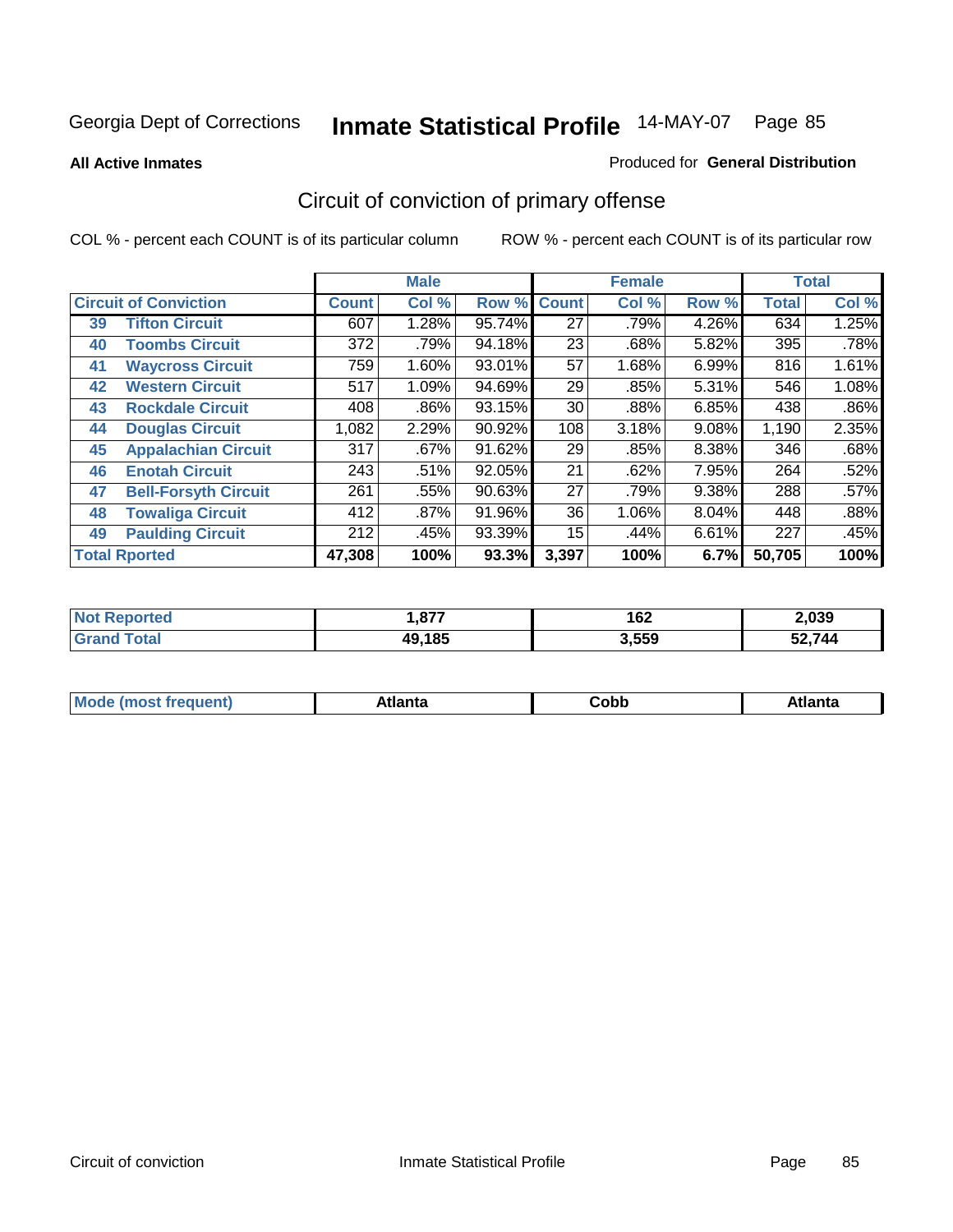**All Active Inmates**

#### Produced for **General Distribution**

# Circuit of conviction of primary offense

|    |                              |              | <b>Male</b> |        |              | <b>Female</b> |          |              | <b>Total</b> |
|----|------------------------------|--------------|-------------|--------|--------------|---------------|----------|--------------|--------------|
|    | <b>Circuit of Conviction</b> | <b>Count</b> | Col %       | Row %  | <b>Count</b> | Col %         | Row %    | <b>Total</b> | Col %        |
| 39 | <b>Tifton Circuit</b>        | 607          | 1.28%       | 95.74% | 27           | .79%          | 4.26%    | 634          | 1.25%        |
| 40 | <b>Toombs Circuit</b>        | 372          | .79%        | 94.18% | 23           | .68%          | 5.82%    | 395          | .78%         |
| 41 | <b>Waycross Circuit</b>      | 759          | 1.60%       | 93.01% | 57           | 1.68%         | 6.99%    | 816          | 1.61%        |
| 42 | <b>Western Circuit</b>       | 517          | 1.09%       | 94.69% | 29           | .85%          | 5.31%    | 546          | 1.08%        |
| 43 | <b>Rockdale Circuit</b>      | 408          | .86%        | 93.15% | 30           | .88%          | 6.85%    | 438          | $.86\%$      |
| 44 | <b>Douglas Circuit</b>       | 1,082        | 2.29%       | 90.92% | 108          | 3.18%         | 9.08%    | 1,190        | 2.35%        |
| 45 | <b>Appalachian Circuit</b>   | 317          | .67%        | 91.62% | 29           | .85%          | $8.38\%$ | 346          | .68%         |
| 46 | <b>Enotah Circuit</b>        | 243          | .51%        | 92.05% | 21           | .62%          | 7.95%    | 264          | .52%         |
| 47 | <b>Bell-Forsyth Circuit</b>  | 261          | .55%        | 90.63% | 27           | .79%          | 9.38%    | 288          | .57%         |
| 48 | <b>Towaliga Circuit</b>      | 412          | .87%        | 91.96% | 36           | 1.06%         | 8.04%    | 448          | .88%         |
| 49 | <b>Paulding Circuit</b>      | 212          | .45%        | 93.39% | 15           | .44%          | 6.61%    | 227          | .45%         |
|    | <b>Total Rported</b>         | 47,308       | 100%        | 93.3%  | 3,397        | 100%          | 6.7%     | 50,705       | 100%         |

| тео<br>w | 077<br>.o/ | 162   | 2,039 |
|----------|------------|-------|-------|
|          | 49,185     | 3,559 | 2.744 |

| M<br>.<br>.<br>---<br>ור<br>нс<br><b>OUNN</b> |  |  |  |  |  |
|-----------------------------------------------|--|--|--|--|--|
|-----------------------------------------------|--|--|--|--|--|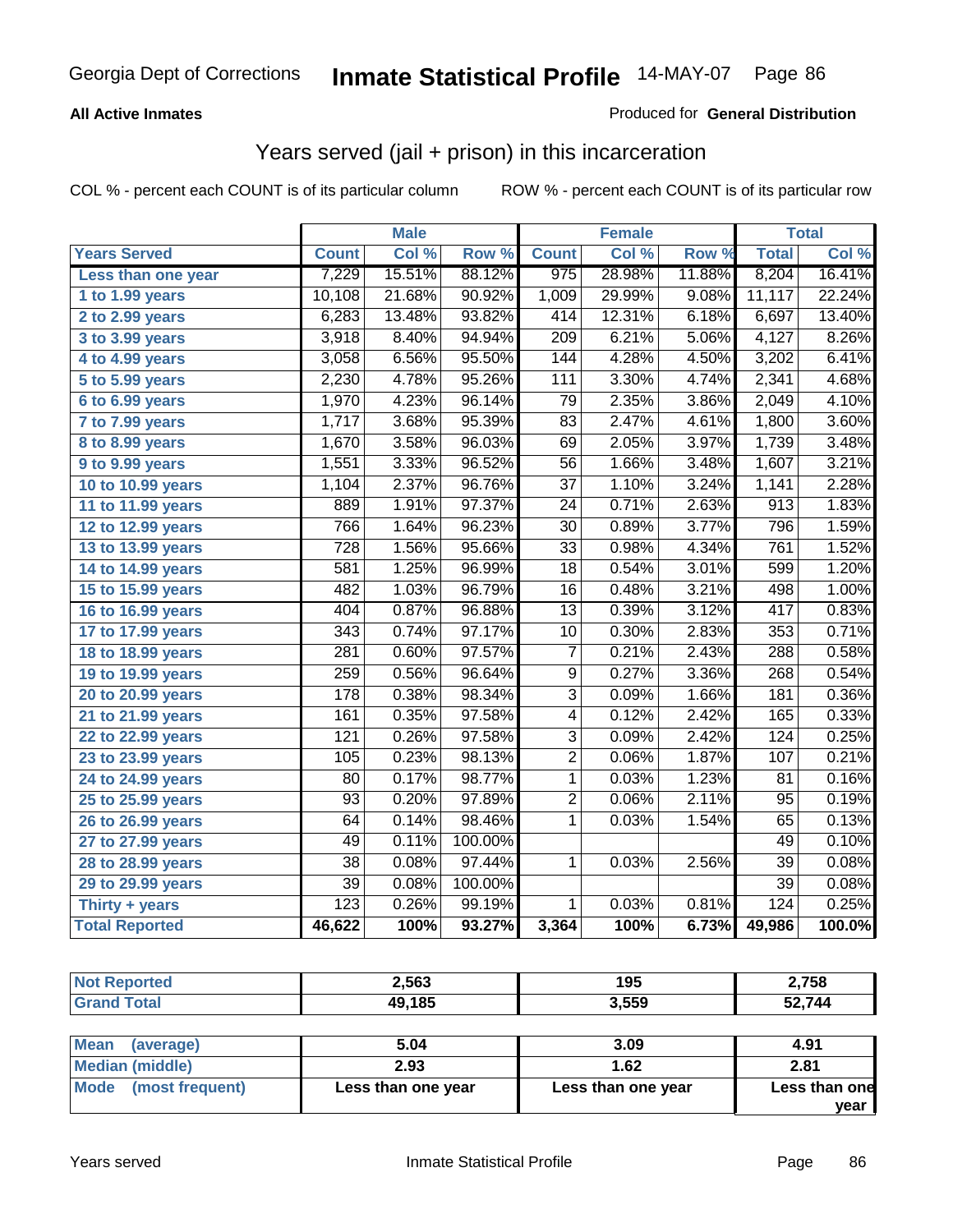### **All Active Inmates**

### Produced for **General Distribution**

## Years served (jail + prison) in this incarceration

|                              |                  | <b>Male</b> |         |                  | <b>Female</b> |        |                  | <b>Total</b> |
|------------------------------|------------------|-------------|---------|------------------|---------------|--------|------------------|--------------|
| <b>Years Served</b>          | <b>Count</b>     | Col %       | Row %   | <b>Count</b>     | Col %         | Row %  | <b>Total</b>     | Col%         |
| Less than one year           | 7,229            | 15.51%      | 88.12%  | 975              | 28.98%        | 11.88% | 8,204            | 16.41%       |
| 1 to 1.99 years              | 10,108           | 21.68%      | 90.92%  | 1,009            | 29.99%        | 9.08%  | 11,117           | 22.24%       |
| 2 to 2.99 years              | 6,283            | 13.48%      | 93.82%  | 414              | 12.31%        | 6.18%  | 6,697            | 13.40%       |
| 3 to 3.99 years              | 3,918            | 8.40%       | 94.94%  | $\overline{209}$ | 6.21%         | 5.06%  | 4,127            | 8.26%        |
| 4 to 4.99 years              | 3,058            | 6.56%       | 95.50%  | 144              | 4.28%         | 4.50%  | 3,202            | 6.41%        |
| 5 to 5.99 years              | 2,230            | 4.78%       | 95.26%  | 111              | 3.30%         | 4.74%  | 2,341            | 4.68%        |
| 6 to 6.99 years              | 1,970            | 4.23%       | 96.14%  | 79               | 2.35%         | 3.86%  | 2,049            | 4.10%        |
| $\overline{7}$ to 7.99 years | 1,717            | 3.68%       | 95.39%  | 83               | 2.47%         | 4.61%  | 1,800            | 3.60%        |
| 8 to 8.99 years              | 1,670            | 3.58%       | 96.03%  | 69               | 2.05%         | 3.97%  | 1,739            | 3.48%        |
| 9 to 9.99 years              | 1,551            | 3.33%       | 96.52%  | $\overline{56}$  | 1.66%         | 3.48%  | 1,607            | 3.21%        |
| 10 to 10.99 years            | 1,104            | 2.37%       | 96.76%  | $\overline{37}$  | 1.10%         | 3.24%  | 1,141            | 2.28%        |
| 11 to 11.99 years            | 889              | 1.91%       | 97.37%  | $\overline{24}$  | 0.71%         | 2.63%  | $\overline{913}$ | 1.83%        |
| 12 to 12.99 years            | 766              | 1.64%       | 96.23%  | $\overline{30}$  | 0.89%         | 3.77%  | 796              | 1.59%        |
| 13 to 13.99 years            | $\overline{728}$ | 1.56%       | 95.66%  | $\overline{33}$  | 0.98%         | 4.34%  | 761              | 1.52%        |
| 14 to 14.99 years            | $\overline{581}$ | 1.25%       | 96.99%  | $\overline{18}$  | 0.54%         | 3.01%  | 599              | 1.20%        |
| 15 to 15.99 years            | 482              | 1.03%       | 96.79%  | 16               | 0.48%         | 3.21%  | 498              | 1.00%        |
| 16 to 16.99 years            | 404              | 0.87%       | 96.88%  | $\overline{13}$  | 0.39%         | 3.12%  | 417              | 0.83%        |
| 17 to 17.99 years            | $\overline{343}$ | 0.74%       | 97.17%  | 10               | 0.30%         | 2.83%  | $\frac{1}{353}$  | 0.71%        |
| 18 to 18.99 years            | 281              | 0.60%       | 97.57%  | $\overline{7}$   | 0.21%         | 2.43%  | 288              | 0.58%        |
| 19 to 19.99 years            | 259              | 0.56%       | 96.64%  | $\overline{9}$   | 0.27%         | 3.36%  | 268              | 0.54%        |
| 20 to 20.99 years            | 178              | 0.38%       | 98.34%  | $\overline{3}$   | 0.09%         | 1.66%  | 181              | 0.36%        |
| 21 to 21.99 years            | 161              | 0.35%       | 97.58%  | 4                | 0.12%         | 2.42%  | 165              | 0.33%        |
| 22 to 22.99 years            | $\overline{121}$ | 0.26%       | 97.58%  | $\overline{3}$   | 0.09%         | 2.42%  | 124              | 0.25%        |
| 23 to 23.99 years            | 105              | 0.23%       | 98.13%  | $\overline{2}$   | 0.06%         | 1.87%  | 107              | 0.21%        |
| 24 to 24.99 years            | 80               | 0.17%       | 98.77%  | 1                | 0.03%         | 1.23%  | 81               | 0.16%        |
| 25 to 25.99 years            | $\overline{93}$  | 0.20%       | 97.89%  | $\overline{2}$   | 0.06%         | 2.11%  | 95               | 0.19%        |
| 26 to 26.99 years            | 64               | 0.14%       | 98.46%  | 1                | 0.03%         | 1.54%  | 65               | 0.13%        |
| 27 to 27.99 years            | 49               | 0.11%       | 100.00% |                  |               |        | 49               | 0.10%        |
| 28 to 28.99 years            | $\overline{38}$  | 0.08%       | 97.44%  | $\mathbf{1}$     | 0.03%         | 2.56%  | $\overline{39}$  | 0.08%        |
| 29 to 29.99 years            | 39               | 0.08%       | 100.00% |                  |               |        | 39               | 0.08%        |
| Thirty + years               | $\overline{123}$ | 0.26%       | 99.19%  | $\mathbf{1}$     | 0.03%         | 0.81%  | 124              | 0.25%        |
| <b>Total Reported</b>        | 46,622           | 100%        | 93.27%  | 3,364            | 100%          | 6.73%  | 49,986           | 100.0%       |

| <b>Not Reported</b> | 2,563  | 195   | 2,758  |
|---------------------|--------|-------|--------|
| <b>Grand Total</b>  | 49,185 | 3,559 | 52,744 |
|                     | --     |       |        |

| <b>Mean</b><br>(average) | 5.04               | 3.09               | 4.91          |
|--------------------------|--------------------|--------------------|---------------|
| Median (middle)          | 2.93               | 1.62               | 2.81          |
| Mode (most frequent)     | Less than one year | Less than one year | Less than one |
|                          |                    |                    | vear          |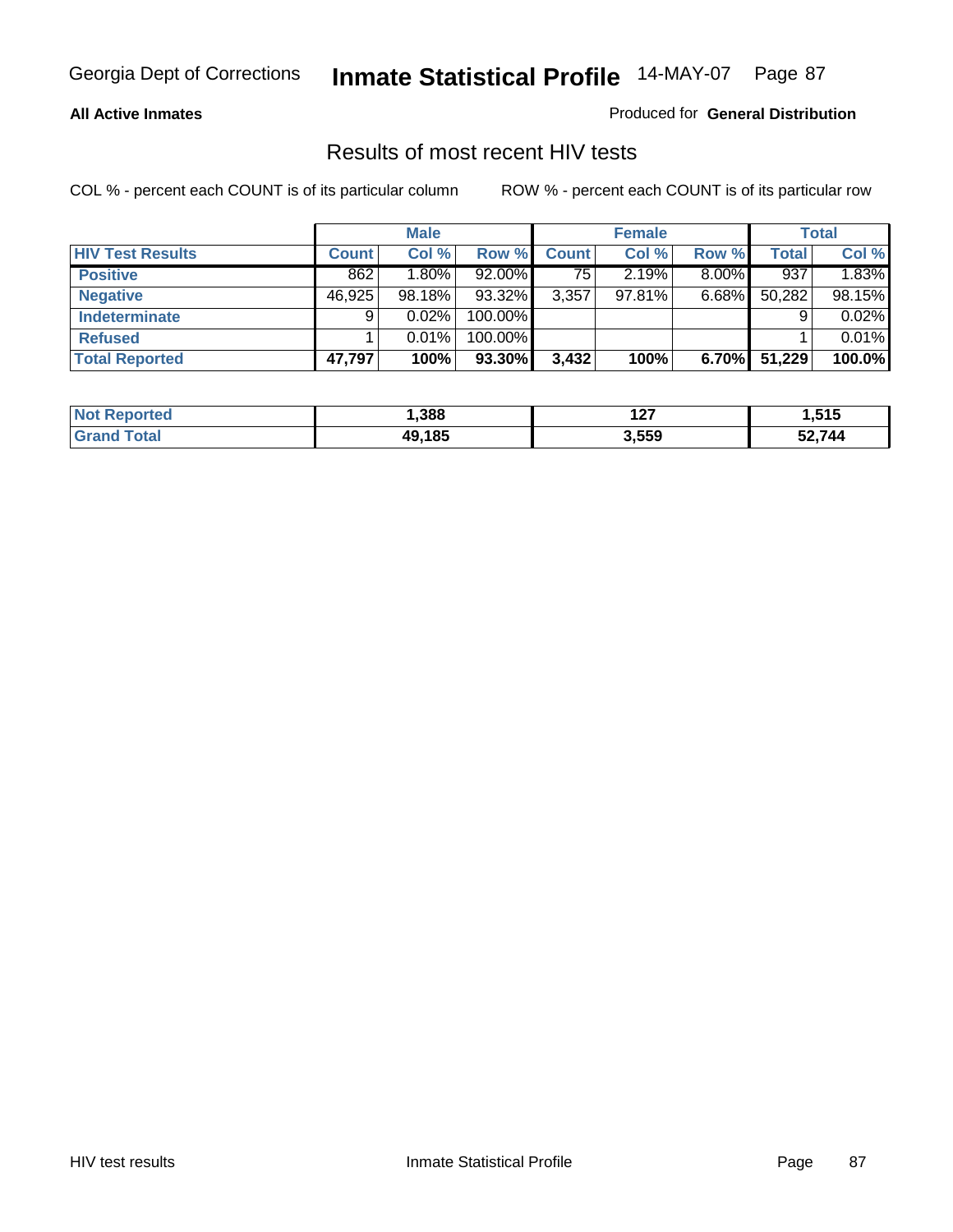### **All Active Inmates**

Produced for **General Distribution**

### Results of most recent HIV tests

|                         |              | <b>Male</b> |         |       | <b>Female</b> |          |        | Total  |
|-------------------------|--------------|-------------|---------|-------|---------------|----------|--------|--------|
| <b>HIV Test Results</b> | <b>Count</b> | Col %       | Row %   | Count | Col %         | Row %    | Total  | Col %  |
| <b>Positive</b>         | 862          | $1.80\%$    | 92.00%  | 75    | 2.19%         | $8.00\%$ | 937    | 1.83%  |
| <b>Negative</b>         | 46,925       | 98.18%      | 93.32%  | 3,357 | 97.81%        | $6.68\%$ | 50,282 | 98.15% |
| <b>Indeterminate</b>    | 9            | 0.02%       | 100.00% |       |               |          |        | 0.02%  |
| <b>Refused</b>          |              | 0.01%       | 100.00% |       |               |          |        | 0.01%  |
| <b>Total Reported</b>   | 47,797       | 100%        | 93.30%  | 3,432 | 100%          | 6.70%    | 51,229 | 100.0% |

| <b>Not</b><br><b>orted</b>  | .388   | י י<br>14 I | 515. ا |
|-----------------------------|--------|-------------|--------|
| <b>otal</b><br><b>Grand</b> | 49.185 | 3,559       | 52.744 |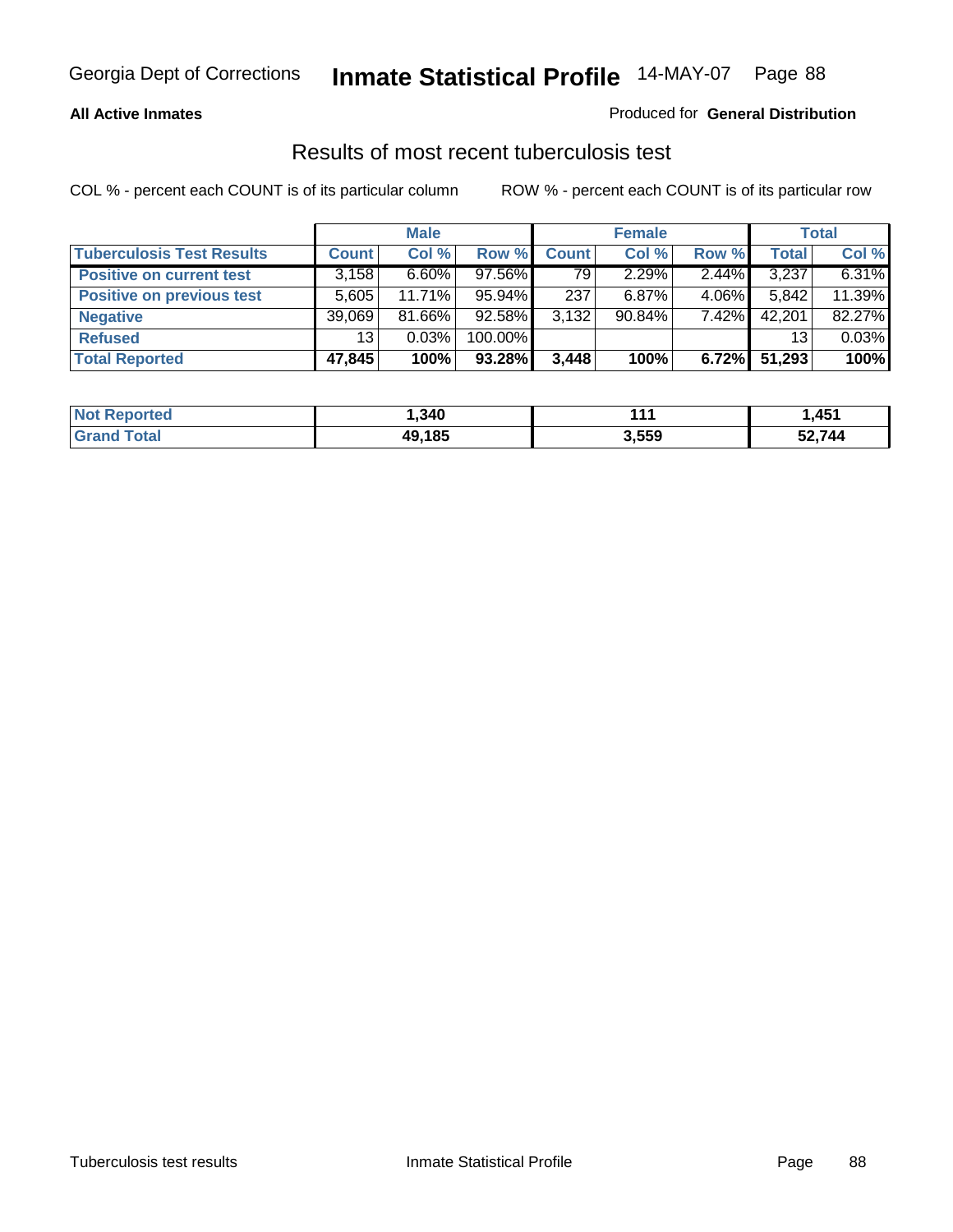### **All Active Inmates**

### Produced for **General Distribution**

### Results of most recent tuberculosis test

|                                  |              | <b>Male</b> |         |              | <b>Female</b> |          |              | Total  |
|----------------------------------|--------------|-------------|---------|--------------|---------------|----------|--------------|--------|
| <b>Tuberculosis Test Results</b> | <b>Count</b> | Col %       | Row %   | <b>Count</b> | Col %         | Row %    | <b>Total</b> | Col %  |
| <b>Positive on current test</b>  | 3,158        | $6.60\%$    | 97.56%  | 79           | 2.29%         | $2.44\%$ | 3,237        | 6.31%  |
| <b>Positive on previous test</b> | 5,605        | 11.71%      | 95.94%  | 237          | $6.87\%$      | 4.06%    | 5,842        | 11.39% |
| <b>Negative</b>                  | 39,069       | 81.66%      | 92.58%  | 3,132        | $90.84\%$     | $7.42\%$ | 42,201       | 82.27% |
| <b>Refused</b>                   | 13           | 0.03%       | 100.00% |              |               |          | 13           | 0.03%  |
| <b>Total Reported</b>            | 47,845       | 100%        | 93.28%  | 3,448        | 100%          | 6.72%    | 51,293       | 100%   |

| <b>Not</b><br>Reported       | .340   | 444   | A51    |
|------------------------------|--------|-------|--------|
| <b>Total</b><br><b>Grand</b> | 49,185 | 3,559 | 52.744 |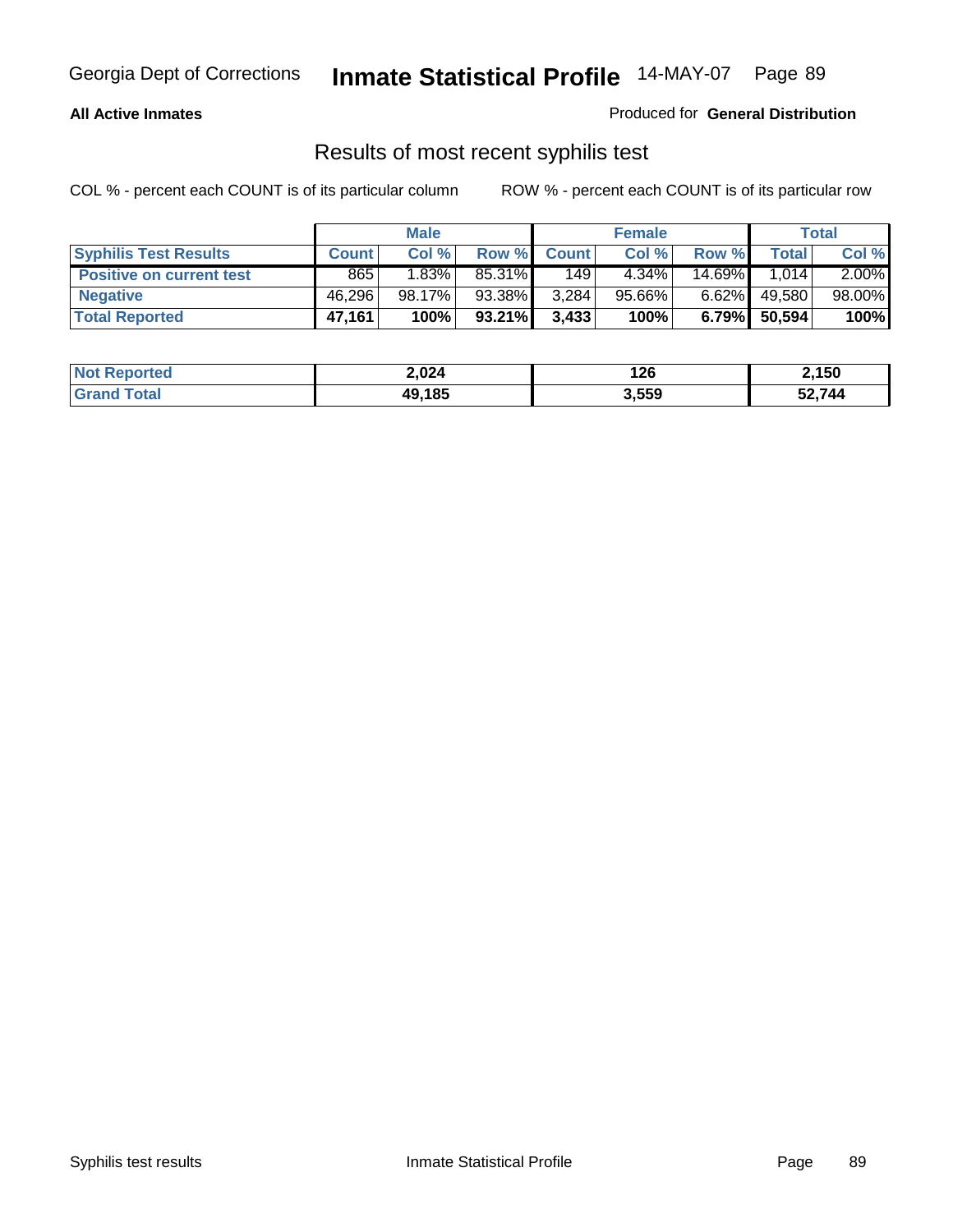### **All Active Inmates**

Produced for **General Distribution**

### Results of most recent syphilis test

|                                 |              | <b>Male</b> |           |              | <b>Female</b> |           |        | Total  |
|---------------------------------|--------------|-------------|-----------|--------------|---------------|-----------|--------|--------|
| <b>Syphilis Test Results</b>    | <b>Count</b> | Col %       | Row %     | <b>Count</b> | Col %         | Row %     | Total  | Col %  |
| <b>Positive on current test</b> | 865          | 1.83%       | 85.31%    | 149          | $4.34\%$      | $14.69\%$ | 1.014  | 2.00%  |
| <b>Negative</b>                 | 46,296       | 98.17%      | 93.38%    | 3,284        | 95.66%        | $6.62\%$  | 49,580 | 98.00% |
| <b>Total Reported</b>           | 47,161       | 100%        | $93.21\%$ | 3,433        | 100%          | $6.79\%$  | 50,594 | 100%   |

| <b>Not Reported</b> | 2,024  | 126   | 2,150  |
|---------------------|--------|-------|--------|
| <b>Grand Total</b>  | 49,185 | 3,559 | 52.744 |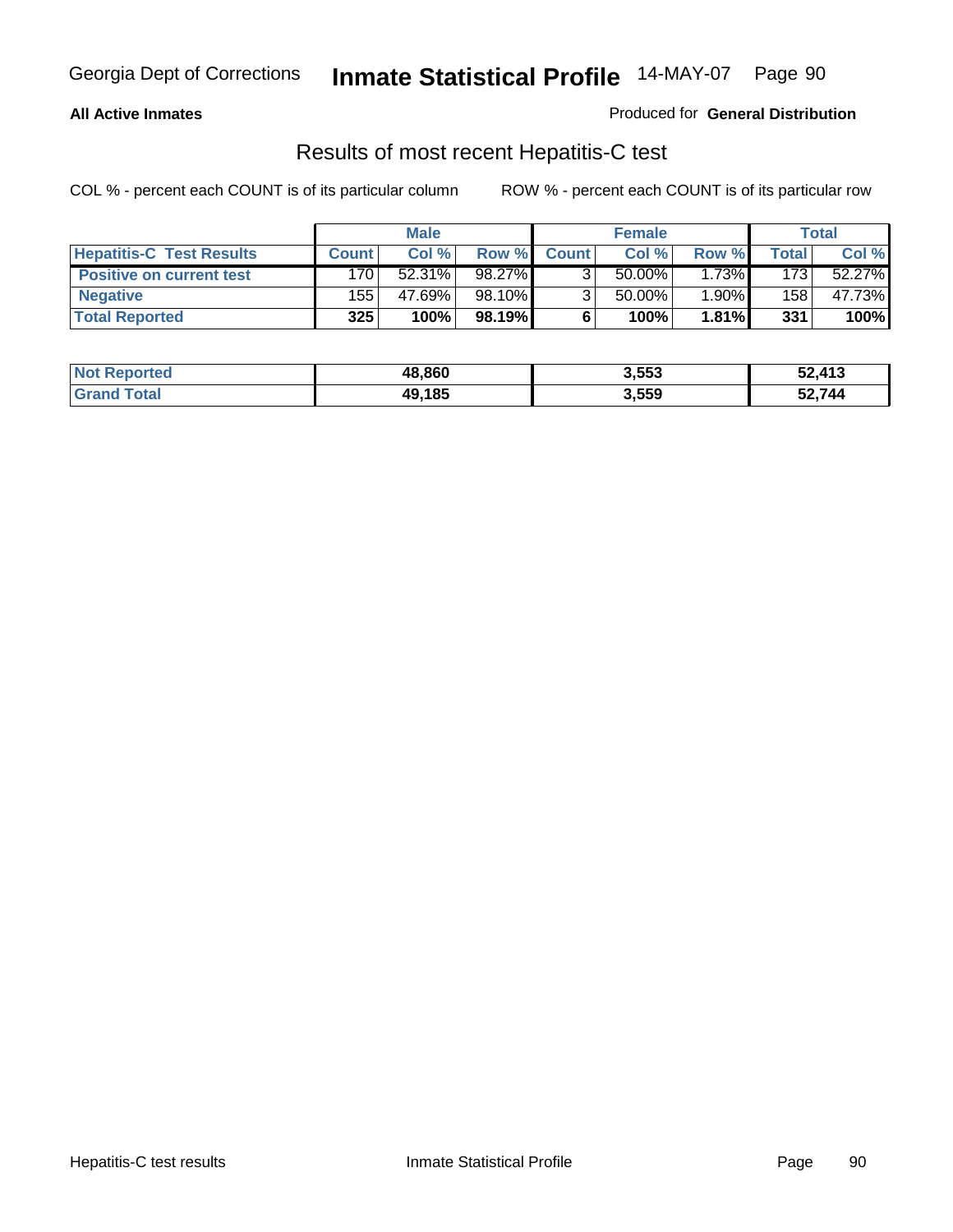### **All Active Inmates**

### Produced for **General Distribution**

### Results of most recent Hepatitis-C test

|                                 | <b>Male</b>  |           | <b>Female</b> |              |           | Total |                  |        |
|---------------------------------|--------------|-----------|---------------|--------------|-----------|-------|------------------|--------|
| <b>Hepatitis-C Test Results</b> | <b>Count</b> | Col %     | Row %         | <b>Count</b> | Col %     | Row % | Total            | Col %  |
| <b>Positive on current test</b> | 170          | $52.31\%$ | 98.27%        |              | 50.00%    | 1.73% | 173              | 52.27% |
| <b>Negative</b>                 | 155          | 47.69%    | 98.10%        |              | $50.00\%$ | 1.90% | 158 <sub>1</sub> | 47.73% |
| <b>Total Reported</b>           | 325          | 100%      | 98.19%I       |              | 100%      | 1.81% | 331              | 100%   |

| <b>Not Reported</b> | 48.860 | 3,553 | 52,413 |
|---------------------|--------|-------|--------|
| <b>Grand Total</b>  | 49.185 | 3,559 | 52,744 |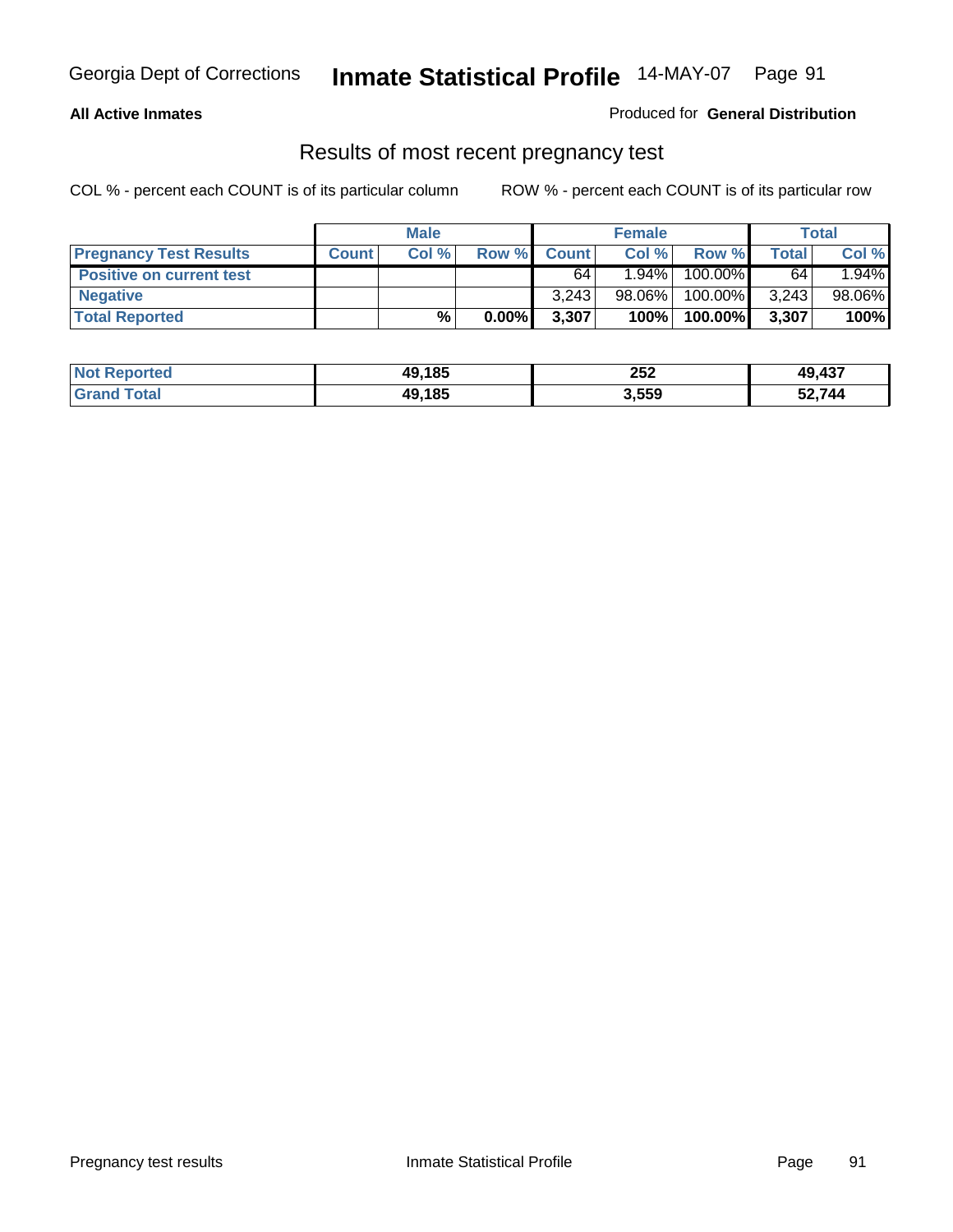### **All Active Inmates**

### Produced for **General Distribution**

### Results of most recent pregnancy test

|                                 | <b>Male</b>  |       | <b>Female</b> |              |          | Total   |       |        |
|---------------------------------|--------------|-------|---------------|--------------|----------|---------|-------|--------|
| <b>Pregnancy Test Results</b>   | <b>Count</b> | Col % | Row %         | <b>Count</b> | Col %    | Row %   | Total | Col %  |
| <b>Positive on current test</b> |              |       |               | 64           | $1.94\%$ | 100.00% | 64    | 1.94%  |
| <b>Negative</b>                 |              |       |               | 3.243        | 98.06%   | 100.00% | 3,243 | 98.06% |
| <b>Total Reported</b>           |              | %     | $0.00\%$      | 3,307        | 100%     | 100.00% | 3,307 | 100%   |

| <b>Not Reported</b> | 49,185 | 252   | 49,437 |
|---------------------|--------|-------|--------|
| <b>Grand Total</b>  | 49,185 | 3,559 | 52,744 |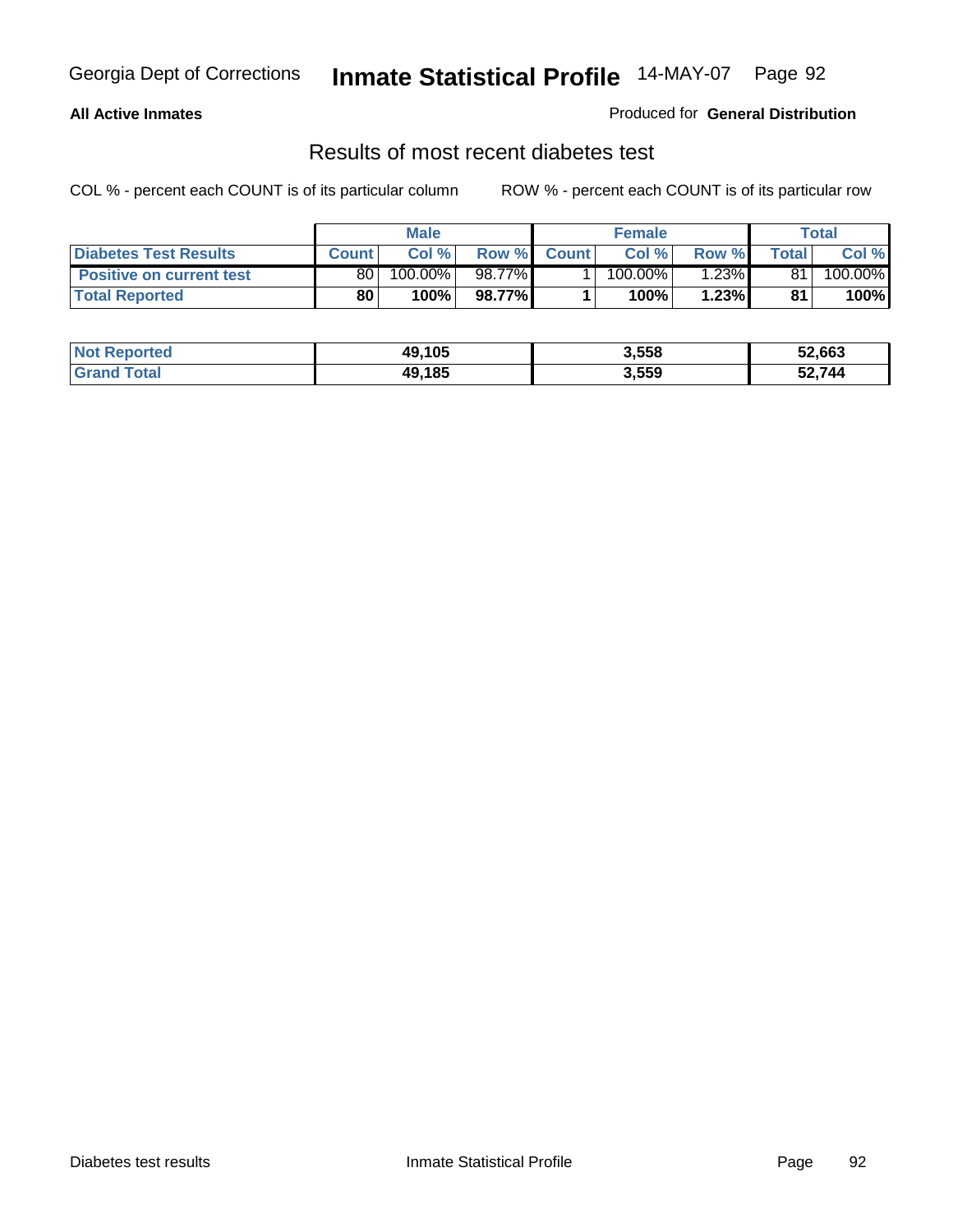### **All Active Inmates**

### Produced for **General Distribution**

### Results of most recent diabetes test

|                                 | <b>Male</b>  |         |         | <b>Female</b> |                       |          | Total |         |
|---------------------------------|--------------|---------|---------|---------------|-----------------------|----------|-------|---------|
| <b>Diabetes Test Results</b>    | <b>Count</b> | Col %   | Row %   | <b>Count</b>  | Col %                 | Row %I   | Total | Col %   |
| <b>Positive on current test</b> | 80 l         | 100.00% | 98.77%I |               | $100.\overline{00\%}$ | $1.23\%$ | 81    | 100.00% |
| <b>Total Reported</b>           | 80           | 100%    | 98.77%  |               | 100%                  | 1.23%    | 81    | 100%    |

| <b>Not Reported</b>   | 49,105 | 3,558 | 52,663 |
|-----------------------|--------|-------|--------|
| Total<br><b>Grand</b> | 49.185 | 3,559 | 52.744 |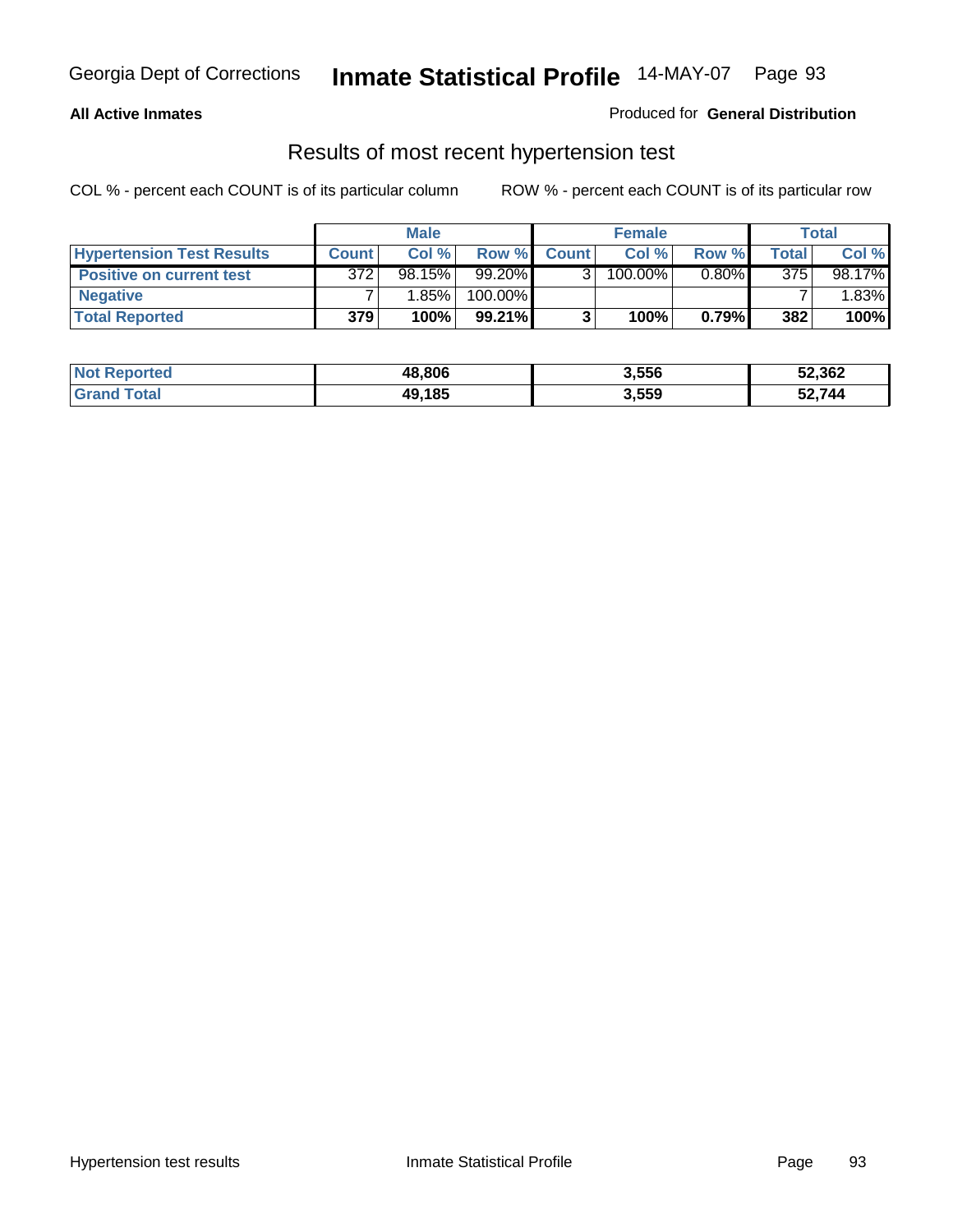### **All Active Inmates**

### Produced for **General Distribution**

### Results of most recent hypertension test

|                                  |              | <b>Male</b> |         |              | <b>Female</b> |          |       | <b>Total</b> |
|----------------------------------|--------------|-------------|---------|--------------|---------------|----------|-------|--------------|
| <b>Hypertension Test Results</b> | <b>Count</b> | Col %       | Row %   | <b>Count</b> | Col%          | Row %    | Total | Col %        |
| <b>Positive on current test</b>  | 372          | 98.15%      | 99.20%  |              | 100.00%       | $0.80\%$ | 375   | 98.17%       |
| <b>Negative</b>                  |              | 1.85%       | 100.00% |              |               |          |       | $1.83\%$     |
| <b>Total Reported</b>            | 379          | 100%        | 99.21%  |              | 100%          | 0.79%    | 382   | 100%         |

| <b>Not Reported</b> | 48,806 | 3,556 | 52,362 |
|---------------------|--------|-------|--------|
| <b>Grand Total</b>  | 49,185 | 3,559 | 52,744 |